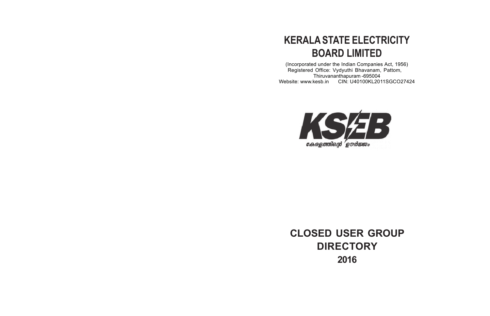# **KERALA STATE ELECTRICITY BOARD LIMITED**

(Incorporated under the Indian Companies Act, 1956) Registered Office: Vydyuthi Bhavanam, Pattom, Thiruvananthapuram -695004 Website: www.kesb.in CIN: U40100KL2011SGCO27424



**CLOSED USER GROUP DIRECTORY 2016**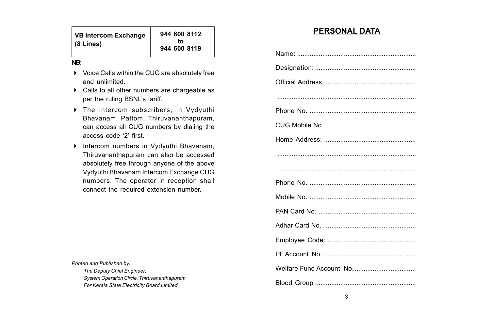| VB Intercom Exchange | 944 600 8112       |
|----------------------|--------------------|
| (8 Lines)            | t∩<br>944 600 8119 |

#### **NB:**

- Voice Calls within the CUG are absolutely free and unlimited.
- Calls to all other numbers are chargeable as per the ruling BSNL's tariff.
- The intercom subscribers, in Vydyuthi Bhavanam, Pattom, Thiruvananthapuram, can access all CUG numbers by dialing the access code '2' first.
- Intercom numbers in Vydyuthi Bhavanam, Thiruvananthapuram can also be accessed absolutely free through anyone of the above Vydyuthi Bhavanam Intercom Exchange CUG numbers. The operator in reception shall connect the required extension number.

*Printed and Published by: The Deputy Chief Engineer, System Operation Circle, Thiruvananthapuram For Kerala State Electricity Board Limited*

### **PERSONAL DATA**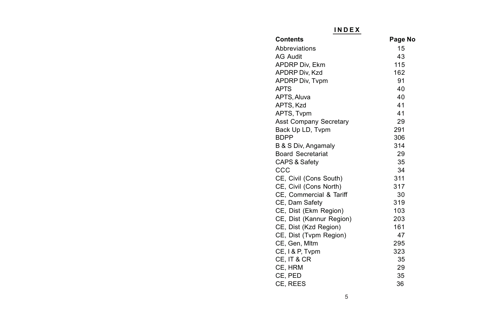| <b>INDEX</b>                  |         |
|-------------------------------|---------|
| Contents                      | Page No |
| Abbreviations                 | 15      |
| AG Audit                      | 43      |
| APDRP Div, Ekm                | 115     |
| APDRP Div, Kzd                | 162     |
| <b>APDRP Div, Tvpm</b>        | 91      |
| APTS                          | 40      |
| APTS. Aluva                   | 40      |
| APTS, Kzd                     | 41      |
| APTS. Tvpm                    | 41      |
| <b>Asst Company Secretary</b> | 29      |
| Back Up LD, Tvpm              | 291     |
| BDPP                          | 306     |
| B & S Div, Angamaly           | 314     |
| <b>Board Secretariat</b>      | 29      |
| CAPS & Safety                 | 35      |
| ссс                           | 34      |
| CE, Civil (Cons South)        | 311     |
| CE, Civil (Cons North)        | 317     |
| CE, Commercial & Tariff       | 30      |
| CE, Dam Safety                | 319     |
| CE, Dist (Ekm Region)         | 103     |
| CE, Dist (Kannur Region)      | 203     |
| CE, Dist (Kzd Region)         | 161     |
| CE, Dist (Tvpm Region)        | 47      |
| CE, Gen, Mltm                 | 295     |
| CE, I & P, Tvpm               | 323     |
| CE, IT & CR                   | 35      |
| CE. HRM                       | 29      |
| CE. PED                       | 35      |
| CE, REES                      | 36      |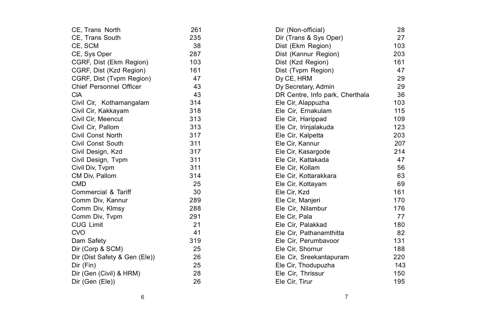| CE, Trans North               | 261 | Dir (Non-official)              | 28  |
|-------------------------------|-----|---------------------------------|-----|
| CE, Trans South               | 235 | Dir (Trans & Sys Oper)          | 27  |
| CE, SCM                       | 38  | Dist (Ekm Region)               | 103 |
| CE, Sys Oper                  | 287 | Dist (Kannur Region)            | 203 |
| CGRF, Dist (Ekm Region)       | 103 | Dist (Kzd Region)               | 161 |
| CGRF, Dist (Kzd Region)       | 161 | Dist (Tvpm Region)              | 47  |
| CGRF, Dist (Tvpm Region)      | 47  | Dy CE, HRM                      | 29  |
| Chief Personnel Officer       | 43  | Dy Secretary, Admin             | 29  |
| <b>CIA</b>                    | 43  | DR Centre, Info park, Cherthala | 36  |
| Civil Cir, Kothamangalam      | 314 | Ele Cir, Alappuzha              | 103 |
| Civil Cir, Kakkayam           | 318 | Ele Cir, Ernakulam              | 115 |
| Civil Cir, Meencut            | 313 | Ele Cir, Harippad               | 109 |
| Civil Cir, Pallom             | 313 | Ele Cir, Irinjalakuda           | 123 |
| Civil Const North             | 317 | Ele Cir, Kalpetta               | 203 |
| Civil Const South             | 311 | Ele Cir, Kannur                 | 207 |
| Civil Design, Kzd             | 317 | Ele Cir, Kasargode              | 214 |
| Civil Design, Tvpm            | 311 | Ele Cir, Kattakada              | 47  |
| Civil Div, Tvpm               | 311 | Ele Cir, Kollam                 | 56  |
| CM Div, Pallom                | 314 | Ele Cir, Kottarakkara           | 63  |
| <b>CMD</b>                    | 25  | Ele Cir, Kottayam               | 69  |
| Commercial & Tariff           | 30  | Ele Cir, Kzd                    | 161 |
| Comm Div, Kannur              | 289 | Ele Cir, Manjeri                | 170 |
| Comm Div, Klmsy               | 288 | Ele Cir, Nilambur               | 176 |
| Comm Div, Tvpm                | 291 | Ele Cir, Pala                   | 77  |
| <b>CUG Limit</b>              | 21  | Ele Cir. Palakkad               | 180 |
| <b>CVO</b>                    | 41  | Ele Cir, Pathanamthitta         | 82  |
| Dam Safety                    | 319 | Ele Cir. Perumbayoor            | 131 |
| Dir (Corp & SCM)              | 25  | Ele Cir. Shornur                | 188 |
| Dir (Dist Safety & Gen (Ele)) | 26  | Ele Cir, Sreekantapuram         | 220 |
| Dir (Fin)                     | 25  | Ele Cir, Thodupuzha             | 143 |
| Dir (Gen (Civil) & HRM)       | 28  | Ele Cir, Thrissur               | 150 |
| Dir (Gen (Ele))               | 26  | Ele Cir, Tirur                  | 195 |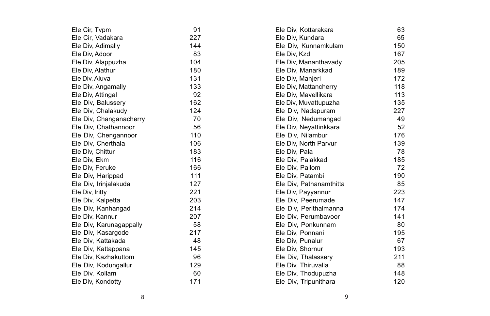| Ele Cir, Tvpm           | 91  | Ele Div, Kottarakara    | 63  |
|-------------------------|-----|-------------------------|-----|
| Ele Cir, Vadakara       | 227 | Ele Div, Kundara        | 65  |
| Ele Div, Adimally       | 144 | Ele Div, Kunnamkulam    | 150 |
| Ele Div, Adoor          | 83  | Ele Div, Kzd            | 167 |
| Ele Div, Alappuzha      | 104 | Ele Div, Mananthavady   | 205 |
| Ele Div, Alathur        | 180 | Ele Div, Manarkkad      | 189 |
| Ele Div, Aluva          | 131 | Ele Div, Manjeri        | 172 |
| Ele Div, Angamally      | 133 | Ele Div, Mattancherry   | 118 |
| Ele Div, Attingal       | 92  | Ele Div, Mavellikara    | 113 |
| Ele Div, Balussery      | 162 | Ele Div, Muvattupuzha   | 135 |
| Ele Div, Chalakudy      | 124 | Ele Div, Nadapuram      | 227 |
| Ele Div, Changanacherry | 70  | Ele Div, Nedumangad     | 49  |
| Ele Div. Chathannoor    | 56  | Ele Div, Neyattinkkara  | 52  |
| Ele Div, Chengannoor    | 110 | Ele Div, Nilambur       | 176 |
| Ele Div, Cherthala      | 106 | Ele Div, North Parvur   | 139 |
| Ele Div, Chittur        | 183 | Ele Div, Pala           | 78  |
| Ele Div, Ekm            | 116 | Ele Div, Palakkad       | 185 |
| Ele Div, Feruke         | 166 | Ele Div, Pallom         | 72  |
| Ele Div, Harippad       | 111 | Ele Div, Patambi        | 190 |
| Ele Div, Irinjalakuda   | 127 | Ele Div, Pathanamthitta | 85  |
| Ele Div, Iritty         | 221 | Ele Div, Payyannur      | 223 |
| Ele Div, Kalpetta       | 203 | Ele Div, Peerumade      | 147 |
| Ele Div, Kanhangad      | 214 | Ele Div, Perithalmanna  | 174 |
| Ele Div, Kannur         | 207 | Ele Div. Perumbayoor    | 141 |
| Ele Div, Karunagappally | 58  | Ele Div, Ponkunnam      | 80  |
| Ele Div, Kasargode      | 217 | Ele Div, Ponnani        | 195 |
| Ele Div, Kattakada      | 48  | Ele Div, Punalur        | 67  |
| Ele Div, Kattappana     | 145 | Ele Div, Shornur        | 193 |
| Ele Div, Kazhakuttom    | 96  | Ele Div, Thalassery     | 211 |
| Ele Div, Kodungallur    | 129 | Ele Div, Thiruvalla     | 88  |
| Ele Div, Kollam         | 60  | Ele Div, Thodupuzha     | 148 |
| Ele Div, Kondotty       | 171 | Ele Div, Tripunithara   | 120 |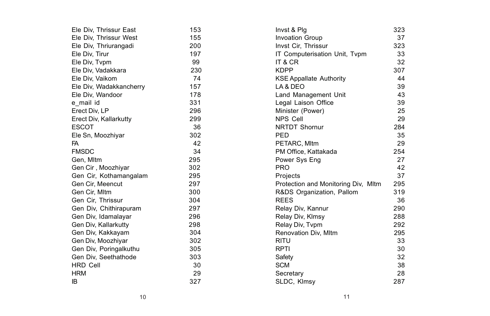| Ele Div, Thrissur East  | 153 | Invst & Plg                         | 323 |
|-------------------------|-----|-------------------------------------|-----|
| Ele Div, Thrissur West  | 155 | <b>Invoation Group</b>              | 37  |
| Ele Div, Thriurangadi   | 200 | Invst Cir, Thrissur                 | 323 |
| Ele Div, Tirur          | 197 | IT Computerisation Unit, Tvpm       | 33  |
| Ele Div, Typm           | 99  | IT & CR                             | 32  |
| Ele Div, Vadakkara      | 230 | <b>KDPP</b>                         | 307 |
| Ele Div, Vaikom         | 74  | <b>KSE Appallate Authority</b>      | 44  |
| Ele Div, Wadakkancherry | 157 | LA & DEO                            | 39  |
| Ele Div, Wandoor        | 178 | Land Management Unit                | 43  |
| e mail id               | 331 | Legal Laison Office                 | 39  |
| Erect Div, LP           | 296 | Minister (Power)                    | 25  |
| Erect Div, Kallarkutty  | 299 | <b>NPS Cell</b>                     | 29  |
| <b>ESCOT</b>            | 36  | <b>NRTDT Shornur</b>                | 284 |
| Ele Sn, Moozhiyar       | 302 | PED                                 | 35  |
| FA                      | 42  | PETARC, MItm                        | 29  |
| <b>FMSDC</b>            | 34  | PM Office, Kattakada                | 254 |
| Gen, Mltm               | 295 | Power Sys Eng                       | 27  |
| Gen Cir, Moozhiyar      | 302 | <b>PRO</b>                          | 42  |
| Gen Cir, Kothamangalam  | 295 | Projects                            | 37  |
| Gen Cir. Meencut        | 297 | Protection and Monitoring Div, MItm | 295 |
| Gen Cir, Mltm           | 300 | R&DS Organization, Pallom           | 319 |
| Gen Cir, Thrissur       | 304 | <b>REES</b>                         | 36  |
| Gen Div, Chithirapuram  | 297 | Relay Div, Kannur                   | 290 |
| Gen Div, Idamalayar     | 296 | Relay Div, Klmsy                    | 288 |
| Gen Div, Kallarkutty    | 298 | Relay Div, Typm                     | 292 |
| Gen Div, Kakkayam       | 304 | Renovation Div, Mltm                | 295 |
| Gen Div, Moozhiyar      | 302 | <b>RITU</b>                         | 33  |
| Gen Div, Poringalkuthu  | 305 | <b>RPTI</b>                         | 30  |
| Gen Div, Seethathode    | 303 | Safety                              | 32  |
| <b>HRD Cell</b>         | 30  | <b>SCM</b>                          | 38  |
| <b>HRM</b>              | 29  | Secretary                           | 28  |
| IB                      | 327 | SLDC, Klmsy                         | 287 |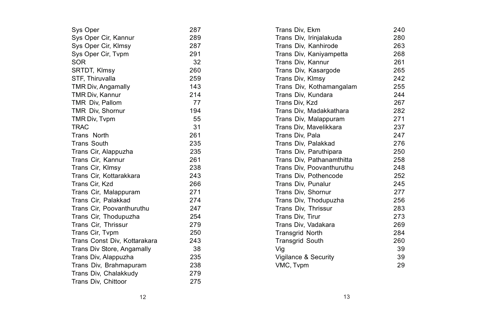| Sys Oper                     | 287 | Trans Div. Ekm            | 240 |
|------------------------------|-----|---------------------------|-----|
| Sys Oper Cir, Kannur         | 289 | Trans Div, Irinjalakuda   | 280 |
| Sys Oper Cir, Klmsy          | 287 | Trans Div, Kanhirode      | 263 |
| Sys Oper Cir, Tvpm           | 291 | Trans Div, Kaniyampetta   | 268 |
| <b>SOR</b>                   | 32  | Trans Div, Kannur         | 261 |
| SRTDT, Klmsy                 | 260 | Trans Div, Kasargode      | 265 |
| STF, Thiruvalla              | 259 | Trans Div, Klmsy          | 242 |
| TMR Div, Angamally           | 143 | Trans Div, Kothamangalam  | 255 |
| TMR Div, Kannur              | 214 | Trans Div, Kundara        | 244 |
| TMR Div, Pallom              | 77  | Trans Div, Kzd            | 267 |
| TMR Div, Shornur             | 194 | Trans Div, Madakkathara   | 282 |
| TMR Div, Typm                | 55  | Trans Div, Malappuram     | 271 |
| <b>TRAC</b>                  | 31  | Trans Div. Mavelikkara    | 237 |
| Trans North                  | 261 | Trans Div, Pala           | 247 |
| <b>Trans South</b>           | 235 | Trans Div, Palakkad       | 276 |
| Trans Cir, Alappuzha         | 235 | Trans Div, Paruthipara    | 250 |
| Trans Cir. Kannur            | 261 | Trans Div. Pathanamthitta | 258 |
| Trans Cir, Klmsy             | 238 | Trans Div, Poovanthuruthu | 248 |
| Trans Cir, Kottarakkara      | 243 | Trans Div, Pothencode     | 252 |
| Trans Cir, Kzd               | 266 | Trans Div, Punalur        | 245 |
| Trans Cir, Malappuram        | 271 | Trans Div, Shornur        | 277 |
| Trans Cir. Palakkad          | 274 | Trans Div, Thodupuzha     | 256 |
| Trans Cir, Poovanthuruthu    | 247 | Trans Div, Thrissur       | 283 |
| Trans Cir, Thodupuzha        | 254 | Trans Div. Tirur          | 273 |
| Trans Cir, Thrissur          | 279 | Trans Div, Vadakara       | 269 |
| Trans Cir, Typm              | 250 | <b>Transgrid North</b>    | 284 |
| Trans Const Div, Kottarakara | 243 | <b>Transgrid South</b>    | 260 |
| Trans Div Store, Angamally   | 38  | Vig                       | 39  |
| Trans Div, Alappuzha         | 235 | Vigilance & Security      | 39  |
| Trans Div, Brahmapuram       | 238 | VMC, Tvpm                 | 29  |
| Trans Div, Chalakkudy        | 279 |                           |     |
| Trans Div, Chittoor          | 275 |                           |     |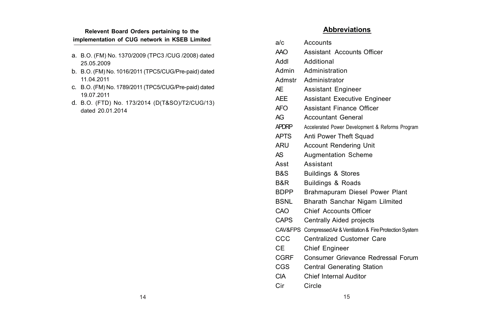#### **Relevent Board Orders pertaining to the implementation of CUG network in KSEB Limited**

- a. B.O. (FM) No. 1370/2009 (TPC3 /CUG /2008) dated 25.05.2009
- b. B.O. (FM) No. 1016/2011 (TPC5/CUG/Pre-paid) dated 11.04.2011
- c. B.O. (FM) No. 1789/2011 (TPC5/CUG/Pre-paid) dated 19.07.2011
- d. B.O. (FTD) No. 173/2014 (D(T&SO)/T2/CUG/13) dated 20.01.2014

### **Abbreviations**

| a/c         | Accounts                                                      |
|-------------|---------------------------------------------------------------|
| AAO         | Assistant Accounts Officer                                    |
| lbbA        | Additional                                                    |
| Admin       | Administration                                                |
|             | Admstr Administrator                                          |
| AF          | Assistant Engineer                                            |
| AFF         | Assistant Executive Engineer                                  |
| AFO         | Assistant Finance Officer                                     |
| AG          | <b>Accountant General</b>                                     |
| APDRP       | Accelerated Power Development & Reforms Program               |
| <b>APTS</b> | Anti Power Theft Squad                                        |
| ARU         | Account Rendering Unit                                        |
| AS          | <b>Augmentation Scheme</b>                                    |
| Asst        | Assistant                                                     |
| B&S         | <b>Buildings &amp; Stores</b>                                 |
| B&R         | <b>Buildings &amp; Roads</b>                                  |
| <b>BDPP</b> | Brahmapuram Diesel Power Plant                                |
| <b>BSNL</b> | Bharath Sanchar Nigam Lilmited                                |
| CAO         | Chief Accounts Officer                                        |
| CAPS        | Centrally Aided projects                                      |
|             | CAV&FPS Compressed Air & Ventilation & Fire Protection System |
| ccc         | Centralized Customer Care                                     |
| СE          | Chief Engineer                                                |
| CGRF        | Consumer Grievance Redressal Forum                            |
| CGS         | Central Generating Station                                    |
| CIA         | Chief Internal Auditor                                        |

Cir Circle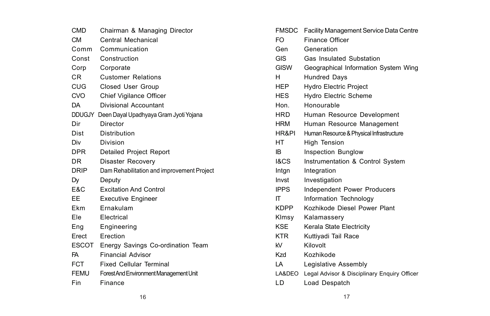| CMD            | Chairman & Managing Director                  |
|----------------|-----------------------------------------------|
| <b>CM</b>      | Central Mechanical                            |
| Comm           | Communication                                 |
| Const          | Construction                                  |
| Corp           | Corporate                                     |
| C <sub>R</sub> | <b>Customer Relations</b>                     |
| CUG            | Closed User Group                             |
| <b>CVO</b>     | Chief Vigilance Officer                       |
| DA             | Divisional Accountant                         |
|                | DDUGJY Deen Dayal Upadhyaya Gram Jyoti Yojana |
| Dir            | Director                                      |
| Dist           | Distribution                                  |
| Div            | Division                                      |
| <b>DPR</b>     | Detailed Project Report                       |
| DR             | Disaster Recovery                             |
| DRIP           | Dam Rehabilitation and improvement Project    |
| Dy             | Deputy                                        |
| E&C            | <b>Excitation And Control</b>                 |
| EE             | <b>Executive Engineer</b>                     |
| Ekm            | Ernakulam                                     |
| Ele            | Electrical                                    |
| Eng            | Engineering                                   |
| Erect          | Erection                                      |
| ESCOT          | Energy Savings Co-ordination Team             |
| FA             | <b>Financial Advisor</b>                      |
| <b>FCT</b>     | <b>Fixed Cellular Terminal</b>                |
| <b>FEMU</b>    | Forest And Environment Management Unit        |
| Fin            | Finance                                       |

| FMSDC       | Facility Management Service Data Centre      |
|-------------|----------------------------------------------|
| FO          | <b>Finance Officer</b>                       |
| Gen         | Generation                                   |
| <b>GIS</b>  | Gas Insulated Substation                     |
| <b>GISW</b> | Geographical Information System Wing         |
| н           | <b>Hundred Days</b>                          |
| HEP         | <b>Hydro Electric Project</b>                |
| <b>HES</b>  | <b>Hydro Electric Scheme</b>                 |
| Hon.        | Honourable                                   |
| HRD         | Human Resource Development                   |
| <b>HRM</b>  | Human Resource Management                    |
| HR&PI       | Human Resource & Physical Infrastructure     |
| HT          | <b>High Tension</b>                          |
| IB.         | Inspection Bunglow                           |
| I&CS.       | Instrumentation & Control System             |
| Intgn       | Integration                                  |
| Invst       | Investigation                                |
| <b>IPPS</b> | Independent Power Producers                  |
| ıτ          | Information Technology                       |
| <b>KDPP</b> | Kozhikode Diesel Power Plant                 |
| Klmsy       | Kalamassery                                  |
| <b>KSE</b>  | Kerala State Electricity                     |
| KTR         | Kuttiyadi Tail Race                          |
| kV          | Kilovolt                                     |
| Kzd         | Kozhikode                                    |
| LA          | Legislative Assembly                         |
| LA&DEO      | Legal Advisor & Disciplinary Enquiry Officer |
| LD          | Load Despatch                                |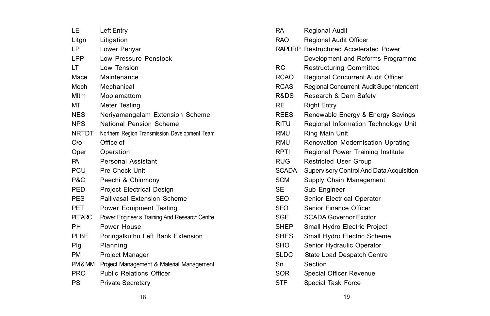| ΙF            | Left Entry                                    |
|---------------|-----------------------------------------------|
| Litgn         | Litigation                                    |
| LP            | Lower Periyar                                 |
| LPP           | Low Pressure Penstock                         |
| LT            | Low Tension                                   |
| Mace          | Maintenance                                   |
| Mech          | Mechanical                                    |
| <b>Mltm</b>   | Moolamattom                                   |
| МT            | Meter Testing                                 |
| NES.          | Neriyamangalam Extension Scheme               |
| <b>NPS</b>    | National Pension Scheme                       |
| <b>NRTDT</b>  | Northern Region Transmission Development Team |
| O/O           | Office of                                     |
| Oper          | Operation                                     |
| PA            | Personal Assistant                            |
| PCU           | Pre Check Unit                                |
|               |                                               |
| P&C           | Peechi & Chinmony                             |
| PED.          | <b>Project Electrical Design</b>              |
| <b>PES</b>    | Pallivasal Extension Scheme                   |
| PET           | Power Equipment Testing                       |
| <b>PETARC</b> | Power Engineer's Training And Research Centre |
| PН            | Power House                                   |
| PLBE          | Poringalkuthu Left Bank Extension             |
| Plg           | Planning                                      |
| <b>PM</b>     | Project Manager                               |
| PM&MM         | Project Management & Material Management      |
| <b>PRO</b>    | <b>Public Relations Officer</b>               |

| RA          | Regional Audit                           |
|-------------|------------------------------------------|
| RAO.        | Regional Audit Officer                   |
| RAPDRP      | Restructured Accelerated Power           |
|             | Development and Reforms Programme        |
| RC.         | <b>Restructuring Committee</b>           |
| <b>RCAO</b> | Regional Concurrent Audit Officer        |
| <b>RCAS</b> | Regional Concurrent Audit Superintendent |
| R&DS        | Research & Dam Safety                    |
| RE          | <b>Right Entry</b>                       |
| <b>REES</b> | Renewable Energy & Energy Savings        |
| <b>RITU</b> | Regional Information Technology Unit     |
| RMU         | Ring Main Unit                           |
| RMU         | Renovation Modernisation Uprating        |
| <b>RPTI</b> | Regional Power Training Institute        |
| <b>RUG</b>  | <b>Restricted User Group</b>             |
| SCADA       | Supervisory Control And Data Acquisition |
| <b>SCM</b>  | Supply Chain Management                  |
| <b>SE</b>   | Sub Engineer                             |
| SEO.        | Senior Electrical Operator               |
| SFO         | Senior Finance Officer                   |
| SGE         | <b>SCADA Governor Excitor</b>            |
| <b>SHEP</b> | Small Hydro Electric Project             |
| <b>SHES</b> | Small Hydro Electric Scheme              |
| <b>SHO</b>  | Senior Hydraulic Operator                |
| <b>SLDC</b> | State Load Despatch Centre               |
| Sn          | Section                                  |
| <b>SOR</b>  | Special Officer Revenue                  |
| <b>STF</b>  | Special Task Force                       |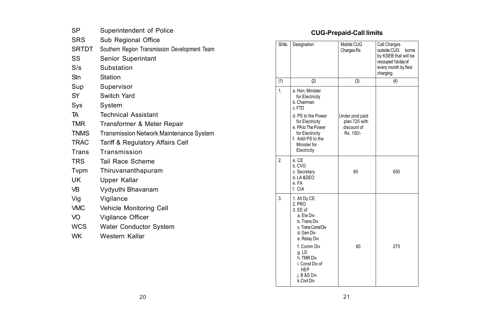| SP             | Superintendent of Police                      |
|----------------|-----------------------------------------------|
| <b>SRS</b>     | Sub Regional Office                           |
| <b>SRTDT</b>   | Southern Region Transmission Development Team |
| SS             | Senior Superintant                            |
| S/s            | Substation                                    |
| Stn            | Station                                       |
| Sup            | Supervisor                                    |
| SY             | Switch Yard                                   |
| Sys            | System                                        |
| TA             | <b>Technical Assistant</b>                    |
| TMR            | Transformer & Meter Repair                    |
| <b>TNMS</b>    | Transmission Network Maintenance System       |
| <b>TRAC</b>    | Tariff & Regulatory Affairs Cell              |
| Trans          | Transmission                                  |
| <b>TRS</b>     | Tail Race Scheme                              |
| Typm           | Thiruvananthapuram                            |
| UK             | Upper Kallar                                  |
| V <sub>B</sub> | Vydyuthi Bhavanam                             |
| Vig            | Vigilance                                     |
| <b>VMC</b>     | Vehicle Monitoring Cell                       |
| VO.            | Vigilance Officer                             |
| <b>WCS</b>     | Water Conductor System                        |
| <b>WK</b>      | Western Kallar                                |
|                |                                               |

## **CUG-Prepaid-Call limits**

| SI.No.         | Designation                                                                                                                                                                                                               | Mobile CUG<br>Charges Rs                                     | Call Charges<br>outside CUG<br><b>horne</b><br>by KSEB that will be<br>recouped 1st day of<br>every month by flexi<br>charging |
|----------------|---------------------------------------------------------------------------------------------------------------------------------------------------------------------------------------------------------------------------|--------------------------------------------------------------|--------------------------------------------------------------------------------------------------------------------------------|
| (1)            | (2)                                                                                                                                                                                                                       | (3)                                                          | (4)                                                                                                                            |
| $\mathbf{1}$   | a. Hon. Minister<br>for Electricity<br>b. Chairman<br>c.FTD                                                                                                                                                               |                                                              |                                                                                                                                |
|                | d. PS to the Power<br>for Electricity<br>e. PA to The Power<br>for Electricity<br>f. Addl PS to the<br>Minister for<br>Electricity                                                                                        | Under post paid<br>plan 725 with<br>discount of<br>Rs. 100/- |                                                                                                                                |
| $\overline{2}$ | a. CE<br>b. CVO<br>c. Secretary<br>d.IA&DFO<br>e FA<br>f. CIA                                                                                                                                                             | 60                                                           | 650                                                                                                                            |
| 3              | 1. All Dy CE<br>$2$ PRO<br>3. FF of<br>a. Fle Div<br>b. Trans Div<br>c. Trans Const Div<br>d. Gen Div<br>e. Relay Div<br>f. Comm Div<br>g.LD<br>h. TMR Div<br>i. Const Div of<br><b>HFP</b><br>i. B &S Div<br>k Civil Div | 60                                                           | 275                                                                                                                            |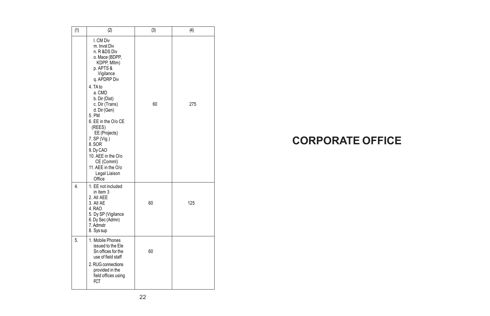| (1)            | (2)                                                                                                                                                                                                                                                                                                                                                                                  | (3) | (4) |
|----------------|--------------------------------------------------------------------------------------------------------------------------------------------------------------------------------------------------------------------------------------------------------------------------------------------------------------------------------------------------------------------------------------|-----|-----|
|                | I. CM Div<br>m. Invst Div<br>n. R &DS Div<br>o. Mace (BDPP,<br>KDPP, Mltm)<br>p. APTS &<br>Vigilance<br>g. APDRP Div<br>4. TA to<br>a. CMD<br>b. Dir (Dist)<br>c. Dir (Trans)<br>d. Dir (Gen)<br>5. PM<br>6. EE in the O/o CE<br>(REES)<br>EE (Projects)<br>7. SP (Vig.)<br>8. SOR<br>9. Dy CAO<br>10. AEE in the O/o<br>CE (Comml)<br>11. AFF in the O/o<br>Legal Liaison<br>Office | 60  | 275 |
| $\overline{4}$ | 1. EE not included<br>in item 3<br>2. All AFF<br>3. All AF<br>4. RAO<br>5. Dy SP (Vigilance<br>6. Dy Sec (Admn)<br>7. Admstr<br>8. Sys sup                                                                                                                                                                                                                                           | 60  | 125 |
| 5.             | 1. Mobile Phones<br>issued to the Ele<br>Sn offices for the<br>use of field staff<br>2. RUG connections<br>provided in the<br>field offices using<br>FCT                                                                                                                                                                                                                             | 60  |     |

# **CORPORATE OFFICE**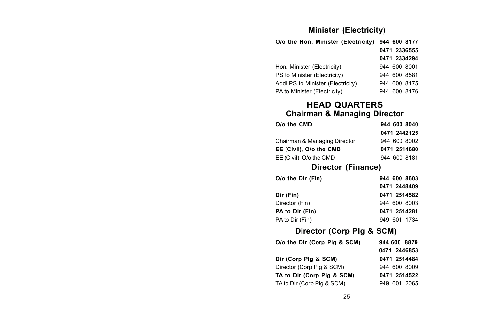## **Minister (Electricity)**

| O/o the Hon. Minister (Electricity) |  | 944 600 8177 |
|-------------------------------------|--|--------------|
|                                     |  | 0471 2336555 |
|                                     |  | 0471 2334294 |
| Hon, Minister (Electricity)         |  | 944 600 8001 |
| PS to Minister (Electricity)        |  | 944 600 8581 |
| Addl PS to Minister (Electricity)   |  | 944 600 8175 |
| PA to Minister (Electricity)        |  | 944 600 8176 |
|                                     |  |              |

### **HEAD QUARTERS Chairman & Managing Director**

| O/o the CMD                  | 944 600 8040 |
|------------------------------|--------------|
|                              | 0471 2442125 |
| Chairman & Managing Director | 944 600 8002 |
| EE (Civil), O/o the CMD      | 0471 2514680 |
| EE (Civil), O/o the CMD      | 944 600 8181 |

## **Director (Finance)**

| O/o the Dir (Fin) | 944 600 8603 |
|-------------------|--------------|
|                   | 0471 2448409 |
| Dir (Fin)         | 0471 2514582 |
| Director (Fin)    | 944 600 8003 |
| PA to Dir (Fin)   | 0471 2514281 |
| PA to Dir (Fin)   | 949 601 1734 |

## **Director (Corp Plg & SCM)**

| O/o the Dir (Corp Plg & SCM) | 944 600 8879 |
|------------------------------|--------------|
|                              | 0471 2446853 |
| Dir (Corp Plg & SCM)         | 0471 2514484 |
| Director (Corp Pla & SCM)    | 944 600 8009 |
| TA to Dir (Corp Plg & SCM)   | 0471 2514522 |
| TA to Dir (Corp Plg & SCM)   | 949 601 2065 |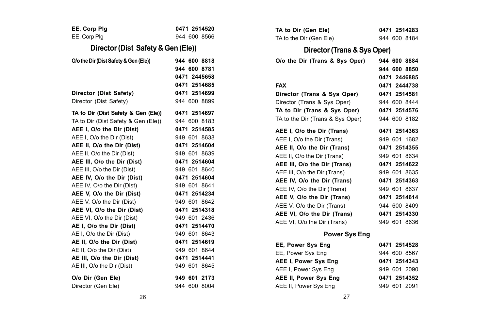| EE, Corp Plg                                                                                                                                                                                                                                                                                                                                                                                                               | 0471 2514520                                                                                                                                                                                                                 | TA to Dir (Gen Ele)                                                                                                                                                                                                                                                                                                                     | 0471 2514283                                                                                                                                                                 |
|----------------------------------------------------------------------------------------------------------------------------------------------------------------------------------------------------------------------------------------------------------------------------------------------------------------------------------------------------------------------------------------------------------------------------|------------------------------------------------------------------------------------------------------------------------------------------------------------------------------------------------------------------------------|-----------------------------------------------------------------------------------------------------------------------------------------------------------------------------------------------------------------------------------------------------------------------------------------------------------------------------------------|------------------------------------------------------------------------------------------------------------------------------------------------------------------------------|
| EE, Corp Plg                                                                                                                                                                                                                                                                                                                                                                                                               | 944 600 8566                                                                                                                                                                                                                 | TA to the Dir (Gen Ele)                                                                                                                                                                                                                                                                                                                 | 944 600 8184                                                                                                                                                                 |
| Director (Dist Safety & Gen (Ele))                                                                                                                                                                                                                                                                                                                                                                                         |                                                                                                                                                                                                                              | Director (Trans & Sys Oper)                                                                                                                                                                                                                                                                                                             |                                                                                                                                                                              |
| O/o the Dir (Dist Safety & Gen (Ele))                                                                                                                                                                                                                                                                                                                                                                                      | 944 600 8818<br>944 600 8781<br>0471 2445658<br>0471 2514685                                                                                                                                                                 | O/o the Dir (Trans & Sys Oper)<br><b>FAX</b>                                                                                                                                                                                                                                                                                            | 944 600 8884<br>944 600 8850<br>0471 2446885<br>0471 2444738                                                                                                                 |
| Director (Dist Safety)                                                                                                                                                                                                                                                                                                                                                                                                     | 0471 2514699                                                                                                                                                                                                                 | Director (Trans & Sys Oper)                                                                                                                                                                                                                                                                                                             | 0471 2514581                                                                                                                                                                 |
| Director (Dist Safety)                                                                                                                                                                                                                                                                                                                                                                                                     | 944 600 8899                                                                                                                                                                                                                 | Director (Trans & Sys Oper)                                                                                                                                                                                                                                                                                                             | 944 600 8444                                                                                                                                                                 |
| TA to Dir (Dist Safety & Gen (Ele))<br>TA to Dir (Dist Safety & Gen (Ele))<br>AEE I, O/o the Dir (Dist)                                                                                                                                                                                                                                                                                                                    | 0471 2514697<br>944 600 8183<br>0471 2514585                                                                                                                                                                                 | TA to Dir (Trans & Sys Oper)<br>TA to the Dir (Trans & Sys Oper)                                                                                                                                                                                                                                                                        | 0471 2514576<br>944 600 8182                                                                                                                                                 |
| AEE I, O/o the Dir (Dist)                                                                                                                                                                                                                                                                                                                                                                                                  | 949 601 8638                                                                                                                                                                                                                 | AEE I, O/o the Dir (Trans)                                                                                                                                                                                                                                                                                                              | 0471 2514363<br>949 601 1682                                                                                                                                                 |
| AEE II, O/o the Dir (Dist)<br>AEE II, O/o the Dir (Dist)                                                                                                                                                                                                                                                                                                                                                                   | 0471 2514604<br>949 601 8639                                                                                                                                                                                                 | AEE I, O/o the Dir (Trans)<br>AEE II, O/o the Dir (Trans)<br>AEE II, O/o the Dir (Trans)                                                                                                                                                                                                                                                | 0471 2514355<br>949 601 8634                                                                                                                                                 |
| AEE III, O/o the Dir (Dist)<br>AEE III, O/o the Dir (Dist)<br>AEE IV, O/o the Dir (Dist)<br>AEE IV, O/o the Dir (Dist)<br>AEE V, O/o the Dir (Dist)<br>AEE V. O/o the Dir (Dist)<br>AEE VI, O/o the Dir (Dist)<br>AEE VI, O/o the Dir (Dist)<br>AE I, O/o the Dir (Dist)<br>AE I, O/o the Dir (Dist)<br>AE II, O/o the Dir (Dist)<br>AE II, O/o the Dir (Dist)<br>AE III, O/o the Dir (Dist)<br>AE III, O/o the Dir (Dist) | 0471 2514604<br>949 601 8640<br>0471 2514604<br>949 601 8641<br>0471 2514234<br>949 601 8642<br>0471 2514318<br>949 601 2436<br>0471 2514470<br>949 601 8643<br>0471 2514619<br>949 601 8644<br>0471 2514441<br>949 601 8645 | AEE III, O/o the Dir (Trans)<br>AEE III, O/o the Dir (Trans)<br>AEE IV, O/o the Dir (Trans)<br>AEE IV, O/o the Dir (Trans)<br>AEE V, O/o the Dir (Trans)<br>AEE V, O/o the Dir (Trans)<br>AEE VI, O/o the Dir (Trans)<br>AEE VI, O/o the Dir (Trans)<br>Power Sys Eng<br>EE, Power Sys Eng<br>EE, Power Sys Eng<br>AEE I, Power Sys Eng | 0471 2514622<br>949 601 8635<br>0471 2514363<br>949 601 8637<br>0471 2514614<br>944 600 8409<br>0471 2514330<br>949 601 8636<br>0471 2514528<br>944 600 8567<br>0471 2514343 |
| O/o Dir (Gen Ele)<br>Director (Gen Ele)                                                                                                                                                                                                                                                                                                                                                                                    | 949 601 2173<br>944 600 8004                                                                                                                                                                                                 | AEE I, Power Sys Eng<br>AEE II, Power Sys Eng<br>AEE II, Power Sys Eng                                                                                                                                                                                                                                                                  | 949 601 2090<br>0471 2514352<br>949 601 2091                                                                                                                                 |
|                                                                                                                                                                                                                                                                                                                                                                                                                            |                                                                                                                                                                                                                              |                                                                                                                                                                                                                                                                                                                                         |                                                                                                                                                                              |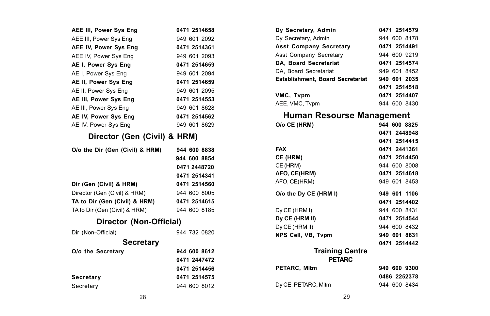| AEE III, Power Sys Eng          | 0471 2514658 |  |
|---------------------------------|--------------|--|
| AEE III. Power Svs Eng          | 949 601 2092 |  |
| AEE IV, Power Sys Eng           | 0471 2514361 |  |
| AEE IV, Power Sys Eng           | 949 601 2093 |  |
| AE I, Power Sys Eng             | 0471 2514659 |  |
| AE I. Power Sys Eng             | 949 601 2094 |  |
| AE II, Power Sys Eng            | 0471 2514659 |  |
| AE II, Power Sys Eng            | 949 601 2095 |  |
| AE III, Power Sys Eng           | 0471 2514553 |  |
| AE III, Power Sys Eng           | 949 601 8628 |  |
| AE IV. Power Svs Eng            | 0471 2514562 |  |
| AE IV, Power Sys Eng            | 949 601 8629 |  |
| Director (Gen (Civil) & HRM)    |              |  |
| O/o the Dir (Gen (Civil) & HRM) | 944 600 8838 |  |
|                                 | 944 600 8854 |  |
|                                 | 0471 2448720 |  |
|                                 | 0471 2514341 |  |
| Dir (Gen (Civil) & HRM)         | 0471 2514560 |  |
| Director (Gen (Civil) & HRM)    | 944 600 8005 |  |
| TA to Dir (Gen (Civil) & HRM)   | 0471 2514615 |  |
| TA to Dir (Gen (Civil) & HRM)   | 944 600 8185 |  |
| Director (Non-Official)         |              |  |
| Dir (Non-Official)              | 944 732 0820 |  |
| Secretary                       |              |  |
| O/o the Secretary               | 944 600 8612 |  |
|                                 | 0471 2447472 |  |
|                                 | 0471 2514456 |  |
| Secretary                       | 0471 2514575 |  |
| Secretary                       | 944 600 8012 |  |

| Dy Secretary, Admin                     | 0471 2514579 |
|-----------------------------------------|--------------|
| Dy Secretary, Admin                     | 944 600 8178 |
| <b>Asst Company Secretary</b>           | 0471 2514491 |
| Asst Company Secretary                  | 944 600 9219 |
| <b>DA. Board Secretariat</b>            | 0471 2514574 |
| DA. Board Secretariat                   | 949 601 8452 |
| <b>Establishment. Board Secretariat</b> | 949 601 2035 |
|                                         | 0471 2514518 |
| VMC, Tvpm                               | 0471 2514407 |
| AEE, VMC, Tvpm                          | 944 600 8430 |

## **Human Resourse Management**

| O/o CE (HRM)           | 944 600 8825 |
|------------------------|--------------|
|                        | 0471 2448948 |
|                        | 0471 2514415 |
| <b>FAX</b>             | 0471 2441361 |
| CE (HRM)               | 0471 2514450 |
| CE (HRM)               | 944 600 8008 |
| AFO, CE(HRM)           | 0471 2514618 |
| AFO, CE(HRM)           | 949 601 8453 |
| O/o the Dy CE (HRM I)  | 949 601 1106 |
|                        | 0471 2514402 |
| Dy CE (HRM I)          | 944 600 8431 |
| Dy CE (HRM II)         | 0471 2514544 |
| Dy CE (HRM II)         | 944 600 8432 |
| NPS Cell, VB, Tvpm     | 949 601 8631 |
|                        | 0471 2514442 |
| <b>Training Centre</b> |              |
| <b>PETARC</b>          |              |
| PETARC, Mitm           | 949 600 9300 |
|                        | 0486 2252378 |
| Dy CE, PETARC, MItm    | 944 600 8434 |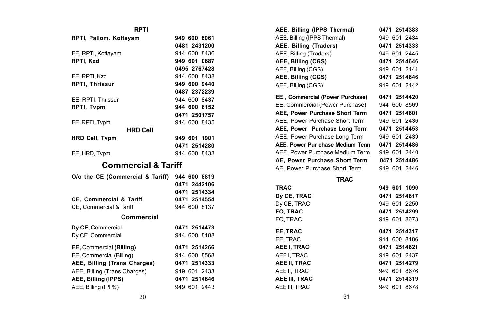#### **RPTI**

| RPTI, Pallom, Kottayam |                 | 949 600 8061 |
|------------------------|-----------------|--------------|
|                        |                 | 0481 2431200 |
| EE, RPTI, Kottayam     |                 | 944 600 8436 |
| RPTI. Kzd              |                 | 949 601 0687 |
|                        |                 | 0495 2767428 |
| EE, RPTI, Kzd          |                 | 944 600 8438 |
| <b>RPTI. Thrissur</b>  |                 | 949 600 9440 |
|                        |                 | 0487 2372239 |
| EE, RPTI, Thrissur     |                 | 944 600 8437 |
| <b>RPTI. Tvpm</b>      |                 | 944 600 8152 |
|                        |                 | 0471 2501757 |
| EE, RPTI, Typm         |                 | 944 600 8435 |
|                        | <b>HRD Cell</b> |              |
| <b>HRD Cell. Typm</b>  |                 | 949 601 1901 |
|                        |                 | 0471 2514280 |
| EE, HRD, Typm          |                 | 944 600 8433 |

## **Commercial & Tariff**

| O/o the CE (Commercial & Tariff)   | 944 600 8819 |
|------------------------------------|--------------|
|                                    | 0471 2442106 |
|                                    | 0471 2514334 |
| <b>CE. Commercial &amp; Tariff</b> | 0471 2514554 |
| CE. Commercial & Tariff            | 944 600 8137 |
| Commercial                         |              |
| Dy CE, Commercial                  | 0471 2514473 |
| Dv CE. Commercial                  | 944 600 8188 |
| EE, Commercial (Billing)           | 0471 2514266 |
| EE. Commercial (Billing)           | 944 600 8568 |
| AEE, Billing (Trans Charges)       | 0471 2514333 |
| AEE, Billing (Trans Charges)       | 949 601 2433 |
| <b>AEE. Billing (IPPS)</b>         | 0471 2514646 |
| AEE, Billing (IPPS)                | 949 601 2443 |

| AEE, Billing (IPPS Thermal)      | 0471 2514383 |
|----------------------------------|--------------|
| AEE, Billing (IPPS Thermal)      | 949 601 2434 |
| AEE, Billing (Traders)           | 0471 2514333 |
| AEE, Billing (Traders)           | 949 601 2445 |
| AEE, Billing (CGS)               | 0471 2514646 |
| AEE, Billing (CGS)               | 949 601 2441 |
| AEE, Billing (CGS)               | 0471 2514646 |
| AEE, Billing (CGS)               | 949 601 2442 |
| EE, Commercial (Power Purchase)  | 0471 2514420 |
| EE, Commercial (Power Purchase)  | 944 600 8569 |
| AEE, Power Purchase Short Term   | 0471 2514601 |
| AEE. Power Purchase Short Term   | 949 601 2436 |
| AEE, Power Purchase Long Term    | 0471 2514453 |
| AEE, Power Purchase Long Term    | 949 601 2439 |
| AEE, Power Pur chase Medium Term | 0471 2514486 |
| AEE, Power Purchase Medium Term  | 949 601 2440 |
| AE, Power Purchase Short Term    | 0471 2514486 |
| AE, Power Purchase Short Term    | 949 601 2446 |
| <b>TRAC</b>                      |              |
| <b>TRAC</b>                      | 949 601 1090 |
| Dy CE, TRAC                      | 0471 2514617 |
|                                  |              |

| 0471 2514617 |
|--------------|
| 949 601 2250 |
| 0471 2514299 |
| 949 601 8673 |
| 0471 2514317 |
| 944 600 8186 |
| 0471 2514621 |
| 949 601 2437 |
| 0471 2514279 |
| 949 601 8676 |
| 0471 2514319 |
| 949 601 8678 |
|              |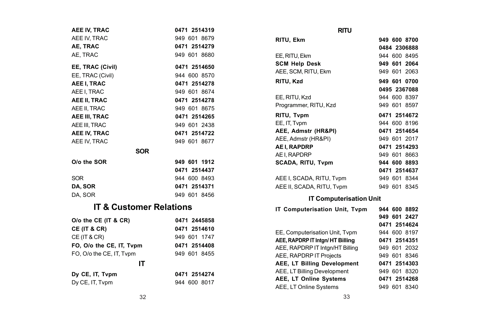| AEE IV, TRAC                         | 0471 2514319                 | <b>RITU</b>                                                        |                              |
|--------------------------------------|------------------------------|--------------------------------------------------------------------|------------------------------|
| AEE IV, TRAC                         | 949 601 8679                 | RITU, Ekm                                                          | 949 600 8700                 |
| AE. TRAC                             | 0471 2514279                 |                                                                    | 0484 2306888                 |
| AE, TRAC                             | 949 601 8680                 | EE, RITU, Ekm                                                      | 944 600 8495                 |
| EE, TRAC (Civil)<br>EE, TRAC (Civil) | 0471 2514650<br>944 600 8570 | <b>SCM Help Desk</b><br>AEE, SCM, RITU, Ekm                        | 949 601 2064<br>949 601 2063 |
| AEE I, TRAC                          | 0471 2514278                 | RITU, Kzd                                                          | 949 601 0700                 |
| AEE I. TRAC                          | 949 601 8674                 |                                                                    | 0495 2367088                 |
| AEE II. TRAC<br>AEE II, TRAC         | 0471 2514278<br>949 601 8675 | EE, RITU, Kzd<br>Programmer, RITU, Kzd                             | 944 600 8397<br>949 601 8597 |
| AEE III, TRAC                        | 0471 2514265                 | RITU, Tvpm                                                         | 0471 2514672                 |
| AEE III. TRAC                        | 949 601 2438                 | EE, IT, Typm                                                       | 944 600 8196                 |
| AEE IV, TRAC                         | 0471 2514722                 | AEE, Admstr (HR&PI)                                                | 0471 2514654                 |
| AEE IV. TRAC                         | 949 601 8677                 | AEE, Admstr (HR&PI)                                                | 949 601 2017                 |
| <b>SOR</b>                           |                              | AE I, RAPDRP                                                       | 0471 2514293                 |
|                                      |                              | AE I. RAPDRP                                                       | 949 601 8663                 |
| O/o the SOR                          | 949 601 1912                 | SCADA, RITU, Tvpm                                                  | 944 600 8893                 |
|                                      | 0471 2514437                 |                                                                    | 0471 2514637                 |
| <b>SOR</b>                           | 944 600 8493                 | AEE I, SCADA, RITU, Tvpm                                           | 949 601 8344                 |
| DA, SOR                              | 0471 2514371                 | AEE II, SCADA, RITU, Tvpm                                          | 949 601 8345                 |
| DA, SOR                              | 949 601 8456                 | <b>IT Computerisation Unit</b>                                     |                              |
| <b>IT &amp; Customer Relations</b>   |                              | IT Computerisation Unit, Tvpm                                      | 944 600 8892                 |
| O/o the CE (IT & CR)                 | 0471 2445858                 |                                                                    | 949 601 2427                 |
| CE (IT & CR)                         | 0471 2514610                 |                                                                    | 0471 2514624                 |
| CE (IT & CR)                         | 949 601 1747                 | EE, Computerisation Unit, Tvpm                                     | 944 600 8197                 |
| FO, O/o the CE, IT, Tvpm             | 0471 2514408                 | AEE, RAPDRP IT Intgn/HT Billing<br>AEE, RAPDRP IT Intan/HT Billing | 0471 2514351                 |
| FO, O/o the CE, IT, Tvpm             | 949 601 8455                 | AEE, RAPDRP IT Projects                                            | 949 601 2032<br>949 601 8346 |
| IΤ                                   |                              | AEE, LT Billing Development                                        | 0471 2514303                 |
|                                      |                              | AEE, LT Billing Development                                        | 949 601 8320                 |
| Dy CE, IT, Tvpm                      | 0471 2514274                 | AEE, LT Online Systems                                             | 0471 2514268                 |
| Dy CE, IT, Typm                      | 944 600 8017                 | $\Lambda$ EE $\Lambda$ T $\Lambda$ aliaa $\Lambda$ ustama          | 0.40,0.01,0.240              |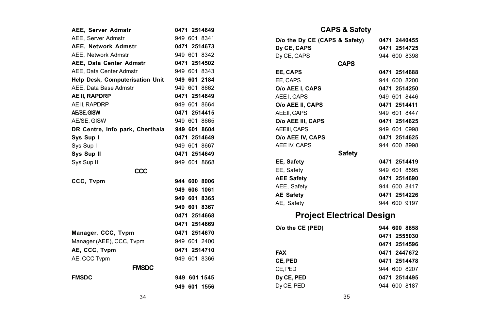| AEE, Server Admstr              | 0471 2514649 |  |  |  |
|---------------------------------|--------------|--|--|--|
| AEE, Server Admstr              | 949 601 8341 |  |  |  |
| <b>AEE. Network Admstr</b>      | 0471 2514673 |  |  |  |
| AEE, Network Admstr             | 949 601 8342 |  |  |  |
| AEE, Data Center Admstr         | 0471 2514502 |  |  |  |
| AEE. Data Center Admstr         | 949 601 8343 |  |  |  |
| Help Desk, Computerisation Unit | 949 601 2184 |  |  |  |
| AEE. Data Base Admstr           | 949 601 8662 |  |  |  |
| <b>AE II. RAPDRP</b>            | 0471 2514649 |  |  |  |
| AE II. RAPDRP                   | 949 601 8664 |  |  |  |
| AE/SE, GISW                     | 0471 2514415 |  |  |  |
| AE/SE, GISW                     | 949 601 8665 |  |  |  |
| DR Centre, Info park, Cherthala | 949 601 8604 |  |  |  |
| Svs Sup I                       | 0471 2514649 |  |  |  |
| Sys Sup I                       | 949 601 8667 |  |  |  |
| Sys Sup II                      | 0471 2514649 |  |  |  |
| Sys Sup II                      | 949 601 8668 |  |  |  |
| CCC                             |              |  |  |  |
| CCC, Tvpm                       | 944 600 8006 |  |  |  |
|                                 | 949 606 1061 |  |  |  |
|                                 | 949 601 8365 |  |  |  |
|                                 | 949 601 8367 |  |  |  |
|                                 | 0471 2514668 |  |  |  |
|                                 | 0471 2514669 |  |  |  |
| Manager, CCC, Tvpm              | 0471 2514670 |  |  |  |
| Manager (AEE), CCC, Tvpm        | 949 601 2400 |  |  |  |
| AE, CCC, Tvpm                   | 0471 2514710 |  |  |  |
| AE. CCC Tvpm                    | 949 601 8366 |  |  |  |
| <b>FMSDC</b>                    |              |  |  |  |
| <b>FMSDC</b>                    | 949 601 1545 |  |  |  |
|                                 | 949 601 1556 |  |  |  |
|                                 |              |  |  |  |

## **CAPS & Safety**

|                               | <b>UAFO &amp; JAIBLY</b> |              |
|-------------------------------|--------------------------|--------------|
| O/o the Dy CE (CAPS & Safety) |                          | 0471 2440455 |
| Dy CE, CAPS                   |                          | 0471 2514725 |
| Dy CE, CAPS                   |                          | 944 600 8398 |
|                               | <b>CAPS</b>              |              |
| EE. CAPS                      |                          | 0471 2514688 |
| EE, CAPS                      |                          | 944 600 8200 |
| O/o AEE I. CAPS               |                          | 0471 2514250 |
| AEE I, CAPS                   |                          | 949 601 8446 |
| O/o AEE II. CAPS              |                          | 0471 2514411 |
| AEEII, CAPS                   |                          | 949 601 8447 |
| O/o AEE III. CAPS             |                          | 0471 2514625 |
| AEEIII. CAPS                  |                          | 949 601 0998 |
| O/o AEE IV. CAPS              |                          | 0471 2514625 |
| AEE IV. CAPS                  |                          | 944 600 8998 |
|                               | Safety                   |              |
| EE, Safety                    |                          | 0471 2514419 |
| EE, Safety                    |                          | 949 601 8595 |
| <b>AEE Safety</b>             |                          | 0471 2514690 |
| AEE, Safety                   |                          | 944 600 8417 |
| <b>AE Safety</b>              |                          | 0471 2514226 |
| AE, Safety                    |                          | 944 600 9197 |
| Project Electrical Design     |                          |              |
| O/o the CE (PED)              |                          | 944 600 8858 |
|                               |                          | 0471 2555030 |
|                               |                          | 0471 2514596 |
| <b>FAX</b>                    |                          | 0471 2447672 |
| CE, PED                       |                          | 0471 2514478 |
| CE. PED                       |                          | 944 600 8207 |
| Dv CE. PED                    |                          | 0471 2514495 |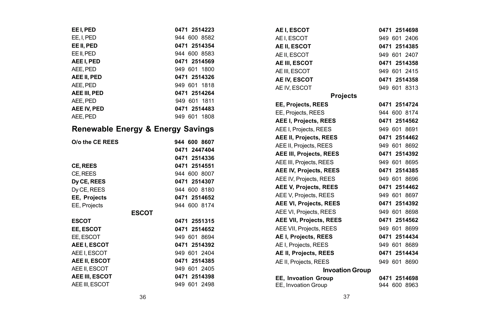| EE I, PED                         | 0471 2514223 |
|-----------------------------------|--------------|
| EE.I.PED                          | 944 600 8582 |
| EE II. PED                        | 0471 2514354 |
| EE II. PED                        | 944 600 8583 |
| AEE I. PED                        | 0471 2514569 |
| AEE. PED                          | 949 601 1800 |
| AEE II, PED                       | 0471 2514326 |
| AEE, PED                          | 949 601 1818 |
| AEE III. PED                      | 0471 2514264 |
| AEE. PED                          | 949 601 1811 |
| AEE IV, PED                       | 0471 2514483 |
| AEE. PED                          | 949 601 1808 |
| Renewable Energy & Energy Savings |              |
| O/o the CE REES                   | 944 600 8607 |
|                                   | 0471 2447404 |
|                                   | 0471 2514336 |
| CE, REES                          | 0471 2514551 |
| CE. REES                          | 944 600 8007 |
| Dy CE, REES                       | 0471 2514307 |
| Dy CE, REES                       | 944 600 8180 |
| EE, Projects                      | 0471 2514652 |
| EE, Projects                      | 944 600 8174 |
| <b>ESCOT</b>                      |              |
| <b>ESCOT</b>                      | 0471 2551315 |
| EE. ESCOT                         | 0471 2514652 |
| EE, ESCOT                         | 949 601 8694 |
| AEE I, ESCOT                      | 0471 2514392 |
| AEE I, ESCOT                      | 949 601 2404 |
| AEE II, ESCOT                     | 0471 2514385 |
| AEE II. ESCOT                     | 949 601 2405 |
| AEE III, ESCOT                    | 0471 2514398 |
| AEE III, ESCOT                    | 949 601 2498 |

| AE I, ESCOT                    | 0471 2514698 |
|--------------------------------|--------------|
| AE I, ESCOT                    | 949 601 2406 |
| AE II, ESCOT                   | 0471 2514385 |
| AE II. ESCOT                   | 949 601 2407 |
| AE III. ESCOT                  | 0471 2514358 |
| AE III. ESCOT                  | 949 601 2415 |
| AE IV, ESCOT                   | 0471 2514358 |
| AE IV, ESCOT                   | 949 601 8313 |
| <b>Projects</b>                |              |
| EE, Projects, REES             | 0471 2514724 |
| EE, Projects, REES             | 944 600 8174 |
| AEE I, Projects, REES          | 0471 2514562 |
| AEE I, Projects, REES          | 949 601 8691 |
| AEE II, Projects, REES         | 0471 2514462 |
| AEE II, Projects, REES         | 949 601 8692 |
| <b>AEE III, Projects, REES</b> | 0471 2514392 |
| AEE III, Projects, REES        | 949 601 8695 |
| AEE IV, Projects, REES         | 0471 2514385 |
| AEE IV, Projects, REES         | 949 601 8696 |
| <b>AEE V, Projects, REES</b>   | 0471 2514462 |
| AEE V, Projects, REES          | 949 601 8697 |
| <b>AEE VI, Projects, REES</b>  | 0471 2514392 |
| AEE VI, Projects, REES         | 949 601 8698 |
| <b>AEE VII, Projects, REES</b> | 0471 2514562 |
| AEE VII, Projects, REES        | 949 601 8699 |
| AE I, Projects, REES           | 0471 2514434 |
| AE I, Projects, REES           | 949 601 8689 |
| AE II, Projects, REES          | 0471 2514434 |
| AE II, Projects, REES          | 949 601 8690 |
| <b>Invoation Group</b>         |              |
| EE, Invoation Group            | 0471 2514698 |
| EE, Invoation Group            | 944 600 8963 |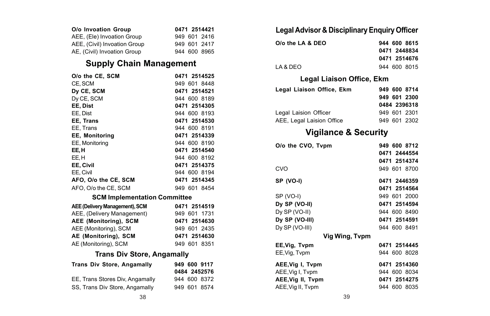| O/o Invoation Group          |  | 0471 2514421 |
|------------------------------|--|--------------|
| AEE, (Ele) Invoation Group   |  | 949 601 2416 |
| AEE, (Civil) Invoation Group |  | 949 601 2417 |
| AE, (Civil) Invoation Group  |  | 944 600 8965 |

## **Supply Chain Management**

| O/o the CE. SCM       | 0471 2514525 |
|-----------------------|--------------|
| CE. SCM               | 949 601 8448 |
| Dy CE, SCM            | 0471 2514521 |
| Dy CE, SCM            | 944 600 8189 |
| EE. Dist              | 0471 2514305 |
| EE. Dist              | 944 600 8193 |
| EE. Trans             | 0471 2514530 |
| EE. Trans             | 944 600 8191 |
| <b>EE, Monitoring</b> | 0471 2514339 |
| EE, Monitoring        | 944 600 8190 |
| EE.H                  | 0471 2514540 |
| EE.H                  | 944 600 8192 |
| EE. Civil             | 0471 2514375 |
| EE, Civil             | 944 600 8194 |
| AFO. O/o the CE. SCM  | 0471 2514345 |
| AFO, O/o the CE, SCM  | 949 601 8454 |

#### **SCM Implementation Committee**

| AEE (Delivery Management), SCM | 0471 2514519 |
|--------------------------------|--------------|
| AEE, (Delivery Management)     | 949 601 1731 |
| AEE (Monitoring), SCM          | 0471 2514630 |
| AEE (Monitoring), SCM          | 949 601 2435 |
| AE (Monitoring), SCM           | 0471 2514630 |
| AE (Monitoring), SCM           | 949 601 8351 |

### **Trans Div Store, Angamally**

| <b>Trans Div Store, Angamally</b> | 949 600 9117<br>0484 2452576 |
|-----------------------------------|------------------------------|
| EE, Trans Stores Div, Angamally   | 944 600 8372                 |
| SS. Trans Div Store, Angamally    | 949 601 8574                 |

## **Legal Advisor & Disciplinary Enquiry Officer**

| O/o the LA & DEO | 944 600 8615 |
|------------------|--------------|
|                  | 0471 2448834 |
|                  | 0471 2514676 |
| LA & DEO         | 944 600 8015 |

## **Legal Liaison Office, Ekm**

| Legal Liaison Office, Ekm | 949 600 8714 |
|---------------------------|--------------|
|                           | 949 601 2300 |
|                           | 0484 2396318 |
| Legal Laision Officer     | 949 601 2301 |
| AEE. Legal Laision Office | 949 601 2302 |

## **Vigilance & Security**

| O/o the CVO, Tvpm | 949 600 8712 |  |  |
|-------------------|--------------|--|--|
|                   | 0471 2444554 |  |  |
|                   | 0471 2514374 |  |  |
| CVO               | 949 601 8700 |  |  |
| SP (VO-I)         | 0471 2446359 |  |  |
|                   | 0471 2514564 |  |  |
| SP (VO-I)         | 949 601 2000 |  |  |
| Dy SP (VO-II)     | 0471 2514594 |  |  |
| Dy SP (VO-II)     | 944 600 8490 |  |  |
| Dy SP (VO-III)    | 0471 2514591 |  |  |
| Dy SP (VO-III)    | 944 600 8491 |  |  |
| Vig Wing, Tvpm    |              |  |  |
| EE,Vig, Tvpm      | 0471 2514445 |  |  |
| EE, Vig, Typm     | 944 600 8028 |  |  |
| AEE, Vig I, Typm  | 0471 2514360 |  |  |
| AEE, Vig I, Typm  | 944 600 8034 |  |  |
| AEE, Vig II, Tvpm | 0471 2514275 |  |  |
| AEE, Vig II, Typm | 944 600 8035 |  |  |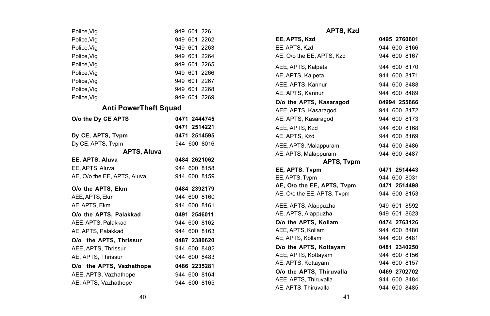| Police, Vig                  | 949 601 2261    |
|------------------------------|-----------------|
| Police, Vig                  | 949 601 2262    |
| Police, Vig                  | 949 601 2263    |
| Police, Vig                  | 949 601 2264    |
| Police, Vig                  | 949 601 2265    |
| Police, Vig                  | 949 601 2266    |
| Police.Via                   | 949 601<br>2267 |
| Police, Vig                  | 949 601 2268    |
| Police, Vig                  | 949 601 2269    |
| <b>Anti PowerTheft Squad</b> |                 |
| O/o the Dy CE APTS           | 0471 2444745    |
|                              | 0471 2514221    |
| Dy CE, APTS, Tvpm            | 0471 2514595    |
| Dy CE, APTS, Typm            | 944 600 8016    |
| APTS, Aluva                  |                 |
| EE, APTS, Aluva              | 0484 2621062    |
| EE. APTS, Aluva              | 944 600 8158    |
| AE. O/o the EE. APTS. Aluva  | 944 600 8159    |
| O/o the APTS, Ekm            | 0484 2392179    |
| AEE, APTS, Ekm               | 944 600 8160    |
| AE, APTS, Ekm                | 944 600 8161    |
| O/o the APTS, Palakkad       | 0491 2546011    |
| AEE. APTS. Palakkad          | 944 600 8162    |
| AE, APTS, Palakkad           | 944 600 8163    |
| O/o the APTS. Thrissur       | 0487 2380620    |
| AEE, APTS, Thrissur          | 944 600 8482    |
| AE, APTS, Thrissur           | 944 600 8483    |
| O/o the APTS. Vazhathope     | 0486 2235281    |
| AEE, APTS, Vazhathope        | 944 600 8164    |
| AE, APTS, Vazhathope         | 944 600 8165    |

| APIS, KZO                  |              |
|----------------------------|--------------|
| EE, APTS, Kzd              | 0495 2760601 |
| EE, APTS, Kzd              | 944 600 8166 |
| AE. O/o the EE. APTS. Kzd  | 944 600 8167 |
| AEE, APTS, Kalpeta         | 944 600 8170 |
| AE, APTS, Kalpeta          | 944 600 8171 |
| AEE, APTS, Kannur          | 944 600 8488 |
| AE, APTS, Kannur           | 944 600 8489 |
| O/o the APTS. Kasaragod    | 04994 255666 |
| AEE, APTS, Kasaragod       | 944 600 8172 |
| AE, APTS, Kasaragod        | 944 600 8173 |
| AEE, APTS, Kzd             | 944 600 8168 |
| AE, APTS, Kzd              | 944 600 8169 |
| AEE, APTS, Malappuram      | 944 600 8486 |
| AE, APTS, Malappuram       | 944 600 8487 |
| <b>APTS. Typm</b>          |              |
| EE, APTS, Tvpm             | 0471 2514443 |
| EE, APTS, Tvpm             | 944 600 8031 |
| AE, O/o the EE, APTS, Tvpm | 0471 2514498 |
| AE, O/o the EE, APTS, Tvpm | 944 600 8153 |
| AEE, APTS, Alappuzha       | 949 601 8592 |
| AE, APTS, Alappuzha        | 949 601 8623 |
| O/o the APTS, Kollam       | 0474 2763126 |
| AEE, APTS, Kollam          | 944 600 8480 |
| AE, APTS, Kollam           | 944 600 8481 |
| O/o the APTS, Kottayam     | 0481 2340250 |
| AEE, APTS, Kottayam        | 944 600 8156 |
| AE, APTS, Kottayam         | 944 600 8157 |
| O/o the APTS. Thiruvalla   | 0469 2702702 |
| AEE, APTS, Thiruvalla      | 944 600 8484 |
| AE, APTS, Thiruvalla       | 944 600 8485 |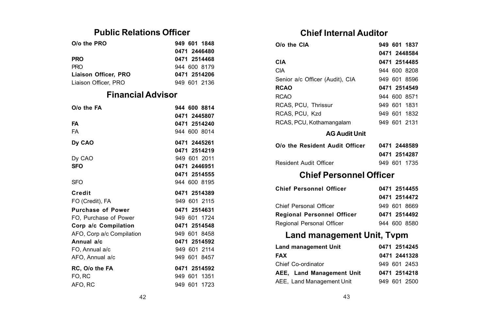## **Public Relations Officer**

| O/o the PRO          | 949 601 1848 |
|----------------------|--------------|
|                      | 0471 2446480 |
| <b>PRO</b>           | 0471 2514468 |
| <b>PRO</b>           | 944 600 8179 |
| Liaison Officer, PRO | 0471 2514206 |
| Liaison Officer, PRO | 949 601 2136 |

## **Financial Advisor**

| O/o the FA                | 944 600 8814 |
|---------------------------|--------------|
|                           | 0471 2445807 |
| FA                        | 0471 2514240 |
| FA                        | 944 600 8014 |
| Dy CAO                    | 0471 2445261 |
|                           | 0471 2514219 |
| Dy CAO                    | 949 601 2011 |
| SFO                       | 0471 2446951 |
|                           | 0471 2514555 |
| <b>SFO</b>                | 944 600 8195 |
| Credit                    | 0471 2514389 |
| FO (Credit), FA           | 949 601 2115 |
| <b>Purchase of Power</b>  | 0471 2514631 |
| FO, Purchase of Power     | 949 601 1724 |
| Corp a/c Compilation      | 0471 2514548 |
| AFO, Corp a/c Compilation | 949 601 8458 |
| Annual a/c                | 0471 2514592 |
| FO, Annual a/c            | 949 601 2114 |
| AFO, Annual a/c           | 949 601 8457 |
| RC, O/o the FA            | 0471 2514592 |
| FO, RC                    | 949 601 1351 |
| AFO, RC                   | 949 601 1723 |

## **Chief Internal Auditor**

| O/o the CIA                     | 949 601 1837 |
|---------------------------------|--------------|
|                                 | 0471 2448584 |
| CIA                             | 0471 2514485 |
| CIA                             | 944 600 8208 |
| Senior a/c Officer (Audit), CIA | 949 601 8596 |
| <b>RCAO</b>                     | 0471 2514549 |
| <b>RCAO</b>                     | 944 600 8571 |
| RCAS, PCU, Thrissur             | 949 601 1831 |
| RCAS, PCU, Kzd                  | 949 601 1832 |
| RCAS, PCU, Kothamangalam        | 949 601 2131 |
| <b>AG Audit Unit</b>            |              |
| O/o the Resident Audit Officer  | 0471 2448589 |

| 0/o the Resident Audit Officer |  | 0471 2448589 |
|--------------------------------|--|--------------|
|                                |  | 0471 2514287 |
| Resident Audit Officer         |  | 949 601 1735 |

# **Chief Personnel Officer**

| <b>Chief Personnel Officer</b>    | 0471 2514455 |  |
|-----------------------------------|--------------|--|
|                                   | 0471 2514472 |  |
| Chief Personal Officer            | 949 601 8669 |  |
| <b>Regional Personnel Officer</b> | 0471 2514492 |  |
| Regional Personal Officer         | 944 600 8580 |  |

## **Land management Unit, Tvpm**

| <b>Land management Unit</b> | 0471 2514245 |
|-----------------------------|--------------|
| <b>FAX</b>                  | 0471 2441328 |
| Chief Co-ordinator          | 949 601 2453 |
| AEE, Land Management Unit   | 0471 2514218 |
| AEE, Land Management Unit   | 949 601 2500 |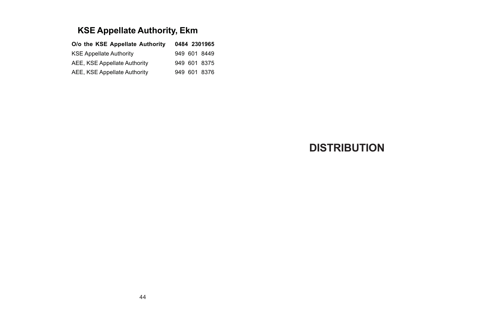# **KSE Appellate Authority, Ekm**

| O/o the KSE Appellate Authority |  | 0484 2301965 |
|---------------------------------|--|--------------|
| <b>KSE Appellate Authority</b>  |  | 949 601 8449 |
| AEE, KSE Appellate Authority    |  | 949 601 8375 |
| AEE, KSE Appellate Authority    |  | 949 601 8376 |

# **DISTRIBUTION**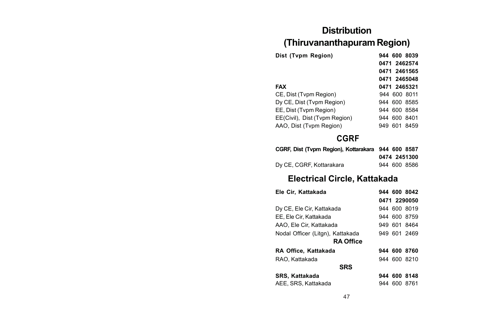# **Distribution (Thiruvananthapuram Region)**

| Dist (Tvpm Region)            | 944 600 8039    |
|-------------------------------|-----------------|
|                               | 0471 2462574    |
|                               | 0471 2461565    |
|                               | 0471 2465048    |
| <b>FAX</b>                    | 0471 2465321    |
| CE, Dist (Tvpm Region)        | 944 600 8011    |
| Dy CE, Dist (Tvpm Region)     | 944 600 8585    |
| EE, Dist (Tvpm Region)        | 944 600 8584    |
| EE(Civil), Dist (Tvpm Region) | 944 600 8401    |
| AAO, Dist (Tvpm Region)       | 601 8459<br>949 |

# **CGRF**

| CGRF, Dist (Tvpm Region), Kottarakara 944 600 8587 |  |              |
|----------------------------------------------------|--|--------------|
|                                                    |  | 0474 2451300 |
| Dv CE, CGRF, Kottarakara                           |  | 944 600 8586 |

## **Electrical Circle, Kattakada**

| Ele Cir, Kattakada               |  | 944 600 8042 |
|----------------------------------|--|--------------|
|                                  |  | 0471 2290050 |
| Dy CE, Ele Cir, Kattakada        |  | 944 600 8019 |
| EE, Ele Cir, Kattakada           |  | 944 600 8759 |
| AAO. Ele Cir. Kattakada          |  | 949 601 8464 |
| Nodal Officer (Litgn), Kattakada |  | 949 601 2469 |
| <b>RA Office</b>                 |  |              |
| RA Office, Kattakada             |  | 944 600 8760 |
| RAO, Kattakada                   |  | 944 600 8210 |
| <b>SRS</b>                       |  |              |
| SRS, Kattakada                   |  | 944 600 8148 |
| AEE, SRS, Kattakada              |  | 944 600 8761 |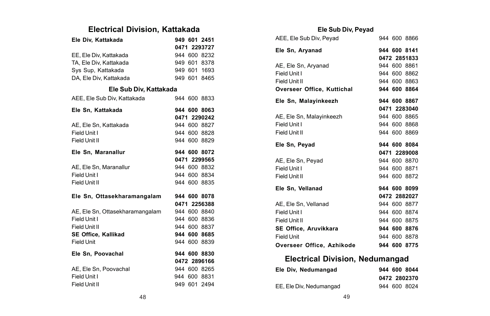## **Electrical Division, Kattakada**

| Ele Div, Kattakada              |  | 949 601 2451 |
|---------------------------------|--|--------------|
|                                 |  | 0471 2293727 |
| EE. Ele Div. Kattakada          |  | 944 600 8232 |
| TA, Ele Div, Kattakada          |  | 949 601 8378 |
| Sys Sup, Kattakada              |  | 949 601 1693 |
| DA, Ele Div, Kattakada          |  | 949 601 8465 |
| Ele Sub Div, Kattakada          |  |              |
| AEE, Ele Sub Div, Kattakada     |  | 944 600 8833 |
| Ele Sn. Kattakada               |  | 944 600 8063 |
|                                 |  | 0471 2290242 |
| AE, Ele Sn, Kattakada           |  | 944 600 8827 |
| Field Unit I                    |  | 944 600 8828 |
| Field Unit II                   |  | 944 600 8829 |
| Ele Sn. Maranallur              |  | 944 600 8072 |
|                                 |  | 0471 2299565 |
| AE, Ele Sn, Maranallur          |  | 944 600 8832 |
| Field Unit I                    |  | 944 600 8834 |
| Field Unit II                   |  | 944 600 8835 |
| Ele Sn, Ottasekharamangalam     |  | 944 600 8078 |
|                                 |  | 0471 2256388 |
| AE, Ele Sn, Ottasekharamangalam |  | 944 600 8840 |
| Field Unit I                    |  | 944 600 8836 |
| Field Unit II                   |  | 944 600 8837 |
| <b>SE Office. Kallikad</b>      |  | 944 600 8685 |
| <b>Field Unit</b>               |  | 944 600 8839 |
| Ele Sn. Poovachal               |  | 944 600 8830 |
|                                 |  | 0472 2896166 |
| AE, Ele Sn, Poovachal           |  | 944 600 8265 |
| Field Unit I                    |  | 944 600 8831 |
| Field Unit II                   |  | 949 601 2494 |

### **Ele Sub Div, Peyad**

| AEE, Ele Sub Div, Peyad    |  | 944 600 8866 |
|----------------------------|--|--------------|
| Ele Sn, Aryanad            |  | 944 600 8141 |
|                            |  | 0472 2851833 |
| AE, Ele Sn, Aryanad        |  | 944 600 8861 |
| Field Unit I               |  | 944 600 8862 |
| Field Unit II              |  | 944 600 8863 |
| Overseer Office, Kuttichal |  | 944 600 8864 |
| Ele Sn, Malayinkeezh       |  | 944 600 8867 |
|                            |  | 0471 2283040 |
| AE, Ele Sn, Malayinkeezh   |  | 944 600 8865 |
| Field Unit I               |  | 944 600 8868 |
| Field Unit II              |  | 944 600 8869 |
|                            |  |              |
| Ele Sn, Peyad              |  | 944 600 8084 |
|                            |  | 0471 2289008 |
| AE, Ele Sn, Peyad          |  | 944 600 8870 |
| Field Unit I               |  | 944 600 8871 |
| Field Unit II              |  | 944 600 8872 |
| Ele Sn. Vellanad           |  | 944 600 8099 |
|                            |  | 0472 2882027 |
| AE, Ele Sn, Vellanad       |  | 944 600 8877 |
| Field Unit I               |  | 944 600 8874 |
| Field Unit II              |  | 944 600 8875 |
| SE Office, Aruvikkara      |  | 944 600 8876 |
| Field Unit                 |  | 944 600 8878 |

## **Electrical Division, Nedumangad**

| Ele Div. Nedumangad     |  | 944 600 8044 |
|-------------------------|--|--------------|
|                         |  | 0472 2802370 |
| EE, Ele Div, Nedumangad |  | 944 600 8024 |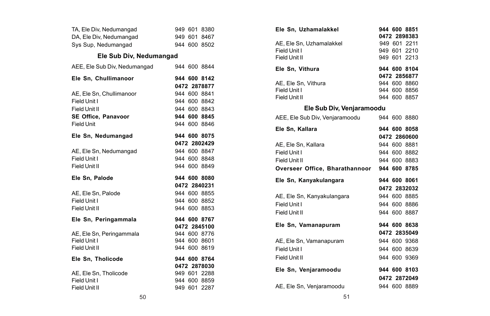| TA, Ele Div, Nedumangad       |  | 949 601 8380                 |
|-------------------------------|--|------------------------------|
| DA, Ele Div, Nedumangad       |  | 949 601 8467                 |
| Sys Sup. Nedumangad           |  | 944 600 8502                 |
| Ele Sub Div. Nedumangad       |  |                              |
| AEE, Ele Sub Div, Nedumangad  |  | 944 600 8844                 |
| Ele Sn. Chullimanoor          |  | 944 600 8142                 |
|                               |  | 0472 2878877                 |
| AE, Ele Sn, Chullimanoor      |  | 944 600 8841                 |
| Field Unit I                  |  | 944 600 8842                 |
| Field Unit II                 |  | 944 600 8843                 |
| SE Office, Panavoor           |  | 944 600 8845                 |
| <b>Field Unit</b>             |  | 944 600 8846                 |
| Ele Sn. Nedumangad            |  | 944 600 8075                 |
|                               |  | 0472 2802429                 |
| AE, Ele Sn, Nedumangad        |  | 944 600 8847                 |
| Field Unit I                  |  | 944 600 8848                 |
| Field Unit II                 |  | 944 600 8849                 |
| Ele Sn. Palode                |  | 944 600 8080                 |
|                               |  | 0472 2840231                 |
| AE, Ele Sn, Palode            |  | 944 600 8855                 |
| Field Unit I                  |  | 944 600 8852                 |
| Field Unit II                 |  | 944 600 8853                 |
| Ele Sn, Peringammala          |  | 944 600 8767                 |
|                               |  | 0472 2845100                 |
| AE, Ele Sn, Peringammala      |  | 944 600 8776                 |
| Field Unit I                  |  | 944 600 8601                 |
| Field Unit II                 |  | 944 600 8619                 |
| Ele Sn, Tholicode             |  | 944 600 8764                 |
|                               |  | 0472 2878030                 |
| AE. Ele Sn. Tholicode         |  | 949 601 2288                 |
|                               |  |                              |
| Field Unit I<br>Field Unit II |  | 944 600 8859<br>949 601 2287 |

| Ele Sn. Uzhamalakkel                        |  | 944 600 8851 |
|---------------------------------------------|--|--------------|
|                                             |  | 0472 2898383 |
| AE, Ele Sn, Uzhamalakkel                    |  | 949 601 2211 |
| Field Unit I                                |  | 949 601 2210 |
| Field Unit II                               |  | 949 601 2213 |
| Ele Sn, Vithura                             |  | 944 600 8104 |
|                                             |  | 0472 2856877 |
| AE, Ele Sn, Vithura                         |  | 944 600 8860 |
| Field Unit I                                |  | 944 600 8856 |
| Field Unit II                               |  | 944 600 8857 |
| Ele Sub Div, Venjaramoodu                   |  |              |
| AEE, Ele Sub Div, Venjaramoodu              |  | 944 600 8880 |
| Ele Sn, Kallara                             |  | 944 600 8058 |
|                                             |  | 0472 2860600 |
| AE, Ele Sn, Kallara                         |  | 944 600 8881 |
| Field Unit I                                |  | 944 600 8882 |
| Field Unit II                               |  | 944 600 8883 |
| Overseer Office, Bharathannoor 944 600 8785 |  |              |
| Ele Sn, Kanyakulangara                      |  | 944 600 8061 |
|                                             |  | 0472 2832032 |
| AE, Ele Sn, Kanyakulangara                  |  | 944 600 8885 |
| Field Unit I                                |  | 944 600 8886 |
| Field Unit II                               |  | 944 600 8887 |
| Ele Sn. Vamanapuram                         |  | 944 600 8638 |
|                                             |  | 0472 2835049 |
| AE, Ele Sn, Vamanapuram                     |  | 944 600 9368 |
| Field Unit I                                |  | 944 600 8639 |
| Field Unit II                               |  | 944 600 9369 |
|                                             |  |              |
| Ele Sn, Venjaramoodu                        |  | 944 600 8103 |
|                                             |  | 0472 2872049 |
| AE. Ele Sn. Veniaramoodu                    |  | 944 600 8889 |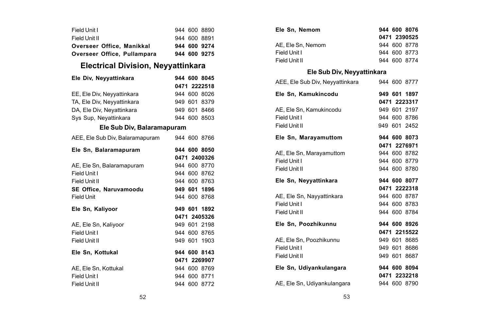| Field Unit I                |  | 944 600 8890 |
|-----------------------------|--|--------------|
| Field Unit II               |  | 944 600 8891 |
| Overseer Office. Manikkal   |  | 944 600 9274 |
| Overseer Office, Pullampara |  | 944 600 9275 |

## **Electrical Division, Neyyattinkara**

| Ele Div, Neyyattinkara          |  | 944 600 8045 |
|---------------------------------|--|--------------|
|                                 |  | 0471 2222518 |
| EE, Ele Div, Neyyattinkara      |  | 944 600 8026 |
| TA, Ele Div, Neyyattinkara      |  | 949 601 8379 |
| DA, Ele Div, Neyattinkara       |  | 949 601 8466 |
| Sys Sup, Nevattinkara           |  | 944 600 8503 |
| Ele Sub Div, Balaramapuram      |  |              |
| AEE, Ele Sub Div, Balaramapuram |  | 944 600 8766 |
| Ele Sn, Balaramapuram           |  | 944 600 8050 |
|                                 |  | 0471 2400326 |
| AE, Ele Sn, Balaramapuram       |  | 944 600 8770 |
| Field Unit I                    |  | 944 600 8762 |
| Field Unit II                   |  | 944 600 8763 |
| SE Office, Naruvamoodu          |  | 949 601 1896 |
| <b>Field Unit</b>               |  | 944 600 8768 |
| Ele Sn, Kaliyoor                |  | 949 601 1892 |
|                                 |  | 0471 2405326 |
| AE, Ele Sn, Kaliyoor            |  | 949 601 2198 |
| Field Unit I                    |  | 944 600 8765 |
| Field Unit II                   |  | 949 601 1903 |
| Ele Sn, Kottukal                |  | 944 600 8143 |
|                                 |  | 0471 2269907 |
| AE. Ele Sn. Kottukal            |  | 944 600 8769 |
| Field Unit I                    |  | 944 600 8771 |
| Field Unit II                   |  | 944 600 8772 |

| Ele Sn. Nemom     |  | 944 600 8076 |
|-------------------|--|--------------|
|                   |  | 0471 2390525 |
| AE. Ele Sn. Nemom |  | 944 600 8778 |
| Field Unit I      |  | 944 600 8773 |
| Field Unit II     |  | 944 600 8774 |
|                   |  |              |

## **Ele Sub Div, Neyyattinkara**

| AEE, Ele Sub Div, Neyyattinkara |  | 944 600 8777 |
|---------------------------------|--|--------------|
| Ele Sn, Kamukincodu             |  | 949 601 1897 |
|                                 |  | 0471 2223317 |
| AE, Ele Sn, Kamukincodu         |  | 949 601 2197 |
| Field Unit I                    |  | 944 600 8786 |
| Field Unit II                   |  | 949 601 2452 |
| Ele Sn, Marayamuttom            |  | 944 600 8073 |
|                                 |  | 0471 2276971 |
| AE, Ele Sn, Marayamuttom        |  | 944 600 8782 |
| Field Unit I                    |  | 944 600 8779 |
| Field Unit II                   |  | 944 600 8780 |
| Ele Sn, Neyyattinkara           |  | 944 600 8077 |
|                                 |  | 0471 2222318 |
| AE, Ele Sn, Nayyattinkara       |  | 944 600 8787 |
| Field Unit I                    |  | 944 600 8783 |
|                                 |  |              |
| Field Unit II                   |  | 944 600 8784 |
| Ele Sn. Poozhikunnu             |  | 944 600 8926 |
|                                 |  | 0471 2215522 |
| AE, Ele Sn, Poozhikunnu         |  | 949 601 8685 |
| Field Unit I                    |  | 949 601 8686 |
| Field Unit II                   |  | 949 601 8687 |
| Ele Sn, Udiyankulangara         |  | 944 600 8094 |
|                                 |  | 0471 2232218 |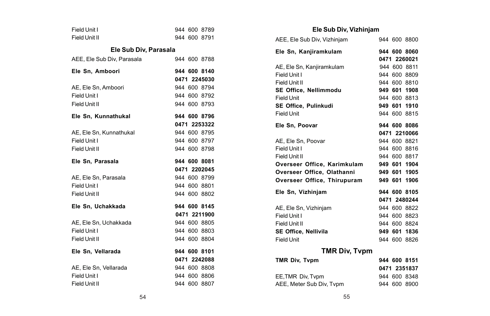| Field Unit I               |  |  | 944 600 8789 |  |  |  |  |
|----------------------------|--|--|--------------|--|--|--|--|
| Field Unit II              |  |  | 944 600 8791 |  |  |  |  |
| Ele Sub Div. Parasala      |  |  |              |  |  |  |  |
| AEE, Ele Sub Div, Parasala |  |  | 944 600 8788 |  |  |  |  |
| Ele Sn, Amboori            |  |  | 944 600 8140 |  |  |  |  |
|                            |  |  | 0471 2245030 |  |  |  |  |
| AE, Ele Sn, Amboori        |  |  | 944 600 8794 |  |  |  |  |
| Field Unit I               |  |  | 944 600 8792 |  |  |  |  |
| Field Unit II              |  |  | 944 600 8793 |  |  |  |  |
| Ele Sn, Kunnathukal        |  |  | 944 600 8796 |  |  |  |  |
|                            |  |  | 0471 2253322 |  |  |  |  |
| AE, Ele Sn, Kunnathukal    |  |  | 944 600 8795 |  |  |  |  |
| Field Unit I               |  |  | 944 600 8797 |  |  |  |  |
| Field Unit II              |  |  | 944 600 8798 |  |  |  |  |
|                            |  |  |              |  |  |  |  |
| Ele Sn. Parasala           |  |  | 944 600 8081 |  |  |  |  |
|                            |  |  | 0471 2202045 |  |  |  |  |
| AE. Ele Sn. Parasala       |  |  | 944 600 8799 |  |  |  |  |
| Field Unit I               |  |  | 944 600 8801 |  |  |  |  |
| Field Unit II              |  |  | 944 600 8802 |  |  |  |  |
| Ele Sn. Uchakkada          |  |  | 944 600 8145 |  |  |  |  |
|                            |  |  | 0471 2211900 |  |  |  |  |
| AE, Ele Sn, Uchakkada      |  |  | 944 600 8805 |  |  |  |  |
| Field Unit I               |  |  | 944 600 8803 |  |  |  |  |
| Field Unit II              |  |  | 944 600 8804 |  |  |  |  |
| Ele Sn, Vellarada          |  |  | 944 600 8101 |  |  |  |  |
|                            |  |  | 0471 2242088 |  |  |  |  |
| AE, Ele Sn, Vellarada      |  |  | 944 600 8808 |  |  |  |  |
| Field Unit I               |  |  | 944 600 8806 |  |  |  |  |

### **Ele Sub Div, Vizhinjam**

| AEE, Ele Sub Div, Vizhinjam |  | 944 600 8800 |
|-----------------------------|--|--------------|
| Ele Sn, Kanjiramkulam       |  | 944 600 8060 |
|                             |  | 0471 2260021 |
| AE, Ele Sn, Kanjiramkulam   |  | 944 600 8811 |
| Field Unit I                |  | 944 600 8809 |
| Field Unit II               |  | 944 600 8810 |
| SE Office, Nellimmodu       |  | 949 601 1908 |
| Field Unit                  |  | 944 600 8813 |
| SE Office, Pulinkudi        |  | 949 601 1910 |
| <b>Field Unit</b>           |  | 944 600 8815 |
| Ele Sn. Poovar              |  | 944 600 8086 |
|                             |  | 0471 2210066 |
| AE, Ele Sn, Poovar          |  | 944 600 8821 |
| Field Unit I                |  | 944 600 8816 |
| Field Unit II               |  | 944 600 8817 |
| Overseer Office, Karimkulam |  | 949 601 1904 |
| Overseer Office, Olathanni  |  | 949 601 1905 |
| Overseer Office. Thirupuram |  | 949 601 1906 |
| Ele Sn, Vizhinjam           |  | 944 600 8105 |
|                             |  | 0471 2480244 |
| AE. Ele Sn. Vizhiniam       |  | 944 600 8822 |
| Field Unit I                |  | 944 600 8823 |
| Field Unit II               |  | 944 600 8824 |
| <b>SE Office. Nellivila</b> |  | 949 601 1836 |
| Field Unit                  |  | 944 600 8826 |
| <b>TMR Div, Typm</b>        |  |              |
| TMR Div, Tvpm               |  | 944 600 8151 |
|                             |  | 0471 2351837 |
| EE, TMR Div, Typm           |  | 944 600 8348 |
| AEE, Meter Sub Div, Tvpm    |  | 944 600 8900 |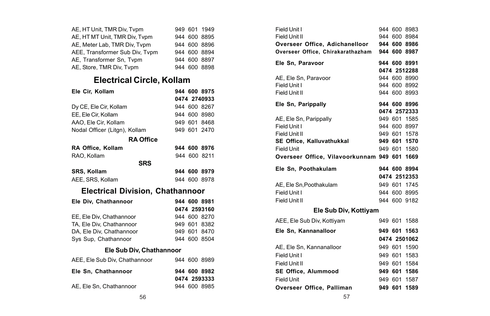| AE, HT Unit, TMR Div, Tvpm     |  | 949 601 1949 |
|--------------------------------|--|--------------|
| AE, HT MT Unit, TMR Div, Tvpm  |  | 944 600 8895 |
| AE, Meter Lab, TMR Div, Tvpm   |  | 944 600 8896 |
| AEE, Transformer Sub Div, Tvpm |  | 944 600 8894 |
| AE, Transformer Sn, Tvpm       |  | 944 600 8897 |
| AE, Store, TMR Div, Tvpm       |  | 944 600 8898 |

# **Electrical Circle, Kollam**

| Ele Cir, Kollam                         |  |  | 944 600 8975 |  |  |
|-----------------------------------------|--|--|--------------|--|--|
|                                         |  |  | 0474 2740933 |  |  |
| Dy CE, Ele Cir, Kollam                  |  |  | 944 600 8267 |  |  |
| EE, Ele Cir, Kollam                     |  |  | 944 600 8980 |  |  |
| AAO, Ele Cir, Kollam                    |  |  | 949 601 8468 |  |  |
| Nodal Officer (Litgn), Kollam           |  |  | 949 601 2470 |  |  |
| <b>RA Office</b>                        |  |  |              |  |  |
| RA Office. Kollam                       |  |  | 944 600 8976 |  |  |
| RAO. Kollam                             |  |  | 944 600 8211 |  |  |
| <b>SRS</b>                              |  |  |              |  |  |
| <b>SRS. Kollam</b>                      |  |  | 944 600 8979 |  |  |
| AEE, SRS, Kollam                        |  |  | 944 600 8978 |  |  |
| <b>Electrical Division, Chathannoor</b> |  |  |              |  |  |

| Ele Div, Chathannoor     |  | 944 600 8981 |
|--------------------------|--|--------------|
|                          |  | 0474 2593160 |
| EE, Ele Div, Chathannoor |  | 944 600 8270 |
| TA. Ele Div. Chathannoor |  | 949 601 8382 |
| DA. Ele Div. Chathannoor |  | 949 601 8470 |
| Sys Sup, Chathannoor     |  | 944 600 8504 |

### **Ele Sub Div, Chathannoor**

|  | 944 600 8989<br>944 600 8982<br>0474 2593333<br>944 600 8985 |
|--|--------------------------------------------------------------|

| Field Unit I                                 |  | 944 600 8983 |
|----------------------------------------------|--|--------------|
| Field Unit II                                |  | 944 600 8984 |
| Overseer Office, Adichanelloor               |  | 944 600 8986 |
| Overseer Office, Chirakarathazham            |  | 944 600 8987 |
| Ele Sn. Paravoor                             |  | 944 600 8991 |
|                                              |  | 0474 2512288 |
| AE. Ele Sn. Paravoor                         |  | 944 600 8990 |
| Field Unit I                                 |  | 944 600 8992 |
| Field Unit II                                |  | 944 600 8993 |
| Ele Sn, Parippally                           |  | 944 600 8996 |
|                                              |  | 0474 2572333 |
| AE, Ele Sn, Parippally                       |  | 949 601 1585 |
| Field Unit I                                 |  | 944 600 8997 |
| Field Unit II                                |  | 949 601 1578 |
| SE Office, Kalluvathukkal                    |  | 949 601 1570 |
| Field Unit                                   |  | 949 601 1580 |
| Overseer Office, Vilavoorkunnam 949 601 1669 |  |              |
| Ele Sn. Poothakulam                          |  | 944 600 8994 |
|                                              |  | 0474 2512353 |
| AE, Ele Sn, Poothakulam                      |  | 949 601 1745 |
| Field Unit I                                 |  | 944 600 8995 |
| Field Unit II                                |  | 944 600 9182 |
| Ele Sub Div, Kottiyam                        |  |              |
| AEE, Ele Sub Div, Kottiyam                   |  | 949 601 1588 |
| Ele Sn. Kannanalloor                         |  | 949 601 1563 |
|                                              |  | 0474 2501062 |
| AE, Ele Sn, Kannanalloor                     |  | 949 601 1590 |
| Field Unit I                                 |  | 949 601 1583 |

| AEE, Ele Sub Div, Kottiyam |  | 949 601 1588 |
|----------------------------|--|--------------|
| Ele Sn, Kannanalloor       |  | 949 601 1563 |
|                            |  | 0474 2501062 |
| AE, Ele Sn, Kannanalloor   |  | 949 601 1590 |
| Field Unit I               |  | 949 601 1583 |
| Field Unit II              |  | 949 601 1584 |
| SE Office. Alummood        |  | 949 601 1586 |
| Field Unit                 |  | 949 601 1587 |
| Overseer Office, Palliman  |  | 949 601 1589 |
|                            |  |              |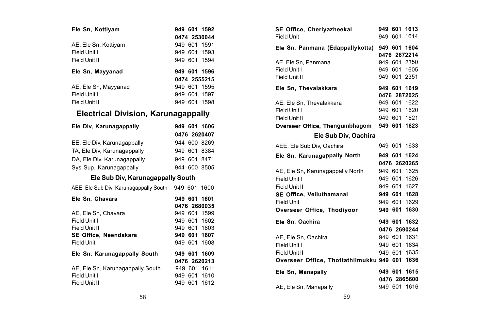| Ele Sn, Kottiyam     | 949 601 1592 |  |
|----------------------|--------------|--|
|                      | 0474 2530044 |  |
| AE, Ele Sn, Kottiyam | 949 601 1591 |  |
| Field Unit I         | 949 601 1593 |  |
| Field Unit II        | 949 601 1594 |  |
|                      |              |  |
| Ele Sn, Mayyanad     | 949 601 1596 |  |
|                      | 0474 2555215 |  |
| AE, Ele Sn, Mayyanad | 949 601 1595 |  |
| Field Unit I         | 949 601 1597 |  |

# **Electrical Division, Karunagappally**

| Ele Div, Karunagappally                |  | 949 601 1606 |
|----------------------------------------|--|--------------|
|                                        |  | 0476 2620407 |
| EE, Ele Div, Karunagappally            |  | 944 600 8269 |
| TA, Ele Div, Karunagappally            |  | 949 601 8384 |
| DA, Ele Div, Karunagappally            |  | 949 601 8471 |
| Sys Sup, Karunagappally                |  | 944 600 8505 |
| Ele Sub Div, Karunagappally South      |  |              |
| AEE, Ele Sub Div, Karunagappally South |  | 949 601 1600 |
| Ele Sn, Chavara                        |  | 949 601 1601 |
|                                        |  | 0476 2680035 |
| AE, Ele Sn, Chavara                    |  | 949 601 1599 |
| Field Unit I                           |  | 949 601 1602 |
| Field Unit II                          |  | 949 601 1603 |
| SE Office, Neendakara                  |  | 949 601 1607 |
| <b>Field Unit</b>                      |  | 949 601 1608 |
| Ele Sn, Karunagappally South           |  | 949 601 1609 |
|                                        |  | 0476 2620213 |
| AE, Ele Sn, Karunagappally South       |  | 949 601 1611 |
| Field Unit I                           |  | 949 601 1610 |
| Field Unit II                          |  | 949 601 1612 |

|                   | 949 601 1592             | SE Office, Cheriyazheekal<br><b>Field Unit</b> |  | 949 601 1613<br>949 601 1614 |
|-------------------|--------------------------|------------------------------------------------|--|------------------------------|
|                   | 0474 2530044             |                                                |  |                              |
|                   | 949 601 1591             | Ele Sn, Panmana (Edappallykotta) 949 601 1604  |  |                              |
|                   | 949 601 1593             |                                                |  | 0476 2672214                 |
|                   | 949 601 1594             | AE, Ele Sn, Panmana                            |  | 949 601 2350                 |
|                   | 949 601 1596             | Field Unit I                                   |  | 949 601 1605                 |
|                   | 0474 2555215             | Field Unit II                                  |  | 949 601 2351                 |
|                   | 949 601 1595             | Ele Sn, Thevalakkara                           |  | 949 601 1619                 |
|                   | 949 601 1597             |                                                |  | 0476 2872025                 |
|                   | 949 601 1598             | AE, Ele Sn, Thevalakkara                       |  | 949 601 1622                 |
|                   |                          | Field Unit I                                   |  | 949 601 1620                 |
|                   | n, Karunagappally        | Field Unit II                                  |  | 949 601 1621                 |
|                   |                          | Overseer Office, Thengumbhagom                 |  | 949 601 1623                 |
|                   | 949 601 1606             |                                                |  |                              |
|                   | 0476 2620407             | Ele Sub Div, Oachira                           |  |                              |
| y                 | 944 600 8269             | AEE, Ele Sub Div, Oachira                      |  | 949 601 1633                 |
| v                 | 949 601 8384             | Ele Sn, Karunagappally North                   |  | 949 601 1624                 |
| l٧                | 949 601 8471             |                                                |  | 0476 2620265                 |
|                   | 944 600 8505             | AE, Ele Sn, Karunagappally North               |  | 949 601 1625                 |
| ınagappally South |                          | Field Unit I                                   |  | 949 601 1626                 |
|                   |                          | Field Unit II                                  |  | 949 601 1627                 |
|                   | pally South 949 601 1600 |                                                |  | 949 601 1628                 |
|                   | 949 601 1601             | SE Office, Velluthamanal                       |  | 949 601 1629                 |
|                   | 0476 2680035             | <b>Field Unit</b>                              |  |                              |
|                   | 949 601 1599             | Overseer Office, Thodiyoor                     |  | 949 601 1630                 |
|                   | 949 601 1602             | Ele Sn, Oachira                                |  | 949 601 1632                 |
|                   | 949 601 1603             |                                                |  | 0476 2690244                 |
|                   | 949 601 1607             | AE, Ele Sn, Oachira                            |  | 949 601 1631                 |
|                   | 949 601 1608             | Field Unit I                                   |  | 949 601 1634                 |
| South             | 949 601 1609             | Field Unit II                                  |  | 949 601 1635                 |
|                   | 0476 2620213             | Overseer Office, Thottathilmukku 949 601 1636  |  |                              |
| y South           | 949 601 1611             |                                                |  |                              |
|                   | 949 601 1610             | Ele Sn, Manapally                              |  | 949 601 1615                 |
|                   | 949 601 1612             |                                                |  | 0476 2865600                 |
|                   |                          | AE, Ele Sn, Manapally                          |  | 949 601 1616                 |
| 58                |                          | 59                                             |  |                              |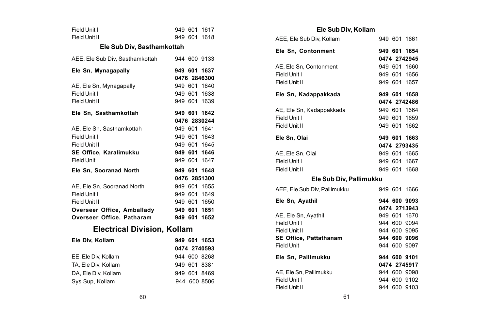| Field Unit I                       |  |  | 949 601 1617 |  |  |  |  |
|------------------------------------|--|--|--------------|--|--|--|--|
| Field Unit II                      |  |  | 949 601 1618 |  |  |  |  |
| Ele Sub Div. Sasthamkottah         |  |  |              |  |  |  |  |
| AEE, Ele Sub Div, Sasthamkottah    |  |  | 944 600 9133 |  |  |  |  |
| Ele Sn, Mynagapally                |  |  | 949 601 1637 |  |  |  |  |
|                                    |  |  | 0476 2846300 |  |  |  |  |
| AE, Ele Sn, Mynagapally            |  |  | 949 601 1640 |  |  |  |  |
| Field Unit I                       |  |  | 949 601 1638 |  |  |  |  |
| Field Unit II                      |  |  | 949 601 1639 |  |  |  |  |
| Ele Sn, Sasthamkottah              |  |  | 949 601 1642 |  |  |  |  |
|                                    |  |  | 0476 2830244 |  |  |  |  |
| AE. Ele Sn. Sasthamkottah          |  |  | 949 601 1641 |  |  |  |  |
| Field Unit I                       |  |  | 949 601 1643 |  |  |  |  |
| Field Unit II                      |  |  | 949 601 1645 |  |  |  |  |
| SE Office, Karalimukku             |  |  | 949 601 1646 |  |  |  |  |
| <b>Field Unit</b>                  |  |  | 949 601 1647 |  |  |  |  |
| Ele Sn. Sooranad North             |  |  | 949 601 1648 |  |  |  |  |
|                                    |  |  | 0476 2851300 |  |  |  |  |
| AE, Ele Sn, Sooranad North         |  |  | 949 601 1655 |  |  |  |  |
| Field Unit I                       |  |  | 949 601 1649 |  |  |  |  |
| Field Unit II                      |  |  | 949 601 1650 |  |  |  |  |
| Overseer Office, Amballady         |  |  | 949 601 1651 |  |  |  |  |
| Overseer Office, Patharam          |  |  | 949 601 1652 |  |  |  |  |
| <b>Electrical Division, Kollam</b> |  |  |              |  |  |  |  |
| Ele Div, Kollam                    |  |  | 949 601 1653 |  |  |  |  |
|                                    |  |  | 0474 2740593 |  |  |  |  |
| EE, Ele Div, Kollam                |  |  | 944 600 8268 |  |  |  |  |
| TA, Ele Div, Kollam                |  |  | 949 601 8381 |  |  |  |  |
| DA, Ele Div, Kollam                |  |  | 949 601 8469 |  |  |  |  |
| Sys Sup, Kollam                    |  |  | 944 600 8506 |  |  |  |  |
|                                    |  |  |              |  |  |  |  |
|                                    |  |  |              |  |  |  |  |

|  |  | Ele Sub Div, Kollam |  |  |  |  |  |  |
|--|--|---------------------|--|--|--|--|--|--|
|--|--|---------------------|--|--|--|--|--|--|

| AEE, Ele Sub Div, Kollam     |  | 949 601 1661 |
|------------------------------|--|--------------|
| Ele Sn. Contonment           |  | 949 601 1654 |
|                              |  | 0474 2742945 |
| AE, Ele Sn, Contonment       |  | 949 601 1660 |
| Field Unit I                 |  | 949 601 1656 |
| Field Unit II                |  | 949 601 1657 |
| Ele Sn, Kadappakkada         |  | 949 601 1658 |
|                              |  | 0474 2742486 |
| AE, Ele Sn, Kadappakkada     |  | 949 601 1664 |
| Field Unit I                 |  | 949 601 1659 |
| Field Unit II                |  | 949 601 1662 |
| Ele Sn. Olai                 |  | 949 601 1663 |
|                              |  | 0474 2793435 |
| AE, Ele Sn, Olai             |  | 949 601 1665 |
| Field Unit I                 |  | 949 601 1667 |
| Field Unit II                |  | 949 601 1668 |
| Ele Sub Div, Pallimukku      |  |              |
| AEE, Ele Sub Div, Pallimukku |  | 949 601 1666 |
| Ele Sn, Ayathil              |  | 944 600 9093 |
|                              |  | 0474 2713943 |
| AE, Ele Sn, Ayathil          |  | 949 601 1670 |
| Field Unit I                 |  | 944 600 9094 |
| Field Unit II                |  | 944 600 9095 |
| SE Office, Pattathanam       |  | 944 600 9096 |
| Field Unit                   |  | 944 600 9097 |
| Ele Sn. Pallimukku           |  | 944 600 9101 |
|                              |  | 0474 2745917 |
| AE. Ele Sn. Pallimukku       |  | 944 600 9098 |
| Field Unit I                 |  | 944 600 9102 |
| Field Unit II                |  | 944 600 9103 |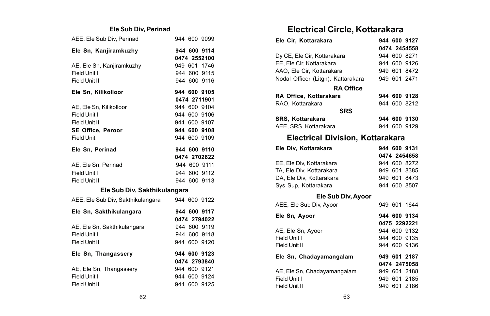### **Ele Sub Div, Perinad**

| AEE, Ele Sub Div, Perinad         |  | 944 600 9099 |
|-----------------------------------|--|--------------|
| Ele Sn, Kanjiramkuzhy             |  | 944 600 9114 |
|                                   |  | 0474 2552100 |
| AE, Ele Sn, Kanjiramkuzhy         |  | 949 601 1746 |
| Field Unit I                      |  | 944 600 9115 |
| Field Unit II                     |  | 944 600 9116 |
| Ele Sn, Kilikolloor               |  | 944 600 9105 |
|                                   |  | 0474 2711901 |
| AE, Ele Sn, Kilikolloor           |  | 944 600 9104 |
| Field Unit I                      |  | 944 600 9106 |
| Field Unit II                     |  | 944 600 9107 |
| SE Office, Peroor                 |  | 944 600 9108 |
| Field Unit                        |  | 944 600 9109 |
| Ele Sn, Perinad                   |  | 944 600 9110 |
|                                   |  | 0474 2702622 |
| AE, Ele Sn, Perinad               |  | 944 600 9111 |
| Field Unit I                      |  | 944 600 9112 |
| Field Unit II                     |  | 944 600 9113 |
| Ele Sub Div, Sakthikulangara      |  |              |
| AEE, Ele Sub Div, Sakthikulangara |  | 944 600 9122 |
| Ele Sn, Sakthikulangara           |  | 944 600 9117 |
|                                   |  | 0474 2794022 |
| AE. Ele Sn. Sakthikulangara       |  | 944 600 9119 |
| Field Unit I                      |  | 944 600 9118 |
| Field Unit II                     |  | 944 600 9120 |
| Ele Sn, Thangassery               |  | 944 600 9123 |
|                                   |  | 0474 2793840 |
| AE, Ele Sn, Thangassery           |  | 944 600 9121 |
| Field Unit I                      |  | 944 600 9124 |
| Field Unit II                     |  | 944 600 9125 |
|                                   |  |              |

## **Electrical Circle, Kottarakara**

| Ele Cir, Kottarakara                    |  |  | 944 600 9127 |  |  |  |  |
|-----------------------------------------|--|--|--------------|--|--|--|--|
|                                         |  |  | 0474 2454558 |  |  |  |  |
| Dy CE, Ele Cir, Kottarakara             |  |  | 944 600 8271 |  |  |  |  |
| EE, Ele Cir, Kottarakara                |  |  | 944 600 9126 |  |  |  |  |
| AAO, Ele Cir, Kottarakara               |  |  | 949 601 8472 |  |  |  |  |
| Nodal Officer (Litgn), Kattarakara      |  |  | 949 601 2471 |  |  |  |  |
| <b>RA Office</b>                        |  |  |              |  |  |  |  |
| RA Office, Kottarakara                  |  |  | 944 600 9128 |  |  |  |  |
| RAO, Kottarakara                        |  |  | 944 600 8212 |  |  |  |  |
| <b>SRS</b>                              |  |  |              |  |  |  |  |
| SRS, Kottarakara                        |  |  | 944 600 9130 |  |  |  |  |
| AEE, SRS, Kottarakara                   |  |  | 944 600 9129 |  |  |  |  |
| <b>Electrical Division, Kottarakara</b> |  |  |              |  |  |  |  |
| Ele Div, Kottarakara                    |  |  | 944 600 9131 |  |  |  |  |
|                                         |  |  | 0474 2454658 |  |  |  |  |
| EE, Ele Div, Kottarakara                |  |  | 944 600 8272 |  |  |  |  |
| TA, Ele Div, Kottarakara                |  |  | 949 601 8385 |  |  |  |  |
| DA, Ele Div, Kottarakara                |  |  | 949 601 8473 |  |  |  |  |
| Sys Sup, Kottarakara                    |  |  | 944 600 8507 |  |  |  |  |
| Ele Sub Div, Ayoor                      |  |  |              |  |  |  |  |
| AEE, Ele Sub Div, Ayoor                 |  |  | 949 601 1644 |  |  |  |  |
| Ele Sn, Ayoor                           |  |  | 944 600 9134 |  |  |  |  |
|                                         |  |  | 0475 2292221 |  |  |  |  |
| AE, Ele Sn, Ayoor                       |  |  | 944 600 9132 |  |  |  |  |
| Field Unit I                            |  |  | 944 600 9135 |  |  |  |  |
| Field Unit II                           |  |  | 944 600 9136 |  |  |  |  |
| Ele Sn, Chadayamangalam                 |  |  | 949 601 2187 |  |  |  |  |
|                                         |  |  | 0474 2475058 |  |  |  |  |
| AE, Ele Sn, Chadayamangalam             |  |  | 949 601 2188 |  |  |  |  |
| Field Unit I                            |  |  | 949 601 2185 |  |  |  |  |
| Field Unit II                           |  |  | 949 601 2186 |  |  |  |  |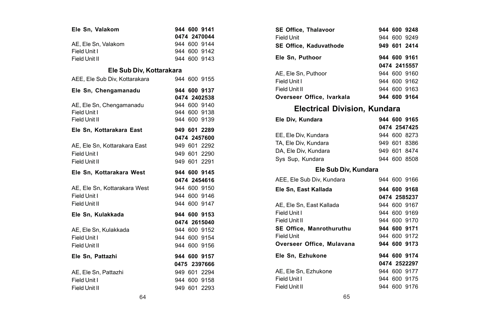| Ele Sn, Valakom               |  | 944 600 9141 |
|-------------------------------|--|--------------|
|                               |  | 0474 2470044 |
| AE. Ele Sn. Valakom           |  | 944 600 9144 |
| Field Unit I                  |  | 944 600 9142 |
| Field Unit II                 |  | 944 600 9143 |
| Ele Sub Div, Kottarakara      |  |              |
| AEE, Ele Sub Div, Kottarakara |  | 944 600 9155 |
| Ele Sn, Chengamanadu          |  | 944 600 9137 |
|                               |  | 0474 2402538 |
| AE, Ele Sn, Chengamanadu      |  | 944 600 9140 |
| Field Unit I                  |  | 944 600 9138 |
| Field Unit II                 |  | 944 600 9139 |
| Ele Sn, Kottarakara East      |  | 949 601 2289 |
|                               |  | 0474 2457600 |
| AE, Ele Sn, Kottarakara East  |  | 949 601 2292 |
| Field Unit I                  |  | 949 601 2290 |
| Field Unit II                 |  | 949 601 2291 |
| Ele Sn. Kottarakara West      |  | 944 600 9145 |
|                               |  | 0474 2454616 |
| AE, Ele Sn, Kottarakara West  |  | 944 600 9150 |
| Field Unit I                  |  | 944 600 9146 |
|                               |  |              |
| Field Unit II                 |  | 944 600 9147 |
| Ele Sn. Kulakkada             |  | 944 600 9153 |
|                               |  | 0474 2615040 |
| AE, Ele Sn, Kulakkada         |  | 944 600 9152 |
| Field Unit I                  |  | 944 600 9154 |
| Field Unit II                 |  | 944 600 9156 |
| Ele Sn. Pattazhi              |  | 944 600 9157 |
|                               |  | 0475 2397666 |
| AE, Ele Sn, Pattazhi          |  | 949 601 2294 |
| Field Unit I                  |  | 944 600 9158 |
| Field Unit II                 |  | 949 601 2293 |

| SE Office, Thalavoor            |  |  | 944 600 9248 |  |  |  |  |  |
|---------------------------------|--|--|--------------|--|--|--|--|--|
| Field Unit                      |  |  | 944 600 9249 |  |  |  |  |  |
| SE Office, Kaduvathode          |  |  | 949 601 2414 |  |  |  |  |  |
| Ele Sn, Puthoor                 |  |  | 944 600 9161 |  |  |  |  |  |
|                                 |  |  | 0474 2415557 |  |  |  |  |  |
| AE, Ele Sn, Puthoor             |  |  | 944 600 9160 |  |  |  |  |  |
| Field Unit I                    |  |  | 944 600 9162 |  |  |  |  |  |
| Field Unit II                   |  |  | 944 600 9163 |  |  |  |  |  |
| Overseer Office, Ivarkala       |  |  | 944 600 9164 |  |  |  |  |  |
| Electrical Division, Kundara    |  |  |              |  |  |  |  |  |
| Ele Div. Kundara                |  |  | 944 600 9165 |  |  |  |  |  |
|                                 |  |  | 0474 2547425 |  |  |  |  |  |
| EE. Ele Div. Kundara            |  |  | 944 600 8273 |  |  |  |  |  |
| TA, Ele Div, Kundara            |  |  | 949 601 8386 |  |  |  |  |  |
| DA, Ele Div, Kundara            |  |  | 949 601 8474 |  |  |  |  |  |
| Sys Sup, Kundara                |  |  | 944 600 8508 |  |  |  |  |  |
| Ele Sub Div, Kundara            |  |  |              |  |  |  |  |  |
| AEE, Ele Sub Div, Kundara       |  |  | 944 600 9166 |  |  |  |  |  |
| Ele Sn, East Kallada            |  |  | 944 600 9168 |  |  |  |  |  |
|                                 |  |  | 0474 2585237 |  |  |  |  |  |
| AE, Ele Sn, East Kallada        |  |  | 944 600 9167 |  |  |  |  |  |
| Field Unit I                    |  |  | 944 600 9169 |  |  |  |  |  |
| Field Unit II                   |  |  | 944 600 9170 |  |  |  |  |  |
| <b>SE Office. Manrothuruthu</b> |  |  | 944 600 9171 |  |  |  |  |  |
| Field Unit                      |  |  | 944 600 9172 |  |  |  |  |  |
| Overseer Office, Mulavana       |  |  | 944 600 9173 |  |  |  |  |  |
| Ele Sn, Ezhukone                |  |  | 944 600 9174 |  |  |  |  |  |
|                                 |  |  | 0474 2522297 |  |  |  |  |  |
| AE, Ele Sn, Ezhukone            |  |  | 944 600 9177 |  |  |  |  |  |
| Field Unit I                    |  |  | 944 600 9175 |  |  |  |  |  |
| Field Unit II                   |  |  | 944 600 9176 |  |  |  |  |  |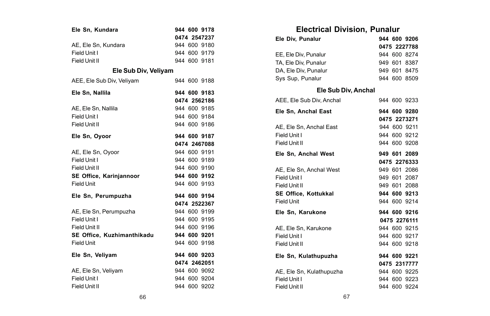| Ele Sn, Kundara            |  | 944 600 9178 |
|----------------------------|--|--------------|
|                            |  | 0474 2547237 |
| AE, Ele Sn, Kundara        |  | 944 600 9180 |
| Field Unit I               |  | 944 600 9179 |
| Field Unit II              |  | 944 600 9181 |
| Ele Sub Div, Veliyam       |  |              |
| AEE, Ele Sub Div, Veliyam  |  | 944 600 9188 |
| Ele Sn. Nallila            |  | 944 600 9183 |
|                            |  | 0474 2562186 |
| AE, Ele Sn, Nallila        |  | 944 600 9185 |
| Field Unit I               |  | 944 600 9184 |
| Field Unit II              |  | 944 600 9186 |
| Ele Sn, Oyoor              |  | 944 600 9187 |
|                            |  | 0474 2467088 |
| AE, Ele Sn, Oyoor          |  | 944 600 9191 |
| Field Unit I               |  | 944 600 9189 |
| Field Unit II              |  | 944 600 9190 |
| SE Office, Karinjannoor    |  | 944 600 9192 |
| <b>Field Unit</b>          |  | 944 600 9193 |
| Ele Sn, Perumpuzha         |  | 944 600 9194 |
|                            |  | 0474 2522367 |
| AE, Ele Sn, Perumpuzha     |  | 944 600 9199 |
| Field Unit I               |  | 944 600 9195 |
| Field Unit II              |  | 944 600 9196 |
| SE Office, Kuzhimanthikadu |  | 944 600 9201 |
| <b>Field Unit</b>          |  | 944 600 9198 |
| Ele Sn. Velivam            |  | 944 600 9203 |
|                            |  | 0474 2462051 |
| AE, Ele Sn, Veliyam        |  | 944 600 9092 |
| Field Unit I               |  | 944 600 9204 |
| Field Unit II              |  | 944 600 9202 |

## **Electrical Division, Punalur**

| Ele Div, Punalur         |  | 944 600 9206 |
|--------------------------|--|--------------|
|                          |  | 0475 2227788 |
| EE, Ele Div, Punalur     |  | 944 600 8274 |
| TA, Ele Div, Punalur     |  | 949 601 8387 |
| DA, Ele Div, Punalur     |  | 949 601 8475 |
| Sys Sup, Punalur         |  | 944 600 8509 |
| Ele Sub Div, Anchal      |  |              |
| AEE, Ele Sub Div, Anchal |  | 944 600 9233 |
| Ele Sn. Anchal East      |  | 944 600 9280 |
|                          |  | 0475 2273271 |
| AE, Ele Sn, Anchal East  |  | 944 600 9211 |
| Field Unit I             |  | 944 600 9212 |
| Field Unit II            |  | 944 600 9208 |
| Ele Sn, Anchal West      |  | 949 601 2089 |
|                          |  | 0475 2276333 |
| AE, Ele Sn, Anchal West  |  | 949 601 2086 |
| Field Unit I             |  | 949 601 2087 |
| Field Unit II            |  | 949 601 2088 |
| SE Office, Kottukkal     |  | 944 600 9213 |
| Field Unit               |  | 944 600 9214 |
| Ele Sn, Karukone         |  | 944 600 9216 |
|                          |  | 0475 2276111 |
| AE, Ele Sn, Karukone     |  | 944 600 9215 |
| Field Unit I             |  | 944 600 9217 |
| Field Unit II            |  | 944 600 9218 |
| Ele Sn, Kulathupuzha     |  | 944 600 9221 |
|                          |  | 0475 2317777 |
| AE, Ele Sn, Kulathupuzha |  | 944 600 9225 |
| Field Unit I             |  | 944 600 9223 |
| Field Unit II            |  | 944 600 9224 |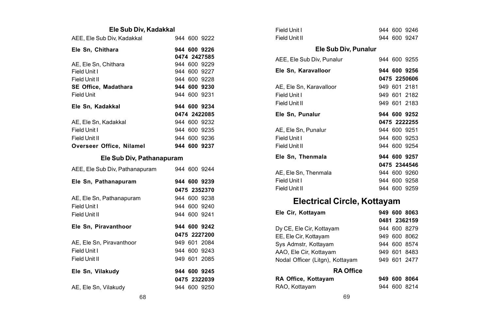### **Ele Sub Div, Kadakkal**

| AEE. Ele Sub Div. Kadakkal                                                           |  | 944 600 9222                                                 |
|--------------------------------------------------------------------------------------|--|--------------------------------------------------------------|
| Ele Sn. Chithara                                                                     |  | 944 600 9226<br>0474 2427585                                 |
| AE, Ele Sn, Chithara<br>Field Unit I<br>Field Unit II<br><b>SE Office, Madathara</b> |  | 944 600 9229<br>944 600 9227<br>944 600 9228<br>944 600 9230 |
| <b>Field Unit</b><br>Ele Sn. Kadakkal                                                |  | 944 600 9231<br>944 600 9234                                 |
|                                                                                      |  | 0474 2422085<br>944 600 9232                                 |
| AE, Ele Sn, Kadakkal<br>Field Unit I                                                 |  | 944 600 9235                                                 |
| Field Unit II<br>Overseer Office, Nilamel                                            |  | 944 600 9236<br>944 600 9237                                 |

#### **Ele Sub Div, Pathanapuram**

| AEE, Ele Sub Div, Pathanapuram | 944 600 9244 |
|--------------------------------|--------------|
| Ele Sn, Pathanapuram           | 944 600 9239 |
|                                | 0475 2352370 |
| AE, Ele Sn, Pathanapuram       | 944 600 9238 |
| Field Unit I                   | 944 600 9240 |
| Field Unit II                  | 944 600 9241 |
| Ele Sn. Piravanthoor           | 944 600 9242 |
|                                | 0475 2227200 |
|                                |              |
| AE. Ele Sn. Piravanthoor       | 949 601 2084 |
| Field Unit I                   | 944 600 9243 |
| Field Unit II                  | 949 601 2085 |
| Ele Sn. Vilakudv               | 944 600 9245 |
|                                | 0475 2322039 |

| Field Unit I                       |  | 944 600 9246 |
|------------------------------------|--|--------------|
| Field Unit II                      |  | 944 600 9247 |
| Ele Sub Div, Punalur               |  |              |
| AEE, Ele Sub Div, Punalur          |  | 944 600 9255 |
| Ele Sn, Karavalloor                |  | 944 600 9256 |
|                                    |  | 0475 2250606 |
| AE, Ele Sn. Karavalloor            |  | 949 601 2181 |
| Field Unit I                       |  | 949 601 2182 |
| Field Unit II                      |  | 949 601 2183 |
| Ele Sn, Punalur                    |  | 944 600 9252 |
|                                    |  | 0475 2222255 |
| AE, Ele Sn, Punalur                |  | 944 600 9251 |
| Field Unit I                       |  | 944 600 9253 |
| Field Unit II                      |  | 944 600 9254 |
| Ele Sn, Thenmala                   |  | 944 600 9257 |
|                                    |  | 0475 2344546 |
| AE. Ele Sn. Thenmala               |  | 944 600 9260 |
| Field Unit I                       |  | 944 600 9258 |
| Field Unit II                      |  | 944 600 9259 |
| <b>Electrical Circle, Kottayam</b> |  |              |
| Ele Cir, Kottayam                  |  | 949 600 8063 |
|                                    |  | 0481 2362159 |
| Dy CE, Ele Cir, Kottayam           |  | 944 600 8279 |
| EE, Ele Cir, Kottayam              |  | 949 600 8062 |
| Sys Admstr, Kottayam               |  | 944 600 8574 |
| AAO, Ele Cir, Kottayam             |  | 949 601 8483 |

### Nodal Officer (Litgn), Kottayam 949 601 2477 **RA Office**

| RA Office, Kottayam |  | 949 600 8064 |
|---------------------|--|--------------|
| RAO, Kottayam       |  | 944 600 8214 |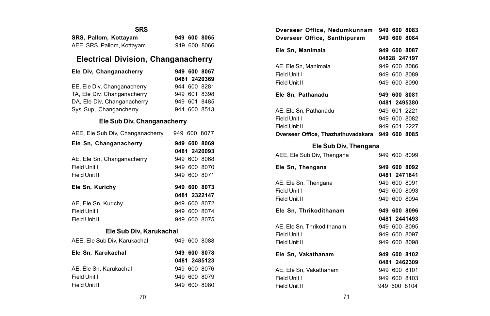| <b>SRS</b>                 |  |              |
|----------------------------|--|--------------|
| SRS. Pallom. Kottavam      |  | 949 600 8065 |
| AEE, SRS, Pallom, Kottayam |  | 949 600 8066 |

## **Electrical Division, Changanacherry**

| Ele Div. Changanacherry     |  | 949 600 8067 |
|-----------------------------|--|--------------|
|                             |  | 0481 2420369 |
| EE, Ele Div, Changanacherry |  | 944 600 8281 |
| TA, Ele Div, Changanacherry |  | 949 601 8398 |
| DA, Ele Div, Changanacherry |  | 949 601 8485 |
| Sys Sup, Changancherry      |  | 944 600 8513 |

### **Ele Sub Div, Changanacherry**

| AEE, Ele Sub Div, Changanacherry |  |  | 949 600 8077 |  |  |
|----------------------------------|--|--|--------------|--|--|
| Ele Sn, Changanacherry           |  |  | 949 600 8069 |  |  |
|                                  |  |  | 0481 2420093 |  |  |
| AE, Ele Sn, Changanacherry       |  |  | 949 600 8068 |  |  |
| Field Unit I                     |  |  | 949 600 8070 |  |  |
| Field Unit II                    |  |  | 949 600 8071 |  |  |
| Ele Sn, Kurichy                  |  |  | 949 600 8073 |  |  |
|                                  |  |  | 0481 2322147 |  |  |
| AE, Ele Sn, Kurichy              |  |  | 949 600 8072 |  |  |
| Field Unit I                     |  |  | 949 600 8074 |  |  |
| Field Unit II                    |  |  | 949 600 8075 |  |  |
| Ele Sub Div, Karukachal          |  |  |              |  |  |
| AEE, Ele Sub Div, Karukachal     |  |  | 949 600 8088 |  |  |
| Ele Sn. Karukachal               |  |  | 949 600 8078 |  |  |
|                                  |  |  | 0481 2485123 |  |  |
| AE, Ele Sn. Karukachal           |  |  | 949 600 8076 |  |  |
| Field Unit I                     |  |  | 949 600 8079 |  |  |
| Field Unit II                    |  |  | 949 600 8080 |  |  |

| Overseer Office, Nedumkunnam 949 600 8083<br>Overseer Office, Santhipuram                                 |              |  | 949 600 8084                                                 |  |
|-----------------------------------------------------------------------------------------------------------|--------------|--|--------------------------------------------------------------|--|
| Ele Sn, Manimala                                                                                          |              |  | 949 600 8087<br>04828 247197                                 |  |
| AE, Ele Sn, Manimala<br>Field Unit I<br>Field Unit II                                                     |              |  | 949 600 8086<br>949 600 8089<br>949 600 8090                 |  |
| Ele Sn. Pathanadu                                                                                         | 949 600 8081 |  |                                                              |  |
| AE. Ele Sn. Pathanadu<br>Field Unit I<br>Field Unit II<br>Overseer Office, Thazhathuvadakara 949 600 8085 |              |  | 0481 2495380<br>949 601 2221<br>949 600 8082<br>949 601 2227 |  |
| Ele Sub Div, Thengana                                                                                     |              |  |                                                              |  |
| AEE, Ele Sub Div, Thengana                                                                                |              |  | 949 600 8099                                                 |  |
| Ele Sn, Thengana                                                                                          |              |  | 949 600 8092<br>0481 2471841                                 |  |
| AE, Ele Sn, Thengana<br>Field Unit I<br>Field Unit II                                                     |              |  | 949 600 8091<br>949 600 8093<br>949 600 8094                 |  |
| Ele Sn, Thrikodithanam                                                                                    |              |  | 949 600 8096                                                 |  |
| AE. Ele Sn. Thrikodithanam<br>Field Unit I<br>Field Unit II                                               |              |  | 0481 2441493<br>949 600 8095<br>949 600 8097<br>949 600 8098 |  |
| Ele Sn, Vakathanam                                                                                        |              |  | 949 600 8102                                                 |  |
| AE, Ele Sn, Vakathanam<br>Field Unit I<br>Field Unit II                                                   |              |  | 0481 2462309<br>949 600 8101<br>949 600 8103<br>949 600 8104 |  |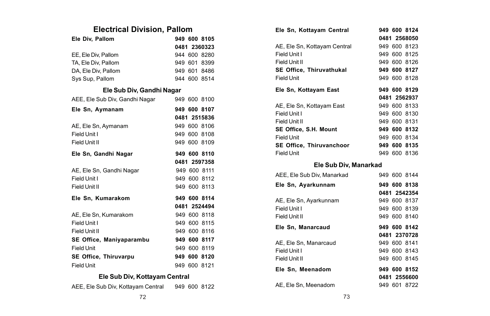## **Electrical Division, Pallom**

| Ele Div, Pallom                | 949 600 8105 |
|--------------------------------|--------------|
|                                | 0481 2360323 |
| EE. Ele Div. Pallom            | 944 600 8280 |
| TA, Ele Div, Pallom            | 949 601 8399 |
| DA, Ele Div, Pallom            | 949 601 8486 |
| Sys Sup, Pallom                | 944 600 8514 |
| Ele Sub Div, Gandhi Nagar      |              |
| AEE, Ele Sub Div, Gandhi Nagar | 949 600 8100 |
| Ele Sn, Aymanam                | 949 600 8107 |
|                                | 0481 2515836 |
| AE, Ele Sn, Aymanam            | 949 600 8106 |
| Field Unit I                   | 949 600 8108 |
| Field Unit II                  | 949 600 8109 |
| Ele Sn, Gandhi Nagar           | 949 600 8110 |
|                                | 0481 2597358 |
| AE, Ele Sn, Gandhi Nagar       | 949 600 8111 |
|                                |              |
| Field Unit I                   | 949 600 8112 |
| Field Unit II                  | 949 600 8113 |
| Ele Sn, Kumarakom              | 949 600 8114 |
|                                | 0481 2524494 |
| AE. Ele Sn. Kumarakom          | 949 600 8118 |
| Field Unit I                   | 949 600 8115 |
| Field Unit II                  | 949 600 8116 |
| SE Office, Maniyaparambu       | 949 600 8117 |
| <b>Field Unit</b>              | 949 600 8119 |
| SE Office, Thiruvarpu          | 949 600 8120 |
| <b>Field Unit</b>              | 949 600 8121 |

### **Ele Sub Div, Kottayam Central**

|  |  | AEE, Ele Sub Div, Kottayam Central |  | 949 600 8122 |
|--|--|------------------------------------|--|--------------|
|  |  |                                    |  |              |

| Ele Sn, Kottayam Central        |  | 949 600 8124 |
|---------------------------------|--|--------------|
|                                 |  | 0481 2568050 |
| AE, Ele Sn, Kottayam Central    |  | 949 600 8123 |
| Field Unit I                    |  | 949 600 8125 |
| Field Unit II                   |  | 949 600 8126 |
| <b>SE Office. Thiruvathukal</b> |  | 949 600 8127 |
| Field Unit                      |  | 949 600 8128 |
| Ele Sn, Kottayam East           |  | 949 600 8129 |
|                                 |  | 0481 2562937 |
| AE, Ele Sn, Kottayam East       |  | 949 600 8133 |
| Field Unit I                    |  | 949 600 8130 |
| Field Unit II                   |  | 949 600 8131 |
| SE Office, S.H. Mount           |  | 949 600 8132 |
| Field Unit                      |  | 949 600 8134 |
| SE Office, Thiruvanchoor        |  | 949 600 8135 |
| <b>Field Unit</b>               |  | 949 600 8136 |
| - - - - - - -                   |  |              |

#### **Ele Sub Div, Manarkad**

| AEE, Ele Sub Div, Manarkad |  | 949 600 8144 |
|----------------------------|--|--------------|
| Ele Sn, Ayarkunnam         |  | 949 600 8138 |
|                            |  | 0481 2542354 |
| AE, Ele Sn, Ayarkunnam     |  | 949 600 8137 |
| Field Unit I               |  | 949 600 8139 |
| Field Unit II              |  | 949 600 8140 |
| Ele Sn. Manarcaud          |  | 949 600 8142 |
|                            |  |              |
|                            |  | 0481 2370728 |
| AE. Ele Sn. Manarcaud      |  | 949 600 8141 |
| Field Unit I               |  | 949 600 8143 |
| Field Unit II              |  | 949 600 8145 |
| Ele Sn. Meenadom           |  | 949 600 8152 |
|                            |  | 0481 2556600 |
| AE, Ele Sn, Meenadom       |  | 949 601 8722 |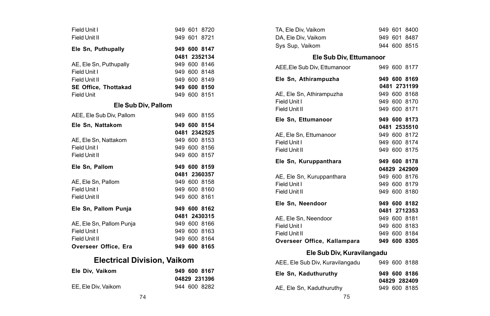| Field Unit I                       |  | 949 601 8720 |
|------------------------------------|--|--------------|
| Field Unit II                      |  | 949 601 8721 |
| Ele Sn, Puthupally                 |  | 949 600 8147 |
|                                    |  | 0481 2352134 |
| AE. Ele Sn. Puthupally             |  | 949 600 8146 |
| Field Unit I                       |  | 949 600 8148 |
| Field Unit II                      |  | 949 600 8149 |
| <b>SE Office. Thottakad</b>        |  | 949 600 8150 |
| Field Unit                         |  | 949 600 8151 |
| Ele Sub Div, Pallom                |  |              |
| AEE, Ele Sub Div, Pallom           |  | 949 600 8155 |
| Ele Sn, Nattakom                   |  | 949 600 8154 |
|                                    |  | 0481 2342525 |
| AE, Ele Sn, Nattakom               |  | 949 600 8153 |
| Field Unit I                       |  | 949 600 8156 |
| Field Unit II                      |  | 949 600 8157 |
| Ele Sn, Pallom                     |  | 949 600 8159 |
|                                    |  | 0481 2360357 |
| AE. Ele Sn. Pallom                 |  | 949 600 8158 |
| Field Unit I                       |  | 949 600 8160 |
| Field Unit II                      |  | 949 600 8161 |
| Ele Sn, Pallom Punja               |  | 949 600 8162 |
|                                    |  | 0481 2430315 |
| AE. Ele Sn. Pallom Punia           |  | 949 600 8166 |
| Field Unit I                       |  | 949 600 8163 |
| Field Unit II                      |  | 949 600 8164 |
| Overseer Office, Era               |  | 949 600 8165 |
| <b>Electrical Division, Vaikom</b> |  |              |

### **Ele Div, Vaikom 949 600 8167 04829 231396**

| TA, Ele Div, Vaikom             |  | 949 601 8400                 |  |
|---------------------------------|--|------------------------------|--|
| DA, Ele Div, Vaikom             |  | 949 601 8487                 |  |
| Sys Sup, Vaikom                 |  | 944 600 8515                 |  |
| Ele Sub Div, Ettumanoor         |  |                              |  |
| AEE, Ele Sub Div, Ettumanoor    |  | 949 600 8177                 |  |
| Ele Sn, Athirampuzha            |  | 949 600 8169                 |  |
|                                 |  | 0481 2731199                 |  |
| AE, Ele Sn, Athirampuzha        |  | 949 600 8168                 |  |
| Field Unit I                    |  | 949 600 8170                 |  |
| Field Unit II                   |  | 949 600 8171                 |  |
| Ele Sn. Ettumanoor              |  | 949 600 8173                 |  |
|                                 |  | 0481 2535510                 |  |
| AE, Ele Sn, Ettumanoor          |  | 949 600 8172                 |  |
| Field Unit I                    |  | 949 600 8174                 |  |
| Field Unit II                   |  | 949 600 8175                 |  |
|                                 |  |                              |  |
| Ele Sn, Kuruppanthara           |  | 949 600 8178                 |  |
|                                 |  | 04829 242909                 |  |
| AE, Ele Sn, Kuruppanthara       |  | 949 600 8176                 |  |
| Field Unit I                    |  | 949 600 8179                 |  |
| Field Unit II                   |  | 949 600 8180                 |  |
| Ele Sn, Neendoor                |  | 949 600 8182                 |  |
|                                 |  | 0481 2712353                 |  |
| AE. Ele Sn. Neendoor            |  | 949 600 8181                 |  |
| Field Unit I                    |  | 949 600 8183                 |  |
| Field Unit II                   |  | 949 600 8184                 |  |
| Overseer Office, Kallampara     |  | 949 600 8305                 |  |
| Ele Sub Div, Kuravilangadu      |  |                              |  |
| AEE, Ele Sub Div, Kuravilangadu |  | 949 600 8188                 |  |
| Ele Sn, Kaduthuruthy            |  | 949 600 8186<br>04829 282409 |  |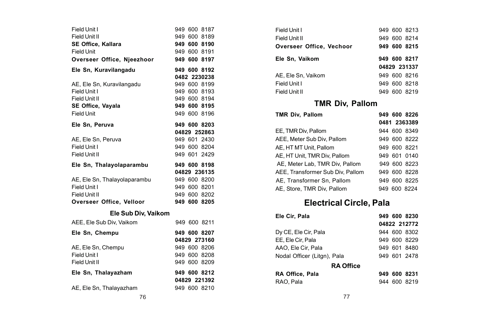| Field Unit I                 |  | 949 600 8187                 |
|------------------------------|--|------------------------------|
| Field Unit II                |  | 949 600 8189                 |
| <b>SE Office, Kallara</b>    |  | 949 600 8190                 |
| Field Unit                   |  | 949 600 8191                 |
| Overseer Office, Njeezhoor   |  | 949 600 8197                 |
| Ele Sn, Kuravilangadu        |  | 949 600 8192                 |
|                              |  | 0482 2230238                 |
| AE. Ele Sn. Kuravilangadu    |  | 949 600 8199                 |
| Field Unit I                 |  | 949 600 8193                 |
| Field Unit II                |  | 949 600 8194                 |
| SE Office, Vayala            |  | 949 600 8195                 |
| Field Unit                   |  | 949 600 8196                 |
| Ele Sn, Peruva               |  | 949 600 8203                 |
|                              |  | 04829 252863                 |
| AE, Ele Sn, Peruva           |  | 949 601 2430                 |
| Field Unit I                 |  | 949 600 8204                 |
| Field Unit II                |  | 949 601 2429                 |
|                              |  |                              |
| Ele Sn, Thalayolaparambu     |  | 949 600 8198                 |
|                              |  | 04829 236135                 |
| AE, Ele Sn, Thalayolaparambu |  | 949 600 8200                 |
| Field Unit I                 |  | 949 600 8201                 |
| Field Unit II                |  | 949 600 8202                 |
| Overseer Office, Velloor     |  | 949 600 8205                 |
| Ele Sub Div, Vaikom          |  |                              |
| AEE, Ele Sub Div, Vaikom     |  | 949 600 8211                 |
| Ele Sn, Chempu               |  | 949 600 8207                 |
|                              |  | 04829 273160                 |
| AE, Ele Sn, Chempu           |  | 949 600 8206                 |
| Field Unit I                 |  | 949 600 8208                 |
| Field Unit II                |  | 949 600 8209                 |
| Ele Sn, Thalayazham          |  | 949 600 8212                 |
| AE, Ele Sn, Thalayazham      |  | 04829 221392<br>949 600 8210 |

| Field Unit I             |  | 949 600 8213 |  |
|--------------------------|--|--------------|--|
| Field Unit II            |  | 949 600 8214 |  |
| Overseer Office, Vechoor |  | 949 600 8215 |  |
| Ele Sn, Vaikom           |  | 949 600 8217 |  |
|                          |  | 04829 231337 |  |
| AE. Ele Sn. Vaikom       |  | 949 600 8216 |  |
| Field Unit I             |  | 949 600 8218 |  |
| Field Unit II            |  | 949 600 8219 |  |
|                          |  |              |  |

# **TMR Div, Pallom**

| <b>TMR Div. Pallom</b>           |     | 949 600 8226 |
|----------------------------------|-----|--------------|
|                                  |     | 0481 2363389 |
| EE. TMR Div. Pallom              |     | 944 600 8349 |
| AEE. Meter Sub Div. Pallom       |     | 949 600 8222 |
| AE. HT MT Unit. Pallom           |     | 949 600 8221 |
| AE. HT Unit. TMR Div. Pallom     |     | 949 601 0140 |
| AE, Meter Lab, TMR Div, Pallom   |     | 949 600 8223 |
| AEE. Transformer Sub Div. Pallom |     | 949 600 8228 |
| AE. Transformer Sn. Pallom       |     | 949 600 8225 |
| AE. Store, TMR Div. Pallom       | 949 | 600 8224     |

# **Electrical Circle, Pala**

| Ele Cir, Pala               | 949 600 8230 |
|-----------------------------|--------------|
|                             | 04822 212772 |
| Dy CE, Ele Cir, Pala        | 944 600 8302 |
| EE, Ele Cir, Pala           | 949 600 8229 |
| AAO, Ele Cir, Pala          | 949 601 8480 |
| Nodal Officer (Litgn), Pala | 949 601 2478 |
| <b>RA Office</b>            |              |
| RA Office. Pala             | 949 600 8231 |
| RAO. Pala                   | 944 600 8219 |
|                             |              |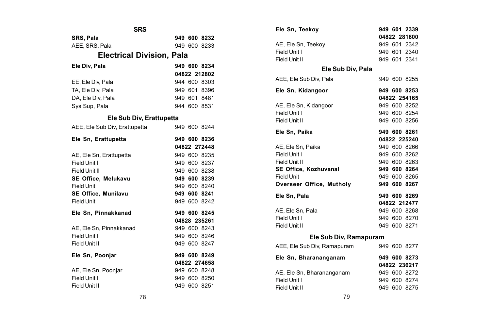| SRS                              |  |  |              |  |  |  |  |
|----------------------------------|--|--|--------------|--|--|--|--|
| <b>SRS. Pala</b>                 |  |  | 949 600 8232 |  |  |  |  |
| AEE, SRS, Pala                   |  |  | 949 600 8233 |  |  |  |  |
| <b>Electrical Division, Pala</b> |  |  |              |  |  |  |  |
| Ele Div. Pala                    |  |  | 949 600 8234 |  |  |  |  |
|                                  |  |  | 04822 212802 |  |  |  |  |
| EE, Ele Div, Pala                |  |  | 944 600 8303 |  |  |  |  |
| TA, Ele Div, Pala                |  |  | 949 601 8396 |  |  |  |  |
| DA. Ele Div. Pala                |  |  | 949 601 8481 |  |  |  |  |
| Sys Sup, Pala                    |  |  | 944 600 8531 |  |  |  |  |
| Ele Sub Div, Erattupetta         |  |  |              |  |  |  |  |
| AEE. Ele Sub Div. Erattupetta    |  |  | 949 600 8244 |  |  |  |  |
| Ele Sn. Erattupetta              |  |  | 949 600 8236 |  |  |  |  |
|                                  |  |  | 04822 272448 |  |  |  |  |
| AE, Ele Sn, Erattupetta          |  |  | 949 600 8235 |  |  |  |  |
| Field Unit I                     |  |  | 949 600 8237 |  |  |  |  |
| Field Unit II                    |  |  | 949 600 8238 |  |  |  |  |
| <b>SE Office. Melukavu</b>       |  |  | 949 600 8239 |  |  |  |  |
| <b>Field Unit</b>                |  |  | 949 600 8240 |  |  |  |  |
| SE Office, Munilavu              |  |  | 949 600 8241 |  |  |  |  |
| Field Unit                       |  |  | 949 600 8242 |  |  |  |  |
| Ele Sn, Pinnakkanad              |  |  | 949 600 8245 |  |  |  |  |
|                                  |  |  | 04828 235261 |  |  |  |  |
| AE, Ele Sn, Pinnakkanad          |  |  | 949 600 8243 |  |  |  |  |
| Field Unit I                     |  |  | 949 600 8246 |  |  |  |  |
| Field Unit II                    |  |  | 949 600 8247 |  |  |  |  |
| Ele Sn, Poonjar                  |  |  | 949 600 8249 |  |  |  |  |
|                                  |  |  | 04822 274658 |  |  |  |  |
| AE, Ele Sn, Poonjar              |  |  | 949 600 8248 |  |  |  |  |
| Field Unit I                     |  |  | 949 600 8250 |  |  |  |  |
| Field Unit II                    |  |  | 949 600 8251 |  |  |  |  |

| Ele Sn, Teekoy              |  | 949 601 2339 |
|-----------------------------|--|--------------|
|                             |  | 04822 281800 |
| AE, Ele Sn, Teekoy          |  | 949 601 2342 |
| Field Unit I                |  | 949 601 2340 |
| Field Unit II               |  | 949 601 2341 |
| Ele Sub Div, Pala           |  |              |
| AEE, Ele Sub Div, Pala      |  | 949 600 8255 |
| Ele Sn, Kidangoor           |  | 949 600 8253 |
|                             |  | 04822 254165 |
| AE, Ele Sn, Kidangoor       |  | 949 600 8252 |
| Field Unit I                |  | 949 600 8254 |
| Field Unit II               |  | 949 600 8256 |
| Ele Sn, Paika               |  | 949 600 8261 |
|                             |  | 04822 225240 |
| AE, Ele Sn, Paika           |  | 949 600 8266 |
| Field Unit I                |  | 949 600 8262 |
| Field Unit II               |  | 949 600 8263 |
| SE Office, Kozhuvanal       |  | 949 600 8264 |
| Field Unit                  |  | 949 600 8265 |
| Overseer Office, Mutholy    |  | 949 600 8267 |
| Ele Sn. Pala                |  | 949 600 8269 |
|                             |  | 04822 212477 |
| AE. Ele Sn. Pala            |  | 949 600 8268 |
| Field Unit I                |  | 949 600 8270 |
| Field Unit II               |  | 949 600 8271 |
| Ele Sub Div, Ramapuram      |  |              |
| AEE, Ele Sub Div, Ramapuram |  | 949 600 8277 |
| Ele Sn, Bharananganam       |  | 949 600 8273 |
|                             |  | 04822 236217 |
| AE, Ele Sn, Bharananganam   |  | 949 600 8272 |
| Field Unit I                |  | 949 600 8274 |
| Field Unit II               |  | 949 600 8275 |
|                             |  |              |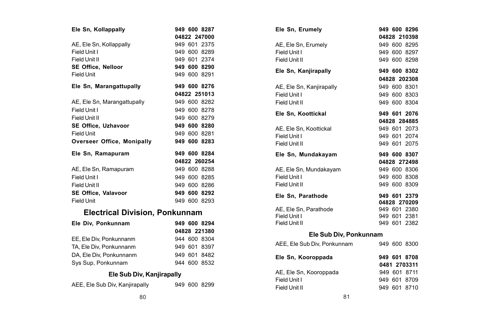| Ele Sn, Kollappally         |  | 949 600 8287 |
|-----------------------------|--|--------------|
|                             |  | 04822 247000 |
| AE, Ele Sn, Kollappally     |  | 949 601 2375 |
| Field Unit I                |  | 949 600 8289 |
| Field Unit II               |  | 949 601 2374 |
| SE Office, Nelloor          |  | 949 600 8290 |
| Field Unit                  |  | 949 600 8291 |
| Ele Sn, Marangattupally     |  | 949 600 8276 |
|                             |  | 04822 251013 |
| AE, Ele Sn, Marangattupally |  | 949 600 8282 |
| Field Unit I                |  | 949 600 8278 |
| Field Unit II               |  | 949 600 8279 |
| SE Office, Uzhavoor         |  | 949 600 8280 |
| <b>Field Unit</b>           |  | 949 600 8281 |
| Overseer Office, Monipally  |  | 949 600 8283 |
| Ele Sn, Ramapuram           |  | 949 600 8284 |
|                             |  | 04822 260254 |
| AE, Ele Sn, Ramapuram       |  | 949 600 8288 |
| Field Unit I                |  | 949 600 8285 |
| Field Unit II               |  | 949 600 8286 |
| SE Office, Valavoor         |  | 949 600 8292 |
| <b>Field Unit</b>           |  | 949 600 8293 |
| .                           |  |              |

### **Electrical Division, Ponkunnam**

| Ele Div, Ponkunnam      |  | 949 600 8294 |
|-------------------------|--|--------------|
|                         |  | 04828 221380 |
| EE, Ele Div. Ponkunnanm |  | 944 600 8304 |
| TA, Ele Div, Ponkunnanm |  | 949 601 8397 |
| DA. Ele Div. Ponkunnanm |  | 949 601 8482 |
| Sys Sup, Ponkunnam      |  | 944 600 8532 |

### **Ele Sub Div, Kanjirapally**

| AEE, Ele Sub Div, Kanjirapally |  |  | 949 600 8299 |
|--------------------------------|--|--|--------------|
|--------------------------------|--|--|--------------|

| Ele Sn, Erumely             |  | 949 600 8296 |
|-----------------------------|--|--------------|
|                             |  | 04828 210398 |
| AE, Ele Sn, Erumely         |  | 949 600 8295 |
| Field Unit I                |  | 949 600 8297 |
| Field Unit II               |  | 949 600 8298 |
| Ele Sn, Kanjirapally        |  | 949 600 8302 |
|                             |  | 04828 202308 |
| AE, Ele Sn, Kanjirapally    |  | 949 600 8301 |
| Field Unit I                |  | 949 600 8303 |
| Field Unit II               |  | 949 600 8304 |
| Ele Sn. Koottickal          |  | 949 601 2076 |
|                             |  | 04828 284885 |
| AE, Ele Sn, Koottickal      |  | 949 601 2073 |
| Field Unit I                |  | 949 601 2074 |
| Field Unit II               |  | 949 601 2075 |
| Ele Sn. Mundakavam          |  | 949 600 8307 |
|                             |  | 04828 272498 |
| AE, Ele Sn, Mundakayam      |  | 949 600 8306 |
| Field Unit I                |  | 949 600 8308 |
| Field Unit II               |  | 949 600 8309 |
| Ele Sn. Parathode           |  | 949 601 2379 |
|                             |  | 04828 270209 |
| AE. Ele Sn. Parathode       |  | 949 601 2380 |
| Field Unit I                |  | 949 601 2381 |
| Field Unit II               |  | 949 601 2382 |
| Ele Sub Div, Ponkunnam      |  |              |
| AEE, Ele Sub Div, Ponkunnam |  | 949 600 8300 |
| Ele Sn, Kooroppada          |  | 949 601 8708 |
|                             |  | 0481 2703311 |
| AE, Ele Sn, Kooroppada      |  | 949 601 8711 |
| Field Unit I                |  | 949 601 8709 |
| Field Unit II               |  | 949 601 8710 |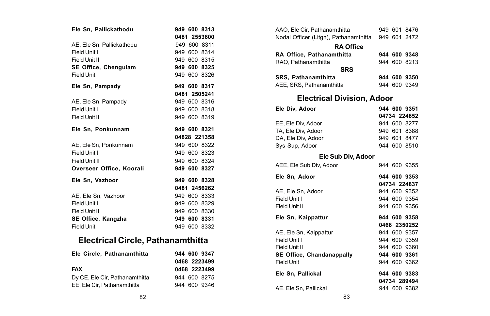| Ele Sn, Pallickathodu     |              |  | 949 600 8313 |
|---------------------------|--------------|--|--------------|
|                           | 0481 2553600 |  |              |
| AE. Ele Sn. Pallickathodu |              |  | 949 600 8311 |
| Field Unit I              |              |  | 949 600 8314 |
| Field Unit II             |              |  | 949 600 8315 |
| SE Office, Chengulam      |              |  | 949 600 8325 |
| <b>Field Unit</b>         |              |  | 949 600 8326 |
| Ele Sn, Pampady           |              |  | 949 600 8317 |
|                           |              |  | 0481 2505241 |
| AE, Ele Sn, Pampady       |              |  | 949 600 8316 |
| Field Unit I              |              |  | 949 600 8318 |
| Field Unit II             |              |  | 949 600 8319 |
| Ele Sn. Ponkunnam         |              |  | 949 600 8321 |
|                           |              |  | 04828 221358 |
| AE. Ele Sn. Ponkunnam     |              |  | 949 600 8322 |
| Field Unit I              |              |  | 949 600 8323 |
| Field Unit II             |              |  | 949 600 8324 |
| Overseer Office, Koorali  |              |  | 949 600 8327 |
| Ele Sn. Vazhoor           |              |  |              |
|                           |              |  | 949 600 8328 |
|                           |              |  | 0481 2456262 |
| AE. Ele Sn. Vazhoor       |              |  | 949 600 8333 |
| Field Unit I              |              |  | 949 600 8329 |
| Field Unit II             |              |  | 949 600 8330 |
| SE Office. Kangzha        |              |  | 949 600 8331 |
| <b>Field Unit</b>         |              |  | 949 600 8332 |

# **Electrical Circle, Pathanamthitta**

| Ele Circle, Pathanamthitta     | 944 600 9347 |
|--------------------------------|--------------|
|                                | 0468 2223499 |
| <b>FAX</b>                     | 0468 2223499 |
| Dy CE, Ele Cir, Pathanamthitta | 944 600 8275 |
| EE. Ele Cir. Pathanamthitta    | 944 600 9346 |

| AAO, Ele Cir, Pathanamthitta                       |  |  | 949 601 8476 |  |
|----------------------------------------------------|--|--|--------------|--|
| Nodal Officer (Litgn), Pathanamthitta 949 601 2472 |  |  |              |  |
| <b>RA Office</b>                                   |  |  |              |  |
| RA Office, Pathanamthitta                          |  |  | 944 600 9348 |  |
| RAO. Pathanamthitta                                |  |  | 944 600 8213 |  |
| <b>SRS</b>                                         |  |  |              |  |
| SRS, Pathanamthitta                                |  |  | 944 600 9350 |  |
| AEE, SRS, Pathanamthitta                           |  |  | 944 600 9349 |  |
| <b>Electrical Division, Adoor</b>                  |  |  |              |  |
| Ele Div. Adoor                                     |  |  | 944 600 9351 |  |
|                                                    |  |  | 04734 224852 |  |
| EE, Ele Div, Adoor                                 |  |  | 944 600 8277 |  |
| TA, Ele Div, Adoor                                 |  |  | 949 601 8388 |  |
| DA, Ele Div, Adoor                                 |  |  | 949 601 8477 |  |
| Sys Sup, Adoor                                     |  |  | 944 600 8510 |  |
| Ele Sub Div, Adoor                                 |  |  |              |  |
| AEE, Ele Sub Div, Adoor                            |  |  | 944 600 9355 |  |
| Ele Sn. Adoor                                      |  |  | 944 600 9353 |  |
|                                                    |  |  | 04734 224837 |  |
| AE, Ele Sn, Adoor                                  |  |  | 944 600 9352 |  |
| Field Unit I                                       |  |  | 944 600 9354 |  |
| Field Unit II                                      |  |  | 944 600 9356 |  |
| Ele Sn, Kaippattur                                 |  |  | 944 600 9358 |  |
|                                                    |  |  | 0468 2350252 |  |
| AE, Ele Sn, Kaippattur                             |  |  | 944 600 9357 |  |
| Field Unit I                                       |  |  | 944 600 9359 |  |
| Field Unit II                                      |  |  | 944 600 9360 |  |
| SE Office, Chandanappally                          |  |  | 944 600 9361 |  |
| Field Unit                                         |  |  | 944 600 9362 |  |
| Ele Sn, Pallickal                                  |  |  | 944 600 9383 |  |
|                                                    |  |  | 04734 289494 |  |
| AE. Ele Sn. Pallickal                              |  |  | 944 600 9382 |  |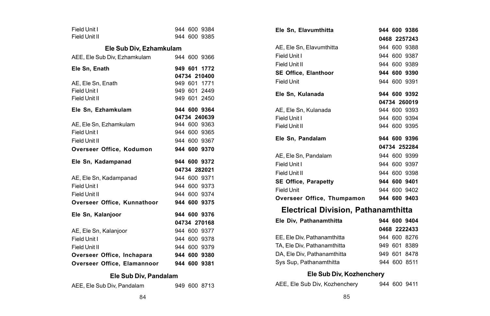| Field Unit I                 |  |  | 944 600 9384 |  |  |  |  |
|------------------------------|--|--|--------------|--|--|--|--|
| Field Unit II                |  |  | 944 600 9385 |  |  |  |  |
| Ele Sub Div, Ezhamkulam      |  |  |              |  |  |  |  |
| AEE, Ele Sub Div, Ezhamkulam |  |  | 944 600 9366 |  |  |  |  |
| Ele Sn, Enath                |  |  | 949 601 1772 |  |  |  |  |
|                              |  |  | 04734 210400 |  |  |  |  |
| AE. Ele Sn. Enath            |  |  | 949 601 1771 |  |  |  |  |
| Field Unit I                 |  |  | 949 601 2449 |  |  |  |  |
| Field Unit II                |  |  | 949 601 2450 |  |  |  |  |
| Ele Sn, Ezhamkulam           |  |  | 944 600 9364 |  |  |  |  |
|                              |  |  | 04734 240639 |  |  |  |  |
| AE, Ele Sn, Ezhamkulam       |  |  | 944 600 9363 |  |  |  |  |
| Field Unit I                 |  |  | 944 600 9365 |  |  |  |  |
| Field Unit II                |  |  | 944 600 9367 |  |  |  |  |
| Overseer Office. Kodumon     |  |  | 944 600 9370 |  |  |  |  |
|                              |  |  |              |  |  |  |  |
| Ele Sn, Kadampanad           |  |  | 944 600 9372 |  |  |  |  |
|                              |  |  | 04734 282021 |  |  |  |  |
| AE, Ele Sn, Kadampanad       |  |  | 944 600 9371 |  |  |  |  |
| Field Unit I                 |  |  | 944 600 9373 |  |  |  |  |
| Field Unit II                |  |  | 944 600 9374 |  |  |  |  |
| Overseer Office, Kunnathoor  |  |  | 944 600 9375 |  |  |  |  |
| Ele Sn, Kalanjoor            |  |  | 944 600 9376 |  |  |  |  |
|                              |  |  | 04734 270168 |  |  |  |  |
| AE, Ele Sn, Kalanjoor        |  |  | 944 600 9377 |  |  |  |  |
| Field Unit I                 |  |  | 944 600 9378 |  |  |  |  |
| Field Unit II                |  |  | 944 600 9379 |  |  |  |  |
| Overseer Office, Inchapara   |  |  | 944 600 9380 |  |  |  |  |
| Overseer Office, Elamannoor  |  |  | 944 600 9381 |  |  |  |  |

| Ele Sn. Elavumthitta                       |  | 944 600 9386 |
|--------------------------------------------|--|--------------|
|                                            |  | 0468 2257243 |
| AE, Ele Sn, Elavumthitta                   |  | 944 600 9388 |
| Field Unit I                               |  | 944 600 9387 |
| Field Unit II                              |  | 944 600 9389 |
| <b>SE Office. Elanthoor</b>                |  | 944 600 9390 |
| Field Unit                                 |  | 944 600 9391 |
| Ele Sn, Kulanada                           |  | 944 600 9392 |
|                                            |  | 04734 260019 |
| AE. Ele Sn. Kulanada                       |  | 944 600 9393 |
| Field Unit I                               |  | 944 600 9394 |
| Field Unit II                              |  | 944 600 9395 |
|                                            |  |              |
| Ele Sn. Pandalam                           |  | 944 600 9396 |
|                                            |  | 04734 252284 |
| AE, Ele Sn, Pandalam                       |  | 944 600 9399 |
| Field Unit I                               |  | 944 600 9397 |
| Field Unit II                              |  | 944 600 9398 |
| <b>SE Office, Parapetty</b>                |  | 944 600 9401 |
| Field Unit                                 |  | 944 600 9402 |
| Overseer Office, Thumpamon                 |  | 944 600 9403 |
| <b>Electrical Division, Pathanamthitta</b> |  |              |
| Ele Div, Pathanamthitta                    |  | 944 600 9404 |
|                                            |  | 0468 2222433 |
| EE, Ele Div, Pathanamthitta                |  | 944 600 8276 |

### DA, Ele Div, Pathanamthitta 949 601 8478 Sys Sup, Pathanamthitta 944 600 8511 **Ele Sub Div, Kozhenchery**

| AEE, Ele Sub Div, Kozhenchery |  | 944 600 9411 |  |
|-------------------------------|--|--------------|--|
|-------------------------------|--|--------------|--|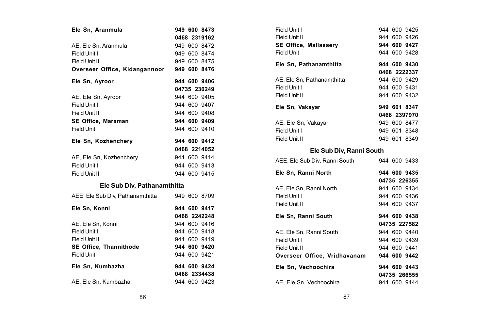| Ele Sn, Aranmula                 |  | 949 600 8473 |
|----------------------------------|--|--------------|
|                                  |  | 0468 2319162 |
| AE. Ele Sn. Aranmula             |  | 949 600 8472 |
| Field Unit I                     |  | 949 600 8474 |
| Field Unit II                    |  | 949 600 8475 |
| Overseer Office, Kidangannoor    |  | 949 600 8476 |
| Ele Sn, Ayroor                   |  | 944 600 9406 |
|                                  |  | 04735 230249 |
| AE, Ele Sn, Ayroor               |  | 944 600 9405 |
| Field Unit I                     |  | 944 600 9407 |
| Field Unit II                    |  | 944 600 9408 |
| SE Office, Maraman               |  | 944 600 9409 |
| Field Unit                       |  | 944 600 9410 |
| Ele Sn, Kozhenchery              |  | 944 600 9412 |
|                                  |  | 0468 2214052 |
| AE, Ele Sn, Kozhenchery          |  | 944 600 9414 |
| Field Unit I                     |  | 944 600 9413 |
| Field Unit II                    |  | 944 600 9415 |
| Ele Sub Div, Pathanamthitta      |  |              |
| AEE, Ele Sub Div, Pathanamthitta |  | 949 600 8709 |
| Ele Sn, Konni                    |  | 944 600 9417 |
|                                  |  | 0468 2242248 |
| AE. Ele Sn. Konni                |  | 944 600 9416 |
| Field Unit I                     |  | 944 600 9418 |
| Field Unit II                    |  | 944 600 9419 |
| SE Office, Thannithode           |  | 944 600 9420 |
| Field Unit                       |  | 944 600 9421 |
| Ele Sn, Kumbazha                 |  | 944 600 9424 |
|                                  |  | 0468 2334438 |
| AE, Ele Sn, Kumbazha             |  | 944 600 9423 |

| Field Unit I                  |  | 944 600 9425 |  |
|-------------------------------|--|--------------|--|
| Field Unit II                 |  | 944 600 9426 |  |
| <b>SE Office, Mallassery</b>  |  | 944 600 9427 |  |
| Field Unit                    |  | 944 600 9428 |  |
| Ele Sn. Pathanamthitta        |  | 944 600 9430 |  |
|                               |  | 0468 2222337 |  |
| AE. Ele Sn. Pathanamthitta    |  | 944 600 9429 |  |
| Field Unit I                  |  | 944 600 9431 |  |
| Field Unit II                 |  | 944 600 9432 |  |
| Ele Sn, Vakayar               |  | 949 601 8347 |  |
|                               |  | 0468 2397970 |  |
| AE, Ele Sn, Vakayar           |  | 949 600 8477 |  |
| Field Unit I                  |  | 949 601 8348 |  |
| Field Unit II                 |  | 949 601 8349 |  |
| Ele Sub Div. Ranni South      |  |              |  |
| AEE, Ele Sub Div, Ranni South |  | 944 600 9433 |  |
| Ele Sn, Ranni North           |  | 944 600 9435 |  |
|                               |  | 04735 226355 |  |
| AE, Ele Sn, Ranni North       |  | 944 600 9434 |  |
| Field Unit I                  |  | 944 600 9436 |  |
| Field Unit II                 |  | 944 600 9437 |  |
| Ele Sn, Ranni South           |  | 944 600 9438 |  |
|                               |  | 04735 227582 |  |
| AE, Ele Sn, Ranni South       |  | 944 600 9440 |  |
| Field Unit I                  |  | 944 600 9439 |  |
| Field Unit II                 |  | 944 600 9441 |  |
| Overseer Office, Vridhavanam  |  | 944 600 9442 |  |
| Ele Sn, Vechoochira           |  | 944 600 9443 |  |
|                               |  | 04735 266555 |  |
| AE, Ele Sn, Vechoochira       |  | 944 600 9444 |  |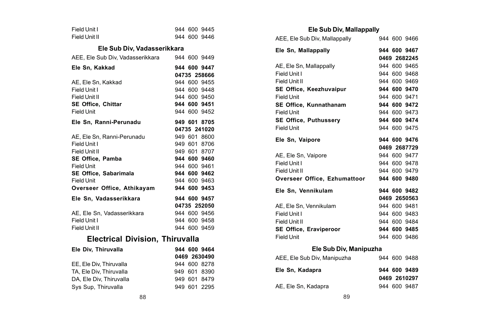| Field Unit I  |  | 944 600 9445 |
|---------------|--|--------------|
| Field Unit II |  | 944 600 9446 |

#### **Ele Sub Div, Vadasserikkara**

| AEE, Ele Sub Div, Vadasserikkara |  | 944 600 9449                 |
|----------------------------------|--|------------------------------|
| Ele Sn, Kakkad                   |  | 944 600 9447<br>04735 258666 |
| AE, Ele Sn, Kakkad               |  | 944 600 9455                 |
| Field Unit I                     |  | 944 600 9448                 |
| Field Unit II                    |  | 944 600 9450                 |
| SE Office, Chittar               |  | 944 600 9451                 |
| Field Unit                       |  | 944 600 9452                 |
| Ele Sn, Ranni-Perunadu           |  | 949 601 8705                 |
|                                  |  | 04735 241020                 |
| AE. Ele Sn. Ranni-Perunadu       |  | 949 601 8600                 |
| Field Unit I                     |  | 949 601 8706                 |
| Field Unit II                    |  | 949 601 8707                 |
| SE Office, Pamba                 |  | 944 600 9460                 |
| <b>Field Unit</b>                |  | 944 600 9461                 |
| SE Office, Sabarimala            |  | 944 600 9462                 |
| <b>Field Unit</b>                |  | 944 600 9463                 |
| Overseer Office, Athikayam       |  | 944 600 9453                 |
| Ele Sn, Vadasserikkara           |  | 944 600 9457                 |
|                                  |  | 04735 252050                 |
| AE, Ele Sn, Vadasserikkara       |  | 944 600 9456                 |
| Field Unit I                     |  | 944 600 9458                 |
| Field Unit II                    |  | 944 600 9459                 |

## **Electrical Division, Thiruvalla**

| Ele Div. Thiruvalla     |  | 944 600 9464 |
|-------------------------|--|--------------|
|                         |  | 0469 2630490 |
| EE. Ele Div. Thiruvalla |  | 944 600 8278 |
| TA, Ele Div, Thiruvalla |  | 949 601 8390 |
| DA, Ele Div, Thiruvalla |  | 949 601 8479 |
| Sys Sup. Thiruvalla     |  | 949 601 2295 |

### **Ele Sub Div, Mallappally**

| AEE, Ele Sub Div, Mallappally        |  | 944 600 9466                 |
|--------------------------------------|--|------------------------------|
| Ele Sn, Mallappally                  |  | 944 600 9467                 |
|                                      |  | 0469 2682245                 |
| AE, Ele Sn. Mallappally              |  | 944 600 9465                 |
| Field Unit I                         |  | 944 600 9468                 |
| Field Unit II                        |  | 944 600 9469                 |
| SE Office, Keezhuvaipur              |  | 944 600 9470                 |
| Field Unit                           |  | 944 600 9471                 |
| SE Office, Kunnathanam               |  | 944 600 9472                 |
| Field Unit                           |  | 944 600 9473                 |
| <b>SE Office. Puthusserv</b>         |  | 944 600 9474                 |
| Field Unit                           |  | 944 600 9475                 |
| Ele Sn, Vaipore                      |  | 944 600 9476                 |
|                                      |  | 0469 2687729                 |
| AE, Ele Sn, Vaipore                  |  | 944 600 9477                 |
|                                      |  | 944 600 9478                 |
| Field Unit I                         |  |                              |
| Field Unit II                        |  | 944 600 9479                 |
| Overseer Office, Ezhumattoor         |  | 944 600 9480                 |
| Ele Sn, Vennikulam                   |  | 944 600 9482                 |
|                                      |  | 0469 2650563                 |
| AE. Ele Sn. Vennikulam               |  | 944 600 9481                 |
| Field Unit I                         |  | 944 600 9483                 |
| Field Unit II                        |  | 944 600 9484                 |
| SE Office, Eraviperoor<br>Field Unit |  | 944 600 9485<br>944 600 9486 |

### **Ele Sub Div, Manipuzha**

|  | 944 600 9488<br>944 600 9489<br>0469 2610297<br>944 600 9487 |
|--|--------------------------------------------------------------|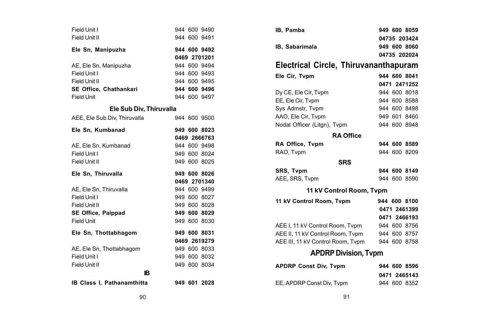| Field Unit I                 |  | 944 600 9490 |
|------------------------------|--|--------------|
| Field Unit II                |  | 944 600 9491 |
| Ele Sn, Manipuzha            |  | 944 600 9492 |
|                              |  | 0469 2701201 |
| AE, Ele Sn, Manipuzha        |  | 944 600 9494 |
| Field Unit I                 |  | 944 600 9493 |
| Field Unit II                |  | 944 600 9495 |
| SE Office, Chathankari       |  | 944 600 9496 |
| <b>Field Unit</b>            |  | 944 600 9497 |
| Ele Sub Div, Thiruvalla      |  |              |
| AEE, Ele Sub Div, Thiruvalla |  | 944 600 9500 |
| Ele Sn, Kumbanad             |  | 949 600 8023 |
|                              |  | 0469 2666763 |
| AE, Ele Sn, Kumbanad         |  | 944 600 9498 |
| Field Unit I                 |  | 949 600 8024 |
|                              |  |              |
| Field Unit II                |  | 949 600 8025 |
| Ele Sn, Thiruvalla           |  | 949 600 8026 |
|                              |  | 0469 2701340 |
| AE, Ele Sn, Thiruvalla       |  | 944 600 9499 |
| Field Unit I                 |  | 949 600 8027 |
| Field Unit II                |  | 949 600 8028 |
| SE Office, Paippad           |  | 949 600 8029 |
| Field Unit                   |  | 949 600 8030 |
| Ele Sn, Thottabhagom         |  | 949 600 8031 |
|                              |  | 0469 2619279 |
| AE, Ele Sn, Thottabhagom     |  | 949 600 8033 |
| Field Unit I                 |  | 949 600 8032 |
| Field Unit II                |  | 949 600 8034 |
| IВ                           |  |              |

| IB, Pamba                             |  | 949 600 8059 |
|---------------------------------------|--|--------------|
|                                       |  | 04735 203424 |
| IB, Sabarimala                        |  | 949 600 8060 |
|                                       |  | 04735 202024 |
| Electrical Circle, Thiruvananthapuram |  |              |
| Ele Cir. Tvpm                         |  | 944 600 8041 |
|                                       |  | 0471 2471252 |
| Dy CE, Ele Cir, Tvpm                  |  | 944 600 8018 |
| EE, Ele Cir, Tvpm                     |  | 944 600 8588 |
| Svs Admstr, Tvpm                      |  | 944 600 8498 |
| AAO, Ele Cir, Tvpm                    |  | 949 601 8460 |
| Nodal Officer (Litgn), Tvpm           |  | 944 600 8948 |
| <b>RA Office</b>                      |  |              |
| RA Office, Tvpm                       |  | 944 600 8589 |
| RAO. Tvpm                             |  | 944 600 8209 |
| <b>SRS</b>                            |  |              |
| SRS, Tvpm                             |  | 944 600 8149 |
| AEE, SRS, Tvpm                        |  | 944 600 8590 |
| 11 kV Control Room, Tvpm              |  |              |
| 11 kV Control Room. Tvpm              |  | 944 600 8100 |
|                                       |  | 0471 2461399 |
|                                       |  | 0471 2466193 |
| AEE I, 11 kV Control Room, Tvpm       |  | 944 600 8756 |
| AEE II, 11 kV Control Room, Tvpm      |  | 944 600 8757 |
| AEE III, 11 kV Control Room, Tvpm     |  | 944 600 8758 |
| <b>APDRP Division, Typm</b>           |  |              |
| <b>APDRP Const Div, Tvpm</b>          |  | 944 600 8596 |
|                                       |  | 0471 2465143 |
| EE, APDRP Const Div, Tvpm             |  | 944 600 8352 |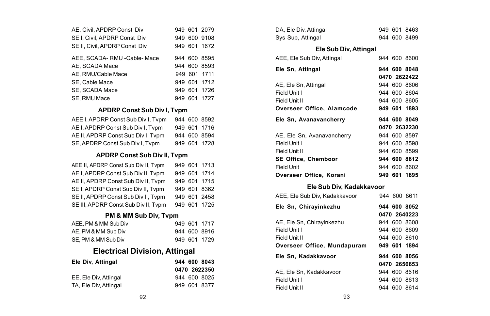| AE. Civil. APDRP Const Div    |  | 949 601 2079 |
|-------------------------------|--|--------------|
| SE I. Civil. APDRP Const Div  |  | 949 600 9108 |
| SE II. Civil. APDRP Const Div |  | 949 601 1672 |
| AEE, SCADA-RMU -Cable-Mace    |  | 944 600 8595 |
| AE. SCADA Mace                |  | 944 600 8593 |
| AE, RMU/Cable Mace            |  | 949 601 1711 |
| SE, Cable Mace                |  | 949 601 1712 |
| SE. SCADA Mace                |  | 949 601 1726 |
| SE. RMU Mace                  |  | 949 601 1727 |

#### **APDRP Const Sub Div I, Tvpm**

| AEE I, APDRP Const Sub Div I, Tvpm |  | 944 600 8592 |
|------------------------------------|--|--------------|
| AE I, APDRP Const Sub Div I, Tvpm  |  | 949 601 1716 |
| AE II, APDRP Const Sub Div I, Tvpm |  | 944 600 8594 |
| SE, APDRP Const Sub Div I, Tvpm    |  | 949 601 1728 |

#### **APDRP Const Sub Div II, Tvpm**

| AEE II, APDRP Const Sub Div II, Tvpm |  | 949 601 1713 |
|--------------------------------------|--|--------------|
| AE I. APDRP Const Sub Div II. Typm   |  | 949 601 1714 |
| AE II, APDRP Const Sub Div II, Tvpm  |  | 949 601 1715 |
| SE I, APDRP Const Sub Div II, Tvpm   |  | 949 601 8362 |
| SE II, APDRP Const Sub Div II, Tvpm  |  | 949 601 2458 |
| SE III, APDRP Const Sub Div II, Tvpm |  | 949 601 1725 |

### **PM & MM Sub Div, Tvpm**

| AEE, PM & MM Sub Div |  | 949 601 1717 |
|----------------------|--|--------------|
| AE. PM & MM Sub Div  |  | 944 600 8916 |
| SE, PM & MM Sub Div  |  | 949 601 1729 |

## **Electrical Division, Attingal**

| 944 600 8043 |
|--------------|
| 0470 2622350 |
| 944 600 8025 |
| 949 601 8377 |
|              |

| v                | 949 601 2079             | DA, Ele Div, Attingal         | 949 601 8463 |
|------------------|--------------------------|-------------------------------|--------------|
| ۱iv              | 949 600 9108             | Sys Sup, Attingal             | 944 600 8499 |
| )iv              | 949 601 1672             | Ele Sub Div, Attingal         |              |
| - Mace           | 944 600 8595             | AEE, Ele Sub Div, Attingal    | 944 600 8600 |
|                  | 944 600 8593             | Ele Sn, Attingal              | 944 600 8048 |
|                  | 949 601 1711             |                               | 0470 2622422 |
|                  | 949 601 1712             | AE, Ele Sn, Attingal          | 944 600 8606 |
|                  | 949 601 1726             | Field Unit I                  | 944 600 8604 |
|                  | 949 601 1727             | Field Unit II                 | 944 600 8605 |
| Sub Div I, Tvpm  |                          | Overseer Office, Alamcode     | 949 601 1893 |
|                  | liv I, Tvpm 944 600 8592 | Ele Sn, Avanavancherry        | 944 600 8049 |
| v I, Tvpm        | 949 601 1716             |                               | 0470 2632230 |
|                  | iv I, Typm 944 600 8594  | AE, Ele Sn, Avanavancherry    | 944 600 8597 |
| I, Tvpm          | 949 601 1728             | Field Unit I                  | 944 600 8598 |
|                  |                          | Field Unit II                 | 944 600 8599 |
| Sub Div II, Tvpm |                          | SE Office, Chemboor           | 944 600 8812 |
| v II, Tvpm       | 949 601 1713             | <b>Field Unit</b>             | 944 600 8602 |
| v II, Tvpm       | 949 601 1714             | Overseer Office, Korani       | 949 601 1895 |
| v II, Tvpm       | 949 601 1715             |                               |              |
| / II, Tvpm       | 949 601 8362             | Ele Sub Div, Kadakkavoor      |              |
| v II. Tvpm       | 949 601 2458             | AEE, Ele Sub Div, Kadakkavoor | 944 600 8611 |
| iv II, Tvpm      | 949 601 1725             | Ele Sn, Chirayinkezhu         | 944 600 8052 |
| ıb Div, Tvpm     |                          |                               | 0470 2640223 |
|                  | 949 601 1717             | AE, Ele Sn, Chirayinkezhu     | 944 600 8608 |
|                  | 944 600 8916             | Field Unit I                  | 944 600 8609 |
|                  | 949 601 1729             | Field Unit II                 | 944 600 8610 |
|                  |                          | Overseer Office, Mundapuram   | 949 601 1894 |
| /ision, Attingal |                          | Ele Sn, Kadakkavoor           | 944 600 8056 |
|                  | 944 600 8043             |                               | 0470 2656653 |
|                  | 0470 2622350             | AE, Ele Sn, Kadakkavoor       | 944 600 8616 |
|                  | 944 600 8025             | Field Unit I                  | 944 600 8613 |
|                  | 949 601 8377             | Field Unit II                 | 944 600 8614 |
| 92               |                          | 93                            |              |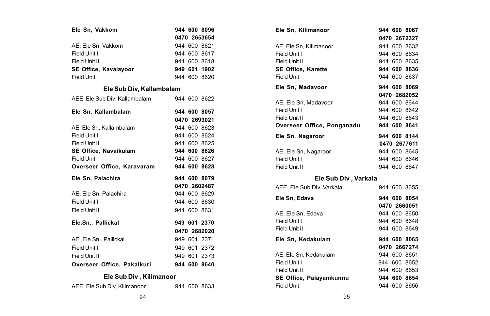| Ele Sn, Vakkom                |  | 944 600 8096 |
|-------------------------------|--|--------------|
|                               |  | 0470 2653654 |
| AE. Ele Sn. Vakkom            |  | 944 600 8621 |
| Field Unit I                  |  | 944 600 8617 |
| Field Unit II                 |  | 944 600 8618 |
| SE Office, Kavalayoor         |  | 949 601 1902 |
| <b>Field Unit</b>             |  | 944 600 8620 |
| Ele Sub Div, Kallambalam      |  |              |
| AEE. Ele Sub Div. Kallambalam |  | 944 600 8622 |
| Ele Sn. Kallambalam           |  | 944 600 8057 |
|                               |  | 0470 2693021 |
| AE, Ele Sn, Kallambalam       |  | 944 600 8623 |
| Field Unit I                  |  | 944 600 8624 |
| Field Unit II                 |  | 944 600 8625 |
| SE Office, Navaikulam         |  | 944 600 8626 |
| Field Unit                    |  | 944 600 8627 |
| Overseer Office, Karavaram    |  | 944 600 8628 |
| Ele Sn, Palachira             |  | 944 600 8079 |
|                               |  | 0470 2602487 |
| AE, Ele Sn, Palachira         |  | 944 600 8629 |
| Field Unit I                  |  | 944 600 8630 |
| Field Unit II                 |  | 944 600 8631 |
| Ele.Sn., Pallickal            |  | 949 601 2370 |
|                               |  | 0470 2682020 |
| AE., Ele.Sn., Pallickal       |  | 949 601 2371 |
| Field Unit I                  |  | 949 601 2372 |
| Field Unit II                 |  | 949 601 2373 |
| Overseer Office. Pakalkuri    |  | 944 600 8640 |
| Ele Sub Div, Kilimanoor       |  |              |

| AEE, Ele Sub Div, Kilimanoor |  | 944 600 8633 |
|------------------------------|--|--------------|
|                              |  |              |

| Ele Sn, Kilimanoor         |  | 944 600 8067 |
|----------------------------|--|--------------|
|                            |  | 0470 2672327 |
| AE, Ele Sn, Kilimanoor     |  | 944 600 8632 |
| Field Unit I               |  | 944 600 8634 |
| Field Unit II              |  | 944 600 8635 |
| <b>SE Office, Karette</b>  |  | 944 600 8636 |
| Field Unit                 |  | 944 600 8637 |
| Ele Sn, Madavoor           |  | 944 600 8069 |
|                            |  | 0470 2682052 |
| AE, Ele Sn, Madavoor       |  | 944 600 8644 |
| Field Unit I               |  | 944 600 8642 |
| Field Unit II              |  | 944 600 8643 |
| Overseer Office, Ponganadu |  | 944 600 8641 |
| Ele Sn, Nagaroor           |  | 944 600 8144 |
|                            |  | 0470 2677611 |
| AE, Ele Sn, Nagaroor       |  | 944 600 8645 |
| Field Unit I               |  | 944 600 8646 |
| Field Unit II              |  | 944 600 8647 |
| Ele Sub Div, Varkala       |  |              |
| AEE. Ele Sub Div. Varkala  |  | 944 600 8655 |
| Ele Sn, Edava              |  | 944 600 8054 |
|                            |  | 0470 2660051 |
| AE, Ele Sn, Edava          |  | 944 600 8650 |
| Field Unit I               |  | 944 600 8648 |
| Field Unit II              |  | 944 600 8649 |
| Ele Sn, Kedakulam          |  | 944 600 8065 |
|                            |  | 0470 2667274 |
| AE, Ele Sn, Kedakulam      |  | 944 600 8651 |
| Field Unit I               |  | 944 600 8652 |
| Field Unit II              |  | 944 600 8653 |
| SE Office, Palayamkunnu    |  | 944 600 8654 |
| Field Unit                 |  | 944 600 8656 |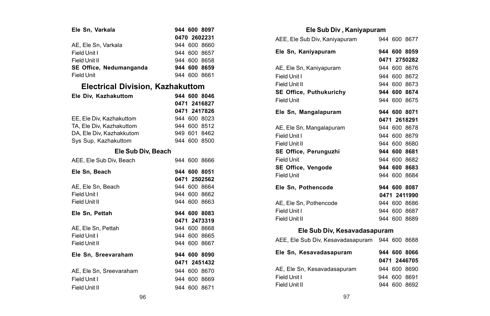| Ele Sn. Varkala                  | 944 600 8097 |
|----------------------------------|--------------|
|                                  | 0470 2602231 |
| AE. Ele Sn. Varkala              | 944 600 8660 |
| Field Unit I                     | 944 600 8657 |
| Field Unit II                    | 944 600 8658 |
| SE Office, Nedumanganda          | 944 600 8659 |
| Field Unit                       | 944 600 8661 |
| Electrical Division, Kazhakuttom |              |
| Ele Div. Kazhakuttom             | 944 600 8046 |
|                                  | 0471 2416827 |
|                                  | 0471 2417826 |
| EE. Ele Div. Kazhakuttom         | 944 600 8023 |
| TA, Ele Div, Kazhakuttom         | 944 600 8512 |
| DA, Ele Div, Kazhakkutom         | 949 601 8462 |
| Sys Sup, Kazhakuttom             | 944 600 8500 |
| Ele Sub Div, Beach               |              |
| AEE. Ele Sub Div. Beach          | 944 600 8666 |
| Ele Sn. Beach                    | 944 600 8051 |
|                                  | 0471 2502562 |
| AE. Ele Sn. Beach                | 944 600 8664 |
| Field Unit I                     | 944 600 8662 |
| Field Unit II                    | 944 600 8663 |
| Ele Sn. Pettah                   | 944 600 8083 |
|                                  | 0471 2473319 |
| AE. Ele Sn. Pettah               | 944 600 8668 |
| Field Unit I                     | 944 600 8665 |

### **Ele Sub Div , Kaniyapuram**

| AEE, Ele Sub Div, Kaniyapuram                  |  | 944 600 8677 |
|------------------------------------------------|--|--------------|
| Ele Sn, Kaniyapuram                            |  | 944 600 8059 |
|                                                |  | 0471 2750282 |
| AE, Ele Sn, Kaniyapuram                        |  | 944 600 8676 |
| Field Unit I                                   |  | 944 600 8672 |
| Field Unit II                                  |  | 944 600 8673 |
| <b>SE Office, Puthukurichy</b>                 |  | 944 600 8674 |
| Field Unit                                     |  | 944 600 8675 |
| Ele Sn, Mangalapuram                           |  | 944 600 8071 |
|                                                |  | 0471 2618291 |
| AE, Ele Sn, Mangalapuram                       |  | 944 600 8678 |
| Field Unit I                                   |  | 944 600 8679 |
| Field Unit II                                  |  | 944 600 8680 |
| SE Office, Perunguzhi                          |  | 944 600 8681 |
| Field Unit                                     |  | 944 600 8682 |
| <b>SE Office, Vengode</b>                      |  | 944 600 8683 |
| Field Unit                                     |  | 944 600 8684 |
| Ele Sn, Pothencode                             |  | 944 600 8087 |
|                                                |  | 0471 2411990 |
| AE, Ele Sn, Pothencode                         |  | 944 600 8686 |
| Field Unit I                                   |  | 944 600 8687 |
| Field Unit II                                  |  | 944 600 8689 |
| Ele Sub Div, Kesavadasapuram                   |  |              |
| AEE, Ele Sub Div, Kesavadasapuram 944 600 8688 |  |              |
| Ele Sn, Kesavadasapuram<br>944 600 8066        |  |              |
|                                                |  | 0471 2446705 |
| AE, Ele Sn, Kesavadasapuram                    |  | 944 600 8690 |
| Field Unit I                                   |  | 944 600 8691 |
| Field Unit II                                  |  | 944 600 8692 |
|                                                |  |              |

Field Unit II 944 600 8667 **Ele Sn, Sreevaraham 944 600 8090**

AE, Ele Sn, Sreevaraham 944 600 8670

**0471 2451432**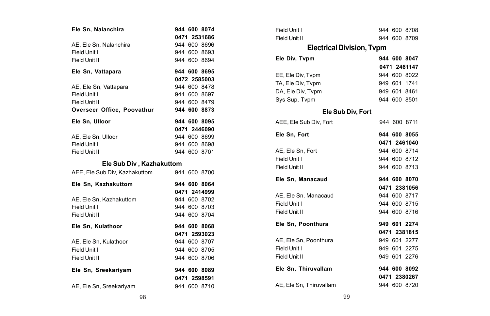| Ele Sn, Nalanchira                         | 944 600 8074<br>0471 2531686 |
|--------------------------------------------|------------------------------|
|                                            | 944 600 8696                 |
| AE, Ele Sn, Nalanchira<br>Field Unit I     |                              |
|                                            | 944 600 8693                 |
| Field Unit II                              | 944 600 8694                 |
| Ele Sn, Vattapara                          | 944 600 8695                 |
|                                            | 0472 2585003                 |
| AE, Ele Sn, Vattapara                      | 944 600 8478                 |
| Field Unit I                               | 944 600 8697                 |
| Field Unit II                              | 944 600 8479                 |
| Overseer Office, Poovathur                 | 944 600 8873                 |
| Ele Sn. Ulloor                             | 944 600 8095                 |
|                                            | 0471 2446090                 |
| AE, Ele Sn, Ulloor                         | 944 600 8699                 |
| Field Unit I                               | 944 600 8698                 |
| Field Unit II                              | 944 600 8701                 |
| Ele Sub Div, Kazhakuttom                   |                              |
| AEE, Ele Sub Div, Kazhakuttom 944 600 8700 |                              |
| Ele Sn, Kazhakuttom                        | 944 600 8064                 |
|                                            | 0471 2414999                 |
| AE, Ele Sn, Kazhakuttom                    | 944 600 8702                 |
| Field Unit I                               | 944 600 8703                 |
| Field Unit II                              | 944 600 8704                 |
| Ele Sn, Kulathoor                          | 944 600 8068                 |
|                                            | 0471 2593023                 |
| AE, Ele Sn, Kulathoor                      | 944 600 8707                 |
| Field Unit I                               | 944 600 8705                 |
| Field Unit II                              | 944 600 8706                 |
| Ele Sn, Sreekariyam                        | 944 600 8089                 |
|                                            | 0471 2598591                 |
| AE, Ele Sn, Sreekariyam                    | 944 600 8710                 |

| Field Unit I                     |  | 944 600 8708 |
|----------------------------------|--|--------------|
| Field Unit II                    |  | 944 600 8709 |
| <b>Electrical Division, Typm</b> |  |              |
| Ele Div, Tvpm                    |  | 944 600 8047 |
|                                  |  | 0471 2461147 |
| EE, Ele Div, Tvpm                |  | 944 600 8022 |
| TA, Ele Div. Tvpm                |  | 949 601 1741 |
| DA. Ele Div. Typm                |  | 949 601 8461 |
| Sys Sup, Tvpm                    |  | 944 600 8501 |
| Ele Sub Div, Fort                |  |              |
| AEE. Ele Sub Div. Fort           |  | 944 600 8711 |
| Ele Sn. Fort                     |  | 944 600 8055 |
|                                  |  | 0471 2461040 |
| AE. Ele Sn. Fort                 |  | 944 600 8714 |
| Field Unit I                     |  | 944 600 8712 |
| Field Unit II                    |  | 944 600 8713 |
| Ele Sn, Manacaud                 |  | 944 600 8070 |
|                                  |  | 0471 2381056 |
| AE, Ele Sn, Manacaud             |  | 944 600 8717 |
| Field Unit I                     |  | 944 600 8715 |
| Field Unit II                    |  | 944 600 8716 |
| Ele Sn, Poonthura                |  | 949 601 2274 |
|                                  |  | 0471 2381815 |
| AE. Ele Sn. Poonthura            |  | 949 601 2277 |
| Field Unit I                     |  | 949 601 2275 |
| Field Unit II                    |  | 949 601 2276 |
| Ele Sn, Thiruvallam              |  | 944 600 8092 |
|                                  |  | 0471 2380267 |
| AE, Ele Sn, Thiruvallam          |  | 944 600 8720 |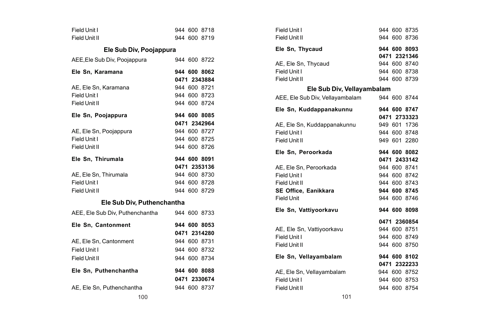| Field Unit I                    | 944 600 8718 | Field Unit I                 |
|---------------------------------|--------------|------------------------------|
| Field Unit II                   | 944 600 8719 | Field Unit II                |
| Ele Sub Div, Poojappura         |              | Ele Sn, Thycaud              |
| AEE, Ele Sub Div, Poojappura    | 944 600 8722 | AE, Ele Sn, Thycaud          |
| Ele Sn, Karamana                | 944 600 8062 | Field Unit I                 |
|                                 | 0471 2343884 | Field Unit II                |
| AE, Ele Sn, Karamana            | 944 600 8721 | Ele Sub Div, Ve              |
| Field Unit I                    | 944 600 8723 | AEE, Ele Sub Div, Vellayamba |
| Field Unit II                   | 944 600 8724 |                              |
|                                 |              | Ele Sn, Kuddappanakunnu      |
| Ele Sn, Poojappura              | 944 600 8085 |                              |
|                                 | 0471 2342964 | AE, Ele Sn, Kuddappanakunı   |
| AE, Ele Sn, Poojappura          | 944 600 8727 | Field Unit I                 |
| Field Unit I                    | 944 600 8725 | Field Unit II                |
| Field Unit II                   | 944 600 8726 | Ele Sn, Peroorkada           |
| Ele Sn, Thirumala               | 944 600 8091 |                              |
|                                 | 0471 2353136 | AE, Ele Sn, Peroorkada       |
| AE, Ele Sn, Thirumala           | 944 600 8730 | Field Unit I                 |
| Field Unit I                    | 944 600 8728 | Field Unit II                |
| Field Unit II                   | 944 600 8729 | SE Office, Eanikkara         |
|                                 |              | <b>Field Unit</b>            |
| Ele Sub Div, Puthenchantha      |              |                              |
| AEE, Ele Sub Div, Puthenchantha | 944 600 8733 | Ele Sn, Vattiyoorkavu        |
| Ele Sn, Cantonment              | 944 600 8053 |                              |
|                                 | 0471 2314280 | AE, Ele Sn, Vattiyoorkavu    |
| AE, Ele Sn, Cantonment          | 944 600 8731 | Field Unit I                 |
| Field Unit I                    | 944 600 8732 | Field Unit II                |
| Field Unit II                   | 944 600 8734 | Ele Sn, Vellayambalam        |
| Ele Sn, Puthenchantha           | 944 600 8088 | AE, Ele Sn, Vellayambalam    |
|                                 | 0471 2330674 | Field Unit I                 |
| AE, Ele Sn, Puthenchantha       | 944 600 8737 | Field Unit II                |
| 100                             |              | 101                          |

| Field Unit I                    |  | 944 600 8735 |
|---------------------------------|--|--------------|
| Field Unit II                   |  | 944 600 8736 |
| Ele Sn, Thycaud                 |  | 944 600 8093 |
|                                 |  | 0471 2321346 |
| AE, Ele Sn, Thycaud             |  | 944 600 8740 |
| Field Unit I                    |  | 944 600 8738 |
| Field Unit II                   |  | 944 600 8739 |
| Ele Sub Div, Vellayambalam      |  |              |
| AEE, Ele Sub Div, Vellayambalam |  | 944 600 8744 |
| Ele Sn, Kuddappanakunnu         |  | 944 600 8747 |
|                                 |  | 0471 2733323 |
| AE, Ele Sn, Kuddappanakunnu     |  | 949 601 1736 |
| Field Unit I                    |  | 944 600 8748 |
| Field Unit II                   |  | 949 601 2280 |
| Ele Sn, Peroorkada              |  | 944 600 8082 |
|                                 |  | 0471 2433142 |
| AE, Ele Sn, Peroorkada          |  | 944 600 8741 |
| Field Unit I                    |  | 944 600 8742 |
| Field Unit II                   |  | 944 600 8743 |
| SE Office, Eanikkara            |  | 944 600 8745 |
| Field Unit                      |  | 944 600 8746 |
| Ele Sn, Vattiyoorkavu           |  | 944 600 8098 |
|                                 |  | 0471 2360854 |
| AE, Ele Sn, Vattiyoorkavu       |  | 944 600 8751 |
| Field Unit I                    |  | 944 600 8749 |
| Field Unit II                   |  | 944 600 8750 |
| Ele Sn, Vellayambalam           |  | 944 600 8102 |
|                                 |  | 0471 2322233 |
| AE, Ele Sn, Vellayambalam       |  | 944 600 8752 |
| Field Unit I                    |  | 944 600 8753 |
| Field Unit II                   |  | 944 600 8754 |
|                                 |  |              |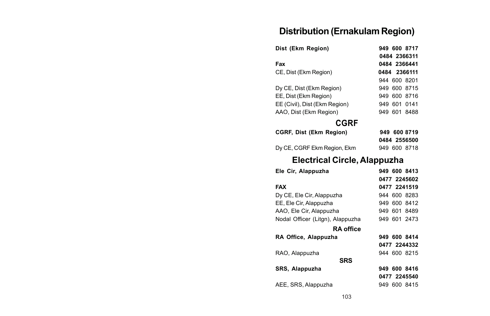# **Distribution (Ernakulam Region)**

| Dist (Ekm Region)             | 949 600 8717 |
|-------------------------------|--------------|
|                               | 0484 2366311 |
| Fax                           | 0484 2366441 |
| CE, Dist (Ekm Region)         | 0484 2366111 |
|                               | 944 600 8201 |
| Dy CE, Dist (Ekm Region)      | 949 600 8715 |
| EE. Dist (Ekm Region)         | 949 600 8716 |
| EE (Civil), Dist (Ekm Region) | 949 601 0141 |
| AAO, Dist (Ekm Region)        | 949 601 8488 |
| CGRF                          |              |
| CGRF, Dist (Ekm Region)       | 949 600 8719 |
|                               | 0484 2556500 |
| Dy CE, CGRF Ekm Region, Ekm   | 949 600 8718 |

# **Electrical Circle, Alappuzha**

| 949 600 8413 |
|--------------|
| 0477 2245602 |
| 0477 2241519 |
| 944 600 8283 |
| 949 600 8412 |
| 949 601 8489 |
| 949 601 2473 |
|              |
| 949 600 8414 |
| 0477 2244332 |
| 944 600 8215 |
|              |
| 949 600 8416 |
| 0477 2245540 |
| 949 600 8415 |
|              |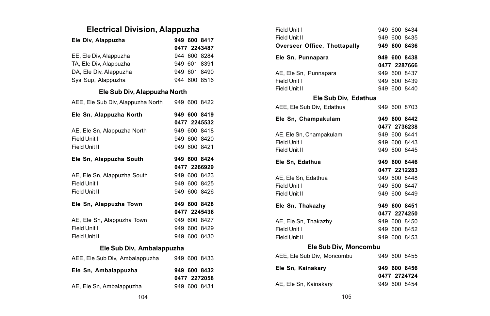# **Electrical Division, Alappuzha**

| Ele Div, Alappuzha                          |  | 949 600 8417 |
|---------------------------------------------|--|--------------|
|                                             |  | 0477 2243487 |
| EE, Ele Div, Alappuzha                      |  | 944 600 8284 |
| TA, Ele Div, Alappuzha                      |  | 949 601 8391 |
| DA, Ele Div, Alappuzha                      |  | 949 601 8490 |
| Sys Sup, Alappuzha                          |  | 944 600 8516 |
| Ele Sub Div, Alappuzha North                |  |              |
| AEE, Ele Sub Div, Alappuzha North           |  | 949 600 8422 |
| Ele Sn, Alappuzha North                     |  | 949 600 8419 |
|                                             |  | 0477 2245532 |
| AE, Ele Sn, Alappuzha North                 |  | 949 600 8418 |
| Field Unit I                                |  | 949 600 8420 |
| Field Unit II                               |  | 949 600 8421 |
| Ele Sn, Alappuzha South                     |  | 949 600 8424 |
|                                             |  |              |
|                                             |  | 0477 2266929 |
| AE, Ele Sn, Alappuzha South                 |  | 949 600 8423 |
| Field Unit I                                |  | 949 600 8425 |
| Field Unit II                               |  | 949 600 8426 |
| Ele Sn, Alappuzha Town                      |  | 949 600 8428 |
|                                             |  | 0477 2245436 |
| AE, Ele Sn, Alappuzha Town                  |  | 949 600 8427 |
| Field Unit I                                |  | 949 600 8429 |
| Field Unit II                               |  | 949 600 8430 |
| Ele Sub Div, Ambalappuzha                   |  |              |
| AEE, Ele Sub Div, Ambalappuzha 949 600 8433 |  |              |
| Ele Sn, Ambalappuzha                        |  | 949 600 8432 |
|                                             |  | 0477 2272058 |

| Field Unit I                 |  | 949 600 8434 |
|------------------------------|--|--------------|
| Field Unit II                |  | 949 600 8435 |
| Overseer Office, Thottapally |  | 949 600 8436 |
| Ele Sn, Punnapara            |  | 949 600 8438 |
|                              |  | 0477 2287666 |
| AE, Ele Sn, Punnapara        |  | 949 600 8437 |
| Field Unit I                 |  | 949 600 8439 |
| Field Unit II                |  | 949 600 8440 |
| Ele Sub Div, Edathua         |  |              |
| AEE, Ele Sub Div, Edathua    |  | 949 600 8703 |
| Ele Sn, Champakulam          |  | 949 600 8442 |
|                              |  | 0477 2736238 |
| AE, Ele Sn, Champakulam      |  | 949 600 8441 |
| Field Unit I                 |  | 949 600 8443 |
| Field Unit II                |  | 949 600 8445 |
| Ele Sn. Edathua              |  | 949 600 8446 |
|                              |  | 0477 2212283 |
| AE, Ele Sn, Edathua          |  | 949 600 8448 |
| Field Unit I                 |  | 949 600 8447 |
| Field Unit II                |  | 949 600 8449 |
| Ele Sn, Thakazhy             |  | 949 600 8451 |
|                              |  | 0477 2274250 |
| AE, Ele Sn, Thakazhy         |  | 949 600 8450 |
| Field Unit I                 |  | 949 600 8452 |
| Field Unit II                |  | 949 600 8453 |
| Ele Sub Div, Moncombu        |  |              |
| AEE, Ele Sub Div, Moncombu   |  | 949 600 8455 |
| Ele Sn, Kainakary            |  | 949 600 8456 |
|                              |  | 0477 2724724 |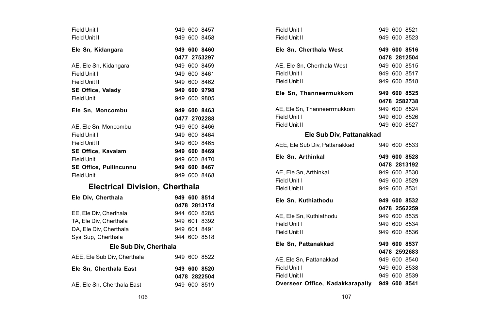| Field Unit I<br>Field Unit II         |  | 949 600 8457<br>949 600 8458 |
|---------------------------------------|--|------------------------------|
| Ele Sn, Kidangara                     |  | 949 600 8460                 |
|                                       |  | 0477 2753297                 |
| AE, Ele Sn, Kidangara                 |  | 949 600 8459                 |
| Field Unit I                          |  | 949 600 8461                 |
| Field Unit II                         |  | 949 600 8462                 |
| <b>SE Office, Valady</b>              |  | 949 600 9798                 |
| <b>Field Unit</b>                     |  | 949 600 9805                 |
| Ele Sn, Moncombu                      |  | 949 600 8463                 |
|                                       |  | 0477 2702288                 |
| AE, Ele Sn, Moncombu                  |  | 949 600 8466                 |
| Field Unit I                          |  | 949 600 8464                 |
| Field Unit II                         |  | 949 600 8465                 |
| <b>SE Office. Kavalam</b>             |  | 949 600 8469                 |
| <b>Field Unit</b>                     |  | 949 600 8470                 |
| <b>SE Office, Pullincunnu</b>         |  | 949 600 8467                 |
| <b>Field Unit</b>                     |  | 949 600 8468                 |
| <b>Electrical Division, Cherthala</b> |  |                              |
| Ele Div. Cherthala                    |  | 949 600 8514                 |
|                                       |  | 0478 2813174                 |
| EE, Ele Div, Cherthala                |  | 944 600 8285                 |
| TA, Ele Div, Cherthala                |  | 949 601 8392                 |
| DA, Ele Div, Cherthala                |  | 949 601 8491                 |
| Sys Sup, Cherthala                    |  | 944 600 8518                 |
| Ele Sub Div, Cherthala                |  |                              |
| AEE, Ele Sub Div, Cherthala           |  | 949 600 8522                 |
| Ele Sn, Cherthala East                |  | 949 600 8520<br>0478 2822504 |
| AE, Ele Sn, Cherthala East            |  | 949 600 8519                 |

| Field Unit I                                 |  | 949 600 8521 |  |
|----------------------------------------------|--|--------------|--|
| Field Unit II                                |  | 949 600 8523 |  |
| Ele Sn, Cherthala West                       |  | 949 600 8516 |  |
|                                              |  | 0478 2812504 |  |
| AE, Ele Sn, Cherthala West                   |  | 949 600 8515 |  |
| Field Unit I                                 |  | 949 600 8517 |  |
| Field Unit II                                |  | 949 600 8518 |  |
| Ele Sn, Thanneermukkom                       |  | 949 600 8525 |  |
|                                              |  | 0478 2582738 |  |
| AE, Ele Sn, Thanneerrmukkom                  |  | 949 600 8524 |  |
| Field Unit I                                 |  | 949 600 8526 |  |
| Field Unit II                                |  | 949 600 8527 |  |
| Ele Sub Div, Pattanakkad                     |  |              |  |
| AEE, Ele Sub Div, Pattanakkad                |  | 949 600 8533 |  |
| Ele Sn, Arthinkal                            |  | 949 600 8528 |  |
|                                              |  | 0478 2813192 |  |
| AE. Ele Sn. Arthinkal                        |  | 949 600 8530 |  |
| Field Unit I                                 |  | 949 600 8529 |  |
| Field Unit II                                |  | 949 600 8531 |  |
| Ele Sn, Kuthiathodu                          |  | 949 600 8532 |  |
|                                              |  | 0478 2562259 |  |
| AE, Ele Sn, Kuthiathodu                      |  | 949 600 8535 |  |
| Field Unit I                                 |  | 949 600 8534 |  |
| Field Unit II                                |  | 949 600 8536 |  |
| Ele Sn, Pattanakkad                          |  | 949 600 8537 |  |
|                                              |  | 0478 2592683 |  |
| AE, Ele Sn, Pattanakkad                      |  | 949 600 8540 |  |
| Field Unit I                                 |  | 949 600 8538 |  |
| Field Unit II                                |  | 949 600 8539 |  |
| Overseer Office, Kadakkarapally 949 600 8541 |  |              |  |
|                                              |  |              |  |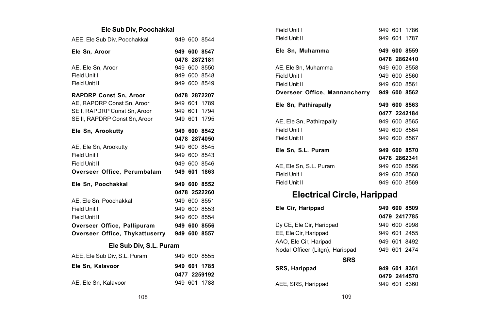#### **Ele Sub Div, Poochakkal**

| AEE, Ele Sub Div, Poochakkal   |  | 949 600 8544 |  |
|--------------------------------|--|--------------|--|
| Ele Sn, Aroor                  |  | 949 600 8547 |  |
|                                |  | 0478 2872181 |  |
| AE, Ele Sn, Aroor              |  | 949 600 8550 |  |
| Field Unit I                   |  | 949 600 8548 |  |
| Field Unit II                  |  | 949 600 8549 |  |
| <b>RAPDRP Const Sn, Aroor</b>  |  | 0478 2872207 |  |
| AE, RAPDRP Const Sn, Aroor     |  | 949 601 1789 |  |
| SE I, RAPDRP Const Sn, Aroor   |  | 949 601 1794 |  |
| SE II, RAPDRP Const Sn, Aroor  |  | 949 601 1795 |  |
| Ele Sn, Arookutty              |  | 949 600 8542 |  |
|                                |  | 0478 2874050 |  |
| AE, Ele Sn, Arookutty          |  | 949 600 8545 |  |
| Field Unit I                   |  | 949 600 8543 |  |
| Field Unit II                  |  | 949 600 8546 |  |
| Overseer Office, Perumbalam    |  | 949 601 1863 |  |
| Ele Sn. Poochakkal             |  | 949 600 8552 |  |
|                                |  | 0478 2522260 |  |
| AE, Ele Sn, Poochakkal         |  | 949 600 8551 |  |
| Field Unit I                   |  | 949 600 8553 |  |
| Field Unit II                  |  | 949 600 8554 |  |
| Overseer Office, Pallipuram    |  | 949 600 8556 |  |
| Overseer Office, Thykattuserry |  | 949 600 8557 |  |
| Ele Sub Div, S.L. Puram        |  |              |  |
| AEE, Ele Sub Div, S.L. Puram   |  | 949 600 8555 |  |
| Ele Sn. Kalavoor               |  | 949 601 1785 |  |
|                                |  | 0477 2259192 |  |

| Field Unit I                               |  | 949 601 1786 |
|--------------------------------------------|--|--------------|
| Field Unit II                              |  | 949 601 1787 |
| Ele Sn. Muhamma                            |  | 949 600 8559 |
|                                            |  | 0478 2862410 |
| AE, Ele Sn, Muhamma                        |  | 949 600 8558 |
| Field Unit I                               |  | 949 600 8560 |
| Field Unit II                              |  | 949 600 8561 |
| Overseer Office, Mannancherry 949 600 8562 |  |              |
| Ele Sn, Pathirapally                       |  | 949 600 8563 |
|                                            |  |              |
|                                            |  | 0477 2242184 |
| AE, Ele Sn, Pathirapally                   |  | 949 600 8565 |
| Field Unit I                               |  | 949 600 8564 |
| Field Unit II                              |  | 949 600 8567 |
| Ele Sn, S.L. Puram                         |  | 949 600 8570 |
|                                            |  | 0478 2862341 |
| AE, Ele Sn, S.L. Puram                     |  | 949 600 8566 |
| Field Unit I                               |  | 949 600 8568 |

# **Electrical Circle, Harippad**

| Ele Cir, Harippad               |  | 949 600 8509 |
|---------------------------------|--|--------------|
|                                 |  | 0479 2417785 |
| Dy CE, Ele Cir, Harippad        |  | 949 600 8998 |
| EE, Ele Cir, Harippad           |  | 949 601 2455 |
| AAO, Ele Cir, Haripad           |  | 949 601 8492 |
| Nodal Officer (Litgn), Harippad |  | 949 601 2474 |
| <b>SRS</b>                      |  |              |
| SRS, Harippad                   |  | 949 601 8361 |
|                                 |  | 0479 2414570 |
| AEE, SRS, Harippad              |  | 949 601 8360 |
|                                 |  |              |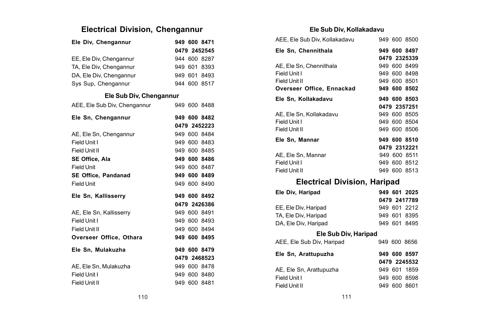## **Electrical Division, Chengannur**

| Ele Div, Chengannur          |              |  | 949 600 8471 |  |
|------------------------------|--------------|--|--------------|--|
|                              | 0479 2452545 |  |              |  |
| EE, Ele Div, Chengannur      |              |  | 944 600 8287 |  |
| TA, Ele Div. Chengannur      |              |  | 949 601 8393 |  |
| DA, Ele Div, Chengannur      |              |  | 949 601 8493 |  |
| Sys Sup, Chengannur          |              |  | 944 600 8517 |  |
| Ele Sub Div, Chengannur      |              |  |              |  |
| AEE, Ele Sub Div, Chengannur |              |  | 949 600 8488 |  |
| Ele Sn, Chengannur           |              |  | 949 600 8482 |  |
|                              |              |  | 0479 2452223 |  |
| AE, Ele Sn, Chengannur       |              |  | 949 600 8484 |  |
| Field Unit I                 |              |  | 949 600 8483 |  |
| Field Unit II                |              |  | 949 600 8485 |  |
| SE Office, Ala               |              |  | 949 600 8486 |  |
| <b>Field Unit</b>            |              |  | 949 600 8487 |  |
| SE Office, Pandanad          |              |  | 949 600 8489 |  |
| Field Unit                   |              |  | 949 600 8490 |  |
| Ele Sn, Kallisserry          |              |  | 949 600 8492 |  |
|                              |              |  | 0479 2426386 |  |
| AE. Ele Sn. Kallisserry      |              |  | 949 600 8491 |  |
| Field Unit I                 |              |  | 949 600 8493 |  |
| Field Unit II                |              |  | 949 600 8494 |  |
| Overseer Office, Othara      |              |  | 949 600 8495 |  |
| Ele Sn, Mulakuzha            |              |  | 949 600 8479 |  |
|                              |              |  | 0479 2468523 |  |
| AE, Ele Sn. Mulakuzha        |              |  | 949 600 8478 |  |
| Field Unit I                 |              |  | 949 600 8480 |  |
| Field Unit II                |              |  | 949 600 8481 |  |

#### **Ele Sub Div, Kollakadavu**

| AEE, Ele Sub Div, Kollakadavu       |  | 949 600 8500 |
|-------------------------------------|--|--------------|
| Ele Sn. Chennithala                 |  | 949 600 8497 |
|                                     |  | 0479 2325339 |
| AE, Ele Sn, Chennithala             |  | 949 600 8499 |
| Field Unit I                        |  | 949 600 8498 |
| Field Unit II                       |  | 949 600 8501 |
| Overseer Office, Ennackad           |  | 949 600 8502 |
| Ele Sn, Kollakadavu                 |  | 949 600 8503 |
|                                     |  | 0479 2357251 |
| AE. Ele Sn. Kollakadavu             |  | 949 600 8505 |
| Field Unit I                        |  | 949 600 8504 |
| Field Unit II                       |  | 949 600 8506 |
| Ele Sn, Mannar                      |  | 949 600 8510 |
|                                     |  | 0479 2312221 |
| AE. Ele Sn. Mannar                  |  | 949 600 8511 |
| Field Unit I                        |  | 949 600 8512 |
| Field Unit II                       |  | 949 600 8513 |
| <b>Electrical Division, Haripad</b> |  |              |
| Ele Div, Haripad                    |  | 949 601 2025 |
|                                     |  | 0479 2417789 |
| EE, Ele Div, Haripad                |  | 949 601 2212 |
| TA, Ele Div, Haripad                |  | 949 601 8395 |
| DA, Ele Div, Haripad                |  | 949 601 8495 |
| Ele Sub Div, Haripad                |  |              |
| AEE, Ele Sub Div, Haripad           |  | 949 600 8656 |
| Ele Sn, Arattupuzha                 |  | 949 600 8597 |
|                                     |  | 0479 2245532 |
| AE, Ele Sn, Arattupuzha             |  | 949 601 1859 |
| Field Unit I                        |  | 949 600 8598 |
| Field Unit II                       |  | 949 600 8601 |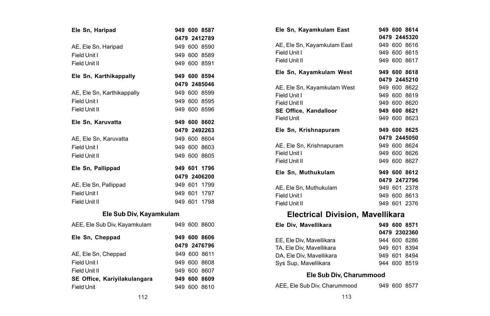| Ele Sn, Haripad              |  | 949 600 8587 |
|------------------------------|--|--------------|
|                              |  | 0479 2412789 |
| AE, Ele Sn, Haripad          |  | 949 600 8590 |
| Field Unit I                 |  | 949 600 8589 |
| Field Unit II                |  | 949 600 8591 |
| Ele Sn, Karthikappally       |  | 949 600 8594 |
|                              |  | 0479 2485046 |
| AE, Ele Sn, Karthikappally   |  | 949 600 8599 |
| Field Unit I                 |  | 949 600 8595 |
| Field Unit II                |  | 949 600 8596 |
| Ele Sn, Karuvatta            |  | 949 600 8602 |
|                              |  | 0479 2492263 |
| AE, Ele Sn, Karuvatta        |  | 949 600 8604 |
| Field Unit I                 |  | 949 600 8603 |
| Field Unit II                |  | 949 600 8605 |
| Ele Sn. Pallippad            |  | 949 601 1796 |
|                              |  | 0479 2406200 |
| AE, Ele Sn, Pallippad        |  | 949 601 1799 |
| Field Unit I                 |  | 949 601 1797 |
| Field Unit II                |  | 949 601 1798 |
| Ele Sub Div, Kayamkulam      |  |              |
| AEE, Ele Sub Div, Kayamkulam |  | 949 600 8600 |
| Ele Sn, Cheppad              |  | 949 600 8606 |
|                              |  | 0479 2476796 |
| AE, Ele Sn, Cheppad          |  | 949 600 8611 |
| Field Unit I                 |  | 949 600 8608 |
| Field Unit II                |  | 949 600 8607 |

| Ele Sn, Kayamkulam East     |  | 949 600 8614<br>0479 2445320 |
|-----------------------------|--|------------------------------|
| AE, Ele Sn, Kayamkulam East |  | 949 600 8616                 |
| Field Unit I                |  | 949 600 8615                 |
| Field Unit II               |  | 949 600 8617                 |
| Ele Sn, Kayamkulam West     |  | 949 600 8618                 |
|                             |  | 0479 2445210                 |
| AE, Ele Sn, Kayamkulam West |  | 949 600 8622                 |
| Field Unit I                |  | 949 600 8619                 |
| Field Unit II               |  | 949 600 8620                 |
| SE Office, Kandalloor       |  | 949 600 8621                 |
| Field Unit                  |  | 949 600 8623                 |
| Ele Sn, Krishnapuram        |  | 949 600 8625                 |
|                             |  | 0479 2445050                 |
| AE, Ele Sn, Krishnapuram    |  | 949 600 8624                 |
| Field Unit I                |  | 949 600 8626                 |
| Field Unit II               |  | 949 600 8627                 |
| Ele Sn, Muthukulam          |  | 949 600 8612                 |
|                             |  | 0479 2472796                 |
| AE, Ele Sn, Muthukulam      |  | 949 601 2378                 |
| Field Unit I                |  | 949 600 8613                 |
| Field Unit II               |  | 949 601 2376                 |
|                             |  |                              |

## **Electrical Division, Mavellikara**

|  | 949 600 8571<br>0479 2302360<br>944 600 8286<br>949 601 8394<br>949 601 8494<br>944 600 8519 |
|--|----------------------------------------------------------------------------------------------|

#### **Ele Sub Div, Charummood**

AEE, Ele Sub Div, Charummood 949 600 8577

|  |  |  |  | AEE, Ele Sub Div, Charummood |  |
|--|--|--|--|------------------------------|--|
|--|--|--|--|------------------------------|--|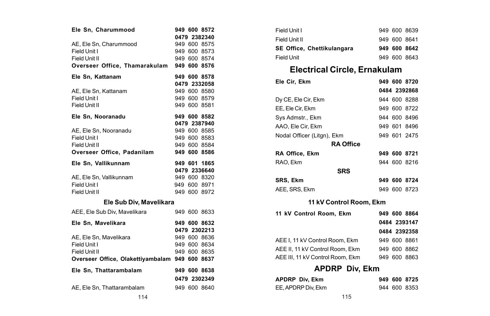| Ele Sn, Charummood                             | 949 600 8572 |              |
|------------------------------------------------|--------------|--------------|
|                                                | 0479 2382340 |              |
| AE, Ele Sn, Charummood                         | 949 600 8575 |              |
| Field Unit I                                   | 949 600 8573 |              |
| Field Unit II                                  | 949 600 8574 |              |
| Overseer Office, Thamarakulam                  | 949 600 8576 |              |
| Ele Sn, Kattanam                               | 949 600 8578 |              |
|                                                | 0479 2332058 |              |
| AE, Ele Sn, Kattanam                           | 949 600 8580 |              |
| Field Unit I                                   | 949 600 8579 |              |
| Field Unit II                                  | 949 600 8581 |              |
| Ele Sn, Nooranadu                              | 949 600 8582 |              |
|                                                | 0479 2387940 |              |
| AE, Ele Sn, Nooranadu                          | 949 600 8585 |              |
| Field Unit I                                   | 949 600 8583 |              |
| Field Unit II                                  | 949 600 8584 |              |
| Overseer Office, Padanilam                     | 949 600 8586 |              |
|                                                |              |              |
| Ele Sn. Vallikunnam                            | 949 601 1865 |              |
|                                                | 0479 2336640 |              |
| AE. Ele Sn. Vallikunnam                        | 949 600 8320 |              |
| Field Unit I                                   | 949 600 8971 |              |
| Field Unit II                                  | 949 600 8972 |              |
| Ele Sub Div, Mavelikara                        |              |              |
| AEE, Ele Sub Div, Mavelikara                   |              | 949 600 8633 |
| Ele Sn, Mavelikara                             | 949 600 8632 |              |
|                                                | 0479 2302213 |              |
| AE, Ele Sn, Mavelikara                         | 949 600 8636 |              |
| Field Unit I                                   | 949 600 8634 |              |
| Field Unit II                                  | 949 600 8635 |              |
| Overseer Office, Olakettiyambalam 949 600 8637 |              |              |
| Ele Sn, Thattarambalam                         | 949 600 8638 |              |
|                                                | 0479 2302349 |              |
| AE, Ele Sn, Thattarambalam                     | 949 600 8640 |              |

| Field Unit I               |  | 949 600 8639 |
|----------------------------|--|--------------|
| Field Unit II              |  | 949 600 8641 |
| SE Office. Chettikulangara |  | 949 600 8642 |
|                            |  |              |

## **Electrical Circle, Ernakulam**

| Ele Cir, Ekm                    |  | 949 600 8720 |
|---------------------------------|--|--------------|
|                                 |  | 0484 2392868 |
| Dy CE, Ele Cir, Ekm             |  | 944 600 8288 |
| EE, Ele Cir, Ekm                |  | 949 600 8722 |
| Sys Admstr., Ekm                |  | 944 600 8496 |
| AAO, Ele Cir, Ekm               |  | 949 601 8496 |
| Nodal Officer (Litgn), Ekm      |  | 949 601 2475 |
| <b>RA Office</b>                |  |              |
| RA Office, Ekm                  |  | 949 600 8721 |
| RAO, Ekm                        |  | 944 600 8216 |
| <b>SRS</b>                      |  |              |
| SRS, Ekm                        |  | 949 600 8724 |
| AEE, SRS, Ekm                   |  | 949 600 8723 |
| 11 kV Control Room, Ekm         |  |              |
| 11 kV Control Room, Ekm         |  | 949 600 8864 |
|                                 |  | 0484 2393147 |
|                                 |  | 0484 2392358 |
| AEE I, 11 kV Control Room, Ekm  |  | 949 600 8861 |
| AEE II, 11 kV Control Room, Ekm |  | 949 600 8862 |

## AEE III, 11 kV Control Room, Ekm 949 600 8863 **APDRP Div, Ekm**

| APDRP Div, Ekm     |  | 949 600 8725 |
|--------------------|--|--------------|
| EE, APDRP Div. Ekm |  | 944 600 8353 |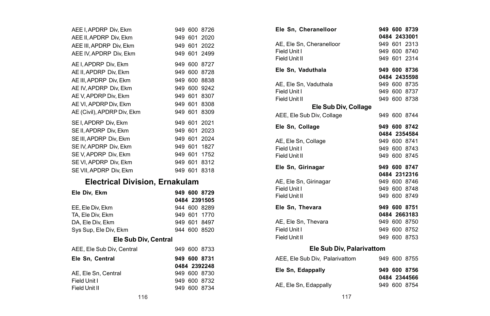| AEE I. APDRP Div. Ekm      |         |         | 949 600 8726 |  |
|----------------------------|---------|---------|--------------|--|
| AEE II. APDRP Div. Ekm     |         |         | 949 601 2020 |  |
| AEE III. APDRP Div. Ekm    |         |         | 949 601 2022 |  |
| AEE IV. APDRP Div. Ekm     |         |         | 949 601 2499 |  |
| AE I, APDRP Div, Ekm       |         | 949 600 | 8727         |  |
| AE II, APDRP Div, Ekm      |         | 949 600 | 8728         |  |
| AE III, APDRP Div, Ekm     |         | 949 600 | 8838         |  |
| AE IV, APDRP Div, Ekm      |         | 949 600 | 9242         |  |
| AE V, APDRP Div, Ekm       |         | 949 601 | 8307         |  |
| AE VI. APDRP Div. Ekm      |         | 949 601 | 8308         |  |
| AE (Civil), APDRP Div. Ekm |         | 949 601 | 8309         |  |
| SE I. APDRP Div. Ekm       |         |         | 949 601 2021 |  |
| SE II. APDRP Div. Ekm      | 949 601 |         | 2023         |  |
| SE III. APDRP Div. Ekm     | 949 601 |         | 2024         |  |
| SE IV. APDRP Div. Ekm      | 949 601 |         | 1827         |  |
| SE V. APDRP Div. Ekm       |         | 949 601 | 1752         |  |
| SE VI, APDRP Div, Ekm      |         | 949 601 | 8312         |  |
| SE VII, APDRP Div, Ekm     |         | 949 601 | 8318         |  |
|                            |         |         |              |  |

### **Electrical Division, Ernakulam**

| Ele Div, Ekm              |  | 949 600 8729 |
|---------------------------|--|--------------|
|                           |  | 0484 2391505 |
| EE. Ele Div. Ekm          |  | 944 600 8289 |
| TA, Ele Div, Ekm          |  | 949 601 1770 |
| DA. Ele Div. Ekm          |  | 949 601 8497 |
| Sys Sup, Ele Div, Ekm     |  | 944 600 8520 |
| Ele Sub Div, Central      |  |              |
| AEE, Ele Sub Div, Central |  | 949 600 8733 |
| Ele Sn. Central           |  | 949 600 8731 |
|                           |  | 0484 2392248 |
| AE. Ele Sn. Central       |  | 949 600 8730 |
| Field Unit I              |  | 949 600 8732 |
| Field Unit II             |  | 949 600 8734 |

| Ele Sn, Cheranelloor      |  | 949 600 8739<br>0484 2433001 |
|---------------------------|--|------------------------------|
| AE, Ele Sn, Cheranelloor  |  | 949 601 2313                 |
| Field Unit I              |  | 949 600 8740                 |
| Field Unit II             |  | 949 601 2314                 |
| Ele Sn, Vaduthala         |  | 949 600 8736                 |
|                           |  | 0484 2435598                 |
| AE, Ele Sn, Vaduthala     |  | 949 600 8735                 |
| Field Unit I              |  | 949 600 8737                 |
| Field Unit II             |  | 949 600 8738                 |
| Ele Sub Div, Collage      |  |                              |
| AEE, Ele Sub Div, Collage |  | 949 600 8744                 |
| Ele Sn, Collage           |  | 949 600 8742                 |
|                           |  | 0484 2354584                 |
| AE, Ele Sn, Collage       |  | 949 600 8741                 |
| Field Unit I              |  | 949 600 8743                 |
| Field Unit II             |  | 949 600 8745                 |
| Ele Sn, Girinagar         |  | 949 600 8747                 |
|                           |  | 0484 2312316                 |
| AE, Ele Sn, Girinagar     |  | 949 600 8746                 |
| Field Unit I              |  | 949 600 8748                 |
| Field Unit II             |  | 949 600 8749                 |
| Ele Sn. Thevara           |  | 949 600 8751                 |
|                           |  | 0484 2663183                 |
| AE. Ele Sn. Thevara       |  | 949 600 8750                 |
| Field Unit I              |  | 949 600 8752                 |
| Field Unit II             |  | 949 600 8753                 |
| Ele Sub Div, Palarivattom |  |                              |

| AEE. Ele Sub Div. Palarivattom |  | 949 600 8755 |
|--------------------------------|--|--------------|
| Ele Sn. Edappallv              |  | 949 600 8756 |
|                                |  | 0484 2344566 |
| AE, Ele Sn, Edappally          |  | 949 600 8754 |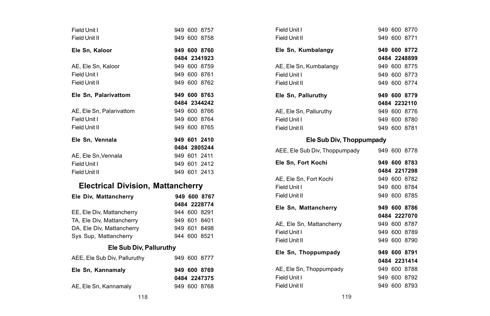| Field Unit I                             | 949 600 8757 |
|------------------------------------------|--------------|
| Field Unit II                            | 949 600 8758 |
| Ele Sn. Kaloor                           | 949 600 8760 |
|                                          | 0484 2341923 |
| AE, Ele Sn, Kaloor                       | 949 600 8759 |
| Field Unit I                             | 949 600 8761 |
| Field Unit II                            | 949 600 8762 |
| Ele Sn. Palarivattom                     | 949 600 8763 |
|                                          | 0484 2344242 |
| AE. Ele Sn. Palarivattom                 | 949 600 8766 |
| Field Unit I                             | 949 600 8764 |
| Field Unit II                            | 949 600 8765 |
| Ele Sn. Vennala                          | 949 601 2410 |
|                                          | 0484 2805244 |
| AE. Ele Sn. Vennala                      | 949 601 2411 |
| Field Unit I                             | 949 601 2412 |
| Field Unit II                            | 949 601 2413 |
| <b>Electrical Division, Mattancherry</b> |              |
| Ele Div, Mattancherry                    | 949 600 8767 |
|                                          | 0484 2228774 |
| EE, Ele Div, Mattancherry                | 944 600 8291 |
| TA, Ele Div, Mattancherry                | 949 601 8401 |
| DA, Ele Div, Mattancherry                | 949 601 8498 |
| Sys Sup, Mattancherry                    | 944 600 8521 |
| Ele Sub Div. Palluruthy                  |              |
| AEE, Ele Sub Div, Palluruthy             | 949 600 8777 |
| Ele Sn, Kannamaly                        | 949 600 8769 |
|                                          | 0484 2247375 |

| Field Unit I                  |  | 949 600 8770 |  |
|-------------------------------|--|--------------|--|
| Field Unit II                 |  | 949 600 8771 |  |
| Ele Sn, Kumbalangy            |  | 949 600 8772 |  |
|                               |  | 0484 2248899 |  |
| AE, Ele Sn, Kumbalangy        |  | 949 600 8775 |  |
| Field Unit I                  |  | 949 600 8773 |  |
| Field Unit II                 |  | 949 600 8774 |  |
| Ele Sn, Palluruthy            |  | 949 600 8779 |  |
|                               |  | 0484 2232110 |  |
| AE, Ele Sn, Palluruthy        |  | 949 600 8776 |  |
| Field Unit I                  |  | 949 600 8780 |  |
| Field Unit II                 |  | 949 600 8781 |  |
| Ele Sub Div, Thoppumpady      |  |              |  |
| AEE, Ele Sub Div, Thoppumpady |  | 949 600 8778 |  |
| Ele Sn. Fort Kochi            |  | 949 600 8783 |  |
|                               |  | 0484 2217298 |  |
| AE, Ele Sn, Fort Kochi        |  | 949 600 8782 |  |
| Field Unit I                  |  | 949 600 8784 |  |
| Field Unit II                 |  | 949 600 8785 |  |
| Ele Sn, Mattancherry          |  | 949 600 8786 |  |
|                               |  | 0484 2227070 |  |
| AE, Ele Sn, Mattancherry      |  | 949 600 8787 |  |
| Field Unit I                  |  | 949 600 8789 |  |

Field Unit II 949 600 8790 **Ele Sn, Thoppumpady 949 600 8791**

AE, Ele Sn, Thoppumpady 949 600 8788

**0484 2231414**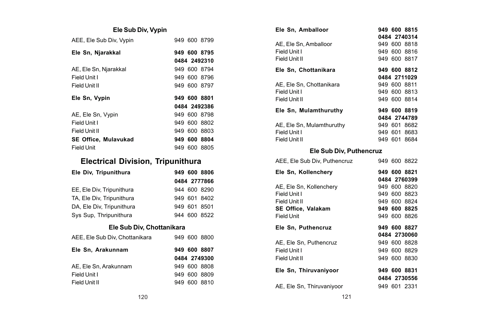### **Ele Sub Div, Vypin**

| AEE, Ele Sub Div, Vypin     |  | 949 600 8799 |
|-----------------------------|--|--------------|
| Ele Sn, Njarakkal           |  | 949 600 8795 |
|                             |  | 0484 2492310 |
| AE, Ele Sn, Njarakkal       |  | 949 600 8794 |
| Field Unit I                |  | 949 600 8796 |
| Field Unit II               |  | 949 600 8797 |
|                             |  |              |
| Ele Sn. Vvpin               |  | 949 600 8801 |
|                             |  | 0484 2492386 |
| AE, Ele Sn, Vypin           |  | 949 600 8798 |
| Field Unit I                |  | 949 600 8802 |
| Field Unit II               |  | 949 600 8803 |
| <b>SE Office. Mulavukad</b> |  | 949 600 8804 |

## **Electrical Division, Tripunithura**

| Ele Div, Tripunithura     |  |  | 949 600 8806 |  |
|---------------------------|--|--|--------------|--|
|                           |  |  | 0484 2777866 |  |
| EE, Ele Div, Tripunithura |  |  | 944 600 8290 |  |
| TA, Ele Div, Tripunithura |  |  | 949 601 8402 |  |
| DA, Ele Div, Tripunithura |  |  | 949 601 8501 |  |
| Sys Sup, Thripunithura    |  |  | 944 600 8522 |  |
| Ele Sub Div, Chottanikara |  |  |              |  |

| AEE. Ele Sub Div. Chottanikara | 949 600 8800 |
|--------------------------------|--------------|
| Ele Sn. Arakunnam              | 949 600 8807 |
|                                | 0484 2749300 |
| AE. Ele Sn. Arakunnam          | 949 600 8808 |
| Field Unit I                   | 949 600 8809 |
| Field Unit II                  | 949 600 8810 |
|                                |              |

| Ele Sn. Amballoor         |  | 949 600 8815 |
|---------------------------|--|--------------|
|                           |  | 0484 2740314 |
| AE. Ele Sn. Amballoor     |  | 949 600 8818 |
| Field Unit I              |  | 949 600 8816 |
| Field Unit II             |  | 949 600 8817 |
| Ele Sn. Chottanikara      |  | 949 600 8812 |
|                           |  | 0484 2711029 |
| AE. Ele Sn. Chottanikara  |  | 949 600 8811 |
| Field Unit I              |  | 949 600 8813 |
| Field Unit II             |  | 949 600 8814 |
| Ele Sn. Mulamthuruthy     |  | 949 600 8819 |
|                           |  | 0484 2744789 |
| AE, Ele Sn, Mulamthuruthy |  | 949 601 8682 |
| Field Unit I              |  | 949 601 8683 |
| Field Unit II             |  | 949 601 8684 |

#### **Ele Sub Div, Puthencruz**

| AEE, Ele Sub Div, Puthencruz            |  | 949 600 8822                 |
|-----------------------------------------|--|------------------------------|
| Ele Sn, Kollenchery                     |  | 949 600 8821<br>0484 2760399 |
| AE, Ele Sn, Kollenchery<br>Field Unit I |  | 949 600 8820<br>949 600 8823 |
| Field Unit II<br>SE Office, Valakam     |  | 949 600 8824<br>949 600 8825 |
| Field Unit                              |  | 949 600 8826                 |
|                                         |  |                              |
| Ele Sn, Puthencruz                      |  | 949 600 8827                 |
|                                         |  | 0484 2730060                 |
| AE. Ele Sn. Puthencruz                  |  | 949 600 8828                 |
| Field Unit I                            |  | 949 600 8829                 |
| Field Unit II                           |  | 949 600 8830                 |
| Ele Sn, Thiruvaniyoor                   |  | 949 600 8831                 |
|                                         |  | 0484 2730556                 |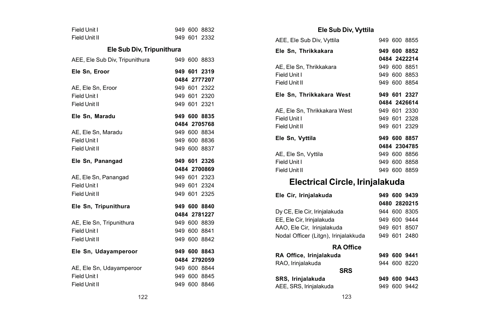| Field Unit I                   |  | 949 600 8832 |
|--------------------------------|--|--------------|
| Field Unit II                  |  | 949 601 2332 |
| Ele Sub Div, Tripunithura      |  |              |
| AEE, Ele Sub Div, Tripunithura |  | 949 600 8833 |
| Ele Sn. Eroor                  |  | 949 601 2319 |
|                                |  | 0484 2777207 |
| AE, Ele Sn, Eroor              |  | 949 601 2322 |
| Field Unit I                   |  | 949 601 2320 |
| Field Unit II                  |  | 949 601 2321 |
| Ele Sn, Maradu                 |  | 949 600 8835 |
|                                |  | 0484 2705768 |
| AE, Ele Sn, Maradu             |  | 949 600 8834 |
| Field Unit I                   |  | 949 600 8836 |
| Field Unit II                  |  | 949 600 8837 |
|                                |  |              |
| Ele Sn, Panangad               |  | 949 601 2326 |
|                                |  | 0484 2700869 |
| AE, Ele Sn, Panangad           |  | 949 601 2323 |
| Field Unit I                   |  | 949 601 2324 |
| Field Unit II                  |  | 949 601 2325 |
| Ele Sn, Tripunithura           |  | 949 600 8840 |
|                                |  | 0484 2781227 |
| AE, Ele Sn, Tripunithura       |  | 949 600 8839 |
| Field Unit I                   |  | 949 600 8841 |
| Field Unit II                  |  | 949 600 8842 |
| Ele Sn, Udayamperoor           |  | 949 600 8843 |
|                                |  | 0484 2792059 |
| AE, Ele Sn, Udayamperoor       |  | 949 600 8844 |
| Field Unit I                   |  | 949 600 8845 |
| Field Unit II                  |  | 949 600 8846 |

### **Ele Sub Div, Vyttila**

| AEE, Ele Sub Div, Vyttila    |  | 949 600 8855 |
|------------------------------|--|--------------|
| Ele Sn, Thrikkakara          |  | 949 600 8852 |
|                              |  | 0484 2422214 |
| AE, Ele Sn, Thrikkakara      |  | 949 600 8851 |
| Field Unit I                 |  | 949 600 8853 |
| Field Unit II                |  | 949 600 8854 |
| Ele Sn, Thrikkakara West     |  | 949 601 2327 |
|                              |  | 0484 2426614 |
| AE. Ele Sn. Thrikkakara West |  | 949 601 2330 |
| Field Unit I                 |  | 949 601 2328 |
| Field Unit II                |  | 949 601 2329 |
| Ele Sn, Vyttila              |  | 949 600 8857 |
|                              |  | 0484 2304785 |
| AE, Ele Sn, Vyttila          |  | 949 600 8856 |
| Field Unit I                 |  | 949 600 8858 |
| Field Unit II                |  | 949 600 8859 |
|                              |  |              |

# **Electrical Circle, Irinjalakuda**

| Ele Cir, Irinjalakuda                |  | 949 600 9439 |
|--------------------------------------|--|--------------|
|                                      |  | 0480 2820215 |
| Dy CE, Ele Cir, Irinjalakuda         |  | 944 600 8305 |
| EE, Ele Cir, Irinjalakuda            |  | 949 600 9444 |
| AAO, Ele Cir, Irinjalakuda           |  | 949 601 8507 |
| Nodal Officer (Litgn), Irinjalakkuda |  | 949 601 2480 |
| <b>RA Office</b>                     |  |              |
| RA Office, Irinjalakuda              |  | 949 600 9441 |
| RAO, Irinjalakuda                    |  | 944 600 8220 |
| <b>SRS</b>                           |  |              |
| SRS, Irinjalakuda                    |  | 949 600 9443 |
| AEE, SRS, Irinjalakuda               |  | 949 600 9442 |
|                                      |  |              |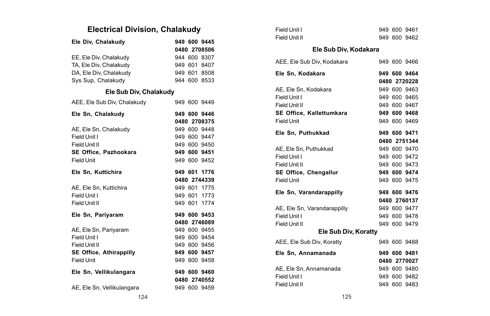# **Electrical Division, Chalakudy**

| Ele Div, Chalakudy          |  | 949 600 9445 |
|-----------------------------|--|--------------|
|                             |  | 0480 2708506 |
| EE, Ele Div, Chalakudy      |  | 944 600 8307 |
| TA, Ele Div, Chalakudv      |  | 949 601 8407 |
| DA, Ele Div, Chalakudy      |  | 949 601 8508 |
| Sys Sup, Chalakudy          |  | 944 600 8533 |
| Ele Sub Div, Chalakudy      |  |              |
| AEE, Ele Sub Div, Chalakudy |  | 949 600 9449 |
| Ele Sn, Chalakudy           |  | 949 600 9446 |
|                             |  | 0480 2708375 |
| AE, Ele Sn, Chalakudy       |  | 949 600 9448 |
| Field Unit I                |  | 949 600 9447 |
| Field Unit II               |  | 949 600 9450 |
| SE Office, Pazhookara       |  | 949 600 9451 |
| Field Unit                  |  | 949 600 9452 |
|                             |  |              |
| Ele Sn, Kuttichira          |  | 949 601 1776 |
|                             |  | 0480 2744339 |
| AE, Ele Sn, Kuttichira      |  | 949 601 1775 |
| Field Unit I                |  | 949 601 1773 |
| Field Unit II               |  | 949 601 1774 |
| Ele Sn, Pariyaram           |  | 949 600 9453 |
|                             |  | 0480 2746089 |
| AE, Ele Sn, Pariyaram       |  | 949 600 9455 |
| Field Unit I                |  | 949 600 9454 |
| Field Unit II               |  | 949 600 9456 |
| SE Office, Athirappilly     |  | 949 600 9457 |
| <b>Field Unit</b>           |  | 949 600 9458 |
| Ele Sn, Vellikulangara      |  | 949 600 9460 |
|                             |  | 0480 2740552 |

| Field Unit I                |  | 949 600 9461 |
|-----------------------------|--|--------------|
| Field Unit II               |  | 949 600 9462 |
| Ele Sub Div, Kodakara       |  |              |
| AEE, Ele Sub Div, Kodakara  |  | 949 600 9466 |
| Ele Sn, Kodakara            |  | 949 600 9464 |
|                             |  | 0480 2720228 |
| AE, Ele Sn, Kodakara        |  | 949 600 9463 |
| Field Unit I                |  | 949 600 9465 |
| Field Unit II               |  | 949 600 9467 |
| SE Office, Kallettumkara    |  | 949 600 9468 |
| Field Unit                  |  | 949 600 9469 |
| Ele Sn. Puthukkad           |  | 949 600 9471 |
|                             |  | 0480 2751344 |
| AE, Ele Sn, Puthukkad       |  | 949 600 9470 |
| Field Unit I                |  | 949 600 9472 |
| Field Unit II               |  | 949 600 9473 |
| SE Office, Chengallur       |  | 949 600 9474 |
| Field Unit                  |  | 949 600 9475 |
| Ele Sn, Varandarappilly     |  | 949 600 9476 |
|                             |  | 0480 2760137 |
| AE, Ele Sn, Varandarappilly |  | 949 600 9477 |
| Field Unit I                |  | 949 600 9478 |
| Field Unit II               |  | 949 600 9479 |
| Ele Sub Div, Koratty        |  |              |
| AEE, Ele Sub Div, Koratty   |  | 949 600 9488 |
| Ele Sn. Annamanada          |  | 949 600 9481 |
|                             |  | 0480 2770027 |
| AE, Ele Sn, Annamanada      |  | 949 600 9480 |
| Field Unit I                |  | 949 600 9482 |
| Field Unit II               |  | 949 600 9483 |
|                             |  |              |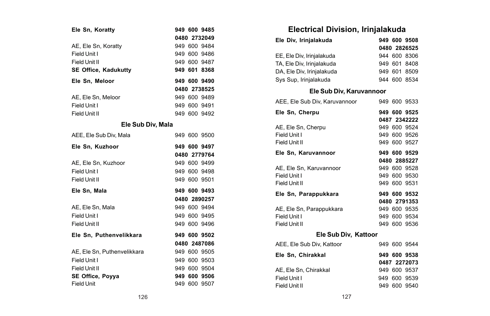| Ele Sn, Koratty             |  | 949 600 9485 |
|-----------------------------|--|--------------|
|                             |  | 0480 2732049 |
| AE, Ele Sn, Koratty         |  | 949 600 9484 |
| Field Unit I                |  | 949 600 9486 |
| Field Unit II               |  | 949 600 9487 |
| SE Office, Kadukutty        |  | 949 601 8368 |
| Ele Sn, Meloor              |  | 949 600 9490 |
|                             |  | 0480 2738525 |
| AE, Ele Sn, Meloor          |  | 949 600 9489 |
| Field Unit I                |  | 949 600 9491 |
| Field Unit II               |  | 949 600 9492 |
| Ele Sub Div, Mala           |  |              |
| AEE. Ele Sub Div. Mala      |  | 949 600 9500 |
| Ele Sn. Kuzhoor             |  | 949 600 9497 |
|                             |  | 0480 2779764 |
| AE, Ele Sn, Kuzhoor         |  | 949 600 9499 |
| Field Unit I                |  | 949 600 9498 |
| Field Unit II               |  | 949 600 9501 |
| Ele Sn, Mala                |  | 949 600 9493 |
|                             |  | 0480 2890257 |
| AE. Ele Sn. Mala            |  | 949 600 9494 |
| Field Unit I                |  | 949 600 9495 |
| Field Unit II               |  | 949 600 9496 |
| Ele Sn, Puthenvelikkara     |  | 949 600 9502 |
|                             |  | 0480 2487086 |
| AE. Ele Sn. Puthenvelikkara |  | 949 600 9505 |
| Field Unit I                |  | 949 600 9503 |
| Field Unit II               |  | 949 600 9504 |
| SE Office, Poyya            |  | 949 600 9506 |
| <b>Field Unit</b>           |  | 949 600 9507 |

# **Electrical Division, Irinjalakuda**

| Ele Div, Irinjalakuda     |  |  | 949 600 9508 |
|---------------------------|--|--|--------------|
|                           |  |  | 0480 2826525 |
| EE. Ele Div. Irinialakuda |  |  | 944 600 8306 |
| TA. Ele Div. Irinialakuda |  |  | 949 601 8408 |
| DA, Ele Div, Irinialakuda |  |  | 949 601 8509 |
| Sys Sup, Irinjalakuda     |  |  | 944 600 8534 |
| Ele Sub Div, Karuvannoor  |  |  |              |

| AEE, Ele Sub Div, Karuvannoor |  | 949 600 9533 |
|-------------------------------|--|--------------|
| Ele Sn, Cherpu                |  | 949 600 9525 |
|                               |  | 0487 2342222 |
| AE, Ele Sn, Cherpu            |  | 949 600 9524 |
| Field Unit I                  |  | 949 600 9526 |
| Field Unit II                 |  | 949 600 9527 |
| Ele Sn, Karuvannoor           |  | 949 600 9529 |
|                               |  | 0480 2885227 |
| AE, Ele Sn, Karuvannoor       |  | 949 600 9528 |
| Field Unit I                  |  | 949 600 9530 |
| Field Unit II                 |  | 949 600 9531 |
| Ele Sn, Parappukkara          |  | 949 600 9532 |
|                               |  | 0480 2791353 |
| AE, Ele Sn, Parappukkara      |  | 949 600 9535 |
| Field Unit I                  |  | 949 600 9534 |
| Field Unit II                 |  | 949 600 9536 |
| Ele Sub Div, Kattoor          |  |              |
| AEE, Ele Sub Div, Kattoor     |  | 949 600 9544 |
| Ele Sn, Chirakkal             |  | 949 600 9538 |
|                               |  | 0487 2272073 |
| AE, Ele Sn, Chirakkal         |  | 949 600 9537 |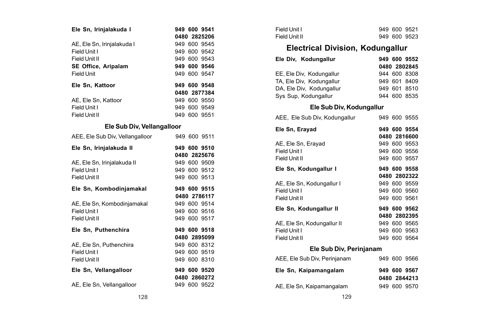| Ele Sn, Irinjalakuda I          |  | 949 600 9541 |
|---------------------------------|--|--------------|
|                                 |  | 0480 2825206 |
| AE, Ele Sn, Irinjalakuda I      |  | 949 600 9545 |
| Field Unit I                    |  | 949 600 9542 |
| Field Unit II                   |  | 949 600 9543 |
| SE Office, Aripalam             |  | 949 600 9546 |
| Field Unit                      |  | 949 600 9547 |
| Ele Sn, Kattoor                 |  | 949 600 9548 |
|                                 |  | 0480 2877384 |
| AE, Ele Sn, Kattoor             |  | 949 600 9550 |
| Field Unit I                    |  | 949 600 9549 |
| Field Unit II                   |  | 949 600 9551 |
| Ele Sub Div, Vellangalloor      |  |              |
| AEE, Ele Sub Div, Vellangalloor |  | 949 600 9511 |
| Ele Sn, Irinjalakuda II         |  | 949 600 9510 |
|                                 |  | 0480 2825676 |
| AE, Ele Sn, Irinjalakuda II     |  | 949 600 9509 |
| Field Unit I                    |  | 949 600 9512 |
| Field Unit II                   |  | 949 600 9513 |
| Ele Sn, Kombodinjamakal         |  | 949 600 9515 |
|                                 |  | 0480 2786117 |
| AE, Ele Sn, Kombodinjamakal     |  | 949 600 9514 |
| Field Unit I                    |  | 949 600 9516 |
| Field Unit II                   |  | 949 600 9517 |
| Ele Sn, Puthenchira             |  | 949 600 9518 |
|                                 |  | 0480 2895099 |
| AE, Ele Sn, Puthenchira         |  | 949 600 8312 |
| Field Unit I                    |  | 949 600 9519 |
| Field Unit II                   |  | 949 600 8310 |
| Ele Sn, Vellangalloor           |  | 949 600 9520 |
|                                 |  | 0480 2860272 |
| AE, Ele Sn, Vellangalloor       |  | 949 600 9522 |

| Field Unit I  |  | 949 600 9521 |  |
|---------------|--|--------------|--|
| Field Unit II |  | 949 600 9523 |  |

## **Electrical Division, Kodungallur**

| Ele Div. Kodungallur     | 949 600 9552 |
|--------------------------|--------------|
|                          | 0480 2802845 |
| EE, Ele Div. Kodungallur | 944 600 8308 |
| TA, Ele Div. Kodungallur | 949 601 8409 |
| DA, Ele Div. Kodungallur | 949 601 8510 |
| Sys Sup, Kodungallur     | 944 600 8535 |

#### **Ele Sub Div, Kodungallur**

| AEE. Ele Sub Div. Kodungallur |  | 949 600 9555                 |
|-------------------------------|--|------------------------------|
| Ele Sn, Erayad                |  | 949 600 9554<br>0480 2816600 |
| AE, Ele Sn, Erayad            |  | 949 600 9553                 |
| Field Unit I                  |  | 949 600 9556                 |
| Field Unit II                 |  | 949 600 9557                 |
| Ele Sn, Kodungallur I         |  | 949 600 9558                 |
|                               |  | 0480 2802322                 |
| AE, Ele Sn, Kodungallur I     |  | 949 600 9559                 |
| Field Unit I                  |  | 949 600 9560                 |
| Field Unit II                 |  | 949 600 9561                 |
| Ele Sn, Kodungallur II        |  | 949 600 9562                 |
|                               |  | 0480 2802395                 |
| AE, Ele Sn, Kodungallur II    |  | 949 600 9565                 |
| Field Unit I                  |  | 949 600 9563                 |
| Field Unit II                 |  | 949 600 9564                 |
|                               |  |                              |

#### **Ele Sub Div, Perinjanam**

| AEE, Ele Sub Div, Perinjanam | 949 600 9566 |
|------------------------------|--------------|
| Ele Sn, Kaipamangalam        | 949 600 9567 |
|                              | 0480 2844213 |
| AE, Ele Sn, Kaipamangalam    | 949 600 9570 |
|                              |              |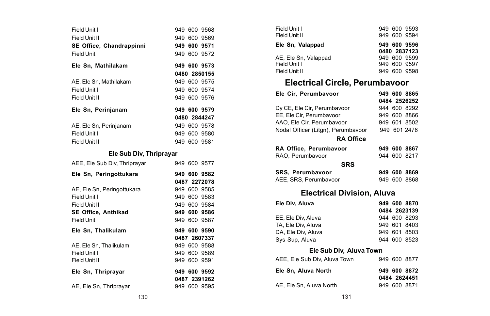| Field Unit I                  |  | 949 600 9568 |  |
|-------------------------------|--|--------------|--|
| Field Unit II                 |  | 949 600 9569 |  |
| SE Office, Chandrappinni      |  | 949 600 9571 |  |
| Field Unit                    |  | 949 600 9572 |  |
| Ele Sn, Mathilakam            |  | 949 600 9573 |  |
|                               |  | 0480 2850155 |  |
| AE, Ele Sn, Mathilakam        |  | 949 600 9575 |  |
| Field Unit I                  |  | 949 600 9574 |  |
| Field Unit II                 |  | 949 600 9576 |  |
| Ele Sn, Perinjanam            |  | 949 600 9579 |  |
|                               |  | 0480 2844247 |  |
| AE, Ele Sn, Perinjanam        |  | 949 600 9578 |  |
| Field Unit I                  |  | 949 600 9580 |  |
| Field Unit II                 |  | 949 600 9581 |  |
| Ele Sub Div, Thriprayar       |  |              |  |
| AEE, Ele Sub Div, Thriprayar  |  | 949 600 9577 |  |
| Ele Sn, Peringottukara        |  | 949 600 9582 |  |
|                               |  | 0487 2272078 |  |
| AE, Ele Sn, Peringottukara    |  | 949 600 9585 |  |
| Field Unit I                  |  | 949 600 9583 |  |
| Field Unit II                 |  | 949 600 9584 |  |
| <b>SE Office. Anthikad</b>    |  | 949 600 9586 |  |
| Field Unit                    |  | 949 600 9587 |  |
| Ele Sn, Thalikulam            |  | 949 600 9590 |  |
|                               |  | 0487 2607337 |  |
| AE, Ele Sn, Thalikulam        |  | 949 600 9588 |  |
| Field Unit I<br>Field Unit II |  | 949 600 9589 |  |
|                               |  | 949 600 9591 |  |
| Ele Sn, Thriprayar            |  | 949 600 9592 |  |
|                               |  | 0487 2391262 |  |
| AE, Ele Sn, Thriprayar        |  | 949 600 9595 |  |

| Ele Sn, Valappad<br>AE, Ele Sn, Valappad<br>Field Unit I | Field Unit I<br>Field Unit II | 949 600 9593<br>949 600 9594                 |  |
|----------------------------------------------------------|-------------------------------|----------------------------------------------|--|
|                                                          |                               | 949 600 9596                                 |  |
| Field Unit II<br>949 600 9598                            |                               | 0480 2837123<br>949 600 9599<br>949 600 9597 |  |

# **Electrical Circle, Perumbavoor**

| Ele Cir, Perumbavoor               |  |  | 949 600 8865 |  |
|------------------------------------|--|--|--------------|--|
|                                    |  |  | 0484 2526252 |  |
| Dy CE, Ele Cir, Perumbavoor        |  |  | 944 600 8292 |  |
| EE, Ele Cir, Perumbavoor           |  |  | 949 600 8866 |  |
| AAO, Ele Cir, Perumbavoor          |  |  | 949 601 8502 |  |
| Nodal Officer (Litgn), Perumbavoor |  |  | 949 601 2476 |  |
| <b>RA Office</b>                   |  |  |              |  |
| RA Office, Perumbavoor             |  |  | 949 600 8867 |  |
| RAO, Perumbavoor                   |  |  | 944 600 8217 |  |
| <b>SRS</b>                         |  |  |              |  |
| SRS, Perumbavoor                   |  |  | 949 600 8869 |  |
| AEE, SRS, Perumbavoor              |  |  | 949 600 8868 |  |
| <b>Electrical Division, Aluva</b>  |  |  |              |  |
| Ele Div, Aluva                     |  |  | 949 600 8870 |  |
|                                    |  |  | 0484 2623139 |  |
| EE, Ele Div, Aluva                 |  |  | 944 600 8293 |  |
| TA, Ele Div, Aluva                 |  |  | 949 601 8403 |  |
| DA, Ele Div, Aluva                 |  |  | 949 601 8503 |  |
| Sys Sup, Aluva                     |  |  | 944 600 8523 |  |
| Ele Sub Div, Aluva Town            |  |  |              |  |

|  | 949 600 8877<br>949 600 8872<br>0484 2624451<br>949 600 8871 |
|--|--------------------------------------------------------------|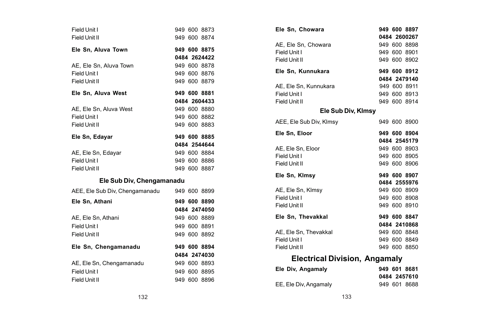| Field Unit I<br>Field Unit II  |  | 949 600 8873<br>949 600 8874 |
|--------------------------------|--|------------------------------|
| Ele Sn. Aluva Town             |  | 949 600 8875                 |
|                                |  | 0484 2624422                 |
| AE. Ele Sn. Aluva Town         |  | 949 600 8878                 |
| Field Unit I                   |  | 949 600 8876                 |
| Field Unit II                  |  | 949 600 8879                 |
| Ele Sn, Aluva West             |  | 949 600 8881                 |
|                                |  | 0484 2604433                 |
| AE. Ele Sn. Aluva West         |  | 949 600 8880                 |
| Field Unit I                   |  | 949 600 8882                 |
| Field Unit II                  |  | 949 600 8883                 |
| Ele Sn, Edayar                 |  | 949 600 8885                 |
|                                |  | 0484 2544644                 |
| AE, Ele Sn, Edayar             |  | 949 600 8884                 |
| Field Unit I                   |  | 949 600 8886                 |
| Field Unit II                  |  | 949 600 8887                 |
| Ele Sub Div, Chengamanadu      |  |                              |
| AEE, Ele Sub Div, Chengamanadu |  | 949 600 8899                 |
| Ele Sn. Athani                 |  | 949 600 8890                 |
|                                |  | 0484 2474050                 |
| AE, Ele Sn, Athani             |  | 949 600 8889                 |
| Field Unit I                   |  | 949 600 8891                 |
| Field Unit II                  |  | 949 600 8892                 |
| Ele Sn, Chengamanadu           |  | 949 600 8894                 |
|                                |  | 0484 2474030                 |
| AE, Ele Sn, Chengamanadu       |  | 949 600 8893                 |
| Field Unit I                   |  | 949 600 8895                 |
| Field Unit II                  |  | 949 600 8896                 |

| Ele Sn, Chowara                      |  | 949 600 8897 |  |
|--------------------------------------|--|--------------|--|
|                                      |  | 0484 2600267 |  |
| AE. Ele Sn. Chowara                  |  | 949 600 8898 |  |
| Field Unit I                         |  | 949 600 8901 |  |
| Field Unit II                        |  | 949 600 8902 |  |
| Ele Sn, Kunnukara                    |  | 949 600 8912 |  |
|                                      |  | 0484 2479140 |  |
| AE, Ele Sn, Kunnukara                |  | 949 600 8911 |  |
| Field Unit I                         |  | 949 600 8913 |  |
| Field Unit II                        |  | 949 600 8914 |  |
| Ele Sub Div, Klmsy                   |  |              |  |
| AEE, Ele Sub Div, Klmsy              |  | 949 600 8900 |  |
| Ele Sn, Eloor                        |  | 949 600 8904 |  |
|                                      |  | 0484 2545179 |  |
| AE, Ele Sn, Eloor                    |  | 949 600 8903 |  |
| Field Unit I                         |  | 949 600 8905 |  |
| Field Unit II                        |  | 949 600 8906 |  |
| Ele Sn. Kimsv                        |  | 949 600 8907 |  |
|                                      |  | 0484 2555976 |  |
| AE, Ele Sn, Klmsy                    |  | 949 600 8909 |  |
| Field Unit I                         |  | 949 600 8908 |  |
| Field Unit II                        |  | 949 600 8910 |  |
| Ele Sn. Thevakkal                    |  | 949 600 8847 |  |
|                                      |  | 0484 2410868 |  |
| AE, Ele Sn, Thevakkal                |  | 949 600 8848 |  |
| Field Unit I                         |  | 949 600 8849 |  |
| Field Unit II                        |  | 949 600 8850 |  |
| <b>Electrical Division, Angamaly</b> |  |              |  |
|                                      |  |              |  |

| Ele Div, Angamaly     | 949 601 8681 |
|-----------------------|--------------|
|                       | 0484 2457610 |
| EE, Ele Div, Angamaly | 949 601 8688 |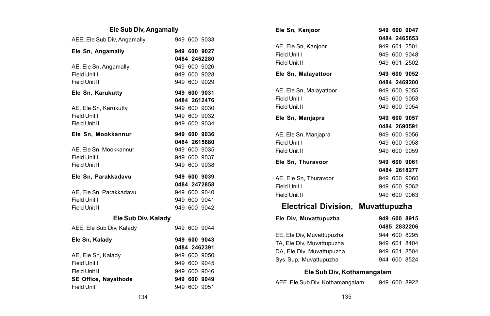### **Ele Sub Div, Angamally**

| AEE, Ele Sub Div, Angamally |  | 949 600 9033 |
|-----------------------------|--|--------------|
| Ele Sn, Angamally           |  | 949 600 9027 |
|                             |  | 0484 2452280 |
| AE, Ele Sn, Angamally       |  | 949 600 9026 |
| Field Unit I                |  | 949 600 9028 |
| Field Unit II               |  | 949 600 9029 |
| Ele Sn, Karukutty           |  | 949 600 9031 |
|                             |  | 0484 2612476 |
| AE, Ele Sn, Karukutty       |  | 949 600 9030 |
| Field Unit I                |  | 949 600 9032 |
| Field Unit II               |  | 949 600 9034 |
| Ele Sn, Mookkannur          |  | 949 600 9036 |
|                             |  | 0484 2615680 |
| AE, Ele Sn, Mookkannur      |  | 949 600 9035 |
| Field Unit I                |  | 949 600 9037 |
| Field Unit II               |  | 949 600 9038 |
| Ele Sn. Parakkadavu         |  | 949 600 9039 |
|                             |  | 0484 2472858 |
| AE. Ele Sn. Parakkadavu     |  | 949 600 9040 |
| Field Unit I                |  | 949 600 9041 |
| Field Unit II               |  | 949 600 9042 |
| Ele Sub Div, Kalady         |  |              |
| AEE, Ele Sub Div, Kalady    |  | 949 600 9044 |
| Ele Sn, Kalady              |  | 949 600 9043 |
|                             |  | 0484 2462391 |
| AE, Ele Sn, Kalady          |  | 949 600 9050 |
| Field Unit I                |  | 949 600 9045 |
| Field Unit II               |  | 949 600 9046 |
| SE Office, Nayathode        |  | 949 600 9049 |
| <b>Field Unit</b>           |  | 949 600 9051 |

| Ele Sn, Kanjoor             | 949 600 9047 |
|-----------------------------|--------------|
|                             | 0484 2465653 |
| AE, Ele Sn, Kanjoor         | 949 601 2501 |
| Field Unit I                | 949 600 9048 |
| Field Unit II               | 949 601 2502 |
| Ele Sn, Malayattoor         | 949 600 9052 |
|                             | 0484 2469200 |
| AE, Ele Sn, Malayattoor     | 949 600 9055 |
| Field Unit I                | 949 600 9053 |
| Field Unit II               | 949 600 9054 |
| Ele Sn, Manjapra            | 949 600 9057 |
|                             | 0484 2690591 |
| AE, Ele Sn, Manjapra        | 949 600 9056 |
| Field Unit I                | 949 600 9058 |
| Field Unit II               | 949 600 9059 |
| Ele Sn, Thuravoor           | 949 600 9061 |
|                             | 0484 2618277 |
| AE, Ele Sn, Thuravoor       | 949 600 9060 |
| Field Unit I                | 949 600 9062 |
| Field Unit II               | 949 600 9063 |
| <b>Electrical Division,</b> | Muvattupuzha |
| Ele Div, Muvattupuzha       | 949 600 8915 |
|                             | 0485 2832206 |
| EE, Ele Div, Muvattupuzha   | 944 600 8295 |
| TA, Ele Div, Muvattupuzha   | 949 601 8404 |
| DA. Ele Div. Muvattupuzha   | 949 601 8504 |
| Sys Sup, Muvattupuzha       | 944 600 8524 |

#### **Ele Sub Div, Kothamangalam**

AEE, Ele Sub Div, Kothamangalam 949 600 8922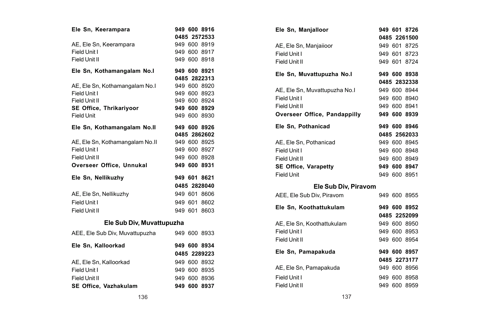| Ele Sn, Keerampara                          |  | 949 600 8916 |
|---------------------------------------------|--|--------------|
|                                             |  | 0485 2572533 |
| AE, Ele Sn, Keerampara                      |  | 949 600 8919 |
| Field Unit I                                |  | 949 600 8917 |
| Field Unit II                               |  | 949 600 8918 |
| Ele Sn, Kothamangalam No.I                  |  | 949 600 8921 |
|                                             |  | 0485 2822313 |
| AE, Ele Sn, Kothamangalam No.I              |  | 949 600 8920 |
| Field Unit I                                |  | 949 600 8923 |
| Field Unit II                               |  | 949 600 8924 |
| SE Office, Thrikariyoor                     |  | 949 600 8929 |
| <b>Field Unit</b>                           |  | 949 600 8930 |
| Ele Sn, Kothamangalam No.II                 |  | 949 600 8926 |
|                                             |  | 0485 2862602 |
| AE, Ele Sn, Kothamangalam No.II             |  | 949 600 8925 |
| Field Unit I                                |  | 949 600 8927 |
| Field Unit II                               |  | 949 600 8928 |
| Overseer Office, Unnukal                    |  | 949 600 8931 |
| Ele Sn, Nellikuzhy                          |  | 949 601 8621 |
|                                             |  | 0485 2828040 |
| AE, Ele Sn, Nellikuzhy                      |  | 949 601 8606 |
| Field Unit I                                |  | 949 601 8602 |
| Field Unit II                               |  | 949 601 8603 |
| Ele Sub Div, Muvattupuzha                   |  |              |
| AEE, Ele Sub Div, Muvattupuzha 949 600 8933 |  |              |
| Ele Sn. Kalloorkad                          |  | 949 600 8934 |
|                                             |  | 0485 2289223 |
| AE, Ele Sn, Kalloorkad                      |  | 949 600 8932 |
| Field Unit I                                |  | 949 600 8935 |
| Field Unit II                               |  | 949 600 8936 |
| SE Office, Vazhakulam                       |  | 949 600 8937 |

| Ele Sn, Manjalloor            |  | 949 601 8726 |
|-------------------------------|--|--------------|
|                               |  | 0485 2261500 |
| AE, Ele Sn, Manjailoor        |  | 949 601 8725 |
| Field Unit I                  |  | 949 601 8723 |
| Field Unit II                 |  | 949 601 8724 |
| Ele Sn, Muvattupuzha No.l     |  | 949 600 8938 |
|                               |  | 0485 2832338 |
| AE, Ele Sn, Muvattupuzha No.I |  | 949 600 8944 |
| Field Unit I                  |  | 949 600 8940 |
| Field Unit II                 |  | 949 600 8941 |
| Overseer Office, Pandappilly  |  | 949 600 8939 |
| Ele Sn, Pothanicad            |  | 949 600 8946 |
|                               |  | 0485 2562033 |
| AE, Ele Sn, Pothanicad        |  | 949 600 8945 |
| Field Unit I                  |  | 949 600 8948 |
| Field Unit II                 |  | 949 600 8949 |
| <b>SE Office, Varapetty</b>   |  | 949 600 8947 |
| Field Unit                    |  | 949 600 8951 |
| Ele Sub Div, Piravom          |  |              |
| AEE, Ele Sub Div, Piravom     |  | 949 600 8955 |
| Ele Sn, Koothattukulam        |  | 949 600 8952 |
|                               |  | 0485 2252099 |
| AE, Ele Sn, Koothattukulam    |  | 949 600 8950 |
| Field Unit I                  |  | 949 600 8953 |
| Field Unit II                 |  | 949 600 8954 |
| Ele Sn, Pamapakuda            |  | 949 600 8957 |
|                               |  | 0485 2273177 |
| AE, Ele Sn, Pamapakuda        |  | 949 600 8956 |
| Field Unit I                  |  | 949 600 8958 |
| Field Unit II                 |  | 949 600 8959 |
|                               |  |              |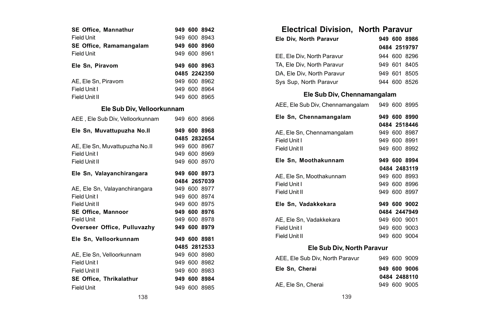| SE Office, Mannathur<br><b>Field Unit</b> |  | 949 600 8942<br>949 600 8943 |
|-------------------------------------------|--|------------------------------|
| SE Office, Ramamangalam                   |  | 949 600 8960                 |
| Field Unit                                |  | 949 600 8961                 |
| Ele Sn, Piravom                           |  | 949 600 8963                 |
|                                           |  | 0485 2242350                 |
| AE. Ele Sn. Piravom                       |  | 949 600 8962                 |
| Field Unit I                              |  | 949 600 8964                 |
| Field Unit II                             |  | 949 600 8965                 |
| Ele Sub Div, Velloorkunnam                |  |                              |
| AEE, Ele Sub Div, Velloorkunnam           |  | 949 600 8966                 |
| Ele Sn, Muvattupuzha No.II                |  | 949 600 8968                 |
|                                           |  | 0485 2832654                 |
| AE, Ele Sn, Muvattupuzha No.II            |  | 949 600 8967                 |
| Field Unit I                              |  | 949 600 8969                 |
|                                           |  |                              |
| Field Unit II                             |  | 949 600 8970                 |
| Ele Sn, Valayanchirangara                 |  | 949 600 8973                 |
|                                           |  | 0484 2657039                 |
| AE, Ele Sn, Valayanchirangara             |  | 949 600 8977                 |
| Field Unit I                              |  | 949 600 8974                 |
| Field Unit II                             |  | 949 600 8975                 |
| <b>SE Office. Mannoor</b>                 |  | 949 600 8976                 |
| <b>Field Unit</b>                         |  | 949 600 8978                 |
| Overseer Office, Pulluvazhy               |  | 949 600 8979                 |
| Ele Sn, Velloorkunnam                     |  | 949 600 8981                 |
|                                           |  | 0485 2812533                 |
| AE. Ele Sn. Velloorkunnam                 |  | 949 600 8980                 |
| Field Unit I                              |  | 949 600 8982                 |
| Field Unit II                             |  | 949 600 8983                 |
| SE Office, Thrikalathur                   |  | 949 600 8984                 |

| <b>Electrical Division, North Paravur</b>     |  |              |
|-----------------------------------------------|--|--------------|
| Ele Div. North Paravur                        |  | 949 600 8986 |
|                                               |  | 0484 2519797 |
| EE, Ele Div, North Paravur                    |  | 944 600 8296 |
| TA, Ele Div, North Paravur                    |  | 949 601 8405 |
| DA, Ele Div, North Paravur                    |  | 949 601 8505 |
| Sys Sup, North Paravur                        |  | 944 600 8526 |
| Ele Sub Div, Chennamangalam                   |  |              |
| AEE, Ele Sub Div, Chennamangalam 949 600 8995 |  |              |
| Ele Sn, Chennamangalam                        |  | 949 600 8990 |
|                                               |  | 0484 2518446 |
| AE, Ele Sn, Chennamangalam                    |  | 949 600 8987 |
| Field Unit I                                  |  | 949 600 8991 |
| Field Unit II                                 |  | 949 600 8992 |
| Ele Sn, Moothakunnam                          |  | 949 600 8994 |
|                                               |  | 0484 2483119 |
| AE, Ele Sn, Moothakunnam                      |  | 949 600 8993 |
| Field Unit I                                  |  | 949 600 8996 |
| Field Unit II                                 |  | 949 600 8997 |
| Ele Sn, Vadakkekara                           |  | 949 600 9002 |
|                                               |  | 0484 2447949 |
| AE, Ele Sn, Vadakkekara                       |  | 949 600 9001 |
| Field Unit I                                  |  | 949 600 9003 |
| Field Unit II                                 |  | 949 600 9004 |
| Ele Sub Div, North Paravur                    |  |              |
| AEE, Ele Sub Div, North Paravur               |  | 949 600 9009 |
| Ele Sn, Cherai                                |  | 949 600 9006 |
|                                               |  | 0484 2488110 |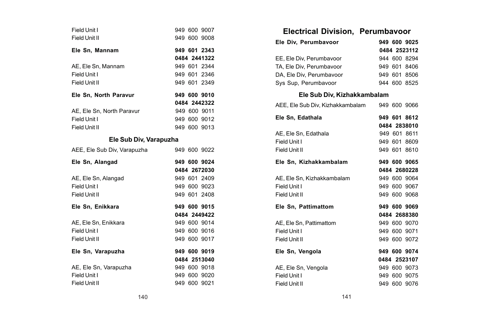| Field Unit I<br>Field Unit II |  | 949 600 9007<br>949 600 9008 |
|-------------------------------|--|------------------------------|
| Ele Sn. Mannam                |  | 949 601 2343                 |
|                               |  | 0484 2441322                 |
| AE. Ele Sn. Mannam            |  | 949 601 2344                 |
| Field Unit I                  |  | 949 601 2346                 |
| Field Unit II                 |  | 949 601 2349                 |
| Ele Sn, North Paravur         |  | 949 600 9010                 |
|                               |  | 0484 2442322                 |
| AE. Ele Sn. North Paravur     |  | 949 600 9011                 |
| Field Unit I                  |  | 949 600 9012                 |
| Field Unit II                 |  | 949 600 9013                 |
| Ele Sub Div, Varapuzha        |  |                              |
| AEE, Ele Sub Div, Varapuzha   |  | 949 600 9022                 |
|                               |  |                              |
| Ele Sn. Alangad               |  | 949 600 9024                 |
|                               |  | 0484 2672030                 |
| AE, Ele Sn, Alangad           |  | 949 601 2409                 |
| Field Unit I                  |  | 949 600 9023                 |
| Field Unit II                 |  | 949 601 2408                 |
| Ele Sn, Enikkara              |  | 949 600 9015                 |
|                               |  | 0484 2449422                 |
| AE, Ele Sn, Enikkara          |  | 949 600 9014                 |
| Field Unit I                  |  | 949 600 9016                 |
| Field Unit II                 |  | 949 600 9017                 |
| Ele Sn, Varapuzha             |  | 949 600 9019                 |
|                               |  | 0484 2513040                 |
| AE, Ele Sn, Varapuzha         |  | 949 600 9018                 |
| Field Unit I                  |  | 949 600 9020                 |

| Electrical Division, Perumbavoor              |  |                              |
|-----------------------------------------------|--|------------------------------|
| Ele Div. Perumbavoor                          |  | 949 600 9025                 |
|                                               |  | 0484 2523112                 |
| EE, Ele Div, Perumbavoor                      |  | 944 600 8294                 |
| TA, Ele Div, Perumbavoor                      |  | 949 601 8406                 |
| DA, Ele Div, Perumbavoor                      |  | 949 601 8506<br>944 600 8525 |
| Sys Sup, Perumbavoor                          |  |                              |
| Ele Sub Div, Kizhakkambalam                   |  |                              |
| AEE, Ele Sub Div, Kizhakkambalam 949 600 9066 |  |                              |
| Ele Sn, Edathala                              |  | 949 601 8612                 |
|                                               |  | 0484 2838010                 |
| AE, Ele Sn, Edathala                          |  | 949 601 8611                 |
| Field Unit I                                  |  | 949 601 8609                 |
| Field Unit II                                 |  | 949 601 8610                 |
| Ele Sn, Kizhakkambalam                        |  | 949 600 9065                 |
|                                               |  | 0484 2680228                 |
|                                               |  |                              |
| AE. Ele Sn. Kizhakkambalam                    |  | 949 600 9064                 |
| Field Unit I                                  |  | 949 600 9067                 |
| Field Unit II                                 |  | 949 600 9068                 |
| Ele Sn, Pattimattom                           |  | 949 600 9069                 |
|                                               |  | 0484 2688380                 |
| AE, Ele Sn, Pattimattom                       |  | 949 600 9070                 |
| Field Unit I                                  |  | 949 600 9071                 |
| Field Unit II                                 |  | 949 600 9072                 |
| Ele Sn. Vengola                               |  | 949 600 9074                 |
|                                               |  | 0484 2523107                 |
| AE, Ele Sn, Vengola                           |  | 949 600 9073                 |
| Field Unit I                                  |  | 949 600 9075                 |
| Field Unit II                                 |  | 949 600 9076                 |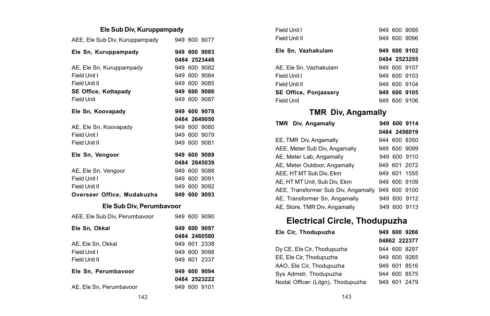### **Ele Sub Div, Kuruppampady**

| AEE, Ele Sub Div, Kuruppampady |  | 949 600 9077 |
|--------------------------------|--|--------------|
| Ele Sn, Kuruppampady           |  | 949 600 9083 |
|                                |  | 0484 2523448 |
| AE, Ele Sn, Kuruppampady       |  | 949 600 9082 |
| Field Unit I                   |  | 949 600 9084 |
| Field Unit II                  |  | 949 600 9085 |
| SE Office, Kottapady           |  | 949 600 9086 |
| Field Unit                     |  | 949 600 9087 |
| Ele Sn, Koovapady              |  | 949 600 9078 |
|                                |  | 0484 2649050 |
| AE, Ele Sn, Koovapady          |  | 949 600 9080 |
| Field Unit I                   |  | 949 600 9079 |
| Field Unit II                  |  | 949 600 9081 |
| Ele Sn, Vengoor                |  | 949 600 9089 |
|                                |  | 0484 2645039 |
| AE, Ele Sn, Vengoor            |  | 949 600 9088 |
| Field Unit I                   |  | 949 600 9091 |
| Field Unit II                  |  | 949 600 9092 |
| Overseer Office. Mudakuzha     |  | 949 600 9093 |
| Ele Sub Div. Perumbayoor       |  |              |
|                                |  |              |
| AEE, Ele Sub Div, Perumbavoor  |  | 949 600 9090 |
| Ele Sn, Okkal                  |  | 949 600 9097 |
|                                |  | 0484 2460580 |
| AE. Ele Sn. Okkal              |  | 949 601 2338 |
| Field Unit I                   |  | 949 600 9098 |
| Field Unit II                  |  | 949 601 2337 |
| Ele Sn, Perumbavoor            |  | 949 600 9094 |

AE, Ele Sn, Perumbavoor 949 600 9101

| Field Unit I                 |      | 949 600 9095 |
|------------------------------|------|--------------|
| Field Unit II                |      | 949 600 9096 |
| Ele Sn, Vazhakulam           |      | 949 600 9102 |
|                              |      | 0484 2523255 |
| AE, Ele Sn. Vazhakulam       |      | 949 600 9107 |
| Field Unit I                 |      | 949 600 9103 |
| Field Unit II                |      | 949 600 9104 |
| <b>SE Office. Poniasserv</b> |      | 949 600 9105 |
| <b>Field Unit</b>            | 949. | 600 9106     |

## **TMR Div, Angamally**

| TMR Div, Angamally                  |     | 949 600 9114 |
|-------------------------------------|-----|--------------|
|                                     |     | 0484 2456019 |
| EE, TMR Div, Angamally              |     | 944 600 8350 |
| AEE, Meter Sub Div, Angamally       |     | 949 600 9099 |
| AE, Meter Lab, Angamally            |     | 949 600 9110 |
| AE, Meter Outdoor, Angamally        |     | 949 601 2072 |
| AEE. HT MT Sub Div. Ekm             |     | 949 601 1555 |
| AE, HT MT Unit, Sub Div, Ekm        |     | 949 600 9109 |
| AEE, Transformer Sub Div, Angamally | 949 | 600 9100     |
| AE. Transformer Sn. Angamally       |     | 949 600 9112 |
| AE, Store, TMR Div, Angamally       |     | 949 600 9113 |

# **Electrical Circle, Thodupuzha**

| Ele Cir. Thodupuzha               |  | 949 600 9266 |
|-----------------------------------|--|--------------|
|                                   |  | 04862 222377 |
| Dy CE, Ele Cir, Thodupuzha        |  | 944 600 8297 |
| EE. Ele Cir. Thodupuzha           |  | 949 600 9265 |
| AAO, Ele Cir, Thodupuzha          |  | 949 601 8516 |
| Sys Admstr, Thodupuzha            |  | 944 600 8575 |
| Nodal Officer (Litgn), Thodupuzha |  | 949 601 2479 |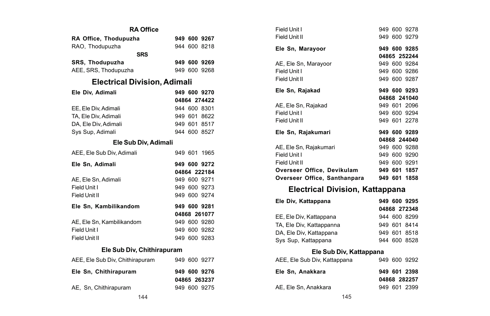| <b>RA Office</b>                    |  |  |                              |  |
|-------------------------------------|--|--|------------------------------|--|
| RA Office, Thodupuzha               |  |  | 949 600 9267                 |  |
| RAO, Thodupuzha                     |  |  | 944 600 8218                 |  |
| <b>SRS</b>                          |  |  |                              |  |
| <b>SRS. Thodupuzha</b>              |  |  | 949 600 9269                 |  |
| AEE, SRS, Thodupuzha                |  |  | 949 600 9268                 |  |
| <b>Electrical Division, Adimali</b> |  |  |                              |  |
| Ele Div. Adimali                    |  |  | 949 600 9270                 |  |
|                                     |  |  | 04864 274422                 |  |
| EE, Ele Div, Adimali                |  |  | 944 600 8301                 |  |
| TA, Ele Div, Adimali                |  |  | 949 601 8622                 |  |
| DA. Ele Div. Adimali                |  |  | 949 601 8517                 |  |
| Sys Sup, Adimali                    |  |  | 944 600 8527                 |  |
| Ele Sub Div, Adimali                |  |  |                              |  |
| AEE, Ele Sub Div, Adimali           |  |  | 949 601 1965                 |  |
| 949 600 9272                        |  |  |                              |  |
| Ele Sn, Adimali                     |  |  |                              |  |
|                                     |  |  | 04864 222184                 |  |
| AE. Ele Sn. Adimali                 |  |  | 949 600 9271                 |  |
| Field Unit I                        |  |  | 949 600 9273                 |  |
| Field Unit II                       |  |  | 949 600 9274                 |  |
| Ele Sn. Kambilikandom               |  |  | 949 600 9281                 |  |
|                                     |  |  | 04868 261077                 |  |
| AE, Ele Sn, Kambilikandom           |  |  | 949 600 9280                 |  |
| Field Unit I                        |  |  | 949 600 9282                 |  |
| Field Unit II                       |  |  | 949 600 9283                 |  |
| Ele Sub Div, Chithirapuram          |  |  |                              |  |
| AEE, Ele Sub Div, Chithirapuram     |  |  | 949 600 9277                 |  |
| Ele Sn, Chithirapuram               |  |  | 949 600 9276<br>04865 263237 |  |

| Field Unit I                           |  | 949 600 9278  |
|----------------------------------------|--|---------------|
| Field Unit II                          |  | 949 600 9279  |
|                                        |  |               |
| Ele Sn, Marayoor                       |  | 949 600 9285  |
|                                        |  | 04865 252244  |
| AE, Ele Sn, Marayoor                   |  | 949 600 9284  |
| Field Unit I                           |  | 949 600 9286  |
| Field Unit II                          |  | 949 600 9287  |
|                                        |  |               |
| Ele Sn, Rajakad                        |  | 949 600 9293  |
|                                        |  | 04868 241040  |
| AE, Ele Sn, Rajakad                    |  | 949 601 2096  |
| Field Unit I                           |  | 949 600 9294  |
| Field Unit II                          |  | 949 601 2278  |
|                                        |  |               |
| Ele Sn, Rajakumari                     |  | 949 600 9289  |
|                                        |  | 04868 244040  |
| AE, Ele Sn, Rajakumari                 |  | 949 600 9288  |
| Field Unit I                           |  | 949 600 9290  |
| Field Unit II                          |  | 949 600 9291  |
|                                        |  |               |
| Overseer Office, Devikulam             |  | 949 601 1857  |
| Overseer Office, Santhanpara           |  | 949 601 1858  |
| <b>Electrical Division, Kattappana</b> |  |               |
| Fla Bhi Kattannana                     |  | 040. COO 000E |

| Ele Div. Kattappana      | 949 600 9295 |
|--------------------------|--------------|
|                          | 04868 272348 |
| EE, Ele Div. Kattappana  | 944 600 8299 |
| TA, Ele Div, Kattappanna | 949 601 8414 |
| DA. Ele Div. Kattappana  | 949 601 8518 |
| Sys Sup, Kattappana      | 944 600 8528 |

### **Ele Sub Div, Kattappana**

| AEE, Ele Sub Div, Kattappana | 949 600 9292 |
|------------------------------|--------------|
| Ele Sn. Anakkara             | 949 601 2398 |
|                              | 04868 282257 |
| AE. Ele Sn. Anakkara         | 949 601 2399 |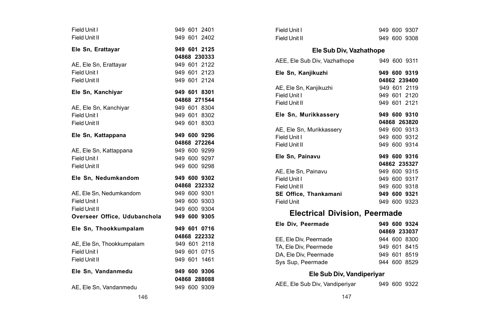| Field Unit I                 |              | 949 601 2401                 |
|------------------------------|--------------|------------------------------|
| Field Unit II                |              | 949 601 2402                 |
| Ele Sn, Erattayar            |              | 949 601 2125                 |
|                              |              | 04868 230333                 |
| AE, Ele Sn, Erattayar        |              | 949 601 2122                 |
| Field Unit I                 |              | 949 601 2123                 |
| Field Unit II                |              | 949 601 2124                 |
| Ele Sn, Kanchiyar            |              | 949 601 8301                 |
|                              |              | 04868 271544                 |
| AE, Ele Sn, Kanchiyar        |              | 949 601 8304                 |
| Field Unit I                 |              | 949 601 8302                 |
| Field Unit II                |              | 949 601 8303                 |
| Ele Sn, Kattappana           |              | 949 600 9296                 |
|                              |              | 04868 272264                 |
| AE, Ele Sn, Kattappana       |              | 949 600 9299                 |
| Field Unit I                 |              | 949 600 9297                 |
| Field Unit II                |              | 949 600 9298                 |
| Ele Sn. Nedumkandom          |              | 949 600 9302                 |
|                              |              | 04868 232332                 |
| AE, Ele Sn, Nedumkandom      |              | 949 600 9301                 |
| Field Unit I                 |              | 949 600 9303                 |
| Field Unit II                |              | 949 600 9304                 |
| Overseer Office, Udubanchola |              | 949 600 9305                 |
| Ele Sn, Thookkumpalam        |              | 949 601 0716                 |
|                              |              | 04868 222332                 |
| AE, Ele Sn, Thookkumpalam    |              | 949 601 2118                 |
| Field Unit I                 |              | 949 601 0715                 |
| Field Unit II                |              | 949 601 1461                 |
| Ele Sn. Vandanmedu           |              |                              |
|                              | 949 600 9306 |                              |
| AE, Ele Sn, Vandanmedu       |              | 04868 288088<br>949 600 9309 |

| Field Unit I                         |  | 949 600 9307 |
|--------------------------------------|--|--------------|
| Field Unit II                        |  | 949 600 9308 |
| Ele Sub Div. Vazhathope              |  |              |
| AEE. Ele Sub Div. Vazhathope         |  | 949 600 9311 |
| Ele Sn, Kanjikuzhi                   |  | 949 600 9319 |
|                                      |  | 04862 239400 |
| AE, Ele Sn, Kanjikuzhi               |  | 949 601 2119 |
| Field Unit I                         |  | 949 601 2120 |
| Field Unit II                        |  | 949 601 2121 |
| Ele Sn, Murikkassery                 |  | 949 600 9310 |
|                                      |  | 04868 263820 |
| AE, Ele Sn, Murikkassery             |  | 949 600 9313 |
| Field Unit I                         |  | 949 600 9312 |
| Field Unit II                        |  | 949 600 9314 |
| Ele Sn. Painavu                      |  | 949 600 9316 |
|                                      |  | 04862 235327 |
| AE. Ele Sn. Painavu                  |  | 949 600 9315 |
| Field Unit I                         |  | 949 600 9317 |
| Field Unit II                        |  | 949 600 9318 |
| SE Office, Thankamani                |  | 949 600 9321 |
| Field Unit                           |  | 949 600 9323 |
| <b>Electrical Division, Peermade</b> |  |              |
| Ele Div. Peermade                    |  | 949 600 9324 |
|                                      |  | 04869 233037 |
| EE. Ele Div. Peermade                |  | 944 600 8300 |
| TA, Ele Div, Peermede                |  | 949 601 8415 |

DA, Ele Div, Peermade 949 601 8519<br>Sys Sup, Peermade 944 600 8529

**Ele Sub Div, Vandiperiyar**

Sys Sup, Peermade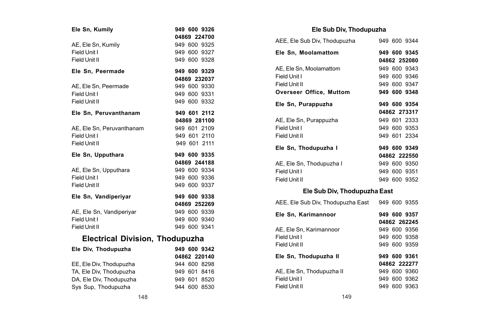| Ele Sn, Kumily                         |  | 949 600 9326 |
|----------------------------------------|--|--------------|
|                                        |  | 04869 224700 |
|                                        |  |              |
| AE, Ele Sn, Kumily                     |  | 949 600 9325 |
| Field Unit I                           |  | 949 600 9327 |
| Field Unit II                          |  | 949 600 9328 |
| Ele Sn, Peermade                       |  | 949 600 9329 |
|                                        |  | 04869 232037 |
| AE, Ele Sn, Peermade                   |  | 949 600 9330 |
| Field Unit I                           |  | 949 600 9331 |
| Field Unit II                          |  | 949 600 9332 |
| Ele Sn, Peruvanthanam                  |  | 949 601 2112 |
|                                        |  | 04869 281100 |
| AE, Ele Sn, Peruvanthanam              |  | 949 601 2109 |
| Field Unit I                           |  | 949 601 2110 |
| Field Unit II                          |  | 949 601 2111 |
| Ele Sn, Upputhara                      |  | 949 600 9335 |
|                                        |  | 04869 244188 |
| AE, Ele Sn, Upputhara                  |  | 949 600 9334 |
| Field Unit I                           |  | 949 600 9336 |
| Field Unit II                          |  | 949 600 9337 |
| Ele Sn, Vandiperiyar                   |  | 949 600 9338 |
|                                        |  | 04869 252269 |
| AE, Ele Sn, Vandiperiyar               |  | 949 600 9339 |
| Field Unit I                           |  | 949 600 9340 |
| Field Unit II                          |  | 949 600 9341 |
| <b>Electrical Division, Thodupuzha</b> |  |              |
| Ele Div, Thodupuzha                    |  | 949 600 9342 |
|                                        |  | 04862 220140 |
| EE, Ele Div, Thodupuzha                |  | 944 600 8298 |
| TA, Ele Div, Thodupuzha                |  | 949 601 8416 |
| DA, Ele Div, Thodupuzha                |  | 949 601 8520 |
| Sys Sup. Thodupuzha                    |  | 944 600 8530 |
|                                        |  |              |

### **Ele Sub Div, Thodupuzha**

| AEE, Ele Sub Div, Thodupuzha                   |  | 949 600 9344 |
|------------------------------------------------|--|--------------|
| Ele Sn, Moolamattom                            |  | 949 600 9345 |
|                                                |  | 04862 252080 |
| AE, Ele Sn, Moolamattom                        |  | 949 600 9343 |
| Field Unit I                                   |  | 949 600 9346 |
| Field Unit II                                  |  | 949 600 9347 |
| Overseer Office, Muttom                        |  | 949 600 9348 |
| Ele Sn, Purappuzha                             |  | 949 600 9354 |
|                                                |  | 04862 273317 |
| AE, Ele Sn, Purappuzha                         |  | 949 601 2333 |
| Field Unit I                                   |  | 949 600 9353 |
| Field Unit II                                  |  | 949 601 2334 |
| Ele Sn, Thodupuzha I                           |  | 949 600 9349 |
|                                                |  | 04862 222550 |
| AE. Ele Sn. Thodupuzha I                       |  | 949 600 9350 |
| Field Unit I                                   |  | 949 600 9351 |
| Field Unit II                                  |  | 949 600 9352 |
| Ele Sub Div, Thodupuzha East                   |  |              |
| AEE, Ele Sub Div, Thodupuzha East 949 600 9355 |  |              |

| Ele Sn, Karimannoor       |  | 949 600 9357 |
|---------------------------|--|--------------|
|                           |  | 04862 262245 |
| AE. Ele Sn. Karimannoor   |  | 949 600 9356 |
| Field Unit I              |  | 949 600 9358 |
| Field Unit II             |  | 949 600 9359 |
| Ele Sn, Thodupuzha II     |  | 949 600 9361 |
|                           |  | 04862 222277 |
| AE, Ele Sn, Thodupuzha II |  | 949 600 9360 |
| Field Unit I              |  | 949 600 9362 |
| Field Unit II             |  | 949 600 9363 |
|                           |  |              |

Sys Sup, Thodupuzha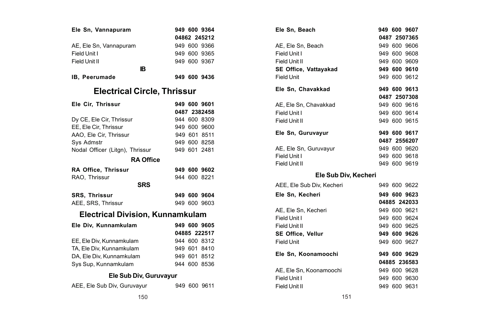| Ele Sn, Vannapuram                      |  | 949 600 9364 |
|-----------------------------------------|--|--------------|
|                                         |  | 04862 245212 |
| AE, Ele Sn, Vannapuram                  |  | 949 600 9366 |
| Field Unit I                            |  | 949 600 9365 |
| Field Unit II                           |  | 949 600 9367 |
| IB                                      |  |              |
| IB. Peerumade                           |  | 949 600 9436 |
| <b>Electrical Circle, Thrissur</b>      |  |              |
| Ele Cir, Thrissur                       |  | 949 600 9601 |
|                                         |  | 0487 2382458 |
| Dy CE, Ele Cir, Thrissur                |  | 944 600 8309 |
| EE, Ele Cir, Thrissur                   |  | 949 600 9600 |
| AAO, Ele Cir. Thrissur                  |  | 949 601 8511 |
| Sys Admstr                              |  | 949 600 8258 |
| Nodal Officer (Litgn), Thrissur         |  | 949 601 2481 |
| <b>RA Office</b>                        |  |              |
| RA Office, Thrissur                     |  | 949 600 9602 |
| RAO, Thrissur                           |  | 944 600 8221 |
| <b>SRS</b>                              |  |              |
| SRS, Thrissur                           |  | 949 600 9604 |
| AEE, SRS, Thrissur                      |  | 949 600 9603 |
| <b>Electrical Division, Kunnamkulam</b> |  |              |
| Ele Div, Kunnamkulam                    |  | 949 600 9605 |
|                                         |  | 04885 222517 |
| EE, Ele Div, Kunnamkulam                |  | 944 600 8312 |
| TA, Ele Div, Kunnamkulam                |  | 949 601 8410 |
| DA, Ele Div, Kunnamkulam                |  | 949 601 8512 |
| Sys Sup, Kunnamkulam                    |  | 944 600 8536 |
| Ele Sub Div, Guruvayur                  |  |              |
| AEE, Ele Sub Div, Guruvayur             |  | 949 600 9611 |

|               | 949 600 9364    | Ele Sn, Beach             | 949 600 9607 |
|---------------|-----------------|---------------------------|--------------|
|               | 04862 245212    |                           | 0487 2507365 |
|               | 949 600 9366    | AE, Ele Sn, Beach         | 949 600 9606 |
|               | 949 600 9365    | Field Unit I              | 949 600 9608 |
|               | 949 600 9367    | Field Unit II             | 949 600 9609 |
| <b>IB</b>     |                 | SE Office, Vattayakad     | 949 600 9610 |
|               | 949 600 9436    | <b>Field Unit</b>         | 949 600 9612 |
|               | ircle, Thrissur | Ele Sn, Chavakkad         | 949 600 9613 |
|               |                 |                           | 0487 2507308 |
|               | 949 600 9601    | AE, Ele Sn, Chavakkad     | 949 600 9616 |
|               | 0487 2382458    | Field Unit I              | 949 600 9614 |
|               | 944 600 8309    | Field Unit II             | 949 600 9615 |
|               | 949 600 9600    |                           | 949 600 9617 |
|               | 949 601 8511    | Ele Sn, Guruvayur         |              |
|               | 949 600 8258    |                           | 0487 2556207 |
| ssur          | 949 601 2481    | AE, Ele Sn, Guruvayur     | 949 600 9620 |
| <b>Office</b> |                 | Field Unit I              | 949 600 9618 |
|               | 949 600 9602    | Field Unit II             | 949 600 9619 |
|               | 944 600 8221    | Ele Sub Div, Kecheri      |              |
| SRS.          |                 | AEE, Ele Sub Div, Kecheri | 949 600 9622 |
|               | 949 600 9604    | Ele Sn, Kecheri           | 949 600 9623 |
|               | 949 600 9603    |                           | 04885 242033 |
|               |                 | AE, Ele Sn, Kecheri       | 949 600 9621 |
|               | on, Kunnamkulam | Field Unit I              | 949 600 9624 |
|               | 949 600 9605    | Field Unit II             | 949 600 9625 |
|               | 04885 222517    | <b>SE Office, Vellur</b>  | 949 600 9626 |
|               | 944 600 8312    | <b>Field Unit</b>         | 949 600 9627 |
|               | 949 601 8410    |                           |              |
|               | 949 601 8512    | Ele Sn, Koonamoochi       | 949 600 9629 |
|               | 944 600 8536    |                           | 04885 236583 |
|               |                 | AE, Ele Sn, Koonamoochi   | 949 600 9628 |
| v, Guruvayur  |                 | Field Unit I              | 949 600 9630 |
| yur           | 949 600 9611    | Field Unit II             | 949 600 9631 |
| 150           |                 | 151                       |              |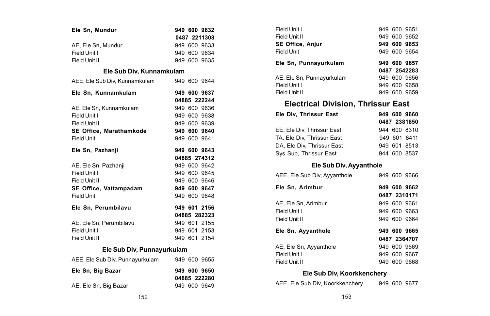| Ele Sn, Mundur                               |  | 949 600 9632 |
|----------------------------------------------|--|--------------|
|                                              |  | 0487 2211308 |
| AE, Ele Sn, Mundur                           |  | 949 600 9633 |
| Field Unit I                                 |  | 949 600 9634 |
| Field Unit II                                |  | 949 600 9635 |
| Ele Sub Div, Kunnamkulam                     |  |              |
| AEE, Ele Sub Div, Kunnamkulam                |  | 949 600 9644 |
| Ele Sn. Kunnamkulam                          |  | 949 600 9637 |
|                                              |  | 04885 222244 |
| AE. Ele Sn. Kunnamkulam                      |  | 949 600 9636 |
| Field Unit I                                 |  | 949 600 9638 |
| Field Unit II                                |  | 949 600 9639 |
| SE Office, Marathamkode                      |  | 949 600 9640 |
| Field Unit                                   |  | 949 600 9641 |
| Ele Sn, Pazhanji                             |  | 949 600 9643 |
|                                              |  | 04885 274312 |
| AE, Ele Sn, Pazhanji                         |  | 949 600 9642 |
| Field Unit I                                 |  | 949 600 9645 |
| Field Unit II                                |  | 949 600 9646 |
| SE Office, Vattampadam                       |  | 949 600 9647 |
| <b>Field Unit</b>                            |  | 949 600 9648 |
| Ele Sn, Perumbilavu                          |  | 949 601 2156 |
|                                              |  | 04885 282323 |
| AE, Ele Sn, Perumbilavu                      |  | 949 601 2155 |
| Field Unit I                                 |  | 949 601 2153 |
| Field Unit II                                |  | 949 601 2154 |
| Ele Sub Div, Punnayurkulam                   |  |              |
| AEE, Ele Sub Div, Punnavurkulam 949 600 9655 |  |              |
| Ele Sn, Big Bazar                            |  | 949 600 9650 |
|                                              |  | 04885 222280 |
| AE, Ele Sn, Big Bazar                        |  | 949 600 9649 |

| Ele Sn, Punnayurkulam     | 949 600 9657 |  |
|---------------------------|--------------|--|
|                           | 0487 2542283 |  |
| AE. Ele Sn. Punnavurkulam | 949 600 9656 |  |
| Field Unit I              | 949 600 9658 |  |
|                           |              |  |

#### **Electrical Division, Thrissur East**

|  | 949 600 9660<br>0487 2381850<br>944 600 8310<br>949 601 8411<br>949 601 8513<br>944 600 8537 |
|--|----------------------------------------------------------------------------------------------|

#### **Ele Sub Div, Ayyanthole**

| AEE, Ele Sub Div, Ayyanthole |  | 949 600 9666 |
|------------------------------|--|--------------|
| Ele Sn. Arimbur              |  | 949 600 9662 |
|                              |  | 0487 2310171 |
| AE. Ele Sn. Arimbur          |  | 949 600 9661 |
| Field Unit I                 |  | 949 600 9663 |
| Field Unit II                |  | 949 600 9664 |
| Ele Sn, Ayyanthole           |  | 949 600 9665 |
|                              |  | 0487 2364707 |
| AE, Ele Sn, Ayyanthole       |  | 949 600 9669 |
| Field Unit I                 |  | 949 600 9667 |
| Field Unit II                |  | 949 600 9668 |
|                              |  |              |

### **Ele Sub Div, Koorkkenchery**

AEE, Ele Sub Div, Koorkkenchery 949 600 9677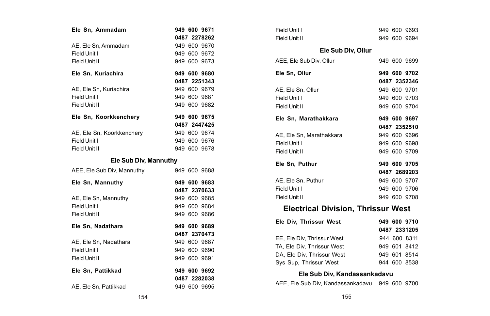| Ele Sn, Ammadam            | 949 600 9671                 |
|----------------------------|------------------------------|
|                            | 0487 2278262                 |
| AE, Ele Sn, Ammadam        | 949 600 9670                 |
| Field Unit I               | 949 600 9672                 |
| Field Unit II              | 949 600 9673                 |
| Ele Sn, Kuriachira         | 949 600 9680                 |
|                            | 0487 2251343                 |
| AE, Ele Sn, Kuriachira     | 949 600 9679                 |
| Field Unit I               | 949 600 9681                 |
| Field Unit II              | 949 600 9682                 |
| Ele Sn, Koorkkenchery      | 949 600 9675                 |
|                            | 0487 2447425                 |
| AE, Ele Sn, Koorkkenchery  | 949 600 9674                 |
| Field Unit I               | 949 600 9676                 |
| Field Unit II              | 949 600 9678                 |
| Ele Sub Div, Mannuthy      |                              |
| AEE, Ele Sub Div, Mannuthy | 949 600 9688                 |
| Ele Sn, Mannuthy           | 949 600 9683                 |
|                            | 0487 2370633                 |
| AE, Ele Sn, Mannuthy       | 949 600 9685                 |
| Field Unit I               | 949 600 9684                 |
| Field Unit II              | 949 600 9686                 |
| Ele Sn. Nadathara          | 949 600 9689                 |
|                            | 0487 2370473                 |
| AE, Ele Sn, Nadathara      | 949 600 9687                 |
| Field Unit I               | 949 600 9690                 |
| Field Unit II              | 949 600 9691                 |
|                            |                              |
|                            |                              |
| Ele Sn, Pattikkad          | 949 600 9692                 |
| AE, Ele Sn, Pattikkad      | 0487 2282038<br>949 600 9695 |

| Field Unit I                      |  | 949 600 9693 |  |
|-----------------------------------|--|--------------|--|
| Field Unit II                     |  | 949 600 9694 |  |
| Ele Sub Div, Ollur                |  |              |  |
| AEE, Ele Sub Div, Ollur           |  | 949 600 9699 |  |
| Ele Sn, Ollur                     |  | 949 600 9702 |  |
|                                   |  | 0487 2352346 |  |
| AE, Ele Sn, Ollur                 |  | 949 600 9701 |  |
| Field Unit I                      |  | 949 600 9703 |  |
| Field Unit II                     |  | 949 600 9704 |  |
| Ele Sn, Marathakkara              |  | 949 600 9697 |  |
|                                   |  | 0487 2352510 |  |
| AE, Ele Sn, Marathakkara          |  | 949 600 9696 |  |
| Field Unit I                      |  | 949 600 9698 |  |
| Field Unit II                     |  | 949 600 9709 |  |
| Ele Sn. Puthur                    |  | 949 600 9705 |  |
|                                   |  | 0487 2689203 |  |
| AE, Ele Sn, Puthur                |  | 949 600 9707 |  |
| Field Unit I                      |  | 949 600 9706 |  |
| Field Unit II                     |  | 949 600 9708 |  |
| Electrical Division Thrisony West |  |              |  |

#### **Electrical Division, Thrissur West**

| Ele Div. Thrissur West     |  | 949 600 9710 |
|----------------------------|--|--------------|
|                            |  | 0487 2331205 |
| EE, Ele Div. Thrissur West |  | 944 600 8311 |
| TA. Ele Div. Thrissur West |  | 949 601 8412 |
| DA. Ele Div. Thrissur West |  | 949 601 8514 |
| Sys Sup, Thrissur West     |  | 944 600 8538 |

#### **Ele Sub Div, Kandassankadavu**

AEE, Ele Sub Div, Kandassankadavu 949 600 9700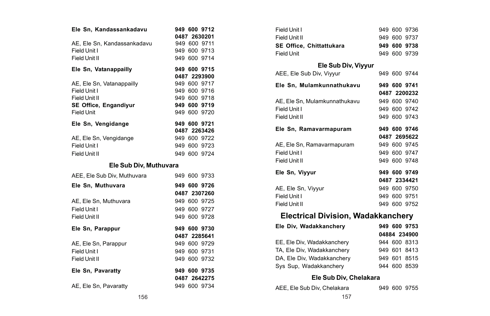| Ele Sn. Kandassankadavu      |  | 949 600 9712 |
|------------------------------|--|--------------|
|                              |  | 0487 2630201 |
| AE. Ele Sn. Kandassankadavu  |  | 949 600 9711 |
| Field Unit I                 |  | 949 600 9713 |
| Field Unit II                |  | 949 600 9714 |
| Ele Sn, Vatanappailly        |  | 949 600 9715 |
|                              |  | 0487 2293900 |
| AE, Ele Sn, Vatanappailly    |  | 949 600 9717 |
| Field Unit I                 |  | 949 600 9716 |
| Field Unit II                |  | 949 600 9718 |
| <b>SE Office, Engandiyur</b> |  | 949 600 9719 |
| <b>Field Unit</b>            |  | 949 600 9720 |
| Ele Sn, Vengidange           |  | 949 600 9721 |
|                              |  | 0487 2263426 |
| AE, Ele Sn, Vengidange       |  | 949 600 9722 |
| Field Unit I                 |  | 949 600 9723 |
| Field Unit II                |  | 949 600 9724 |

#### **Ele Sub Div, Muthuvara**

| AEE, Ele Sub Div. Muthuvara | 949 600 9733 |
|-----------------------------|--------------|
| Ele Sn, Muthuvara           | 949 600 9726 |
|                             | 0487 2307260 |
| AE, Ele Sn, Muthuvara       | 949 600 9725 |
| Field Unit I                | 949 600 9727 |
| Field Unit II               | 949 600 9728 |
| Ele Sn. Parappur            | 949 600 9730 |
|                             |              |
|                             | 0487 2285641 |
| AE, Ele Sn, Parappur        | 949 600 9729 |
| Field Unit I                | 949 600 9731 |
| Field Unit II               | 949 600 9732 |
| Ele Sn. Pavaratty           | 949 600 9735 |
|                             | 0487 2642275 |

| Field Unit I                              |  | 949 600 9736 |
|-------------------------------------------|--|--------------|
| Field Unit II                             |  | 949 600 9737 |
| SE Office, Chittattukara                  |  | 949 600 9738 |
| Field Unit                                |  | 949 600 9739 |
| Ele Sub Div, Viyyur                       |  |              |
| AEE, Ele Sub Div, Viyyur                  |  | 949 600 9744 |
| Ele Sn, Mulamkunnathukavu                 |  | 949 600 9741 |
|                                           |  | 0487 2200232 |
| AE, Ele Sn, Mulamkunnathukavu             |  | 949 600 9740 |
| Field Unit I                              |  | 949 600 9742 |
| Field Unit II                             |  | 949 600 9743 |
| Ele Sn, Ramavarmapuram                    |  | 949 600 9746 |
|                                           |  | 0487 2695622 |
| AE, Ele Sn, Ramavarmapuram                |  | 949 600 9745 |
| Field Unit I                              |  | 949 600 9747 |
| Field Unit II                             |  | 949 600 9748 |
| Ele Sn, Viyyur                            |  | 949 600 9749 |
|                                           |  | 0487 2334421 |
| AE, Ele Sn, Viyyur                        |  | 949 600 9750 |
| Field Unit I                              |  | 949 600 9751 |
| Field Unit II                             |  | 949 600 9752 |
| <b>Electrical Division, Wadakkanchery</b> |  |              |
| Ele Div, Wadakkanchery                    |  | 949 600 9753 |
|                                           |  | 04884 234900 |
| EE, Ele Div, Wadakkanchery                |  | 944 600 8313 |
| TA, Ele Div, Wadakkanchery                |  | 949 601 8413 |
| DA, Ele Div, Wadakkanchery                |  | 949 601 8515 |

## Sys Sup, Wadakkanchery 944 600 8539

### **Ele Sub Div, Chelakara**

| AEE, Ele Sub Div, Chelakara |  | 949 600 9755 |
|-----------------------------|--|--------------|
|                             |  |              |

156 157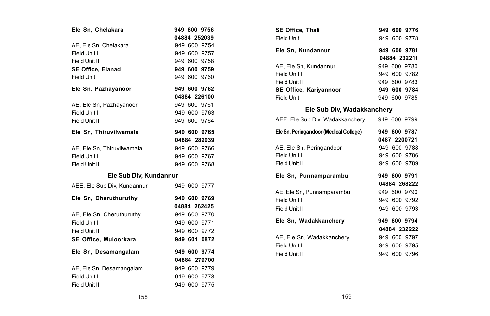| Ele Sn. Chelakara           |  | 949 600 9756 |
|-----------------------------|--|--------------|
|                             |  | 04884 252039 |
| AE, Ele Sn. Chelakara       |  | 949 600 9754 |
| Field Unit I                |  | 949 600 9757 |
| Field Unit II               |  | 949 600 9758 |
| <b>SE Office, Elanad</b>    |  | 949 600 9759 |
| <b>Field Unit</b>           |  | 949 600 9760 |
| Ele Sn, Pazhayanoor         |  | 949 600 9762 |
|                             |  | 04884 226100 |
| AE, Ele Sn, Pazhayanoor     |  | 949 600 9761 |
| Field Unit I                |  | 949 600 9763 |
| Field Unit II               |  | 949 600 9764 |
| Ele Sn, Thiruvilwamala      |  | 949 600 9765 |
|                             |  | 04884 282039 |
| AE, Ele Sn, Thiruvilwamala  |  | 949 600 9766 |
| Field Unit I                |  | 949 600 9767 |
| Field Unit II               |  | 949 600 9768 |
| Ele Sub Div, Kundannur      |  |              |
| AEE, Ele Sub Div, Kundannur |  | 949 600 9777 |
| Ele Sn, Cheruthuruthy       |  | 949 600 9769 |
|                             |  | 04884 262425 |
| AE, Ele Sn, Cheruthuruthy   |  | 949 600 9770 |
| Field Unit I                |  | 949 600 9771 |
| Field Unit II               |  | 949 600 9772 |
| SE Office, Muloorkara       |  | 949 601 0872 |
| Ele Sn, Desamangalam        |  | 949 600 9774 |
|                             |  | 04884 279700 |
| AE, Ele Sn, Desamangalam    |  | 949 600 9779 |
| Field Unit I                |  | 949 600 9773 |
| Field Unit II               |  | 949 600 9775 |

| <b>SE Office. Thali</b>       |  | 949 600 9776 |
|-------------------------------|--|--------------|
| Field Unit                    |  | 949 600 9778 |
| Ele Sn, Kundannur             |  | 949 600 9781 |
|                               |  | 04884 232211 |
| AE. Ele Sn. Kundannur         |  | 949 600 9780 |
| Field Unit I                  |  | 949 600 9782 |
| Field Unit II                 |  | 949 600 9783 |
| <b>SE Office. Karivannoor</b> |  | 949 600 9784 |
| Field Unit                    |  | 949 600 9785 |

### **Ele Sub Div, Wadakkanchery**

| AEE, Ele Sub Div, Wadakkanchery        |  | 949 600 9799 |
|----------------------------------------|--|--------------|
| Ele Sn, Peringandoor (Medical College) |  | 949 600 9787 |
|                                        |  | 0487 2200721 |
| AE, Ele Sn, Peringandoor               |  | 949 600 9788 |
| Field Unit I                           |  | 949 600 9786 |
| Field Unit II                          |  | 949 600 9789 |
| Ele Sn, Punnamparambu                  |  | 949 600 9791 |
|                                        |  | 04884 268222 |
| AE, Ele Sn, Punnamparambu              |  | 949 600 9790 |
| Field Unit I                           |  | 949 600 9792 |
| Field Unit II                          |  | 949 600 9793 |
| Ele Sn. Wadakkancherv                  |  | 949 600 9794 |
|                                        |  | 04884 232222 |
| AE, Ele Sn, Wadakkanchery              |  | 949 600 9797 |
| Field Unit I                           |  | 949 600 9795 |
| Field Unit II                          |  | 949 600 9796 |
|                                        |  |              |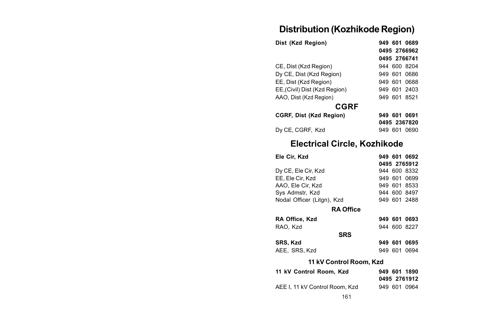## **Distribution (Kozhikode Region)**

| Dist (Kzd Region)            |     |     | 949 601 0689 |
|------------------------------|-----|-----|--------------|
|                              |     |     | 0495 2766962 |
|                              |     |     | 0495 2766741 |
| CE, Dist (Kzd Region)        |     |     | 944 600 8204 |
| Dy CE, Dist (Kzd Region)     |     |     | 949 601 0686 |
| EE, Dist (Kzd Region)        |     |     | 949 601 0688 |
| EE,(Civil) Dist (Kzd Region) |     |     | 949 601 2403 |
| AAO, Dist (Kzd Region)       |     |     | 949 601 8521 |
| <b>CGRF</b>                  |     |     |              |
| CGRF, Dist (Kzd Region)      | 949 | 601 | 0691         |

| CGRF, DISt (KZQ Region) | 949 601 0691 |
|-------------------------|--------------|
|                         | 0495 2367820 |
| Dy CE, CGRF, Kzd        | 949 601 0690 |

## **Electrical Circle, Kozhikode**

| Ele Cir, Kzd               |  | 949 601 0692 |
|----------------------------|--|--------------|
|                            |  | 0495 2765912 |
| Dy CE, Ele Cir, Kzd        |  | 944 600 8332 |
| EE. Ele Cir. Kzd           |  | 949 601 0699 |
| AAO. Ele Cir. Kzd          |  | 949 601 8533 |
| Sys Admstr, Kzd            |  | 944 600 8497 |
| Nodal Officer (Litgn), Kzd |  | 949 601 2488 |
| <b>RA Office</b>           |  |              |

| RA Office. Kzd |  | 949 601 0693 |
|----------------|--|--------------|
| RAO, Kzd       |  | 944 600 8227 |
| <b>SRS</b>     |  |              |
| SRS. Kzd       |  | 949 601 0695 |
| AEE, SRS, Kzd  |  | 949 601 0694 |

#### **11 kV Control Room, Kzd**

| 11 kV Control Room. Kzd         | 949 601 1890 |
|---------------------------------|--------------|
|                                 | 0495 2761912 |
| AEE I. 11 kV Control Room. Kzd. | 949 601 0964 |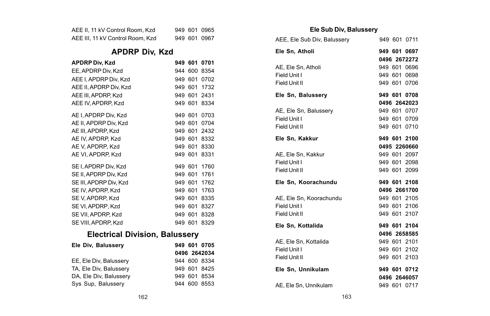| AEE II, 11 kV Control Room, Kzd  |  | 949 601 0965 |
|----------------------------------|--|--------------|
| AEE III. 11 kV Control Room, Kzd |  | 949 601 0967 |

## **APDRP Div, Kzd**

| <b>APDRP Div, Kzd</b>  | 949 601 |         | 0701 |
|------------------------|---------|---------|------|
| EE, APDRP Div, Kzd     |         | 944 600 | 8354 |
| AEE I. APDRP Div. Kzd  | 949 601 |         | 0702 |
| AEE II. APDRP Div. Kzd | 949 601 |         | 1732 |
| AEE III. APDRP. Kzd    | 949 601 |         | 2431 |
| AEE IV. APDRP. Kzd     | 949 601 |         | 8334 |
| AE I, APDRP Div, Kzd   | 949 601 |         | 0703 |
| AE II, APDRP Div, Kzd  | 949 601 |         | 0704 |
| AE III. APDRP. Kzd     | 949 601 |         | 2432 |
| AE IV, APDRP, Kzd      | 949 601 |         | 8332 |
| AE V. APDRP. Kzd       | 949 601 |         | 8330 |
| AE VI. APDRP. Kzd      | 949 601 |         | 8331 |
| SE I, APDRP Div, Kzd   | 949 601 |         | 1760 |
| SE II, APDRP Div, Kzd  | 949 601 |         | 1761 |
| SE III, APDRP Div, Kzd | 949 601 |         | 1762 |
| SE IV, APDRP, Kzd      | 949 601 |         | 1763 |
| SE V, APDRP, Kzd       | 949 601 |         | 8335 |
| SE VI, APDRP, Kzd      | 949 601 |         | 8327 |
| SE VII. APDRP. Kzd     | 949 601 |         | 8328 |
| SE VIII. APDRP. Kzd    | 949 601 |         | 8329 |

## **Electrical Division, Balussery**

| Ele Div. Balusserv     | 949 601 0705 |
|------------------------|--------------|
|                        | 0496 2642034 |
| EE, Ele Div, Balussery | 944 600 8334 |
| TA. Ele Div. Balusserv | 949 601 8425 |
| DA. Ele Div. Balusserv | 949 601 8534 |
| Sys Sup, Balussery     | 944 600 8553 |

### **Ele Sub Div, Balussery**

| AEE, Ele Sub Div, Balussery |  | 949 601 0711 |
|-----------------------------|--|--------------|
| Ele Sn, Atholi              |  | 949 601 0697 |
|                             |  | 0496 2672272 |
| AE. Ele Sn. Atholi          |  | 949 601 0696 |
| Field Unit I                |  | 949 601 0698 |
| Field Unit II               |  | 949 601 0706 |
| Ele Sn, Balussery           |  | 949 601 0708 |
|                             |  | 0496 2642023 |
| AE, Ele Sn, Balussery       |  | 949 601 0707 |
| Field Unit I                |  | 949 601 0709 |
| Field Unit II               |  | 949 601 0710 |
| Ele Sn. Kakkur              |  | 949 601 2100 |
|                             |  | 0495 2260660 |
| AE. Ele Sn. Kakkur          |  | 949 601 2097 |
| Field Unit I                |  | 949 601 2098 |
| Field Unit II               |  | 949 601 2099 |
| Ele Sn, Koorachundu         |  | 949 601 2108 |
|                             |  | 0496 2661700 |
| AE, Ele Sn, Koorachundu     |  | 949 601 2105 |
| Field Unit I                |  | 949 601 2106 |
| Field Unit II               |  | 949 601 2107 |
| Ele Sn. Kottalida           |  | 949 601 2104 |
|                             |  | 0496 2658585 |
| AE. Ele Sn. Kottalida       |  | 949 601 2101 |
| Field Unit I                |  | 949 601 2102 |
| Field Unit II               |  | 949 601 2103 |
| Ele Sn, Unnikulam           |  | 949 601 0712 |
|                             |  | 0496 2646057 |
| AE, Ele Sn, Unnikulam       |  | 949 601 0717 |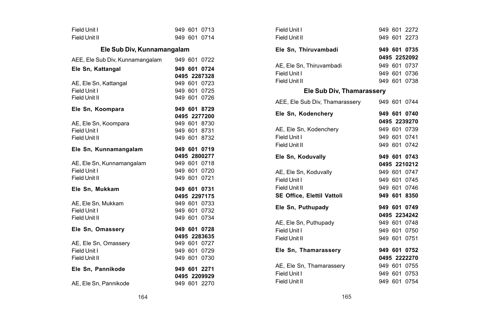| Field Unit I                    |  | 949 601 0713 |
|---------------------------------|--|--------------|
| Field Unit II                   |  | 949 601 0714 |
| Ele Sub Div, Kunnamangalam      |  |              |
| AEE, Ele Sub Div, Kunnamangalam |  | 949 601 0722 |
| Ele Sn. Kattangal               |  | 949 601 0724 |
|                                 |  | 0495 2287328 |
| AE, Ele Sn, Kattangal           |  | 949 601 0723 |
| Field Unit I                    |  | 949 601 0725 |
| Field Unit II                   |  | 949 601 0726 |
| Ele Sn, Koompara                |  | 949 601 8729 |
|                                 |  | 0495 2277200 |
| AE, Ele Sn, Koompara            |  | 949 601 8730 |
| Field Unit I                    |  | 949 601 8731 |
| Field Unit II                   |  | 949 601 8732 |
| Ele Sn, Kunnamangalam           |  | 949 601 0719 |
|                                 |  | 0495 2800277 |
| AE, Ele Sn, Kunnamangalam       |  | 949 601 0718 |
| Field Unit I                    |  | 949 601 0720 |
| Field Unit II                   |  | 949 601 0721 |
| Ele Sn. Mukkam                  |  | 949 601 0731 |
|                                 |  | 0495 2297175 |
| AE, Ele Sn, Mukkam              |  | 949 601 0733 |
| Field Unit I                    |  | 949 601 0732 |
| Field Unit II                   |  | 949 601 0734 |
| Ele Sn, Omassery                |  | 949 601 0728 |
|                                 |  | 0495 2283635 |
| AE, Ele Sn, Omassery            |  | 949 601 0727 |
| Field Unit I                    |  | 949 601 0729 |
| Field Unit II                   |  | 949 601 0730 |
| Ele Sn, Pannikode               |  | 949 601 2271 |
|                                 |  | 0495 2209929 |
| AE. Ele Sn. Pannikode           |  | 949 601 2270 |

| Field Unit I                   |  | 949 601 2272 |
|--------------------------------|--|--------------|
| Field Unit II                  |  | 949 601 2273 |
| Ele Sn, Thiruvambadi           |  | 949 601 0735 |
|                                |  | 0495 2252092 |
| AE, Ele Sn, Thiruvambadi       |  | 949 601 0737 |
| Field Unit I                   |  | 949 601 0736 |
| Field Unit II                  |  | 949 601 0738 |
| Ele Sub Div, Thamarassery      |  |              |
| AEE, Ele Sub Div, Thamarassery |  | 949 601 0744 |
| Ele Sn, Kodenchery             |  | 949 601 0740 |
|                                |  | 0495 2239270 |
| AE, Ele Sn, Kodenchery         |  | 949 601 0739 |
| Field Unit I                   |  | 949 601 0741 |
| Field Unit II                  |  | 949 601 0742 |
| Ele Sn, Koduvally              |  | 949 601 0743 |
|                                |  | 0495 2210212 |
| AE, Ele Sn, Koduvally          |  | 949 601 0747 |
| Field Unit I                   |  | 949 601 0745 |
| Field Unit II                  |  | 949 601 0746 |
| SE Office, Elettil Vattoli     |  | 949 601 8350 |
| Ele Sn. Puthupadv              |  | 949 601 0749 |
|                                |  | 0495 2234242 |
| AE, Ele Sn, Puthupady          |  | 949 601 0748 |
| Field Unit I                   |  | 949 601 0750 |
| Field Unit II                  |  | 949 601 0751 |
| Ele Sn, Thamarassery           |  | 949 601 0752 |
|                                |  | 0495 2222270 |
| AE, Ele Sn, Thamarassery       |  | 949 601 0755 |
| Field Unit I                   |  | 949 601 0753 |
| Field Unit II                  |  | 949 601 0754 |
|                                |  |              |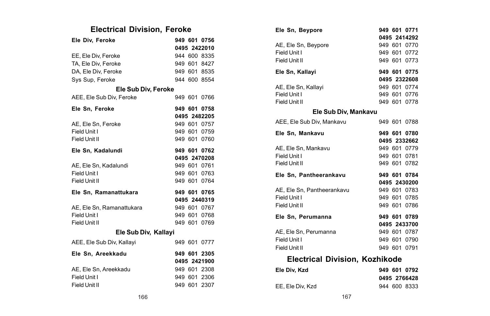# **Electrical Division, Feroke**

| Ele Div, Feroke           |  | 949 601 0756 |
|---------------------------|--|--------------|
|                           |  | 0495 2422010 |
| EE, Ele Div, Feroke       |  | 944 600 8335 |
| TA, Ele Div, Feroke       |  | 949 601 8427 |
| DA, Ele Div, Feroke       |  | 949 601 8535 |
| Sys Sup, Feroke           |  | 944 600 8554 |
| Ele Sub Div, Feroke       |  |              |
| AEE, Ele Sub Div, Feroke  |  | 949 601 0766 |
| Ele Sn, Feroke            |  | 949 601 0758 |
|                           |  | 0495 2482205 |
| AE. Ele Sn. Feroke        |  | 949 601 0757 |
| Field Unit I              |  | 949 601 0759 |
| Field Unit II             |  | 949 601 0760 |
| Ele Sn, Kadalundi         |  | 949 601 0762 |
|                           |  | 0495 2470208 |
| AE, Ele Sn, Kadalundi     |  | 949 601 0761 |
| Field Unit I              |  | 949 601 0763 |
| Field Unit II             |  | 949 601 0764 |
| Ele Sn, Ramanattukara     |  | 949 601 0765 |
|                           |  | 0495 2440319 |
| AE. Ele Sn. Ramanattukara |  | 949 601 0767 |
| Field Unit I              |  | 949 601 0768 |
| Field Unit II             |  | 949 601 0769 |
| Ele Sub Div, Kallayi      |  |              |
| AEE, Ele Sub Div, Kallayi |  | 949 601 0777 |
| Ele Sn, Areekkadu         |  | 949 601 2305 |
|                           |  | 0495 2421900 |
| AE, Ele Sn, Areekkadu     |  | 949 601 2308 |
| Field Unit I              |  | 949 601 2306 |
| Field Unit II             |  | 949 601 2307 |

| Ele Sn, Beypore                          |  | 949 601 0771<br>0495 2414292 |
|------------------------------------------|--|------------------------------|
|                                          |  |                              |
| AE, Ele Sn, Beypore                      |  | 949 601 0770                 |
| Field Unit I                             |  | 949 601 0772                 |
| Field Unit II                            |  | 949 601 0773                 |
| Ele Sn, Kallayi                          |  | 949 601 0775                 |
|                                          |  | 0495 2322608                 |
| AE, Ele Sn, Kallayi                      |  | 949 601 0774                 |
| Field Unit I                             |  | 949 601 0776                 |
| Field Unit II                            |  | 949 601 0778                 |
| Ele Sub Div, Mankavu                     |  |                              |
| AEE, Ele Sub Div, Mankavu                |  | 949 601 0788                 |
| Ele Sn. Mankavu                          |  | 949 601 0780                 |
|                                          |  | 0495 2332662                 |
| AE, Ele Sn, Mankavu                      |  | 949 601 0779                 |
| Field Unit I                             |  | 949 601 0781                 |
| Field Unit II                            |  | 949 601 0782                 |
| Ele Sn, Pantheerankavu                   |  | 949 601 0784                 |
|                                          |  | 0495 2430200                 |
| AE, Ele Sn, Pantheerankavu               |  | 949 601 0783                 |
| Field Unit I                             |  | 949 601 0785                 |
| Field Unit II                            |  | 949 601 0786                 |
| Ele Sn, Perumanna                        |  | 949 601 0789                 |
|                                          |  | 0495 2433700                 |
| AE. Ele Sn. Perumanna                    |  | 949 601 0787                 |
| Field Unit I                             |  | 949 601 0790                 |
| Field Unit II                            |  | 949 601 0791                 |
| <b>Electrical Division, Kozhikode</b>    |  |                              |
| Fia Min Mad -<br><b>CAR COA COA COOL</b> |  |                              |

| Ele Div. Kzd     | 949 601 0792 |
|------------------|--------------|
|                  | 0495 2766428 |
| EE. Ele Div. Kzd | 944 600 8333 |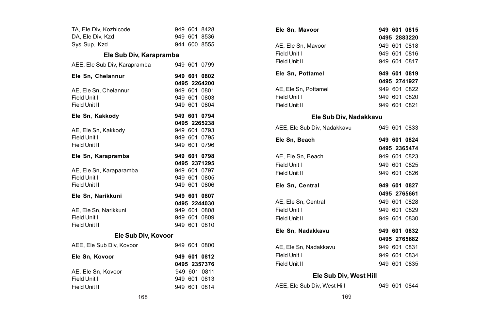| TA, Ele Div, Kozhicode       |  | 949 601 8428                 |
|------------------------------|--|------------------------------|
| DA, Ele Div, Kzd             |  | 949 601 8536                 |
| Sys Sup, Kzd                 |  | 944 600 8555                 |
| Ele Sub Div, Karapramba      |  |                              |
| AEE, Ele Sub Div, Karapramba |  | 949 601 0799                 |
| Ele Sn, Chelannur            |  | 949 601 0802                 |
|                              |  | 0495 2264200                 |
| AE, Ele Sn, Chelannur        |  | 949 601 0801                 |
| Field Unit I                 |  | 949 601 0803                 |
| Field Unit II                |  | 949 601 0804                 |
| Ele Sn, Kakkody              |  | 949 601 0794                 |
|                              |  | 0495 2265238                 |
| AE, Ele Sn, Kakkody          |  | 949 601 0793                 |
| Field Unit I                 |  | 949 601 0795                 |
| Field Unit II                |  | 949 601 0796                 |
| Ele Sn. Karapramba           |  | 949 601 0798                 |
|                              |  |                              |
|                              |  | 0495 2371295                 |
| AE, Ele Sn, Karaparamba      |  | 949 601 0797                 |
| Field Unit I                 |  | 949 601 0805                 |
| Field Unit II                |  | 949 601 0806                 |
| Ele Sn. Narikkuni            |  | 949 601 0807                 |
|                              |  | 0495 2244030                 |
| AE. Ele Sn. Narikkuni        |  | 949 601 0808                 |
| Field Unit I                 |  | 949 601 0809                 |
| Field Unit II                |  | 949 601 0810                 |
| Ele Sub Div, Kovoor          |  |                              |
| AEE, Ele Sub Div, Kovoor     |  | 949 601 0800                 |
| Ele Sn, Kovoor               |  | 949 601 0812                 |
|                              |  | 0495 2357376                 |
| AE, Ele Sn, Kovoor           |  | 949 601 0811                 |
| Field Unit I                 |  | 949 601 0813<br>949 601 0814 |

| Ele Sn, Mavoor              |         | 949 601 0815 |
|-----------------------------|---------|--------------|
|                             |         | 0495 2883220 |
| AE, Ele Sn, Mavoor          |         | 949 601 0818 |
| Field Unit I                |         | 949 601 0816 |
| Field Unit II               |         | 949 601 0817 |
| Ele Sn, Pottamel            |         | 949 601 0819 |
|                             |         | 0495 2741927 |
| AE. Ele Sn. Pottamel        |         | 949 601 0822 |
| Field Unit I                |         | 949 601 0820 |
| Field Unit II               |         | 949 601 0821 |
| Ele Sub Div, Nadakkavu      |         |              |
| AEE, Ele Sub Div, Nadakkavu |         | 949 601 0833 |
| Ele Sn, Beach               |         | 949 601 0824 |
|                             |         | 0495 2365474 |
| AE, Ele Sn, Beach           |         | 949 601 0823 |
| Field Unit I                |         | 949 601 0825 |
| Field Unit II               |         | 949 601 0826 |
| Ele Sn, Central             |         | 949 601 0827 |
|                             |         | 0495 2765661 |
| AE, Ele Sn, Central         |         | 949 601 0828 |
| Field Unit I                |         | 949 601 0829 |
| Field Unit II               |         | 949 601 0830 |
| Ele Sn, Nadakkavu           |         | 949 601 0832 |
|                             |         | 0495 2765682 |
| AE. Ele Sn. Nadakkavu       |         | 949 601 0831 |
| Field Unit I                |         | 949 601 0834 |
| Field Unit II               |         | 949 601 0835 |
| Ele Sub Div, West Hill      |         |              |
| AEE. Ele Sub Div. West Hill | 949 601 | 0844         |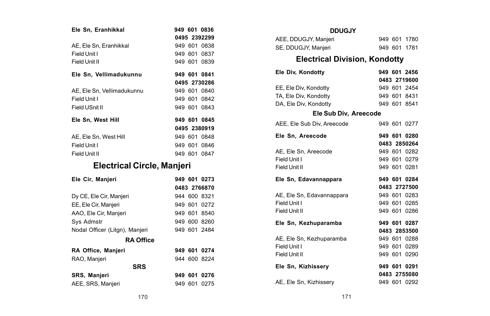| Ele Sn. Eranhikkal         |  | 949 601 0836 |
|----------------------------|--|--------------|
|                            |  | 0495 2392299 |
| AE, Ele Sn. Eranhikkal     |  | 949 601 0838 |
| Field Unit I               |  | 949 601 0837 |
| Field Unit II              |  | 949 601 0839 |
| Ele Sn. Vellimadukunnu     |  | 949 601 0841 |
|                            |  | 0495 2730286 |
| AE. Ele Sn. Vellimadukunnu |  | 949 601 0840 |
| Field Unit I               |  | 949 601 0842 |
| Field USnit II             |  | 949 601 0843 |
| Ele Sn. West Hill          |  | 949 601 0845 |
|                            |  | 0495 2380919 |
| AE. Ele Sn. West Hill      |  | 949 601 0848 |
| Field Unit I               |  | 949 601 0846 |
| Field Unit II              |  | 949 601 0847 |

# **Electrical Circle, Manjeri**

| Ele Cir, Manjeri               |  | 949 601 0273 |
|--------------------------------|--|--------------|
|                                |  | 0483 2766870 |
| Dy CE, Ele Cir, Manjeri        |  | 944 600 8321 |
| EE, Ele Cir, Manjeri           |  | 949 601 0272 |
| AAO, Ele Cir, Manjeri          |  | 949 601 8540 |
| Sys Admstr                     |  | 949 600 8260 |
| Nodal Officer (Litgn), Manjeri |  | 949 601 2484 |
| <b>RA Office</b>               |  |              |
| RA Office, Manjeri             |  | 949 601 0274 |
| RAO, Manieri                   |  | 944 600 8224 |
| <b>SRS</b>                     |  |              |
| SRS, Manjeri                   |  | 949 601 0276 |
| AEE, SRS, Manieri              |  | 949 601 0275 |

#### **DDUGJY**

| AEE, DDUGJY, Manjeri |  | 949 601 1780 |
|----------------------|--|--------------|
| SE, DDUGJY, Manjeri  |  | 949 601 1781 |

## **Electrical Division, Kondotty**

| Ele Div. Kondottv     | 949 601 2456 |
|-----------------------|--------------|
|                       | 0483 2719600 |
| EE, Ele Div. Kondotty | 949 601 2454 |
| TA. Ele Div. Kondottv | 949 601 8431 |
| DA, Ele Div, Kondotty | 949 601 8541 |

#### **Ele Sub Div, Areecode**

| AEE, Ele Sub Div, Areecode |  | 949 601 0277 |
|----------------------------|--|--------------|
| Ele Sn, Areecode           |  | 949 601 0280 |
|                            |  | 0483 2850264 |
| AE. Ele Sn. Areecode       |  | 949 601 0282 |
| Field Unit I               |  | 949 601 0279 |
| Field Unit II              |  | 949 601 0281 |
| Ele Sn, Edavannappara      |  | 949 601 0284 |
|                            |  | 0483 2727500 |
| AE, Ele Sn, Edavannappara  |  | 949 601 0283 |
| Field Unit I               |  | 949 601 0285 |
| Field Unit II              |  | 949 601 0286 |
| Ele Sn, Kezhuparamba       |  | 949 601 0287 |
|                            |  | 0483 2853500 |
| AE, Ele Sn, Kezhuparamba   |  | 949 601 0288 |
| Field Unit I               |  | 949 601 0289 |
| Field Unit II              |  | 949 601 0290 |
| Ele Sn, Kizhissery         |  | 949 601 0291 |
|                            |  | 0483 2755080 |
| AE, Ele Sn, Kizhissery     |  | 949 601 0292 |
|                            |  |              |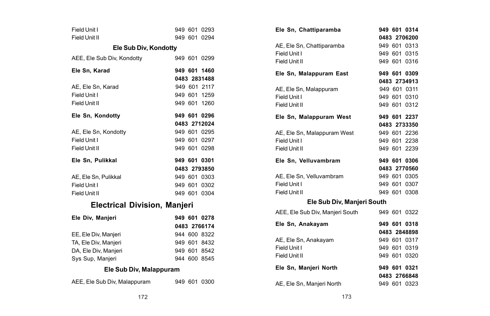| Field Unit I                        |  | 949 601 0293 |
|-------------------------------------|--|--------------|
| Field Unit II                       |  | 949 601 0294 |
| Ele Sub Div, Kondotty               |  |              |
| AEE, Ele Sub Div, Kondotty          |  | 949 601 0299 |
| Ele Sn, Karad                       |  | 949 601 1460 |
|                                     |  | 0483 2831488 |
| AE, Ele Sn, Karad                   |  | 949 601 2117 |
| Field Unit I                        |  | 949 601 1259 |
| Field Unit II                       |  | 949 601 1260 |
| Ele Sn, Kondotty                    |  | 949 601 0296 |
|                                     |  | 0483 2712024 |
| AE, Ele Sn, Kondotty                |  | 949 601 0295 |
| Field Unit I                        |  | 949 601 0297 |
| Field Unit II                       |  | 949 601 0298 |
|                                     |  |              |
| Ele Sn, Pulikkal                    |  | 949 601 0301 |
|                                     |  | 0483 2793850 |
| AE, Ele Sn, Pulikkal                |  | 949 601 0303 |
| Field Unit I                        |  | 949 601 0302 |
| Field Unit II                       |  | 949 601 0304 |
| <b>Electrical Division, Manjeri</b> |  |              |
| Ele Div, Manjeri                    |  | 949 601 0278 |
|                                     |  | 0483 2766174 |
| EE, Ele Div, Manjeri                |  | 944 600 8322 |
| TA, Ele Div, Manjeri                |  | 949 601 8432 |
| DA, Ele Div, Manjeri                |  | 949 601 8542 |
| Sys Sup, Manjeri                    |  | 944 600 8545 |
| Ele Sub Div, Malappuram             |  |              |

| Ele Sn, Chattiparamba           |  | 949 601 0314 |
|---------------------------------|--|--------------|
|                                 |  | 0483 2706200 |
| AE, Ele Sn, Chattiparamba       |  | 949 601 0313 |
| Field Unit I                    |  | 949 601 0315 |
| Field Unit II                   |  | 949 601 0316 |
| Ele Sn, Malappuram East         |  | 949 601 0309 |
|                                 |  | 0483 2734913 |
| AE, Ele Sn, Malappuram          |  | 949 601 0311 |
| Field Unit I                    |  | 949 601 0310 |
| Field Unit II                   |  | 949 601 0312 |
| Ele Sn, Malappuram West         |  | 949 601 2237 |
|                                 |  | 0483 2733350 |
| AE, Ele Sn, Malappuram West     |  | 949 601 2236 |
| Field Unit I                    |  | 949 601 2238 |
| Field Unit II                   |  | 949 601 2239 |
|                                 |  |              |
| Ele Sn, Velluvambram            |  | 949 601 0306 |
|                                 |  | 0483 2770560 |
| AE, Ele Sn, Velluvambram        |  | 949 601 0305 |
| Field Unit I                    |  | 949 601 0307 |
| Field Unit II                   |  | 949 601 0308 |
| Ele Sub Div, Manjeri South      |  |              |
| AEE, Ele Sub Div, Manjeri South |  | 949 601 0322 |
| Ele Sn, Anakayam                |  | 949 601 0318 |
|                                 |  | 0483 2848898 |
| AE, Ele Sn, Anakayam            |  | 949 601 0317 |
| Field Unit I                    |  | 949 601 0319 |
| Field Unit II                   |  | 949 601 0320 |
| Ele Sn, Manjeri North           |  | 949 601 0321 |
|                                 |  | 0483 2766848 |
| AE, Ele Sn, Manjeri North       |  | 949 601 0323 |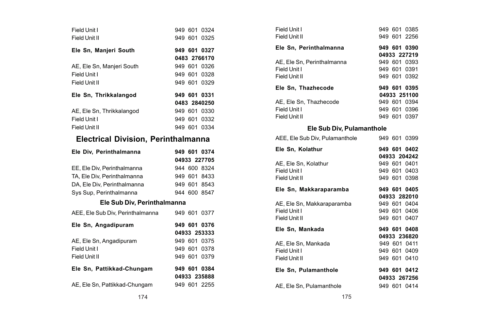| Field Unit I                               |  | 949 601 0324                 |
|--------------------------------------------|--|------------------------------|
| Field Unit II                              |  | 949 601 0325                 |
|                                            |  |                              |
| Ele Sn, Manjeri South                      |  | 949 601 0327                 |
|                                            |  | 0483 2766170                 |
| AE, Ele Sn, Manjeri South                  |  | 949 601 0326                 |
| Field Unit I                               |  | 949 601 0328                 |
| Field Unit II                              |  | 949 601 0329                 |
|                                            |  |                              |
| Ele Sn, Thrikkalangod                      |  | 949 601 0331                 |
|                                            |  | 0483 2840250                 |
| AE, Ele Sn, Thrikkalangod                  |  | 949 601 0330                 |
| Field Unit I                               |  | 949 601 0332                 |
| Field Unit II                              |  | 949 601 0334                 |
|                                            |  |                              |
| <b>Electrical Division, Perinthalmanna</b> |  |                              |
| Ele Div, Perinthalmanna                    |  | 949 601 0374                 |
|                                            |  |                              |
|                                            |  | 04933 227705                 |
| EE, Ele Div, Perinthalmanna                |  | 944 600 8324                 |
| TA, Ele Div, Perinthalmanna                |  | 949 601 8433                 |
| DA, Ele Div, Perinthalmanna                |  | 949 601 8543                 |
| Sys Sup, Perinthalmanna                    |  | 944 600 8547                 |
| Ele Sub Div, Perinthalmanna                |  |                              |
|                                            |  |                              |
| AEE, Ele Sub Div, Perinthalmanna           |  | 949 601 0377                 |
| Ele Sn, Angadipuram                        |  | 949 601 0376                 |
|                                            |  | 04933 253333                 |
|                                            |  |                              |
| AE, Ele Sn, Angadipuram                    |  | 949 601 0375                 |
| Field Unit I<br>Field Unit II              |  | 949 601 0378<br>949 601 0379 |
|                                            |  |                              |
| Ele Sn, Pattikkad-Chungam                  |  | 949 601 0384                 |
|                                            |  | 04933 235888                 |
| AE, Ele Sn, Pattikkad-Chungam              |  | 949 601 2255                 |

|                          | 949 601 0324<br>949 601 0325                                 | Field Unit I<br>Field Unit II                               | 949 601 0385<br>949 601 2256                                 |
|--------------------------|--------------------------------------------------------------|-------------------------------------------------------------|--------------------------------------------------------------|
|                          | 949 601 0327                                                 | Ele Sn, Perinthalmanna                                      | 949 601 0390                                                 |
|                          | 0483 2766170<br>949 601 0326<br>949 601 0328<br>949 601 0329 | AE, Ele Sn, Perinthalmanna<br>Field Unit I<br>Field Unit II | 04933 227219<br>949 601 0393<br>949 601 0391<br>949 601 0392 |
|                          | 949 601 0331                                                 | Ele Sn, Thazhecode                                          | 949 601 0395<br>04933 251100                                 |
|                          | 0483 2840250<br>949 601 0330<br>949 601 0332                 | AE, Ele Sn, Thazhecode<br>Field Unit I<br>Field Unit II     | 949 601 0394<br>949 601 0396<br>949 601 0397                 |
|                          | 949 601 0334                                                 | Ele Sub Div, Pulamanthole                                   |                                                              |
|                          | n. Perinthalmanna                                            | AEE, Ele Sub Div, Pulamanthole                              | 949 601 0399                                                 |
|                          | 949 601 0374                                                 | Ele Sn, Kolathur                                            | 949 601 0402<br>04933 204242                                 |
| a<br>a                   | 04933 227705<br>944 600 8324<br>949 601 8433                 | AE, Ele Sn, Kolathur<br>Field Unit I<br>Field Unit II       | 949 601 0401<br>949 601 0403<br>949 601 0398                 |
| ۱a                       | 949 601 8543<br>944 600 8547                                 | Ele Sn, Makkaraparamba                                      | 949 601 0405<br>04933 282010                                 |
| Perinthalmanna<br>Imanna | 949 601 0377                                                 | AE, Ele Sn, Makkaraparamba<br>Field Unit I<br>Field Unit II | 949 601 0404<br>949 601 0406<br>949 601 0407                 |
|                          | 949 601 0376<br>04933 253333                                 | Ele Sn, Mankada                                             | 949 601 0408<br>04933 236820                                 |
|                          | 949 601 0375<br>949 601 0378<br>949 601 0379                 | AE, Ele Sn, Mankada<br>Field Unit I<br>Field Unit II        | 949 601 0411<br>949 601 0409<br>949 601 0410                 |
| gam                      | 949 601 0384<br>04933 235888                                 | Ele Sn, Pulamanthole                                        | 949 601 0412<br>04933 267256                                 |
| ngam                     | 949 601 2255                                                 | AE, Ele Sn, Pulamanthole                                    | 949 601 0414                                                 |
| 174                      |                                                              | 175                                                         |                                                              |
|                          |                                                              |                                                             |                                                              |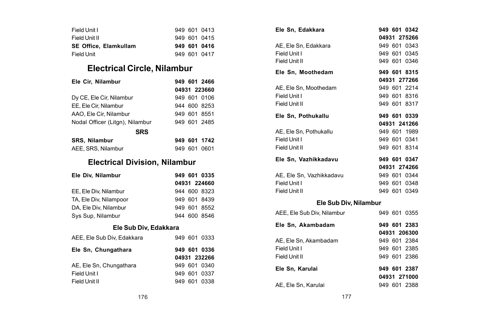| Field Unit I                 |  | 949 601 0413 |
|------------------------------|--|--------------|
| Field Unit II                |  | 949 601 0415 |
| <b>SE Office. Elamkullam</b> |  | 949 601 0416 |
| <b>Field Unit</b>            |  | 949 601 0417 |

## **Electrical Circle, Nilambur**

| Ele Cir. Nilambur               |     | 949 601 2466 |
|---------------------------------|-----|--------------|
|                                 |     | 04931 223660 |
| Dy CE, Ele Cir, Nilambur        |     | 949 601 0106 |
| EE, Ele Cir, Nilambur           |     | 944 600 8253 |
| AAO. Ele Cir. Nilambur          |     | 949 601 8551 |
| Nodal Officer (Litgn), Nilambur |     | 949 601 2485 |
| <b>SRS</b>                      |     |              |
| <b>SRS. Nilambur</b>            |     | 949 601 1742 |
| AEE, SRS, Nilambur              | 949 | 601 0601     |

## **Electrical Division, Nilambur**

| Ele Div. Nilambur          |  |  | 949 601 0335 |  |
|----------------------------|--|--|--------------|--|
|                            |  |  | 04931 224660 |  |
| EE. Ele Div, Nilambur      |  |  | 944 600 8323 |  |
| TA, Ele Div, Nilampoor     |  |  | 949 601 8439 |  |
| DA, Ele Div, Nilambur      |  |  | 949 601 8552 |  |
| Sys Sup, Nilambur          |  |  | 944 600 8546 |  |
| Ele Sub Div. Edakkara      |  |  |              |  |
| AEE, Ele Sub Div. Edakkara |  |  | 949 601 0333 |  |
| Ele Sn, Chungathara        |  |  | 949 601 0336 |  |
|                            |  |  | 04931 232266 |  |
| AE, Ele Sn, Chungathara    |  |  | 949 601 0340 |  |
| Field Unit I               |  |  | 949 601 0337 |  |
| Field Unit II              |  |  | 949 601 0338 |  |

| Ele Sn. Edakkara           |  | 949 601 0342<br>04931 275266 |
|----------------------------|--|------------------------------|
| AE, Ele Sn, Edakkara       |  | 949 601 0343                 |
| Field Unit I               |  | 949 601 0345                 |
| Field Unit II              |  | 949 601 0346                 |
| Ele Sn, Moothedam          |  | 949 601 8315                 |
|                            |  | 04931 277266                 |
| AE, Ele Sn, Moothedam      |  | 949 601 2214                 |
| Field Unit I               |  | 949 601 8316                 |
| Field Unit II              |  | 949 601 8317                 |
|                            |  |                              |
| Ele Sn, Pothukallu         |  | 949 601 0339                 |
|                            |  | 04931 241266                 |
| AE. Ele Sn. Pothukallu     |  | 949 601 1989                 |
| Field Unit I               |  | 949 601 0341                 |
| Field Unit II              |  | 949 601 8314                 |
| Ele Sn. Vazhikkadavu       |  | 949 601 0347                 |
|                            |  | 04931 274266                 |
| AE. Ele Sn. Vazhikkadavu   |  | 949 601 0344                 |
| Field Unit I               |  | 949 601 0348                 |
| Field Unit II              |  | 949 601 0349                 |
| Ele Sub Div, Nilambur      |  |                              |
| AEE, Ele Sub Div, Nilambur |  | 949 601 0355                 |
| Ele Sn, Akambadam          |  | 949 601 2383                 |
|                            |  | 04931 206300                 |
| AE. Ele Sn. Akambadam      |  | 949 601 2384                 |
| Field Unit I               |  | 949 601 2385                 |
| Field Unit II              |  | 949 601 2386                 |
|                            |  |                              |

| Ele Sn. Karulai     | 949 601 2387 |
|---------------------|--------------|
|                     | 04931 271000 |
| AE, Ele Sn, Karulai | 949 601 2388 |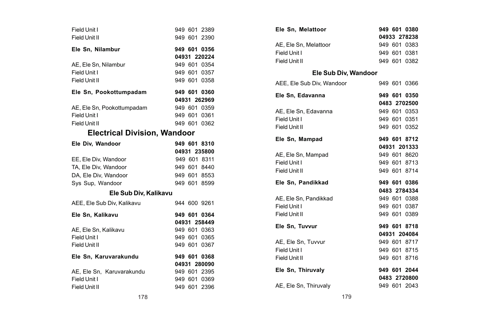| Field Unit I                        |  | 949 601 2389 |
|-------------------------------------|--|--------------|
| Field Unit II                       |  | 949 601 2390 |
| Ele Sn. Nilambur                    |  | 949 601 0356 |
|                                     |  | 04931 220224 |
| AE, Ele Sn, Nilambur                |  | 949 601 0354 |
| Field Unit I                        |  | 949 601 0357 |
| Field Unit II                       |  | 949 601 0358 |
| Ele Sn, Pookottumpadam              |  | 949 601 0360 |
|                                     |  | 04931 262969 |
| AE, Ele Sn, Pookottumpadam          |  | 949 601 0359 |
| Field Unit I                        |  | 949 601 0361 |
| Field Unit II                       |  | 949 601 0362 |
| <b>Electrical Division, Wandoor</b> |  |              |
| Ele Div. Wandoor                    |  | 949 601 8310 |
|                                     |  | 04931 235800 |
| EE, Ele Div, Wandoor                |  | 949 601 8311 |
| TA, Ele Div. Wandoor                |  | 949 601 8440 |
| DA. Ele Div. Wandoor                |  | 949 601 8553 |
| Sys Sup. Wandoor                    |  | 949 601 8599 |
| Ele Sub Div, Kalikavu               |  |              |
| AEE, Ele Sub Div, Kalikavu          |  | 944 600 9261 |
| Ele Sn, Kalikavu                    |  | 949 601 0364 |
|                                     |  | 04931 258449 |
| AE. Ele Sn. Kalikavu                |  | 949 601 0363 |
| Field Unit I                        |  | 949 601 0365 |
| Field Unit II                       |  | 949 601 0367 |
| Ele Sn, Karuvarakundu               |  | 949 601 0368 |
|                                     |  | 04931 280090 |
| AE. Ele Sn. Karuvarakundu           |  | 949 601 2395 |
| Field Unit I                        |  | 949 601 0369 |
| Field Unit II                       |  | 949 601 2396 |

| Ele Sn, Melattoor         |  | 949 601 0380 |
|---------------------------|--|--------------|
|                           |  | 04933 278238 |
| AE, Ele Sn, Melattoor     |  | 949 601 0383 |
| Field Unit I              |  | 949 601 0381 |
| Field Unit II             |  | 949 601 0382 |
| Ele Sub Div. Wandoor      |  |              |
| AEE, Ele Sub Div, Wandoor |  | 949 601 0366 |
| Ele Sn, Edavanna          |  | 949 601 0350 |
|                           |  | 0483 2702500 |
| AE, Ele Sn, Edavanna      |  | 949 601 0353 |
| Field Unit I              |  | 949 601 0351 |
| Field Unit II             |  | 949 601 0352 |
| Ele Sn. Mampad            |  | 949 601 8712 |
|                           |  | 04931 201333 |
| AE. Ele Sn. Mampad        |  | 949 601 8620 |
| Field Unit I              |  | 949 601 8713 |
| Field Unit II             |  | 949 601 8714 |
| Ele Sn. Pandikkad         |  | 949 601 0386 |
|                           |  | 0483 2784334 |
| AE, Ele Sn, Pandikkad     |  | 949 601 0388 |
| Field Unit I              |  | 949 601 0387 |
| Field Unit II             |  | 949 601 0389 |
| Ele Sn, Tuvvur            |  | 949 601 8718 |
|                           |  | 04931 204084 |
| AE, Ele Sn, Tuvvur        |  | 949 601 8717 |
| Field Unit I              |  | 949 601 8715 |
| Field Unit II             |  | 949 601 8716 |
| Ele Sn, Thiruvaly         |  | 949 601 2044 |
|                           |  | 0483 2720800 |
| AE, Ele Sn, Thiruvaly     |  | 949 601 2043 |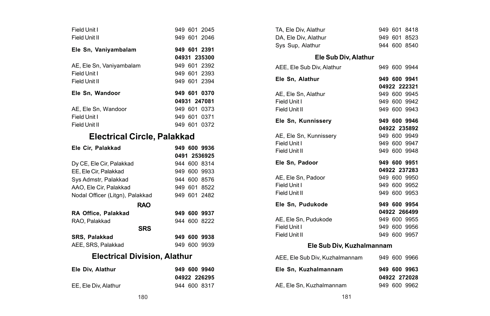| Field Unit I                        |  | 949 601 2045 |
|-------------------------------------|--|--------------|
| Field Unit II                       |  | 949 601 2046 |
| Ele Sn, Vaniyambalam                |  | 949 601 2391 |
|                                     |  | 04931 235300 |
| AE, Ele Sn, Vaniyambalam            |  | 949 601 2392 |
| Field Unit I                        |  | 949 601 2393 |
| Field Unit II                       |  | 949 601 2394 |
| Ele Sn, Wandoor                     |  | 949 601 0370 |
|                                     |  | 04931 247081 |
| AE, Ele Sn, Wandoor                 |  | 949 601 0373 |
| Field Unit I                        |  | 949 601 0371 |
| Field Unit II                       |  | 949 601 0372 |
| <b>Electrical Circle, Palakkad</b>  |  |              |
| Ele Cir. Palakkad                   |  | 949 600 9936 |
|                                     |  |              |
|                                     |  | 0491 2536925 |
| Dy CE, Ele Cir, Palakkad            |  | 944 600 8314 |
| EE, Ele Cir, Palakkad               |  | 949 600 9933 |
| Sys Admstr, Palakkad                |  | 944 600 8576 |
| AAO. Ele Cir. Palakkad              |  | 949 601 8522 |
| Nodal Officer (Litgn), Palakkad     |  | 949 601 2482 |
| <b>RAO</b>                          |  |              |
| RA Office. Palakkad                 |  | 949 600 9937 |
| RAO. Palakkad                       |  | 944 600 8222 |
| <b>SRS</b>                          |  |              |
| <b>SRS. Palakkad</b>                |  | 949 600 9938 |
| AEE, SRS, Palakkad                  |  | 949 600 9939 |
| <b>Electrical Division, Alathur</b> |  |              |
| Ele Div, Alathur                    |  | 949 600 9940 |

| TA, Ele Div, Alathur           |              | 949 601 8418 |
|--------------------------------|--------------|--------------|
| DA, Ele Div, Alathur           |              | 949 601 8523 |
| Sys Sup, Alathur               |              | 944 600 8540 |
| Ele Sub Div, Alathur           |              |              |
| AEE, Ele Sub Div, Alathur      |              | 949 600 9944 |
| Ele Sn. Alathur                |              | 949 600 9941 |
|                                |              | 04922 222321 |
| AE, Ele Sn, Alathur            |              | 949 600 9945 |
| Field Unit I                   |              | 949 600 9942 |
| Field Unit II                  |              | 949 600 9943 |
| Ele Sn. Kunnisserv             |              | 949 600 9946 |
|                                |              | 04922 235892 |
| AE, Ele Sn, Kunnissery         |              | 949 600 9949 |
| Field Unit I                   |              | 949 600 9947 |
| Field Unit II                  |              | 949 600 9948 |
| Ele Sn, Padoor                 |              | 949 600 9951 |
|                                |              | 04922 237283 |
|                                |              |              |
| AE. Ele Sn. Padoor             | 949 600 9950 |              |
| Field Unit I                   |              | 949 600 9952 |
| Field Unit II                  |              | 949 600 9953 |
| Ele Sn. Pudukode               |              | 949 600 9954 |
|                                |              | 04922 266499 |
| AE, Ele Sn, Pudukode           |              | 949 600 9955 |
| Field Unit I                   |              | 949 600 9956 |
| Field Unit II                  |              | 949 600 9957 |
| Ele Sub Div, Kuzhalmannam      |              |              |
| AEE, Ele Sub Div, Kuzhalmannam |              | 949 600 9966 |

**04922 272028**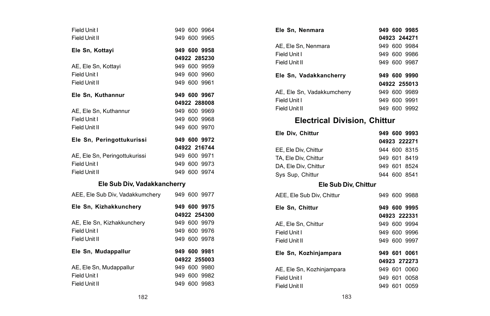| Field Unit I<br>Field Unit II   |  | 949 600 9964<br>949 600 9965 |
|---------------------------------|--|------------------------------|
| Ele Sn, Kottayi                 |  | 949 600 9958                 |
|                                 |  | 04922 285230                 |
| AE, Ele Sn, Kottayi             |  | 949 600 9959                 |
| Field Unit I                    |  | 949 600 9960                 |
| Field Unit II                   |  | 949 600 9961                 |
| Ele Sn, Kuthannur               |  | 949 600 9967                 |
|                                 |  | 04922 288008                 |
| AE, Ele Sn, Kuthannur           |  | 949 600 9969                 |
| Field Unit I                    |  | 949 600 9968                 |
| Field Unit II                   |  | 949 600 9970                 |
| Ele Sn, Peringottukurissi       |  | 949 600 9972                 |
|                                 |  | 04922 216744                 |
| AE, Ele Sn, Peringottukurissi   |  | 949 600 9971                 |
| Field Unit I                    |  | 949 600 9973                 |
| Field Unit II                   |  | 949 600 9974                 |
| Ele Sub Div, Vadakkancherry     |  |                              |
| AEE, Ele Sub Div, Vadakkumchery |  | 949 600 9977                 |
| Ele Sn, Kizhakkunchery          |  | 949 600 9975                 |
|                                 |  | 04922 254300                 |
| AE, Ele Sn, Kizhakkunchery      |  | 949 600 9979                 |
| Field Unit I                    |  | 949 600 9976                 |
| Field Unit II                   |  | 949 600 9978                 |
| Ele Sn, Mudappallur             |  | 949 600 9981                 |
|                                 |  | 04922 255003                 |
| AE, Ele Sn, Mudappallur         |  | 949 600 9980                 |
| Field Unit I                    |  | 949 600 9982                 |
| Field Unit II                   |  | 949 600 9983                 |

|                | 949 600 9964 | Ele Sn, Nenmara                     | 949 600 9985 |
|----------------|--------------|-------------------------------------|--------------|
|                | 949 600 9965 |                                     | 04923 244271 |
|                | 949 600 9958 | AE, Ele Sn, Nenmara                 | 949 600 9984 |
|                | 04922 285230 | Field Unit I                        | 949 600 9986 |
|                |              | Field Unit II                       | 949 600 9987 |
|                | 949 600 9959 |                                     |              |
|                | 949 600 9960 | Ele Sn, Vadakkancherry              | 949 600 9990 |
|                | 949 600 9961 |                                     | 04922 255013 |
|                | 949 600 9967 | AE, Ele Sn, Vadakkumcherry          | 949 600 9989 |
|                | 04922 288008 | Field Unit I                        | 949 600 9991 |
|                | 949 600 9969 | Field Unit II                       | 949 600 9992 |
|                | 949 600 9968 | <b>Electrical Division, Chittur</b> |              |
|                | 949 600 9970 |                                     |              |
|                |              | Ele Div, Chittur                    | 949 600 9993 |
| ssi            | 949 600 9972 |                                     | 04923 222271 |
|                | 04922 216744 | EE, Ele Div, Chittur                | 944 600 8315 |
| ssi            | 949 600 9971 | TA, Ele Div, Chittur                | 949 601 8419 |
|                | 949 600 9973 | DA, Ele Div, Chittur                | 949 601 8524 |
|                | 949 600 9974 | Sys Sup, Chittur                    | 944 600 8541 |
| 'adakkancherry |              | Ele Sub Div, Chittur                |              |
| <i>umchery</i> | 949 600 9977 | AEE. Ele Sub Div. Chittur           | 949 600 9988 |
| ı              | 949 600 9975 | Ele Sn, Chittur                     | 949 600 9995 |
|                | 04922 254300 |                                     | 04923 222331 |
| :rv            | 949 600 9979 | AE, Ele Sn, Chittur                 | 949 600 9994 |
|                | 949 600 9976 | Field Unit I                        | 949 600 9996 |
|                | 949 600 9978 | Field Unit II                       | 949 600 9997 |
|                | 949 600 9981 | Ele Sn, Kozhinjampara               | 949 601 0061 |
|                | 04922 255003 |                                     | 04923 272273 |
|                | 949 600 9980 | AE, Ele Sn, Kozhinjampara           | 949 601 0060 |
|                | 949 600 9982 | Field Unit I                        | 949 601 0058 |
|                | 949 600 9983 | Field Unit II                       | 949 601 0059 |
| 182            |              | 183                                 |              |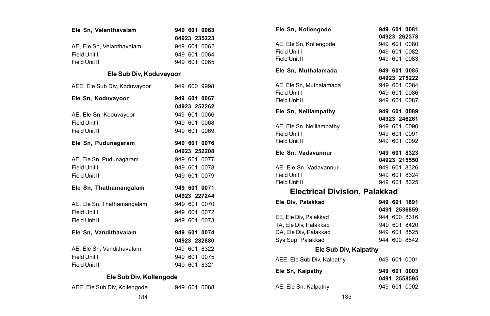| Ele Sn, Velanthavalam        |  | 949 601 0063 |
|------------------------------|--|--------------|
|                              |  | 04923 235223 |
| AE, Ele Sn, Velanthavalam    |  | 949 601 0062 |
| Field Unit I                 |  | 949 601 0064 |
| Field Unit II                |  | 949 601 0065 |
| Ele Sub Div, Koduvayoor      |  |              |
| AEE, Ele Sub Div, Koduvayoor |  | 949 600 9998 |
| Ele Sn, Koduvayoor           |  | 949 601 0067 |
|                              |  | 04923 252262 |
| AE, Ele Sn, Koduvayoor       |  | 949 601 0066 |
| Field Unit I                 |  | 949 601 0068 |
| Field Unit II                |  | 949 601 0069 |
| Ele Sn, Pudunagaram          |  | 949 601 0076 |
|                              |  | 04923 252208 |
| AE, Ele Sn, Pudunagaram      |  | 949 601 0077 |
| Field Unit I                 |  | 949 601 0078 |
| Field Unit II                |  | 949 601 0079 |
| Ele Sn, Thathamangalam       |  | 949 601 0071 |
|                              |  | 04923 227244 |
| AE, Ele Sn, Thathamangalam   |  | 949 601 0070 |
| Field Unit I                 |  | 949 601 0072 |
| Field Unit II                |  | 949 601 0073 |
| Ele Sn, Vandithavalam        |  | 949 601 0074 |
|                              |  | 04923 232880 |
| AE, Ele Sn, Vandithavalam    |  | 949 601 8322 |
| Field Unit I                 |  | 949 601 0075 |
| Field Unit II                |  | 949 601 8321 |
| Fix Only Disc Matters and a  |  |              |

|                         | . . |
|-------------------------|-----|
| Ele Sub Div, Kollengode |     |

|  | AEE, Ele Sub Div, Kollengode |  | 949 601 0088 |
|--|------------------------------|--|--------------|
|  |                              |  |              |

| Ele Sn, Kollengode            |  |  | 949 601 0081 |  |  |
|-------------------------------|--|--|--------------|--|--|
|                               |  |  | 04923 262378 |  |  |
| AE, Ele Sn, Kollengode        |  |  | 949 601 0080 |  |  |
| Field Unit I                  |  |  | 949 601 0082 |  |  |
| Field Unit II                 |  |  | 949 601 0083 |  |  |
| Ele Sn, Muthalamada           |  |  | 949 601 0085 |  |  |
|                               |  |  | 04923 275222 |  |  |
| AE, Ele Sn, Muthalamada       |  |  | 949 601 0084 |  |  |
| Field Unit I                  |  |  | 949 601 0086 |  |  |
| Field Unit II                 |  |  | 949 601 0087 |  |  |
| Ele Sn, Nelliampathy          |  |  | 949 601 0089 |  |  |
|                               |  |  | 04923 246261 |  |  |
| AE, Ele Sn, Nelliampathy      |  |  | 949 601 0090 |  |  |
| Field Unit I                  |  |  | 949 601 0091 |  |  |
| Field Unit II                 |  |  | 949 601 0092 |  |  |
| Ele Sn, Vadavannur            |  |  | 949 601 8323 |  |  |
|                               |  |  | 04923 215550 |  |  |
| AE, Ele Sn, Vadavannur        |  |  | 949 601 8326 |  |  |
| Field Unit I                  |  |  | 949 601 8324 |  |  |
| Field Unit II                 |  |  | 949 601 8325 |  |  |
| Electrical Division, Palakkad |  |  |              |  |  |
|                               |  |  |              |  |  |
| Ele Div, Palakkad             |  |  | 949 601 1891 |  |  |
|                               |  |  | 0491 2536859 |  |  |
| EE. Ele Div. Palakkad         |  |  | 944 600 8316 |  |  |
| TA, Ele Div, Palakkad         |  |  | 949 601 8420 |  |  |
| DA, Ele Div, Palakkad         |  |  | 949 601 8525 |  |  |
| Sys Sup, Palakkad             |  |  | 944 600 8542 |  |  |
| Ele Sub Div, Kalpathy         |  |  |              |  |  |
| AEE, Ele Sub Div, Kalpathy    |  |  | 949 601 0001 |  |  |
| Ele Sn, Kalpathy              |  |  | 949 601 0003 |  |  |
|                               |  |  | 0491 2558595 |  |  |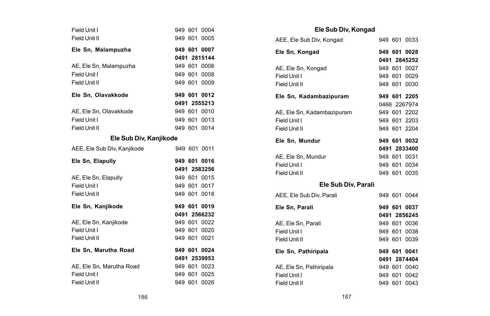| Field Unit I<br>Field Unit II |  | 949 601 0004<br>949 601 0005 |
|-------------------------------|--|------------------------------|
| Ele Sn, Malampuzha            |  | 949 601 0007                 |
|                               |  | 0491 2815144                 |
| AE, Ele Sn, Malampuzha        |  | 949 601 0006                 |
| Field Unit I                  |  | 949 601 0008                 |
| Field Unit II                 |  | 949 601 0009                 |
| Ele Sn, Olavakkode            |  | 949 601 0012                 |
|                               |  | 0491 2555213                 |
| AE. Ele Sn. Olavakkode        |  | 949 601 0010                 |
| Field Unit I                  |  | 949 601 0013                 |
| Field Unit II                 |  | 949 601 0014                 |
| Ele Sub Div, Kanjikode        |  |                              |
| AEE. Ele Sub Div. Kaniikode   |  | 949 601 0011                 |
|                               |  |                              |
| Ele Sn, Elapully              |  | 949 601 0016                 |
|                               |  | 0491 2583256                 |
| AE, Ele Sn, Elapully          |  | 949 601 0015                 |
| Field Unit I                  |  | 949 601 0017                 |
| Field Unit II                 |  | 949 601 0018                 |
| Ele Sn, Kanjikode             |  | 949 601 0019                 |
|                               |  | 0491 2566232                 |
| AE, Ele Sn, Kanjikode         |  | 949 601 0022                 |
| Field Unit I                  |  | 949 601 0020                 |
| Field Unit II                 |  | 949 601 0021                 |
| Ele Sn, Marutha Road          |  | 949 601 0024                 |
|                               |  | 0491 2539953                 |
| AE, Ele Sn. Marutha Road      |  | 949 601 0023                 |
| Field Unit I<br>Field Unit II |  | 949 601 0025<br>949 601 0026 |

| Ele Sub Div, Kongad        |  |              |
|----------------------------|--|--------------|
| AEE, Ele Sub Div, Kongad   |  | 949 601 0033 |
| Ele Sn. Kongad             |  | 949 601 0028 |
|                            |  | 0491 2845252 |
| AE, Ele Sn, Kongad         |  | 949 601 0027 |
| Field Unit I               |  | 949 601 0029 |
| Field Unit II              |  | 949 601 0030 |
| Ele Sn, Kadambazipuram     |  | 949 601 2205 |
|                            |  | 0466 2267974 |
| AE, Ele Sn, Kadambazipuram |  | 949 601 2202 |
| Field Unit I               |  | 949 601 2203 |
| Field Unit II              |  | 949 601 2204 |
| Ele Sn, Mundur             |  | 949 601 0032 |
|                            |  | 0491 2833400 |
| AE, Ele Sn, Mundur         |  | 949 601 0031 |
| Field Unit I               |  | 949 601 0034 |
| Field Unit II              |  | 949 601 0035 |
| Ele Sub Div, Parali        |  |              |
| AEE, Ele Sub Div, Parali   |  | 949 601 0044 |
| Ele Sn, Parali             |  | 949 601 0037 |
|                            |  | 0491 2856245 |
| AE, Ele Sn, Parali         |  | 949 601 0036 |
| Field Unit I               |  | 949 601 0038 |
| Field Unit II              |  | 949 601 0039 |
| Ele Sn, Pathiripala        |  | 949 601 0041 |
|                            |  | 0491 2874404 |
| AE, Ele Sn, Pathiripala    |  | 949 601 0040 |
| Field Unit I               |  | 949 601 0042 |
| Field Unit II              |  | 949 601 0043 |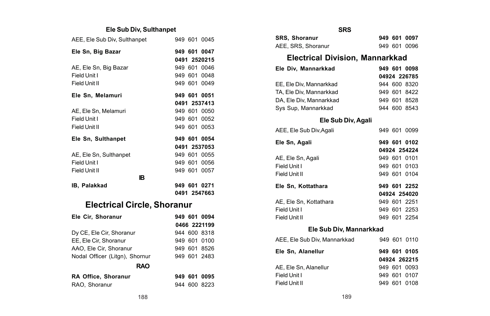#### **Ele Sub Div, Sulthanpet**

| AEE, Ele Sub Div, Sulthanpet       |  | 949 601 0045 |
|------------------------------------|--|--------------|
| Ele Sn, Big Bazar                  |  | 949 601 0047 |
|                                    |  | 0491 2520215 |
| AE, Ele Sn, Big Bazar              |  | 949 601 0046 |
| Field Unit I                       |  | 949 601 0048 |
| Field Unit II                      |  | 949 601 0049 |
| Ele Sn. Melamuri                   |  | 949 601 0051 |
|                                    |  | 0491 2537413 |
| AE, Ele Sn, Melamuri               |  | 949 601 0050 |
| Field Unit I                       |  | 949 601 0052 |
| Field Unit II                      |  | 949 601 0053 |
| Ele Sn, Sulthanpet                 |  | 949 601 0054 |
|                                    |  | 0491 2537053 |
| AE, Ele Sn, Sulthanpet             |  | 949 601 0055 |
| Field Unit I                       |  | 949 601 0056 |
| Field Unit II                      |  | 949 601 0057 |
| 1B                                 |  |              |
| IB, Palakkad                       |  | 949 601 0271 |
|                                    |  | 0491 2547663 |
| <b>Electrical Circle, Shoranur</b> |  |              |
| Ele Cir, Shoranur                  |  | 949 601 0094 |
|                                    |  | 0466 2221199 |
| Dy CE, Ele Cir, Shoranur           |  | 944 600 8318 |
| EE, Ele Cir, Shoranur              |  | 949 601 0100 |
| AAO, Ele Cir, Shoranur             |  | 949 601 8526 |
| Nodal Officer (Litgn), Shornur     |  | 949 601 2483 |
| <b>RAO</b>                         |  |              |
|                                    |  |              |
| RA Office, Shoranur                |  | 949 601 0095 |

### **SRS SRS, Shoranur 949 601 0097** AEE, SRS, Shoranur 949 601 0096 **Electrical Division, Mannarkkad Ele Div, Mannarkkad 949 601 0098 04924 226785** EE, Ele Div, Mannarkkad 944 600 8320 TA, Ele Div, Mannarkkad 949 601 8422 DA, Ele Div, Mannarkkad 949 601 8528 Sys Sup, Mannarkkad 944 600 8543 **Ele Sub Div, Agali** AEE, Ele Sub Div,Agali 949 601 0099 **Ele Sn, Agali 949 601 0102 04924 254224** AE, Ele Sn, Agali 949 601 0101 Field Unit I 949 601 0103 Field Unit II 949 601 0104 **Ele Sn, Kottathara 949 601 2252 04924 254020** AE, Ele Sn, Kottathara 949 601 2251 Field Unit I 949 601 2253 Field Unit II 949 601 2254 **Ele Sub Div, Mannarkkad** AEE, Ele Sub Div, Mannarkkad 949 601 0110 **Ele Sn, Alanellur 949 601 0105 04924 262215** AE, Ele Sn, Alanellur 949 601 0093 Field Unit I 949 601 0107 Field Unit II 949 601 0108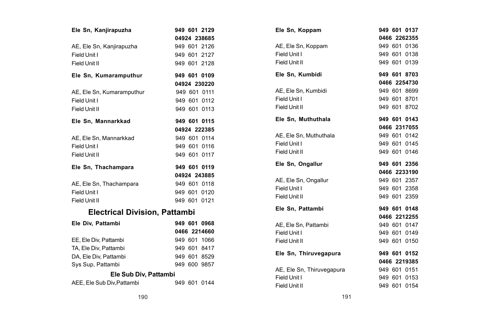| Ele Sn, Kanjirapuzha                 |  | 949 601 2129 |
|--------------------------------------|--|--------------|
|                                      |  | 04924 238685 |
| AE, Ele Sn, Kanjirapuzha             |  | 949 601 2126 |
| Field Unit I                         |  | 949 601 2127 |
| Field Unit II                        |  | 949 601 2128 |
| Ele Sn, Kumaramputhur                |  | 949 601 0109 |
|                                      |  | 04924 230220 |
| AE, Ele Sn, Kumaramputhur            |  | 949 601 0111 |
| Field Unit I                         |  | 949 601 0112 |
| Field Unit II                        |  | 949 601 0113 |
| Ele Sn, Mannarkkad                   |  | 949 601 0115 |
|                                      |  | 04924 222385 |
| AE, Ele Sn, Mannarkkad               |  | 949 601 0114 |
| Field Unit I                         |  | 949 601 0116 |
| Field Unit II                        |  | 949 601 0117 |
| Ele Sn, Thachampara                  |  | 949 601 0119 |
|                                      |  | 04924 243885 |
| AE, Ele Sn, Thachampara              |  | 949 601 0118 |
| Field Unit I                         |  | 949 601 0120 |
| Field Unit II                        |  | 949 601 0121 |
| <b>Electrical Division, Pattambi</b> |  |              |
| Ele Div, Pattambi                    |  | 949 601 0968 |
|                                      |  | 0466 2214660 |
| EE, Ele Div, Pattambi                |  | 949 601 1066 |
| TA, Ele Div, Pattambi                |  | 949 601 8417 |
| DA, Ele Div, Pattambi                |  | 949 601 8529 |
| Sys Sup, Pattambi                    |  | 949 600 9857 |
| Ele Sub Div, Pattambi                |  |              |
| AEE, Ele Sub Div, Pattambi           |  | 949 601 0144 |

|  | 949 601 0146                                                                                                                                                                                                                 |
|--|------------------------------------------------------------------------------------------------------------------------------------------------------------------------------------------------------------------------------|
|  | 949 601 2356                                                                                                                                                                                                                 |
|  | 0466 2233190                                                                                                                                                                                                                 |
|  | 949 601 2357                                                                                                                                                                                                                 |
|  | 949 601 2358                                                                                                                                                                                                                 |
|  | 949 601 2359                                                                                                                                                                                                                 |
|  | 949 601 0148                                                                                                                                                                                                                 |
|  | 0466 2212255                                                                                                                                                                                                                 |
|  | 949 601 0147                                                                                                                                                                                                                 |
|  | 949 601 0149                                                                                                                                                                                                                 |
|  | 949 601 0150                                                                                                                                                                                                                 |
|  | 949 601 0152                                                                                                                                                                                                                 |
|  | 0466 2219385                                                                                                                                                                                                                 |
|  | 949 601 0151                                                                                                                                                                                                                 |
|  | 949 601 0153<br>949 601 0154                                                                                                                                                                                                 |
|  | 949 601 0137<br>0466 2262355<br>949 601 0136<br>949 601 0138<br>949 601 0139<br>949 601 8703<br>0466 2254730<br>949 601 8699<br>949 601 8701<br>949 601 8702<br>949 601 0143<br>0466 2317055<br>949 601 0142<br>949 601 0145 |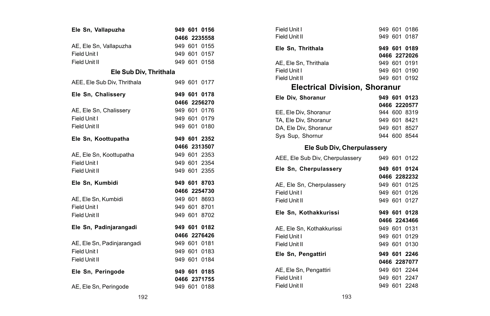| Ele Sn, Vallapuzha          |  | 949 601 0156 |
|-----------------------------|--|--------------|
|                             |  | 0466 2235558 |
| AE, Ele Sn, Vallapuzha      |  | 949 601 0155 |
| Field Unit I                |  | 949 601 0157 |
| Field Unit II               |  | 949 601 0158 |
| Ele Sub Div, Thrithala      |  |              |
| AEE, Ele Sub Div, Thrithala |  | 949 601 0177 |
| Ele Sn, Chalissery          |  | 949 601 0178 |
|                             |  | 0466 2256270 |
| AE, Ele Sn, Chalissery      |  | 949 601 0176 |
| Field Unit I                |  | 949 601 0179 |
| Field Unit II               |  | 949 601 0180 |
| Ele Sn, Koottupatha         |  | 949 601 2352 |
|                             |  | 0466 2313507 |
| AE, Ele Sn, Koottupatha     |  | 949 601 2353 |
| Field Unit I                |  | 949 601 2354 |
| Field Unit II               |  | 949 601 2355 |
| Ele Sn. Kumbidi             |  | 949 601 8703 |
|                             |  | 0466 2254730 |
| AE. Ele Sn. Kumbidi         |  | 949 601 8693 |
| Field Unit I                |  | 949 601 8701 |
| Field Unit II               |  | 949 601 8702 |
| Ele Sn, Padinjarangadi      |  | 949 601 0182 |
|                             |  | 0466 2276426 |
| AE, Ele Sn, Padinjarangadi  |  | 949 601 0181 |
| Field Unit I                |  | 949 601 0183 |
| Field Unit II               |  | 949 601 0184 |
| Ele Sn, Peringode           |  | 949 601 0185 |
|                             |  | 0466 2371755 |
| AE, Ele Sn, Peringode       |  | 949 601 0188 |

|               | 949 601 0156 | Field Unit I                                 | 949 601 0186 |
|---------------|--------------|----------------------------------------------|--------------|
|               | 0466 2235558 | Field Unit II                                | 949 601 0187 |
|               | 949 601 0155 | Ele Sn, Thrithala                            | 949 601 0189 |
|               | 949 601 0157 |                                              | 0466 2272026 |
|               | 949 601 0158 | AE, Ele Sn, Thrithala                        | 949 601 0191 |
| iv, Thrithala |              | Field Unit I                                 | 949 601 0190 |
|               | 949 601 0177 | Field Unit II                                | 949 601 0192 |
| à             |              | <b>Electrical Division, Shoranur</b>         |              |
|               | 949 601 0178 | Ele Div. Shoranur                            | 949 601 0123 |
|               | 0466 2256270 |                                              | 0466 2220577 |
|               | 949 601 0176 | EE, Ele Div, Shoranur                        | 944 600 8319 |
|               | 949 601 0179 | TA, Ele Div. Shoranur                        | 949 601 8421 |
|               | 949 601 0180 | DA, Ele Div, Shoranur                        | 949 601 8527 |
|               | 949 601 2352 | Sys Sup, Shornur                             | 944 600 8544 |
|               | 0466 2313507 | Ele Sub Div, Cherpulassery                   |              |
|               | 949 601 2353 |                                              |              |
|               | 949 601 2354 | AEE, Ele Sub Div, Cherpulassery 949 601 0122 |              |
|               | 949 601 2355 | Ele Sn, Cherpulassery                        | 949 601 0124 |
|               |              |                                              | 0466 2282232 |
|               | 949 601 8703 | AE, Ele Sn, Cherpulassery                    | 949 601 0125 |
|               | 0466 2254730 | Field Unit I                                 | 949 601 0126 |
|               | 949 601 8693 | Field Unit II                                | 949 601 0127 |
|               | 949 601 8701 | Ele Sn, Kothakkurissi                        | 949 601 0128 |
|               | 949 601 8702 |                                              | 0466 2243466 |
|               | 949 601 0182 | AE, Ele Sn, Kothakkurissi                    | 949 601 0131 |
|               | 0466 2276426 | Field Unit I                                 | 949 601 0129 |
| li            | 949 601 0181 | Field Unit II                                | 949 601 0130 |
|               | 949 601 0183 | Ele Sn, Pengattiri                           | 949 601 2246 |
|               | 949 601 0184 |                                              | 0466 2287077 |
|               | 949 601 0185 | AE, Ele Sn, Pengattiri                       | 949 601 2244 |
|               | 0466 2371755 | Field Unit I                                 | 949 601 2247 |
|               | 949 601 0188 | Field Unit II                                | 949 601 2248 |
| 192           |              | 193                                          |              |
|               |              |                                              |              |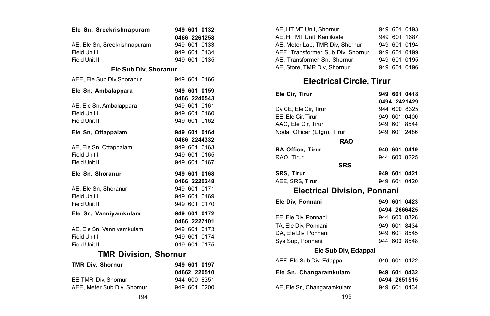| Ele Sn, Sreekrishnapuram     |         | 949 601 0132 |
|------------------------------|---------|--------------|
|                              |         | 0466 2261258 |
| AE. Ele Sn. Sreekrishnapuram |         | 949 601 0133 |
| Field Unit I                 |         | 949 601 0134 |
| Field Unit II                |         | 949 601 0135 |
| Ele Sub Div, Shoranur        |         |              |
| AEE. Ele Sub Div.Shoranur    |         | 949 601 0166 |
| Ele Sn, Ambalappara          |         | 949 601 0159 |
|                              |         | 0466 2240543 |
| AE, Ele Sn, Ambalappara      |         | 949 601 0161 |
| Field Unit I                 |         | 949 601 0160 |
| Field Unit II                |         | 949 601 0162 |
| Ele Sn, Ottappalam           |         | 949 601 0164 |
|                              |         | 0466 2244332 |
| AE, Ele Sn, Ottappalam       |         | 949 601 0163 |
| Field Unit I                 |         | 949 601 0165 |
| Field Unit II                |         | 949 601 0167 |
| Ele Sn. Shoranur             |         | 949 601 0168 |
|                              |         | 0466 2220248 |
| AE. Ele Sn. Shoranur         |         | 949 601 0171 |
| Field Unit I                 |         | 949 601 0169 |
| Field Unit II                |         | 949 601 0170 |
| Ele Sn, Vanniyamkulam        |         | 949 601 0172 |
|                              |         | 0466 2227101 |
| AE, Ele Sn, Vanniyamkulam    |         | 949 601 0173 |
| Field Unit I                 |         | 949 601 0174 |
| Field Unit II                |         | 949 601 0175 |
| <b>TMR Division, Shornur</b> |         |              |
| <b>TMR Div. Shornur</b>      |         | 949 601 0197 |
|                              |         | 04662 220510 |
| EE.TMR Div. Shornur          |         | 944 600 8351 |
| AEE, Meter Sub Div, Shornur  | 949 601 | 0200         |

| AE. HT MT Unit. Shornur           |  | 949 601 0193 |  |
|-----------------------------------|--|--------------|--|
| AE. HT MT Unit. Kaniikode         |  | 949 601 1687 |  |
| AE, Meter Lab, TMR Div, Shornur   |  | 949 601 0194 |  |
| AEE, Transformer Sub Div, Shornur |  | 949 601 0199 |  |
| AE. Transformer Sn. Shornur       |  | 949 601 0195 |  |
| AE, Store, TMR Div, Shornur       |  | 949 601 0196 |  |
|                                   |  |              |  |

# **Electrical Circle, Tirur**

| Ele Cir, Tirur                      |  |  | 949 601 0418 |  |
|-------------------------------------|--|--|--------------|--|
|                                     |  |  | 0494 2421429 |  |
| Dy CE, Ele Cir, Tirur               |  |  | 944 600 8325 |  |
| EE, Ele Cir, Tirur                  |  |  | 949 601 0400 |  |
| AAO, Ele Cir, Tirur                 |  |  | 949 601 8544 |  |
| Nodal Officer (Litgn), Tirur        |  |  | 949 601 2486 |  |
| <b>RAO</b>                          |  |  |              |  |
| RA Office, Tirur                    |  |  | 949 601 0419 |  |
| RAO. Tirur                          |  |  | 944 600 8225 |  |
| <b>SRS</b>                          |  |  |              |  |
| <b>SRS. Tirur</b>                   |  |  | 949 601 0421 |  |
| AEE, SRS, Tirur                     |  |  | 949 601 0420 |  |
| <b>Electrical Division, Ponnani</b> |  |  |              |  |
| Ele Div, Ponnani                    |  |  | 949 601 0423 |  |
|                                     |  |  | 0494 2666425 |  |
| EE, Ele Div, Ponnani                |  |  | 944 600 8328 |  |
| TA, Ele Div, Ponnani                |  |  | 949 601 8434 |  |
| DA, Ele Div, Ponnani                |  |  | 949 601 8545 |  |
| Sys Sup, Ponnani                    |  |  | 944 600 8548 |  |
| Ele Sub Div, Edappal                |  |  |              |  |
| AEE, Ele Sub Div, Edappal           |  |  | 949 601 0422 |  |
| Ele Sn, Changaramkulam              |  |  | 949 601 0432 |  |
|                                     |  |  | 0494 2651515 |  |
| AE, Ele Sn, Changaramkulam          |  |  | 949 601 0434 |  |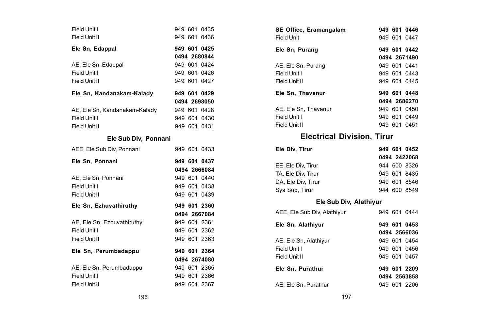| Field Unit I<br>Field Unit II                                  |  | 949 601 0435<br>949 601 0436                                 |
|----------------------------------------------------------------|--|--------------------------------------------------------------|
| Ele Sn, Edappal                                                |  | 949 601 0425<br>0494 2680844                                 |
| AE, Ele Sn, Edappal<br>Field Unit I<br>Field Unit II           |  | 949 601 0424<br>949 601 0426<br>949 601 0427                 |
| Ele Sn, Kandanakam-Kalady                                      |  | 949 601 0429                                                 |
| AE, Ele Sn, Kandanakam-Kalady<br>Field Unit I<br>Field Unit II |  | 0494 2698050<br>949 601 0428<br>949 601 0430<br>949 601 0431 |
| Ele Sub Div, Ponnani                                           |  |                                                              |
| AEE, Ele Sub Div, Ponnani                                      |  | 949 601 0433                                                 |
|                                                                |  |                                                              |
| Ele Sn. Ponnani                                                |  | 949 601 0437                                                 |
| AE. Ele Sn. Ponnani<br>Field Unit I<br>Field Unit II           |  | 0494 2666084<br>949 601 0440<br>949 601 0438<br>949 601 0439 |
| Ele Sn. Ezhuvathiruthv                                         |  | 949 601 2360                                                 |
| AE, Ele Sn, Ezhuvathiruthy<br>Field Unit I<br>Field Unit II    |  | 0494 2667084<br>949 601 2361<br>949 601 2362<br>949 601 2363 |
| Ele Sn, Perumbadappu                                           |  | 949 601 2364<br>0494 2674080                                 |

| SE Office, Eramangalam            |  | 949 601 0446 |
|-----------------------------------|--|--------------|
| Field Unit                        |  | 949 601 0447 |
| Ele Sn, Purang                    |  | 949 601 0442 |
|                                   |  | 0494 2671490 |
| AE, Ele Sn, Purang                |  | 949 601 0441 |
| Field Unit I                      |  | 949 601 0443 |
| Field Unit II                     |  | 949 601 0445 |
| Ele Sn, Thavanur                  |  | 949 601 0448 |
|                                   |  | 0494 2686270 |
| AE, Ele Sn, Thavanur              |  | 949 601 0450 |
| Field Unit I                      |  | 949 601 0449 |
| Field Unit II                     |  | 949 601 0451 |
| <b>Electrical Division, Tirur</b> |  |              |
| Ele Div, Tirur                    |  | 949 601 0452 |
|                                   |  | 0494 2422068 |
| EE, Ele Div, Tirur                |  | 944 600 8326 |
| TA, Ele Div, Tirur                |  | 949 601 8435 |
| DA, Ele Div, Tirur                |  | 949 601 8546 |
| Sys Sup, Tirur                    |  | 944 600 8549 |
| Ele Sub Div, Alathiyur            |  |              |

### AEE, Ele Sub Div, Alathiyur 949 601 0444 **Ele Sn, Alathiyur 949 601 0453 0494 2566036** AE, Ele Sn, Alathiyur 949 601 0454<br>Field Unit I 949 601 0456 949 601 0456 Field Unit II 949 601 0457 **Ele Sn, Purathur 949 601 2209 0494 2563858** AE, Ele Sn, Purathur 949 601 2206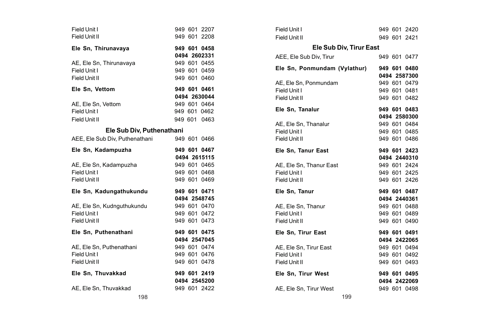| Field Unit I                   |  | 949 601 2207                 |
|--------------------------------|--|------------------------------|
| Field Unit II                  |  | 949 601 2208                 |
| Ele Sn, Thirunavaya            |  | 949 601 0458                 |
|                                |  | 0494 2602331                 |
| AE, Ele Sn, Thirunavaya        |  | 949 601 0455                 |
| Field Unit I                   |  | 949 601 0459                 |
| Field Unit II                  |  | 949 601 0460                 |
|                                |  |                              |
| Ele Sn. Vettom                 |  | 949 601 0461                 |
|                                |  | 0494 2630044                 |
| AE, Ele Sn, Vettom             |  | 949 601 0464                 |
| Field Unit I                   |  | 949 601 0462                 |
| Field Unit II                  |  | 949 601 0463                 |
| Ele Sub Div, Puthenathani      |  |                              |
| AEE, Ele Sub Div, Puthenathani |  | 949 601 0466                 |
| Ele Sn. Kadampuzha             |  | 949 601 0467                 |
|                                |  | 0494 2615115                 |
|                                |  |                              |
| AE, Ele Sn, Kadampuzha         |  | 949 601 0465                 |
| Field Unit I                   |  | 949 601 0468                 |
| Field Unit II                  |  | 949 601 0469                 |
|                                |  |                              |
| Ele Sn, Kadungathukundu        |  | 949 601 0471<br>0494 2548745 |
| AE, Ele Sn, Kudnguthukundu     |  | 949 601 0470                 |
| Field Unit I                   |  | 949 601 0472                 |
| Field Unit II                  |  | 949 601 0473                 |
|                                |  | 949 601 0475                 |
| Ele Sn, Puthenathani           |  | 0494 2547045                 |
| AE, Ele Sn, Puthenathani       |  | 949 601 0474                 |
| Field Unit I                   |  | 949 601 0476                 |
| Field Unit II                  |  | 949 601 0478                 |
| Ele Sn, Thuvakkad              |  | 949 601 2419                 |
|                                |  | 0494 2545200                 |

| Ele Sub Div, Tirur East<br>Ele Sn, Ponmundam (Vylathur) | 949 601 2420<br>949 601 2421<br>949 601 0477<br>949 601 0480<br>0494 2587300<br>949 601 0479<br>949 601 0481<br>949 601 0482<br>949 601 0483<br>0494 2580300<br>949 601 0484<br>949 601 0485<br>949 601 0486<br>949 601 2423<br>0494 2440310<br>949 601 2424<br>949 601 2425<br>949 601 2426<br>949 601 0487<br>0494 2440361<br>949 601 0488<br>949 601 0489<br>949 601 0490<br>949 601 0491<br>0494 2422065<br>949 601 0494<br>949 601 0492<br>949 601 0493<br>949 601 0495<br>0494 2422069<br>949 601 0498 |
|---------------------------------------------------------|--------------------------------------------------------------------------------------------------------------------------------------------------------------------------------------------------------------------------------------------------------------------------------------------------------------------------------------------------------------------------------------------------------------------------------------------------------------------------------------------------------------|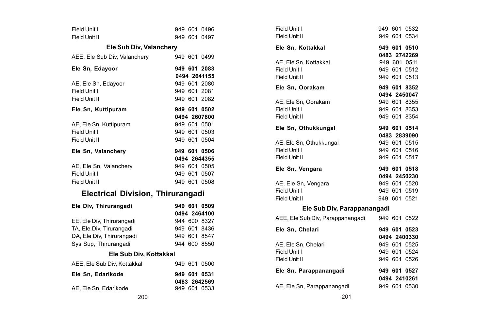| Field Unit I                             |  | 949 601 0496 |
|------------------------------------------|--|--------------|
| Field Unit II                            |  | 949 601 0497 |
| Ele Sub Div, Valanchery                  |  |              |
| AEE, Ele Sub Div, Valanchery             |  | 949 601 0499 |
| Ele Sn, Edayoor                          |  | 949 601 2083 |
|                                          |  | 0494 2641155 |
| AE, Ele Sn, Edayoor                      |  | 949 601 2080 |
| Field Unit I                             |  | 949 601 2081 |
| Field Unit II                            |  | 949 601 2082 |
| Ele Sn, Kuttipuram                       |  | 949 601 0502 |
|                                          |  | 0494 2607800 |
| AE, Ele Sn, Kuttipuram                   |  | 949 601 0501 |
| Field Unit I                             |  | 949 601 0503 |
| Field Unit II                            |  | 949 601 0504 |
| Ele Sn, Valanchery                       |  | 949 601 0506 |
|                                          |  | 0494 2644355 |
| AE, Ele Sn, Valanchery                   |  | 949 601 0505 |
| Field Unit I                             |  | 949 601 0507 |
| Field Unit II                            |  | 949 601 0508 |
| <b>Electrical Division, Thirurangadi</b> |  |              |
| Ele Div, Thirurangadi                    |  | 949 601 0509 |
|                                          |  | 0494 2464100 |
| EE, Ele Div, Thirurangadi                |  | 944 600 8327 |
| TA, Ele Div, Tirurangadi                 |  | 949 601 8436 |
| DA, Ele Div, Thirurangadi                |  | 949 601 8547 |
| Sys Sup, Thirurangadi                    |  | 944 600 8550 |
| Ele Sub Div, Kottakkal                   |  |              |
| AEE. Ele Sub Div. Kottakkal              |  | 949 601 0500 |
| Ele Sn. Edarikode                        |  | 949 601 0531 |
|                                          |  | 0483 2642569 |
| AE. Ele Sn. Edarikode                    |  | 949 601 0533 |

| Field Unit I                                  |  | 949 601 0532                 |
|-----------------------------------------------|--|------------------------------|
| Field Unit II                                 |  | 949 601 0534                 |
| Ele Sn. Kottakkal                             |  | 949 601 0510                 |
|                                               |  | 0483 2742269                 |
| AE, Ele Sn, Kottakkal<br>Field Unit I         |  | 949 601 0511<br>949 601 0512 |
| Field Unit II                                 |  | 949 601 0513                 |
|                                               |  |                              |
| Ele Sn. Oorakam                               |  | 949 601 8352                 |
|                                               |  | 0494 2450047                 |
| AE, Ele Sn, Oorakam                           |  | 949 601 8355                 |
| Field Unit I                                  |  | 949 601 8353                 |
| Field Unit II                                 |  | 949 601 8354                 |
| Ele Sn, Othukkungal                           |  | 949 601 0514                 |
|                                               |  | 0483 2839090                 |
| AE, Ele Sn, Othukkungal                       |  | 949 601 0515                 |
| Field Unit I                                  |  | 949 601 0516                 |
| Field Unit II                                 |  | 949 601 0517                 |
| Ele Sn. Vengara                               |  | 949 601 0518                 |
|                                               |  | 0494 2450230                 |
| AE, Ele Sn, Vengara                           |  | 949 601 0520                 |
| Field Unit I                                  |  | 949 601 0519                 |
| Field Unit II                                 |  | 949 601 0521                 |
| Ele Sub Div, Parappanangadi                   |  |                              |
| AEE, Ele Sub Div, Parappanangadi 949 601 0522 |  |                              |
| Ele Sn, Chelari                               |  | 949 601 0523                 |
|                                               |  | 0494 2400330                 |
| AE. Ele Sn. Chelari                           |  | 949 601 0525                 |
| Field Unit I                                  |  | 949 601 0524                 |
| Field Unit II                                 |  | 949 601 0526                 |
| Ele Sn, Parappanangadi                        |  | 949 601 0527                 |
|                                               |  | 0494 2410261                 |
| AE, Ele Sn, Parappanangadi                    |  | 949 601 0530                 |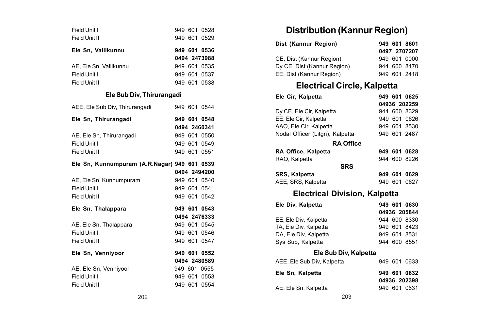| Field Unit I              |  |  | 949 601 0528 |
|---------------------------|--|--|--------------|
| Field Unit II             |  |  | 949 601 0529 |
| Ele Sn, Vallikunnu        |  |  | 949 601 0536 |
|                           |  |  | 0494 2473988 |
| AE. Ele Sn. Vallikunnu    |  |  | 949 601 0535 |
| Field Unit I              |  |  | 949 601 0537 |
| Field Unit II             |  |  | 949 601 0538 |
| Ele Sub Div, Thirurangadi |  |  |              |

| AEE, Ele Sub Div, Thirurangadi               |              | 949 601 0544 |
|----------------------------------------------|--------------|--------------|
| Ele Sn, Thirurangadi                         |              | 949 601 0548 |
|                                              |              | 0494 2460341 |
| AE, Ele Sn, Thirurangadi                     |              | 949 601 0550 |
| Field Unit I                                 |              | 949 601 0549 |
| Field Unit II                                |              | 949 601 0551 |
| Ele Sn, Kunnumpuram (A.R.Nagar) 949 601 0539 |              |              |
|                                              |              | 0494 2494200 |
| AE, Ele Sn, Kunnumpuram                      |              | 949 601 0540 |
| Field Unit I                                 |              | 949 601 0541 |
| Field Unit II                                |              | 949 601 0542 |
| Ele Sn, Thalappara                           |              | 949 601 0543 |
|                                              |              | 0494 2476333 |
| AE, Ele Sn, Thalappara                       |              | 949 601 0545 |
| Field Unit I                                 |              | 949 601 0546 |
| Field Unit II                                |              | 949 601 0547 |
| Ele Sn, Venniyoor                            |              | 949 601 0552 |
|                                              |              | 0494 2480589 |
| AE, Ele Sn, Venniyoor                        |              | 949 601 0555 |
| Field Unit I                                 |              |              |
|                                              | 949 601 0553 |              |

## **Distribution (Kannur Region)**

| Dist (Kannur Region)        | 949 601 8601 |
|-----------------------------|--------------|
|                             | 0497 2707207 |
| CE. Dist (Kannur Region)    | 949 601 0000 |
| Dy CE. Dist (Kannur Region) | 944 600 8470 |
| EE. Dist (Kannur Region)    | 949 601 2418 |

## **Electrical Circle, Kalpetta**

| Ele Cir, Kalpetta                    |  | 949 601 0625 |
|--------------------------------------|--|--------------|
|                                      |  | 04936 202259 |
| Dy CE, Ele Cir, Kalpetta             |  | 944 600 8329 |
| EE, Ele Cir, Kalpetta                |  | 949 601 0626 |
| AAO, Ele Cir, Kalpetta               |  | 949 601 8530 |
| Nodal Officer (Litgn), Kalpetta      |  | 949 601 2487 |
| <b>RA Office</b>                     |  |              |
| RA Office, Kalpetta                  |  | 949 601 0628 |
| RAO, Kalpetta                        |  | 944 600 8226 |
| <b>SRS</b>                           |  |              |
| SRS, Kalpetta                        |  | 949 601 0629 |
| AEE, SRS, Kalpetta                   |  | 949 601 0627 |
| <b>Electrical Division, Kalpetta</b> |  |              |
| Ele Div. Kalpetta                    |  | 949 601 0630 |
|                                      |  | 04936 205844 |

|                       | 04936 205844 |  |
|-----------------------|--------------|--|
| EE. Ele Div. Kalpetta | 944 600 8330 |  |
| TA. Ele Div. Kalpetta | 949 601 8423 |  |
| DA, Ele Div, Kalpetta | 949 601 8531 |  |
| Sys Sup, Kalpetta     | 944 600 8551 |  |
|                       |              |  |

### **Ele Sub Div, Kalpetta**

| AEE, Ele Sub Div, Kalpetta |  | 949 601 0633 |
|----------------------------|--|--------------|
| Ele Sn, Kalpetta           |  | 949 601 0632 |
|                            |  | 04936 202398 |
| AE, Ele Sn, Kalpetta       |  | 949 601 0631 |
|                            |  |              |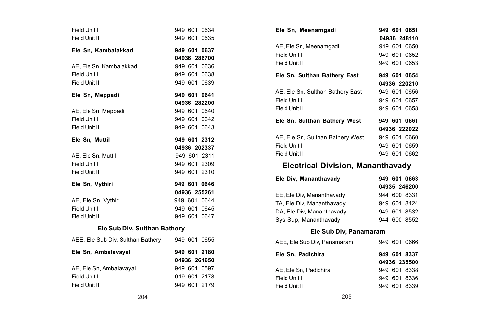| Field Unit I<br>Field Unit II                  |  | 949 601 0634<br>949 601 0635 |
|------------------------------------------------|--|------------------------------|
|                                                |  |                              |
| Ele Sn, Kambalakkad                            |  | 949 601 0637<br>04936 286700 |
|                                                |  |                              |
| AE. Ele Sn. Kambalakkad                        |  | 949 601 0636                 |
| Field Unit I                                   |  | 949 601 0638                 |
| Field Unit II                                  |  | 949 601 0639                 |
| Ele Sn, Meppadi                                |  | 949 601 0641                 |
|                                                |  | 04936 282200                 |
| AE, Ele Sn, Meppadi                            |  | 949 601 0640                 |
| Field Unit I                                   |  | 949 601 0642                 |
| Field Unit II                                  |  | 949 601 0643                 |
| Ele Sn. Muttil                                 |  | 949 601 2312                 |
|                                                |  | 04936 202337                 |
| AE. Ele Sn. Muttil                             |  | 949 601 2311                 |
| Field Unit I                                   |  | 949 601 2309                 |
| Field Unit II                                  |  | 949 601 2310                 |
| Ele Sn, Vythiri                                |  | 949 601 0646                 |
|                                                |  | 04936 255261                 |
| AE, Ele Sn, Vythiri                            |  | 949 601 0644                 |
| Field Unit I                                   |  | 949 601 0645                 |
| Field Unit II                                  |  | 949 601 0647                 |
| Ele Sub Div, Sulthan Bathery                   |  |                              |
| AEE, Ele Sub Div, Sulthan Bathery 949 601 0655 |  |                              |
| Ele Sn, Ambalavayal                            |  | 949 601 2180                 |
|                                                |  | 04936 261650                 |
| AE, Ele Sn, Ambalavayal                        |  | 949 601 0597                 |
| Field Unit I                                   |  | 949 601 2178                 |
| Field Unit II                                  |  | 949 601 2179                 |

| Ele Sn. Meenamgadi               | 949 601 0651 |
|----------------------------------|--------------|
|                                  | 04936 248110 |
| AE, Ele Sn. Meenamgadi           | 949 601 0650 |
| Field Unit I                     | 949 601 0652 |
| Field Unit II                    | 949 601 0653 |
| Ele Sn, Sulthan Bathery East     | 949 601 0654 |
|                                  | 04936 220210 |
| AE. Ele Sn. Sulthan Bathery East | 949 601 0656 |
| Field Unit I                     | 949 601 0657 |
| Field Unit II                    | 949 601 0658 |
| Ele Sn, Sulthan Bathery West     | 949 601 0661 |
|                                  | 04936 222022 |
| AE. Ele Sn. Sulthan Bathery West | 949 601 0660 |
| Field Unit I                     | 949 601 0659 |
| Field Unit II                    | 949 601 0662 |

## **Electrical Division, Mananthavady**

| Ele Div. Mananthavadv     |  | 949 601 0663 |
|---------------------------|--|--------------|
|                           |  | 04935 246200 |
| EE. Ele Div. Mananthavadv |  | 944 600 8331 |
| TA. Ele Div. Mananthavadv |  | 949 601 8424 |
| DA, Ele Div, Mananthavady |  | 949 601 8532 |
| Sys Sup, Mananthavady     |  | 944 600 8552 |

#### **Ele Sub Div, Panamaram**

| AEE, Ele Sub Div, Panamaram | 949 601 0666 |
|-----------------------------|--------------|
| Ele Sn. Padichira           | 949 601 8337 |
|                             | 04936 235500 |
| AE. Ele Sn. Padichira       | 949 601 8338 |
| Field Unit I                | 949 601 8336 |
| Field Unit II               | 949 601 8339 |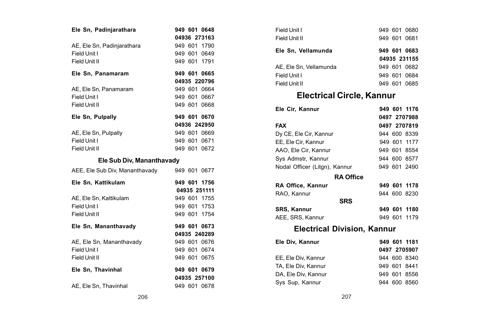| Ele Sn, Padinjarathara         |  | 949 601 0648 |
|--------------------------------|--|--------------|
|                                |  | 04936 273163 |
| AE, Ele Sn, Padinjarathara     |  | 949 601 1790 |
| Field Unit I                   |  | 949 601 0649 |
| Field Unit II                  |  | 949 601 1791 |
| Ele Sn, Panamaram              |  | 949 601 0665 |
|                                |  | 04935 220796 |
| AE, Ele Sn, Panamaram          |  | 949 601 0664 |
| Field Unit I                   |  | 949 601 0667 |
| Field Unit II                  |  | 949 601 0668 |
| Ele Sn, Pulpally               |  | 949 601 0670 |
|                                |  | 04936 242950 |
| AE, Ele Sn, Pulpally           |  | 949 601 0669 |
| Field Unit I                   |  | 949 601 0671 |
| Field Unit II                  |  | 949 601 0672 |
| Ele Sub Div, Mananthavady      |  |              |
| AEE, Ele Sub Div, Mananthavady |  | 949 601 0677 |
| Ele Sn, Kattikulam             |  | 949 601 1756 |
|                                |  | 04935 251111 |
| AE. Ele Sn. Kattikulam         |  | 949 601 1755 |
| Field Unit I                   |  | 949 601 1753 |
| Field Unit II                  |  | 949 601 1754 |
| Ele Sn, Mananthavady           |  | 949 601 0673 |

| Field Unit II            |  | 949 601 0675 |
|--------------------------|--|--------------|
|                          |  |              |
| Field Unit I             |  | 949 601 0674 |
| AE, Ele Sn, Mananthavady |  | 949 601 0676 |
|                          |  |              |

AE, Ele Sn, Thavinhal 949 601 0678

| Field Unit I           |  | 949 601 0680 |
|------------------------|--|--------------|
| Field Unit II          |  | 949 601 0681 |
| Ele Sn, Vellamunda     |  | 949 601 0683 |
|                        |  | 04935 231155 |
| AE. Ele Sn. Vellamunda |  | 949 601 0682 |
|                        |  |              |
| Field Unit I           |  | 949 601 0684 |

## **Electrical Circle, Kannur**

| Ele Cir, Kannur                    |         | 949 601 1176 |
|------------------------------------|---------|--------------|
|                                    |         | 0497 2707988 |
| <b>FAX</b>                         |         | 0497 2707819 |
| Dy CE, Ele Cir, Kannur             |         | 944 600 8339 |
| EE, Ele Cir, Kannur                |         | 949 601 1177 |
| AAO, Ele Cir, Kannur               |         | 949 601 8554 |
| Sys Admstr, Kannur                 |         | 944 600 8577 |
| Nodal Officer (Litgn), Kannur      |         | 949 601 2490 |
| <b>RA Office</b>                   |         |              |
| RA Office, Kannur                  |         | 949 601 1178 |
| RAO, Kannur                        |         | 944 600 8230 |
| <b>SRS</b>                         |         |              |
| <b>SRS. Kannur</b>                 |         | 949 601 1180 |
| AEE, SRS, Kannur                   |         | 949 601 1179 |
| <b>Electrical Division, Kannur</b> |         |              |
| Ele Div, Kannur                    |         | 949 601 1181 |
|                                    |         | 0497 2705907 |
| EE, Ele Div, Kannur                |         | 944 600 8340 |
| TA, Ele Div, Kannur                | 949 601 | 8441         |
| DA, Ele Div, Kannur                |         | 949 601 8556 |

**04935 240289** 949 601 0676 949 601 0674 949 601 0675

**04935 257100**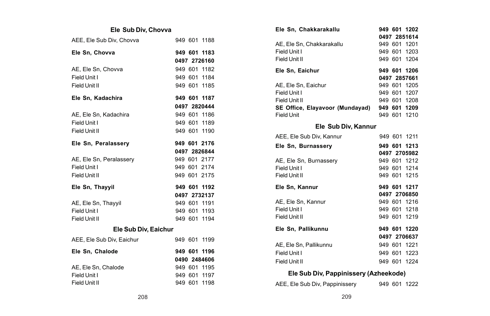#### **Ele Sub Div, Chovva**

| AEE, Ele Sub Div, Chovva  | 949 601 1188 |
|---------------------------|--------------|
| Ele Sn. Chovva            | 949 601 1183 |
|                           | 0497 2726160 |
| AE. Ele Sn. Chovva        | 949 601 1182 |
| Field Unit I              | 949 601 1184 |
| Field Unit II             | 949 601 1185 |
| Ele Sn, Kadachira         | 949 601 1187 |
|                           | 0497 2820444 |
| AE, Ele Sn, Kadachira     | 949 601 1186 |
| Field Unit I              | 949 601 1189 |
| Field Unit II             | 949 601 1190 |
| Ele Sn, Peralassery       | 949 601 2176 |
|                           | 0497 2826844 |
| AE, Ele Sn, Peralassery   | 949 601 2177 |
| Field Unit I              | 949 601 2174 |
| Field Unit II             | 949 601 2175 |
| Ele Sn. Thavvil           | 949 601 1192 |
|                           | 0497 2732137 |
| AE, Ele Sn, Thayyil       | 949 601 1191 |
| Field Unit I              | 949 601 1193 |
| Field Unit II             | 949 601 1194 |
| Ele Sub Div, Eaichur      |              |
| AEE, Ele Sub Div, Eaichur | 949 601 1199 |
| Ele Sn, Chalode           | 949 601 1196 |
|                           | 0490 2484606 |
| AE, Ele Sn, Chalode       | 949 601 1195 |
| Field Unit I              | 949 601 1197 |
| Field Unit II             | 949 601 1198 |

| Ele Sn. Chakkarakallu                        |  | 949 601 1202 |
|----------------------------------------------|--|--------------|
|                                              |  | 0497 2851614 |
| AE, Ele Sn, Chakkarakallu                    |  | 949 601 1201 |
| Field Unit I                                 |  | 949 601 1203 |
| Field Unit II                                |  | 949 601 1204 |
| Ele Sn. Eaichur                              |  | 949 601 1206 |
|                                              |  | 0497 2857661 |
| AE, Ele Sn, Eaichur                          |  | 949 601 1205 |
| Field Unit I                                 |  | 949 601 1207 |
| Field Unit II                                |  | 949 601 1208 |
| SE Office, Elayavoor (Mundayad) 949 601 1209 |  |              |
| Field Unit                                   |  | 949 601 1210 |
| Ele Sub Div, Kannur                          |  |              |
| AEE, Ele Sub Div, Kannur                     |  | 949 601 1211 |
| Ele Sn. Burnasserv                           |  | 949 601 1213 |
|                                              |  | 0497 2705982 |
| AE, Ele Sn, Burnassery                       |  | 949 601 1212 |
| Field Unit I                                 |  | 949 601 1214 |
| Field Unit II                                |  | 949 601 1215 |
| Ele Sn. Kannur                               |  | 949 601 1217 |
|                                              |  | 0497 2706850 |
| AE, Ele Sn, Kannur                           |  | 949 601 1216 |
| Field Unit I                                 |  | 949 601 1218 |
| Field Unit II                                |  | 949 601 1219 |
| Ele Sn. Pallikunnu                           |  | 949 601 1220 |
|                                              |  | 0497 2706637 |
| AE, Ele Sn, Pallikunnu                       |  | 949 601 1221 |
| Field Unit I                                 |  | 949 601 1223 |
| Field Unit II                                |  | 949 601 1224 |
| Ele Sub Div, Pappinissery (Azheekode)        |  |              |

AEE, Ele Sub Div, Pappinissery 949 601 1222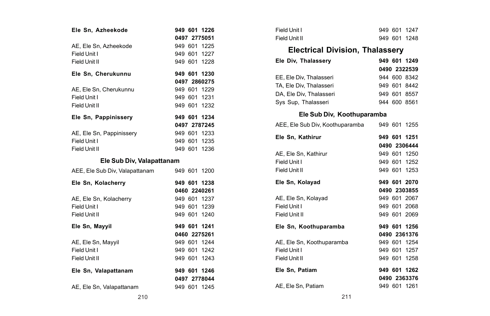| Ele Sn, Azheekode                      | 949 601 1226 |
|----------------------------------------|--------------|
|                                        | 0497 2775051 |
| AE, Ele Sn, Azheekode                  | 949 601 1225 |
| Field Unit I                           | 949 601 1227 |
| Field Unit II                          | 949 601 1228 |
| Ele Sn. Cherukunnu                     | 949 601 1230 |
|                                        | 0497 2860275 |
| AE, Ele Sn, Cherukunnu                 | 949 601 1229 |
| Field Unit I                           | 949 601 1231 |
| Field Unit II                          | 949 601 1232 |
| Ele Sn, Pappinissery                   | 949 601 1234 |
|                                        | 0497 2787245 |
| AE, Ele Sn, Pappinissery               | 949 601 1233 |
| Field Unit I                           | 949 601 1235 |
| Field Unit II                          | 949 601 1236 |
|                                        |              |
| Ele Sub Div, Valapattanam              |              |
| AEE, Ele Sub Div, Valapattanam         | 949 601 1200 |
| Ele Sn, Kolacherry                     | 949 601 1238 |
|                                        | 0460 2240261 |
|                                        | 949 601 1237 |
| AE, Ele Sn, Kolacherry<br>Field Unit I | 949 601 1239 |
| Field Unit II                          | 949 601 1240 |
| Ele Sn, Mayyil                         | 949 601 1241 |
|                                        | 0460 2275261 |
|                                        | 949 601 1244 |
| AE, Ele Sn, Mayyil<br>Field Unit I     | 949 601 1242 |
| Field Unit II                          | 949 601 1243 |
| Ele Sn, Valapattanam                   | 949 601 1246 |
|                                        | 0497 2778044 |

| Field Unit I  |  | 949 601 1247 |
|---------------|--|--------------|
| Field Unit II |  | 949 601 1248 |

## **Electrical Division, Thalassery**

| Ele Div. Thalasserv     |  | 949 601 1249 |
|-------------------------|--|--------------|
|                         |  | 0490 2322539 |
| EE, Ele Div, Thalasseri |  | 944 600 8342 |
| TA, Ele Div, Thalasseri |  | 949 601 8442 |
| DA. Ele Div. Thalasseri |  | 949 601 8557 |
| Sys Sup, Thalasseri     |  | 944 600 8561 |

## **Ele Sub Div, Koothuparamba**

| AEE, Ele Sub Div, Koothuparamba |  | 949 601 1255 |
|---------------------------------|--|--------------|
| Ele Sn, Kathirur                |  | 949 601 1251 |
|                                 |  | 0490 2306444 |
| AE, Ele Sn, Kathirur            |  | 949 601 1250 |
| Field Unit I                    |  | 949 601 1252 |
| Field Unit II                   |  | 949 601 1253 |
| Ele Sn, Kolayad                 |  | 949 601 2070 |
|                                 |  | 0490 2303855 |
| AE, Ele Sn, Kolayad             |  | 949 601 2067 |
| Field Unit I                    |  | 949 601 2068 |
| Field Unit II                   |  | 949 601 2069 |
| Ele Sn, Koothuparamba           |  | 949 601 1256 |
|                                 |  | 0490 2361376 |
| AE. Ele Sn. Koothuparamba       |  | 949 601 1254 |
| Field Unit I                    |  | 949 601 1257 |
| Field Unit II                   |  | 949 601 1258 |
| Ele Sn. Patiam                  |  | 949 601 1262 |
|                                 |  | 0490 2363376 |
| AE, Ele Sn, Patiam              |  | 949 601 1261 |
|                                 |  |              |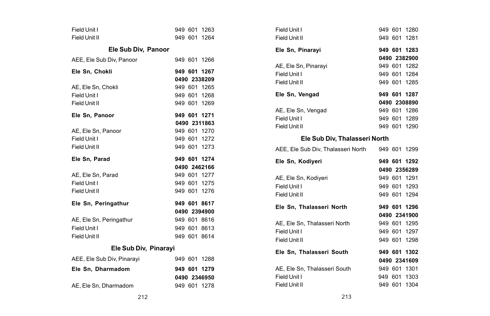| Field Unit I               |  | 949 601 1263                 |
|----------------------------|--|------------------------------|
| Field Unit II              |  | 949 601 1264                 |
| Ele Sub Div, Panoor        |  |                              |
| AEE. Ele Sub Div. Panoor   |  | 949 601 1266                 |
| Ele Sn. Chokli             |  | 949 601 1267<br>0490 2338209 |
| AE, Ele Sn, Chokli         |  | 949 601 1265                 |
| Field Unit I               |  | 949 601 1268                 |
| Field Unit II              |  | 949 601 1269                 |
| Ele Sn, Panoor             |  | 949 601 1271                 |
|                            |  | 0490 2311863                 |
| AE, Ele Sn, Panoor         |  | 949 601 1270                 |
| Field Unit I               |  | 949 601 1272                 |
| Field Unit II              |  | 949 601 1273                 |
|                            |  |                              |
| Ele Sn. Parad              |  | 949 601 1274                 |
|                            |  | 0490 2462166                 |
| AE, Ele Sn, Parad          |  | 949 601 1277                 |
| Field Unit I               |  | 949 601 1275                 |
| Field Unit II              |  | 949 601 1276                 |
| Ele Sn. Peringathur        |  | 949 601 8617                 |
|                            |  | 0490 2394900                 |
| AE, Ele Sn, Peringathur    |  | 949 601 8616                 |
| Field Unit I               |  | 949 601 8613                 |
| Field Unit II              |  | 949 601 8614                 |
| Ele Sub Div, Pinarayi      |  |                              |
| AEE, Ele Sub Div, Pinarayi |  | 949 601 1288                 |
| Ele Sn, Dharmadom          |  | 949 601 1279                 |
| AE, Ele Sn, Dharmadom      |  | 0490 2346950<br>949 601 1278 |

| Field Unit I                                    |  | 949 601 1280 |  |
|-------------------------------------------------|--|--------------|--|
| Field Unit II                                   |  | 949 601 1281 |  |
| Ele Sn, Pinarayi                                |  | 949 601 1283 |  |
|                                                 |  | 0490 2382900 |  |
| AE, Ele Sn, Pinarayi                            |  | 949 601 1282 |  |
| Field Unit I                                    |  | 949 601 1284 |  |
| Field Unit II                                   |  | 949 601 1285 |  |
| Ele Sn, Vengad                                  |  | 949 601 1287 |  |
|                                                 |  | 0490 2308890 |  |
| AE, Ele Sn, Vengad                              |  | 949 601 1286 |  |
| Field Unit I                                    |  | 949 601 1289 |  |
| Field Unit II                                   |  | 949 601 1290 |  |
| Ele Sub Div, Thalasseri North                   |  |              |  |
| AEE, Ele Sub Div, Thalasseri North 949 601 1299 |  |              |  |
|                                                 |  |              |  |
| Ele Sn, Kodiyeri                                |  | 949 601 1292 |  |
|                                                 |  | 0490 2356289 |  |
| AE, Ele Sn, Kodiyeri                            |  | 949 601 1291 |  |
| Field Unit I                                    |  | 949 601 1293 |  |
| Field Unit II                                   |  | 949 601 1294 |  |
| Ele Sn, Thalasseri North                        |  | 949 601 1296 |  |
|                                                 |  | 0490 2341900 |  |
| AE, Ele Sn, Thalasseri North                    |  | 949 601 1295 |  |
| Field Unit I                                    |  | 949 601 1297 |  |
| Field Unit II                                   |  | 949 601 1298 |  |
| Ele Sn, Thalasseri South                        |  | 949 601 1302 |  |
|                                                 |  | 0490 2341609 |  |
| AE, Ele Sn, Thalasseri South                    |  | 949 601 1301 |  |
| Field Unit I                                    |  | 949 601 1303 |  |
| Field Unit II                                   |  | 949 601 1304 |  |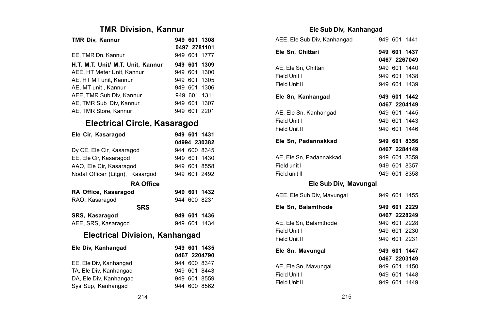## **TMR Division, Kannur**

| TMR Div, Kannur                   |     | 949 601 1308 |
|-----------------------------------|-----|--------------|
|                                   |     | 0497 2781101 |
| EE. TMR Dn. Kannur                |     | 949 601 1777 |
| H.T. M.T. Unit/ M.T. Unit. Kannur |     | 949 601 1309 |
| AEE. HT Meter Unit. Kannur        |     | 949 601 1300 |
| AE. HT MT unit. Kannur            |     | 949 601 1305 |
| AE, MT unit, Kannur               |     | 949 601 1306 |
| AEE. TMR Sub Div. Kannur          |     | 949 601 1311 |
| AE. TMR Sub Div. Kannur           |     | 949 601 1307 |
| AE, TMR Store, Kannur             | 949 | 601 2201     |

## **Electrical Circle, Kasaragod**

| Ele Cir, Kasaragod              |     |         | 949 601 1431 |  |
|---------------------------------|-----|---------|--------------|--|
|                                 |     |         | 04994 230382 |  |
| Dy CE, Ele Cir, Kasaragod       |     |         | 944 600 8345 |  |
| EE, Ele Cir, Kasaragod          |     |         | 949 601 1430 |  |
| AAO, Ele Cir, Kasaragod         | 949 |         | 601 8558     |  |
| Nodal Officer (Litgn), Kasargod |     |         | 949 601 2492 |  |
| <b>RA Office</b>                |     |         |              |  |
| RA Office, Kasaragod            |     |         | 949 601 1432 |  |
| RAO, Kasaragod                  |     |         | 944 600 8231 |  |
| <b>SRS</b>                      |     |         |              |  |
| SRS, Kasaragod                  |     |         | 949 601 1436 |  |
| AEE, SRS, Kasaragod             |     |         | 949 601 1434 |  |
| Electrical Division, Kanhangad  |     |         |              |  |
| Ele Div, Kanhangad              |     |         | 949 601 1435 |  |
|                                 |     |         | 0467 2204790 |  |
| EE, Ele Div, Kanhangad          |     |         | 944 600 8347 |  |
| TA, Ele Div, Kanhangad          |     |         | 949 601 8443 |  |
| DA, Ele Div, Kanhangad          |     | 949 601 | 8559         |  |
| Sys Sup, Kanhangad              |     |         | 944 600 8562 |  |

### **Ele Sub Div, Kanhangad**

| AEE, Ele Sub Div, Kanhangad |  | 949 601 1441 |
|-----------------------------|--|--------------|
| Ele Sn, Chittari            |  | 949 601 1437 |
|                             |  | 0467 2267049 |
| AE, Ele Sn, Chittari        |  | 949 601 1440 |
| Field Unit I                |  | 949 601 1438 |
| Field Unit II               |  | 949 601 1439 |
| Ele Sn, Kanhangad           |  | 949 601 1442 |
|                             |  | 0467 2204149 |
| AE, Ele Sn, Kanhangad       |  | 949 601 1445 |
| Field Unit I                |  | 949 601 1443 |
| Field Unit II               |  | 949 601 1446 |
| Ele Sn, Padannakkad         |  | 949 601 8356 |
|                             |  | 0467 2284149 |
| AE, Ele Sn, Padannakkad     |  | 949 601 8359 |
| Field unit I                |  | 949 601 8357 |
| Field unit II               |  | 949 601 8358 |
| Ele Sub Div, Mavungal       |  |              |
| AEE, Ele Sub Div, Mavungal  |  | 949 601 1455 |
| Ele Sn, Balamthode          |  | 949 601 2229 |
|                             |  | 0467 2228249 |
| AE, Ele Sn, Balamthode      |  | 949 601 2228 |
| Field Unit I                |  | 949 601 2230 |
| Field Unit II               |  | 949 601 2231 |
| Ele Sn, Mavungal            |  | 949 601 1447 |
|                             |  | 0467 2203149 |
| AE, Ele Sn, Mavungal        |  | 949 601 1450 |
| Field Unit I                |  | 949 601 1448 |
| Field Unit II               |  | 949 601 1449 |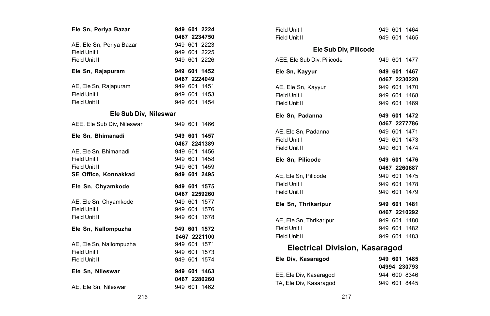| Ele Sn, Periya Bazar        |  | 949 601 2224 |
|-----------------------------|--|--------------|
|                             |  | 0467 2234750 |
| AE, Ele Sn, Periya Bazar    |  | 949 601 2223 |
| Field Unit I                |  | 949 601 2225 |
| Field Unit II               |  | 949 601 2226 |
| Ele Sn, Rajapuram           |  | 949 601 1452 |
|                             |  | 0467 2224049 |
| AE, Ele Sn, Rajapuram       |  | 949 601 1451 |
| Field Unit I                |  | 949 601 1453 |
| Field Unit II               |  | 949 601 1454 |
| Ele Sub Div, Nileswar       |  |              |
| AEE, Ele Sub Div, Nileswar  |  | 949 601 1466 |
| Ele Sn, Bhimanadi           |  | 949 601 1457 |
|                             |  | 0467 2241389 |
| AE, Ele Sn, Bhimanadi       |  | 949 601 1456 |
| Field Unit I                |  | 949 601 1458 |
| Field Unit II               |  | 949 601 1459 |
| <b>SE Office. Konnakkad</b> |  | 949 601 2495 |
| Ele Sn, Chyamkode           |  | 949 601 1575 |
|                             |  | 0467 2259260 |
| AE, Ele Sn, Chyamkode       |  | 949 601 1577 |
| Field Unit I                |  | 949 601 1576 |
| Field Unit II               |  | 949 601 1678 |
| Ele Sn, Nallompuzha         |  | 949 601 1572 |
|                             |  | 0467 2221100 |
| AE, Ele Sn, Nallompuzha     |  | 949 601 1571 |
| Field Unit I                |  | 949 601 1573 |
| Field Unit II               |  | 949 601 1574 |
| Ele Sn, Nileswar            |  | 949 601 1463 |
|                             |  | 0467 2280260 |
| AE, Ele Sn, Nileswar        |  | 949 601 1462 |

| Field Unit I                          |  | 949 601 1464 |
|---------------------------------------|--|--------------|
| Field Unit II                         |  | 949 601 1465 |
| Ele Sub Div, Pilicode                 |  |              |
| AEE, Ele Sub Div, Pilicode            |  | 949 601 1477 |
| Ele Sn, Kayyur                        |  | 949 601 1467 |
|                                       |  | 0467 2230220 |
| AE. Ele Sn. Kavvur                    |  | 949 601 1470 |
| Field Unit I                          |  | 949 601 1468 |
| Field Unit II                         |  | 949 601 1469 |
| Ele Sn, Padanna                       |  | 949 601 1472 |
|                                       |  | 0467 2277786 |
| AE. Ele Sn. Padanna                   |  | 949 601 1471 |
| Field Unit I                          |  | 949 601 1473 |
| Field Unit II                         |  | 949 601 1474 |
| Ele Sn, Pilicode                      |  | 949 601 1476 |
|                                       |  | 0467 2260687 |
| AE. Ele Sn. Pilicode                  |  | 949 601 1475 |
| Field Unit I                          |  | 949 601 1478 |
| Field Unit II                         |  | 949 601 1479 |
| Ele Sn. Thrikaripur                   |  | 949 601 1481 |
|                                       |  | 0467 2210292 |
| AE. Ele Sn. Thrikaripur               |  | 949 601 1480 |
| Field Unit I                          |  | 949 601 1482 |
| Field Unit II                         |  | 949 601 1483 |
| <b>Electrical Division, Kasaragod</b> |  |              |

| Ele Div. Kasaragod     | 949 601 1485 |
|------------------------|--------------|
|                        | 04994 230793 |
| EE, Ele Div, Kasaragod | 944 600 8346 |
| TA, Ele Div, Kasaragod | 949 601 8445 |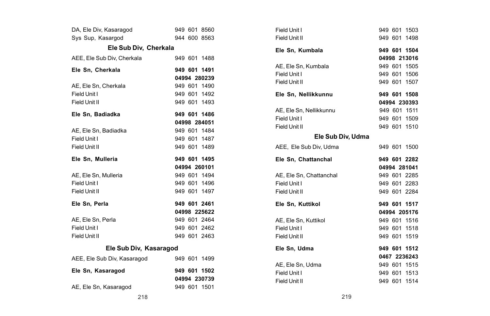| DA, Ele Div, Kasaragod<br>Sys Sup, Kasargod |  | 949 601 8560<br>944 600 8563 |
|---------------------------------------------|--|------------------------------|
| Ele Sub Div. Cherkala                       |  |                              |
| AEE, Ele Sub Div, Cherkala                  |  | 949 601 1488                 |
| Ele Sn, Cherkala                            |  | 949 601 1491                 |
|                                             |  | 04994 280239                 |
| AE. Ele Sn. Cherkala<br>Field Unit I        |  | 949 601 1490<br>949 601 1492 |
| Field Unit II                               |  |                              |
|                                             |  | 949 601 1493                 |
| Ele Sn. Badiadka                            |  | 949 601 1486                 |
|                                             |  | 04998 284051                 |
| AE, Ele Sn, Badiadka                        |  | 949 601 1484                 |
| Field Unit I                                |  | 949 601 1487                 |
| Field Unit II                               |  | 949 601 1489                 |
| Ele Sn, Mulleria                            |  | 949 601 1495                 |
|                                             |  |                              |
|                                             |  | 04994 260101                 |
| AE, Ele Sn, Mulleria                        |  | 949 601 1494                 |
| Field Unit I                                |  | 949 601 1496                 |
| Field Unit II                               |  | 949 601 1497                 |
| Ele Sn, Perla                               |  | 949 601 2461                 |
|                                             |  | 04998 225622                 |
| AE. Ele Sn. Perla                           |  | 949 601 2464                 |
| Field Unit I                                |  | 949 601 2462                 |
| Field Unit II                               |  | 949 601 2463                 |
| Ele Sub Div, Kasaragod                      |  |                              |
| AEE, Ele Sub Div, Kasaragod                 |  | 949 601 1499                 |
| Ele Sn, Kasaragod                           |  | 949 601 1502                 |
|                                             |  | 04994 230739                 |

| Field Unit I            |  | 949 601 1503 |
|-------------------------|--|--------------|
| Field Unit II           |  | 949 601 1498 |
| Ele Sn. Kumbala         |  | 949 601 1504 |
|                         |  | 04998 213016 |
| AE, Ele Sn, Kumbala     |  | 949 601 1505 |
| Field Unit I            |  | 949 601 1506 |
| Field Unit II           |  | 949 601 1507 |
| Ele Sn, Nellikkunnu     |  | 949 601 1508 |
|                         |  | 04994 230393 |
| AE, Ele Sn, Nellikkunnu |  | 949 601 1511 |
| Field Unit I            |  | 949 601 1509 |
| Field Unit II           |  | 949 601 1510 |
| Ele Sub Div, Udma       |  |              |
| AEE, Ele Sub Div, Udma  |  | 949 601 1500 |
|                         |  |              |
| Ele Sn, Chattanchal     |  | 949 601 2282 |
|                         |  | 04994 281041 |
| AE, Ele Sn, Chattanchal |  | 949 601 2285 |
| Field Unit I            |  | 949 601 2283 |
| Field Unit II           |  | 949 601 2284 |
| Ele Sn. Kuttikol        |  | 949 601 1517 |
|                         |  | 04994 205176 |
| AE, Ele Sn, Kuttikol    |  | 949 601 1516 |
| Field Unit I            |  | 949 601 1518 |
| Field Unit II           |  | 949 601 1519 |
| Ele Sn. Udma            |  | 949 601 1512 |
|                         |  | 0467 2236243 |
| AE, Ele Sn, Udma        |  | 949 601 1515 |
| Field Unit I            |  | 949 601 1513 |
| Field Unit II           |  | 949 601 1514 |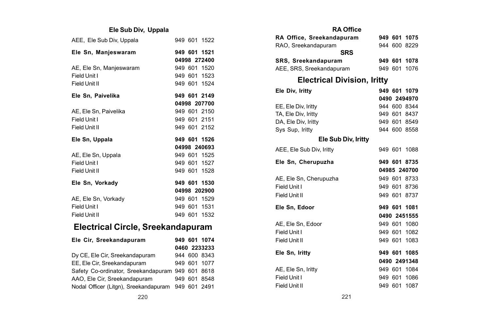# **Ele Sub Div, Uppala**

| AEE, Ele Sub Div, Uppala |              | 949 601 1522 |
|--------------------------|--------------|--------------|
| Ele Sn, Manjeswaram      |              | 949 601 1521 |
|                          |              | 04998 272400 |
| AE, Ele Sn, Manjeswaram  |              | 949 601 1520 |
| Field Unit I             |              | 949 601 1523 |
| Field Unit II            |              | 949 601 1524 |
| Ele Sn, Paivelika        |              | 949 601 2149 |
|                          |              | 04998 207700 |
| AE, Ele Sn, Paivelika    |              | 949 601 2150 |
| Field Unit I             |              | 949 601 2151 |
|                          |              |              |
| Field Unit II            | 949 601 2152 |              |
| Ele Sn, Uppala           |              | 949 601 1526 |
|                          |              | 04998 240693 |
| AE, Ele Sn, Uppala       |              | 949 601 1525 |
| Field Unit I             |              | 949 601 1527 |
| Field Unit II            |              | 949 601 1528 |
| Ele Sn, Vorkady          |              | 949 601 1530 |
|                          |              | 04998 202900 |
| AE, Ele Sn, Vorkady      |              | 949 601 1529 |
| Field Unit I             |              | 949 601 1531 |

# **Electrical Circle, Sreekandapuram**

| Ele Cir. Sreekandapuram                            |  | 949 601 1074 |
|----------------------------------------------------|--|--------------|
|                                                    |  | 0460 2233233 |
| Dy CE, Ele Cir, Sreekandapuram                     |  | 944 600 8343 |
| EE. Ele Cir. Sreekandapuram                        |  | 949 601 1077 |
| Safety Co-ordinator, Sreekandapuram 949 601 8618   |  |              |
| AAO, Ele Cir, Sreekandapuram                       |  | 949 601 8548 |
| Nodal Officer (Litgn), Sreekandapuram 949 601 2491 |  |              |

| <b>RA Office</b>                   |  |              |  |
|------------------------------------|--|--------------|--|
| RA Office, Sreekandapuram          |  | 949 601 1075 |  |
| RAO, Sreekandapuram                |  | 944 600 8229 |  |
| <b>SRS</b>                         |  |              |  |
| SRS, Sreekandapuram                |  | 949 601 1078 |  |
| AEE, SRS, Sreekandapuram           |  | 949 601 1076 |  |
| <b>Electrical Division, Iritty</b> |  |              |  |
| Ele Div, Iritty                    |  | 949 601 1079 |  |
|                                    |  | 0490 2494970 |  |
| EE, Ele Div, Iritty                |  | 944 600 8344 |  |
| TA, Ele Div, Iritty                |  | 949 601 8437 |  |
| DA, Ele Div, Iritty                |  | 949 601 8549 |  |
| Sys Sup, Iritty                    |  | 944 600 8558 |  |
| Ele Sub Div, Iritty                |  |              |  |
| AEE, Ele Sub Div, Iritty           |  | 949 601 1088 |  |
| Ele Sn. Cherupuzha                 |  | 949 601 8735 |  |
|                                    |  | 04985 240700 |  |
| AE, Ele Sn, Cherupuzha             |  | 949 601 8733 |  |
| Field Unit I                       |  | 949 601 8736 |  |
| Field Unit II                      |  | 949 601 8737 |  |
| Ele Sn, Edoor                      |  | 949 601 1081 |  |
|                                    |  | 0490 2451555 |  |
| AE, Ele Sn, Edoor                  |  | 949 601 1080 |  |
| Field Unit I                       |  | 949 601 1082 |  |
| Field Unit II                      |  | 949 601 1083 |  |
| Ele Sn, Iritty                     |  | 949 601 1085 |  |
|                                    |  | 0490 2491348 |  |
| AE, Ele Sn, Iritty                 |  | 949 601 1084 |  |
| Field Unit I                       |  | 949 601 1086 |  |
| Field Unit II                      |  | 949 601 1087 |  |
|                                    |  |              |  |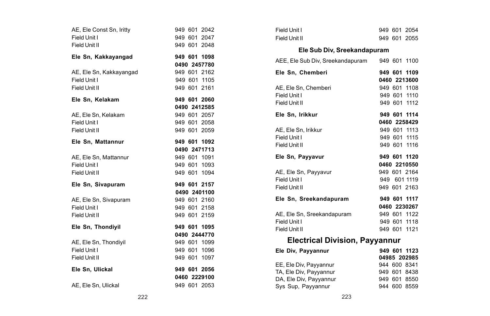| AE, Ele Const Sn, Iritty | 949 601 2042                 | Field Unit I                               |
|--------------------------|------------------------------|--------------------------------------------|
| Field Unit I             | 949 601 2047                 | Field Unit II                              |
| Field Unit II            | 949 601 2048                 |                                            |
| Ele Sn, Kakkayangad      | 949 601 1098                 | Ele Sub Div, Sreekan                       |
|                          | 0490 2457780                 | AEE, Ele Sub Div, Sreekandapura            |
| AE, Ele Sn, Kakkayangad  | 949 601 2162                 | Ele Sn, Chemberi                           |
| Field Unit I             | 949 601 1105                 |                                            |
| Field Unit II            | 949 601 2161                 | AE, Ele Sn, Chemberi                       |
|                          |                              | Field Unit I                               |
| Ele Sn, Kelakam          | 949 601 2060                 | Field Unit II                              |
|                          | 0490 2412585                 |                                            |
| AE, Ele Sn, Kelakam      | 949 601 2057                 | Ele Sn, Irikkur                            |
| Field Unit I             | 949 601 2058                 |                                            |
| Field Unit II            | 949 601 2059                 | AE, Ele Sn, Irikkur                        |
| Ele Sn, Mattannur        | 949 601 1092                 | Field Unit I                               |
|                          | 0490 2471713                 | Field Unit II                              |
| AE, Ele Sn, Mattannur    | 949 601 1091                 | Ele Sn, Payyavur                           |
| Field Unit I             | 949 601 1093                 |                                            |
| Field Unit II            | 949 601 1094                 | AE, Ele Sn, Payyavur                       |
|                          |                              | Field Unit I                               |
| Ele Sn, Sivapuram        | 949 601 2157                 | Field Unit II                              |
|                          | 0490 2401100                 |                                            |
| AE, Ele Sn, Sivapuram    | 949 601 2160                 | Ele Sn, Sreekandapuram                     |
| Field Unit I             | 949 601 2158                 |                                            |
| Field Unit II            | 949 601 2159                 | AE, Ele Sn, Sreekandapuram<br>Field Unit I |
| Ele Sn, Thondiyil        | 949 601 1095                 | Field Unit II                              |
|                          | 0490 2444770                 |                                            |
| AE, Ele Sn, Thondivil    | 949 601 1099                 | <b>Electrical Division.</b>                |
| Field Unit I             | 949 601 1096                 | Ele Div, Payyannur                         |
| Field Unit II            | 949 601 1097                 |                                            |
|                          |                              | EE, Ele Div, Payyannur                     |
| Ele Sn, Ulickal          | 949 601 2056<br>0460 2229100 | TA, Ele Div, Payyannur                     |
|                          |                              | DA, Ele Div, Payyannur                     |
| AE, Ele Sn, Ulickal      | 949 601 2053                 | Sys Sup, Payyannur                         |

| Ele Sub Div, Sreekandapuram                   |              |
|-----------------------------------------------|--------------|
| AEE, Ele Sub Div, Sreekandapuram 949 601 1100 |              |
| Ele Sn, Chemberi                              | 949 601 1109 |
|                                               | 0460 2213600 |
| AE. Ele Sn. Chemberi                          | 949 601 1108 |
| Field Unit I                                  | 949 601 1110 |
| Field Unit II                                 | 949 601 1112 |
| Ele Sn. Irikkur                               | 949 601 1114 |
|                                               | 0460 2258429 |
| AE. Ele Sn. Irikkur                           | 949 601 1113 |
| Field Unit I                                  | 949 601 1115 |
| Field Unit II                                 | 949 601 1116 |
| Ele Sn, Payyavur                              | 949 601 1120 |
|                                               | 0460 2210550 |
| AE, Ele Sn, Payyavur                          | 949 601 2164 |
| Field Unit I                                  | 949 601 1119 |
| Field Unit II                                 | 949 601 2163 |
| Ele Sn, Sreekandapuram                        | 949 601 1117 |
|                                               | 0460 2230267 |
| AE. Ele Sn. Sreekandapuram                    | 949 601 1122 |
| Field Unit I                                  | 949 601 1118 |
| Field Unit II                                 | 949 601 1121 |
| Electrical Division, Dawannur                 |              |

949 601 2054 949 601 2055

### **Electrical Division, Payyannur**

| Ele Div, Payyannur     | 949 601 1123 |
|------------------------|--------------|
|                        | 04985 202985 |
| EE, Ele Div, Payyannur | 944 600 8341 |
| TA, Ele Div, Payyannur | 949 601 8438 |
| DA, Ele Div, Payyannur | 949 601 8550 |
| Sys Sup, Payyannur     | 944 600 8559 |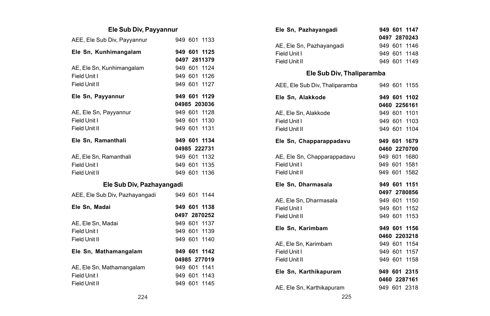# **Ele Sub Div, Payyannur**

| AEE, Ele Sub Div, Payyannur    |  | 949 601 1133 |
|--------------------------------|--|--------------|
| Ele Sn, Kunhimangalam          |  | 949 601 1125 |
|                                |  | 0497 2811379 |
| AE, Ele Sn, Kunhimangalam      |  | 949 601 1124 |
| Field Unit I                   |  | 949 601 1126 |
| Field Unit II                  |  | 949 601 1127 |
| Ele Sn, Payyannur              |  | 949 601 1129 |
|                                |  | 04985 203036 |
| AE, Ele Sn, Payyannur          |  | 949 601 1128 |
| Field Unit I                   |  | 949 601 1130 |
| Field Unit II                  |  | 949 601 1131 |
| Ele Sn. Ramanthali             |  | 949 601 1134 |
|                                |  | 04985 222731 |
| AE, Ele Sn, Ramanthali         |  | 949 601 1132 |
| Field Unit I                   |  | 949 601 1135 |
| Field Unit II                  |  | 949 601 1136 |
| Ele Sub Div, Pazhayangadi      |  |              |
| AEE, Ele Sub Div, Pazhayangadi |  | 949 601 1144 |
| Ele Sn. Madai                  |  | 949 601 1138 |
|                                |  | 0497 2870252 |
| AE. Ele Sn. Madai              |  | 949 601 1137 |
| Field Unit I                   |  | 949 601 1139 |
| Field Unit II                  |  | 949 601 1140 |
| Ele Sn, Mathamangalam          |  | 949 601 1142 |
|                                |  | 04985 277019 |
| AE. Ele Sn. Mathamangalam      |  | 949 601 1141 |
| Field Unit I                   |  | 949 601 1143 |
| Field Unit II                  |  | 949 601 1145 |

| Ele Sn. Pazhavangadi      |  | 949 601 1147 |
|---------------------------|--|--------------|
|                           |  | 0497 2870243 |
| AE, Ele Sn, Pazhayangadi  |  | 949 601 1146 |
| Field Unit I              |  | 949 601 1148 |
| Field Unit II             |  | 949 601 1149 |
| Ele Sub Div, Thaliparamba |  |              |

| AEE. Ele Sub Div. Thaliparamba              |  | 949 601 1155 |
|---------------------------------------------|--|--------------|
| Ele Sn. Alakkode                            |  | 949 601 1102 |
|                                             |  | 0460 2256161 |
| AE, Ele Sn, Alakkode                        |  | 949 601 1101 |
| Field Unit I                                |  | 949 601 1103 |
| Field Unit II                               |  | 949 601 1104 |
| Ele Sn, Chapparappadavu                     |  | 949 601 1679 |
|                                             |  | 0460 2270700 |
| 949 601 1680<br>AE, Ele Sn, Chapparappadavu |  |              |
| Field Unit I                                |  | 949 601 1581 |
| Field Unit II                               |  | 949 601 1582 |
| Ele Sn. Dharmasala                          |  | 949 601 1151 |
|                                             |  |              |
|                                             |  | 0497 2780856 |
| AE. Ele Sn. Dharmasala                      |  | 949 601 1150 |
| Field Unit I                                |  | 949 601 1152 |
| Field Unit II                               |  | 949 601 1153 |
| Ele Sn. Karimbam                            |  | 949 601 1156 |
|                                             |  | 0460 2203218 |
| AE. Ele Sn. Karimbam                        |  | 949 601 1154 |
| Field Unit I                                |  | 949 601 1157 |
| Field Unit II                               |  | 949 601 1158 |
| Ele Sn, Karthikapuram                       |  | 949 601 2315 |
|                                             |  | 0460 2287161 |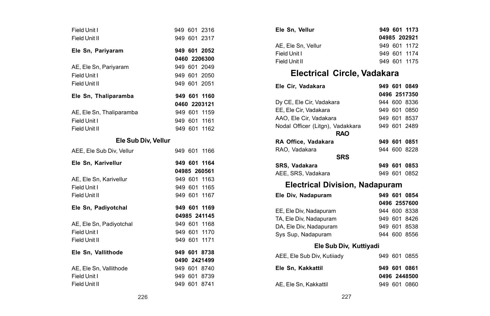| Field Unit I<br>Field Unit II |  | 949 601 2316<br>949 601 2317 |
|-------------------------------|--|------------------------------|
| Ele Sn, Pariyaram             |  | 949 601 2052                 |
|                               |  | 0460 2206300                 |
| AE, Ele Sn, Pariyaram         |  | 949 601 2049                 |
| Field Unit I                  |  | 949 601 2050                 |
| Field Unit II                 |  | 949 601 2051                 |
| Ele Sn, Thaliparamba          |  | 949 601 1160                 |
|                               |  | 0460 2203121                 |
| AE, Ele Sn, Thaliparamba      |  | 949 601 1159                 |
| Field Unit I                  |  | 949 601 1161                 |
| Field Unit II                 |  | 949 601 1162                 |
| Ele Sub Div, Vellur           |  |                              |
| AEE, Ele Sub Div, Vellur      |  | 949 601 1166                 |
|                               |  |                              |
| Ele Sn, Karivellur            |  | 949 601 1164                 |
|                               |  | 04985 260561                 |
| AE, Ele Sn, Karivellur        |  | 949 601 1163                 |
| Field Unit I                  |  | 949 601 1165                 |
| Field Unit II                 |  | 949 601 1167                 |
| Ele Sn, Padiyotchal           |  | 949 601 1169                 |
|                               |  | 04985 241145                 |
| AE, Ele Sn, Padiyotchal       |  | 949 601 1168                 |
| Field Unit I                  |  | 949 601 1170                 |
| Field Unit II                 |  | 949 601 1171                 |
| Ele Sn. Vallithode            |  | 949 601 8738                 |
|                               |  | 0490 2421499                 |
| AE, Ele Sn, Vallithode        |  | 949 601 8740                 |
| Field Unit I                  |  | 949 601 8739<br>949 601 8741 |

| Ele Sn, Vellur     | 949 601 1173 |
|--------------------|--------------|
|                    | 04985 202921 |
| AE. Ele Sn. Vellur | 949 601 1172 |
| Field Unit I       | 949 601 1174 |
| Field Unit II      | 949 601 1175 |
|                    |              |

# **Electrical Circle, Vadakara**

| Ele Cir, Vadakara                              |  | 949 601 0849 |
|------------------------------------------------|--|--------------|
|                                                |  | 0496 2517350 |
| Dy CE, Ele Cir, Vadakara                       |  | 944 600 8336 |
| EE, Ele Cir, Vadakara                          |  | 949 601 0850 |
| AAO, Ele Cir, Vadakara                         |  | 949 601 8537 |
| Nodal Officer (Litgn), Vadakkara<br><b>RAO</b> |  | 949 601 2489 |
| RA Office, Vadakara                            |  | 949 601 0851 |
| RAO, Vadakara                                  |  | 944 600 8228 |
| <b>SRS</b>                                     |  |              |
| SRS, Vadakara                                  |  | 949 601 0853 |
| AEE, SRS, Vadakara                             |  | 949 601 0852 |
|                                                |  |              |
| Electrical Division, Nadapuram                 |  |              |
| Ele Div. Nadapuram                             |  | 949 601 0854 |
|                                                |  | 0496 2557600 |
| EE, Ele Div, Nadapuram                         |  | 944 600 8338 |
| TA, Ele Div, Nadapuram                         |  | 949 601 8426 |
| DA, Ele Div, Nadapuram                         |  | 949 601 8538 |
| Sys Sup, Nadapuram                             |  | 944 600 8556 |
| Ele Sub Div, Kuttiyadi                         |  |              |
| AEE, Ele Sub Div, Kutiiady                     |  | 949 601 0855 |
| Ele Sn, Kakkattil                              |  | 949 601 0861 |
|                                                |  | 0496 2448500 |
| AE. Ele Sn. Kakkattil                          |  | 949 601 0860 |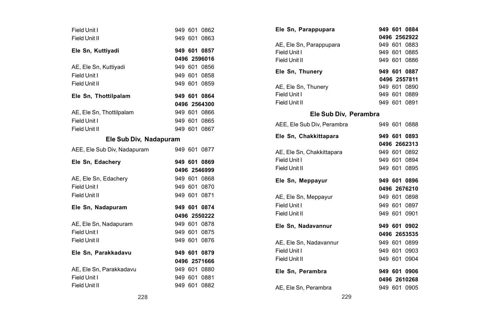| Field Unit I<br>Field Unit II |  | 949 601 0862<br>949 601 0863 |
|-------------------------------|--|------------------------------|
| Ele Sn, Kuttiyadi             |  | 949 601 0857                 |
|                               |  | 0496 2596016                 |
| AE, Ele Sn, Kuttiyadi         |  | 949 601 0856                 |
| Field Unit I                  |  | 949 601 0858                 |
| Field Unit II                 |  | 949 601 0859                 |
| Ele Sn, Thottilpalam          |  | 949 601 0864                 |
|                               |  | 0496 2564300                 |
| AE, Ele Sn, Thottilpalam      |  | 949 601 0866                 |
| Field Unit I                  |  | 949 601 0865                 |
| Field Unit II                 |  | 949 601 0867                 |
| Ele Sub Div, Nadapuram        |  |                              |
| AEE, Ele Sub Div, Nadapuram   |  | 949 601 0877                 |
|                               |  |                              |
| Ele Sn. Edacherv              |  | 949 601 0869                 |
|                               |  | 0496 2546999                 |
| AE, Ele Sn, Edachery          |  | 949 601 0868                 |
| Field Unit I                  |  | 949 601 0870                 |
| Field Unit II                 |  | 949 601 0871                 |
| Ele Sn, Nadapuram             |  | 949 601 0874                 |
|                               |  | 0496 2550222                 |
| AE, Ele Sn, Nadapuram         |  | 949 601 0878                 |
| Field Unit I                  |  | 949 601 0875                 |
| Field Unit II                 |  | 949 601 0876                 |
| Ele Sn. Parakkadavu           |  | 949 601 0879                 |
|                               |  | 0496 2571666                 |
| AE, Ele Sn. Parakkadavu       |  | 949 601 0880                 |
| Field Unit I                  |  | 949 601 0881                 |

| Ele Sn, Parappupara        |  | 949 601 0884 |  |
|----------------------------|--|--------------|--|
|                            |  | 0496 2562922 |  |
| AE. Ele Sn. Parappupara    |  | 949 601 0883 |  |
| Field Unit I               |  | 949 601 0885 |  |
| Field Unit II              |  | 949 601 0886 |  |
| Ele Sn, Thunery            |  | 949 601 0887 |  |
|                            |  | 0496 2557811 |  |
| AE, Ele Sn, Thunery        |  | 949 601 0890 |  |
| Field Unit I               |  | 949 601 0889 |  |
| Field Unit II              |  | 949 601 0891 |  |
| Ele Sub Div, Perambra      |  |              |  |
| AEE, Ele Sub Div, Perambra |  | 949 601 0888 |  |
| Ele Sn, Chakkittapara      |  | 949 601 0893 |  |
|                            |  | 0496 2662313 |  |
| AE, Ele Sn, Chakkittapara  |  | 949 601 0892 |  |
| Field Unit I               |  | 949 601 0894 |  |
| Field Unit II              |  | 949 601 0895 |  |
| Ele Sn, Meppayur           |  | 949 601 0896 |  |
|                            |  | 0496 2676210 |  |
| AE, Ele Sn, Meppayur       |  | 949 601 0898 |  |
| Field Unit I               |  | 949 601 0897 |  |
| Field Unit II              |  | 949 601 0901 |  |
| Ele Sn, Nadavannur         |  | 949 601 0902 |  |
|                            |  | 0496 2653535 |  |
| AE, Ele Sn, Nadavannur     |  | 949 601 0899 |  |
| Field Unit I               |  | 949 601 0903 |  |
| Field Unit II              |  | 949 601 0904 |  |
| Ele Sn, Perambra           |  | 949 601 0906 |  |
|                            |  | 0496 2610268 |  |
| AE, Ele Sn, Perambra       |  | 949 601 0905 |  |
|                            |  |              |  |

228 229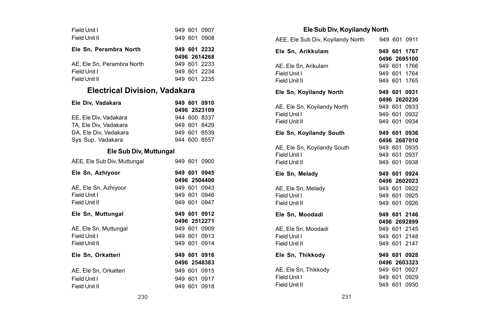| Field Unit I               |  | 949 601 0907 |
|----------------------------|--|--------------|
| Field Unit II              |  | 949 601 0908 |
| Ele Sn. Perambra North     |  | 949 601 2232 |
|                            |  | 0496 2614268 |
| AE. Ele Sn. Perambra North |  | 949 601 2233 |
| Field Unit I               |  | 949 601 2234 |
| Field Unit II              |  | 949 601 2235 |
|                            |  |              |

# **Electrical Division, Vadakara**

| Ele Div. Vadakara     | 949 601 0910 |  |
|-----------------------|--------------|--|
|                       | 0496 2523109 |  |
| EE. Ele Div. Vadakara | 944 600 8337 |  |
| TA, Ele Div, Vadakara | 949 601 8429 |  |
| DA, Ele Div, Vadakara | 949 601 8539 |  |
| Sys Sup. Vadakara     | 944 600 8557 |  |

### **Ele Sub Div, Muttungal**

| AEE, Ele Sub Div, Muttungal |  | 949 601 0900 |
|-----------------------------|--|--------------|
| Ele Sn, Azhiyoor            |  | 949 601 0945 |
|                             |  | 0496 2504400 |
| AE, Ele Sn, Azhiyoor        |  | 949 601 0943 |
| Field Unit I                |  | 949 601 0946 |
| Field Unit II               |  | 949 601 0947 |
| Ele Sn, Muttungal           |  | 949 601 0912 |
|                             |  | 0496 2512271 |
| AE. Ele Sn. Muttungal       |  | 949 601 0909 |
| Field Unit I                |  | 949 601 0913 |
| Field Unit II               |  | 949 601 0914 |
| Ele Sn, Orkatteri           |  | 949 601 0916 |
|                             |  | 0496 2548383 |
| AE. Ele Sn. Orkatteri       |  | 949 601 0915 |
| Field Unit I                |  | 949 601 0917 |
| Field Unit II               |  | 949 601 0918 |

### **Ele Sub Div, Koyilandy North**

| AEE, Ele Sub Div, Koyilandy North 949 601 0911 |  |              |
|------------------------------------------------|--|--------------|
|                                                |  |              |
| Ele Sn, Arikkulam                              |  | 949 601 1767 |
|                                                |  | 0496 2695100 |
| AE, Ele Sn, Arikulam                           |  | 949 601 1766 |
| Field Unit I                                   |  | 949 601 1764 |
| Field Unit II                                  |  | 949 601 1765 |
| Ele Sn, Koyilandy North                        |  | 949 601 0931 |
|                                                |  | 0496 2620230 |
| AE, Ele Sn, Koyilandy North                    |  | 949 601 0933 |
| Field Unit I                                   |  | 949 601 0932 |
| Field Unit II                                  |  | 949 601 0934 |
| Ele Sn, Koyilandy South                        |  | 949 601 0936 |
|                                                |  | 0496 2687010 |
| AE, Ele Sn, Koyilandy South                    |  | 949 601 0935 |
| Field Unit I                                   |  | 949 601 0937 |
| Field Unit II                                  |  | 949 601 0938 |
| Ele Sn, Melady                                 |  | 949 601 0924 |
|                                                |  | 0496 2602023 |
| AE, Ele Sn, Melady                             |  | 949 601 0922 |
| Field Unit I                                   |  | 949 601 0925 |
| Field Unit II                                  |  | 949 601 0926 |
| Ele Sn. Moodadi                                |  | 949 601 2146 |
|                                                |  | 0496 2692899 |
| AE. Ele Sn. Moodadi                            |  | 949 601 2145 |
| Field Unit I                                   |  | 949 601 2148 |
| Field Unit II                                  |  | 949 601 2147 |
| Ele Sn. Thikkodv                               |  | 949 601 0928 |
|                                                |  | 0496 2603323 |
| AE. Ele Sn. Thikkodv                           |  | 949 601 0927 |
| Field Unit I                                   |  | 949 601 0929 |
| Field Unit II                                  |  | 949 601 0930 |
|                                                |  |              |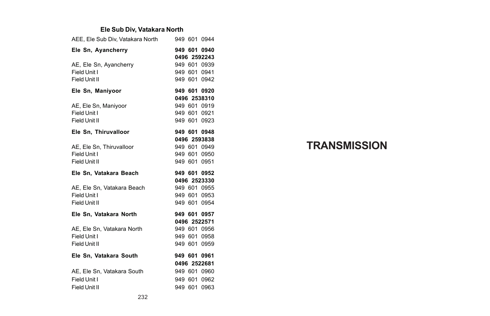### **Ele Sub Div, Vatakara North**

| AEE, Ele Sub Div, Vatakara North |  | 949 601 0944                 |
|----------------------------------|--|------------------------------|
| Ele Sn, Ayancherry               |  | 949 601 0940<br>0496 2592243 |
| AE, Ele Sn, Ayancherry           |  | 949 601 0939                 |
| Field Unit I                     |  | 949 601 0941                 |
| Field Unit II                    |  | 949 601 0942                 |
| Ele Sn, Maniyoor                 |  | 949 601 0920                 |
|                                  |  | 0496 2538310                 |
| AE, Ele Sn, Maniyoor             |  | 949 601 0919                 |
| Field Unit I                     |  | 949 601 0921                 |
| Field Unit II                    |  | 949 601 0923                 |
| Ele Sn, Thiruvalloor             |  | 949 601 0948                 |
|                                  |  | 0496 2593838                 |
| AE. Ele Sn. Thiruvalloor         |  | 949 601 0949                 |
| Field Unit I                     |  | 949 601 0950                 |
| Field Unit II                    |  | 949 601 0951                 |
|                                  |  |                              |
| Ele Sn, Vatakara Beach           |  | 949 601 0952                 |
|                                  |  | 0496 2523330                 |
| AE, Ele Sn, Vatakara Beach       |  | 949 601 0955                 |
| Field Unit I                     |  | 949 601 0953                 |
| Field Unit II                    |  | 949 601 0954                 |
| Ele Sn, Vatakara North           |  | 949 601 0957                 |
|                                  |  | 0496 2522571                 |
| AE. Ele Sn. Vatakara North       |  | 949 601 0956                 |
| Field Unit I                     |  | 949 601 0958                 |
| Field Unit II                    |  | 949 601 0959                 |
| Ele Sn, Vatakara South           |  | 949 601 0961                 |
|                                  |  | 0496 2522681                 |
| AE, Ele Sn, Vatakara South       |  | 949 601 0960                 |
| Field Unit I                     |  | 949 601 0962                 |

# **TRANSMISSION**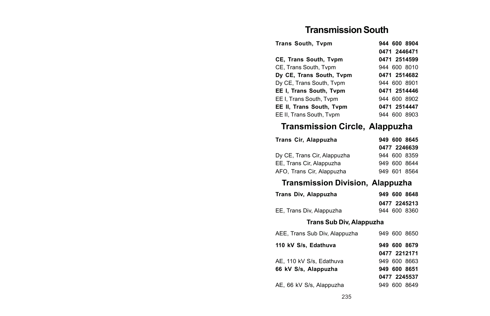# **Transmission South**

| <b>Trans South, Tvpm</b> | 944 600 8904 |
|--------------------------|--------------|
|                          | 0471 2446471 |
| CE, Trans South, Tvpm    | 0471 2514599 |
| CE. Trans South, Typm    | 944 600 8010 |
| Dv CE. Trans South. Tvpm | 0471 2514682 |
| Dy CE, Trans South, Tvpm | 944 600 8901 |
| EE I, Trans South, Tvpm  | 0471 2514446 |
| EE I, Trans South, Tvpm  | 944 600 8902 |
| EE II. Trans South. Tvpm | 0471 2514447 |
| EE II. Trans South. Tvpm | 944 600 8903 |

# **Transmission Circle, Alappuzha**

| Trans Cir, Alappuzha        |  | 949 600 8645 |
|-----------------------------|--|--------------|
|                             |  | 0477 2246639 |
| Dy CE, Trans Cir, Alappuzha |  | 944 600 8359 |
| EE, Trans Cir, Alappuzha    |  | 949 600 8644 |
| AFO, Trans Cir, Alappuzha   |  | 949 601 8564 |

# **Transmission Division, Alappuzha**

| Trans Div, Alappuzha     | 949 600 8648 |
|--------------------------|--------------|
|                          | 0477 2245213 |
| EE, Trans Div, Alappuzha | 944 600 8360 |

### **Trans Sub Div, Alappuzha**

| AEE, Trans Sub Div, Alappuzha | 949 600 8650 |
|-------------------------------|--------------|
| 110 kV S/s. Edathuva          | 949 600 8679 |
|                               | 0477 2212171 |
| AE. 110 kV S/s. Edathuva      | 949 600 8663 |
| 66 kV S/s, Alappuzha          | 949 600 8651 |
|                               | 0477 2245537 |
| AE, 66 kV S/s, Alappuzha      | 949 600 8649 |
|                               |              |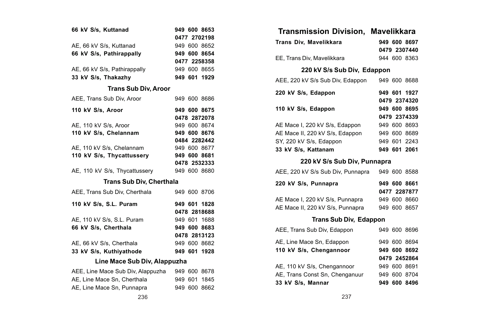|                                   | 949 600 8653 |
|-----------------------------------|--------------|
| 66 kV S/s, Kuttanad               |              |
|                                   | 0477 2702198 |
| AE, 66 kV S/s, Kuttanad           | 949 600 8652 |
| 66 kV S/s, Pathirappally          | 949 600 8654 |
|                                   | 0477 2258358 |
| AE, 66 kV S/s, Pathirappally      | 949 600 8655 |
| 33 kV S/s. Thakazhv               | 949 601 1929 |
| <b>Trans Sub Div, Aroor</b>       |              |
| AEE, Trans Sub Div, Aroor         | 949 600 8686 |
| 110 kV S/s, Aroor                 | 949 600 8675 |
|                                   | 0478 2872078 |
| AE, 110 kV S/s, Aroor             | 949 600 8674 |
| 110 kV S/s, Chelannam             | 949 600 8676 |
|                                   | 0484 2282442 |
| AE, 110 kV S/s, Chelannam         | 949 600 8677 |
| 110 kV S/s, Thycattussery         | 949 600 8681 |
|                                   | 0478 2532333 |
| AE, 110 kV S/s, Thycattussery     | 949 600 8680 |
| <b>Trans Sub Div, Cherthala</b>   |              |
| AEE. Trans Sub Div. Cherthala     | 949 600 8706 |
| 110 kV S/s, S.L. Puram            | 949 601 1828 |
|                                   | 0478 2818688 |
| AE, 110 kV S/s, S.L. Puram        | 949 601 1688 |
| 66 kV S/s, Cherthala              | 949 600 8683 |
|                                   | 0478 2813123 |
| AE, 66 kV S/s, Cherthala          | 949 600 8682 |
| 33 kV S/s, Kuthiyathode           | 949 601 1928 |
| Line Mace Sub Div, Alappuzha      |              |
| AEE, Line Mace Sub Div, Alappuzha | 949 600 8678 |
| AE, Line Mace Sn, Cherthala       | 949 601 1845 |
|                                   |              |

| Transmission Division, Mavelikkara             |                              |
|------------------------------------------------|------------------------------|
| Trans Div. Mavelikkara                         | 949 600 8697<br>0479 2307440 |
| EE, Trans Div, Mavelikkara                     | 944 600 8363                 |
| 220 kV S/s Sub Div, Edappon                    |                              |
| AEE, 220 kV S/s Sub Div, Edappon               | 949 600 8688                 |
| 220 kV S/s, Edappon                            | 949 601 1927<br>0479 2374320 |
| 110 kV S/s, Edappon                            | 949 600 8695                 |
|                                                | 0479 2374339                 |
| AE Mace I, 220 kV S/s, Edappon                 | 949 600 8693                 |
| AE Mace II, 220 kV S/s, Edappon                | 949 600 8689                 |
| SY, 220 kV S/s, Edappon                        | 949 601 2243                 |
| 33 kV S/s, Kattanam                            | 949 601 2061                 |
| 220 kV S/s Sub Div, Punnapra                   |                              |
| AEE, 220 kV S/s Sub Div, Punnapra 949 600 8588 |                              |
| 220 kV S/s, Punnapra                           | 949 600 8661                 |
|                                                | 0477 2287877                 |
| AE Mace I, 220 kV S/s, Punnapra                | 949 600 8660                 |
| AE Mace II, 220 kV S/s, Punnapra               | 949 600 8657                 |
| <b>Trans Sub Div, Edappon</b>                  |                              |
| AEE, Trans Sub Div, Edappon                    | 949 600 8696                 |
| AE, Line Mace Sn, Edappon                      | 949 600 8694                 |
| 110 kV S/s, Chengannoor                        | 949 600 8692                 |
|                                                | 0479 2452864                 |
| AE, 110 kV S/s, Chengannoor                    | 949 600 8691                 |
| AE, Trans Const Sn, Chenganuur                 | 949 600 8704                 |
| 33 kV S/s, Mannar                              | 949 600 8496                 |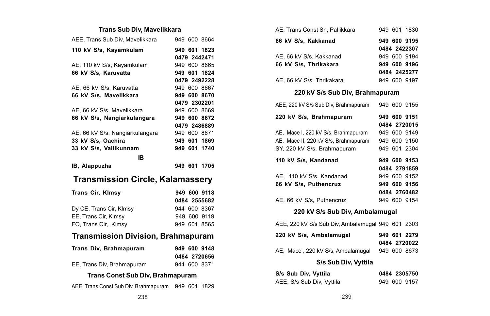### **Trans Sub Div, Mavelikkara**

| AEE, Trans Sub Div, Mavelikkara           |  | 949 600 8664 |
|-------------------------------------------|--|--------------|
| 110 kV S/s, Kayamkulam                    |  | 949 601 1823 |
|                                           |  | 0479 2442471 |
| AE, 110 kV S/s, Kayamkulam                |  | 949 600 8665 |
| 66 kV S/s, Karuvatta                      |  | 949 601 1824 |
|                                           |  | 0479 2492228 |
| AE, 66 kV S/s, Karuvatta                  |  | 949 600 8667 |
| 66 kV S/s, Mavelikkara                    |  | 949 600 8670 |
|                                           |  | 0479 2302201 |
| AE, 66 kV S/s, Mavelikkara                |  | 949 600 8669 |
| 66 kV S/s, Nangiarkulangara               |  | 949 600 8672 |
|                                           |  | 0479 2486889 |
| AE, 66 kV S/s, Nangiarkulangara           |  | 949 600 8671 |
| 33 kV S/s, Oachira                        |  | 949 601 1869 |
| 33 kV S/s, Vallikunnam                    |  | 949 601 1740 |
| ıв                                        |  |              |
|                                           |  |              |
|                                           |  |              |
| IB, Alappuzha                             |  | 949 601 1705 |
| <b>Transmission Circle, Kalamassery</b>   |  |              |
| Trans Cir, Klmsy                          |  | 949 600 9118 |
|                                           |  |              |
|                                           |  | 0484 2555682 |
| Dy CE, Trans Cir, Klmsy                   |  | 944 600 8367 |
| EE, Trans Cir, Klmsy                      |  | 949 600 9119 |
| FO, Trans Cir, Klmsy                      |  | 949 601 8565 |
| <b>Transmission Division, Brahmapuram</b> |  |              |
| Trans Div, Brahmapuram                    |  | 949 600 9148 |
|                                           |  | 0484 2720656 |
| EE, Trans Div, Brahmapuram                |  | 944 600 8371 |
| Trans Const Sub Div, Brahmapuram          |  |              |

AEE, Trans Const Sub Div, Brahmapuram 949 601 1829

| AE. Trans Const Sn. Pallikkara       |  | 949 601 1830 |
|--------------------------------------|--|--------------|
| 66 kV S/s, Kakkanad                  |  | 949 600 9195 |
|                                      |  | 0484 2422307 |
| AE, 66 kV S/s, Kakkanad              |  | 949 600 9194 |
| 66 kV S/s. Thrikakara                |  | 949 600 9196 |
|                                      |  | 0484 2425277 |
| AE, 66 kV S/s, Thrikakara            |  | 949 600 9197 |
| 220 kV S/s Sub Div. Brahmapuram      |  |              |
| AEE, 220 kV S/s Sub Div, Brahmapuram |  | 949 600 9155 |

| 220 kV S/s, Brahmapuram              | 949 600 9151 |
|--------------------------------------|--------------|
|                                      | 0484 2720015 |
| AE, Mace I, 220 kV S/s, Brahmapuram  | 949 600 9149 |
| AE, Mace II, 220 kV S/s, Brahmapuram | 949 600 9150 |
| SY, 220 kV S/s, Brahmapuram          | 949 601 2304 |
| 110 kV S/s. Kandanad                 | 949 600 9153 |
|                                      | 0484 2791859 |
| AE, 110 kV S/s, Kandanad             | 949 600 9152 |
| 66 kV S/s. Puthencruz                | 949 600 9156 |
|                                      | 0484 2760482 |
| AE, 66 kV S/s, Puthencruz            | 949 600 9154 |
|                                      |              |

### **220 kV S/s Sub Div, Ambalamugal**

AEE, 220 kV S/s Sub Div, Ambalamugal 949 601 2303

| 220 kV S/s. Ambalamugal           | 949 601 2279 |
|-----------------------------------|--------------|
|                                   | 0484 2720022 |
| AE, Mace, 220 kV S/s, Ambalamugal | 949 600 8673 |

### **S/s Sub Div, Vyttila**

| S/s Sub Div, Vyttila      | 0484 2305750 |  |
|---------------------------|--------------|--|
| AEE, S/s Sub Div, Vyttila | 949 600 9157 |  |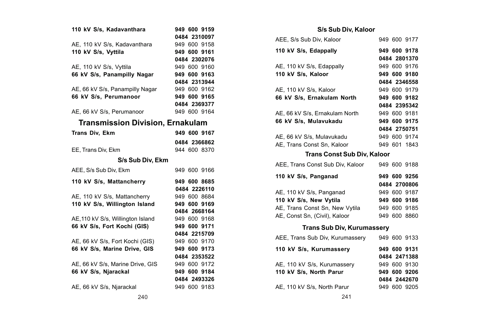| 110 kV S/s, Kadavanthara                | 949 600 9159<br>0484 2310097 |
|-----------------------------------------|------------------------------|
|                                         |                              |
| AE. 110 kV S/s. Kadavanthara            | 949 600 9158                 |
| 110 kV S/s, Vyttila                     | 949 600 9161                 |
|                                         | 0484 2302076                 |
| AE, 110 kV S/s, Vyttila                 | 949 600 9160                 |
| 66 kV S/s. Panampilly Nagar             | 949 600 9163                 |
|                                         | 0484 2313944                 |
| AE, 66 kV S/s, Panampilly Nagar         | 949 600 9162                 |
| 66 kV S/s. Perumanoor                   | 949 600 9165                 |
|                                         | 0484 2369377                 |
| AE, 66 kV S/s, Perumanoor               | 949 600 9164                 |
| <b>Transmission Division, Ernakulam</b> |                              |
| <b>Trans Div. Ekm</b>                   | 949 600 9167                 |
|                                         | 0484 2366862                 |
|                                         | 944 600 8370                 |
| EE, Trans Div, Ekm                      |                              |
|                                         |                              |
| S/s Sub Div, Ekm                        |                              |
| AEE, S/s Sub Div, Ekm                   | 949 600 9166                 |
| 110 kV S/s, Mattancherry                | 949 600 8685                 |
|                                         | 0484 2226110                 |
| AE, 110 kV S/s, Mattancherry            | 949 600 8684                 |
| 110 kV S/s. Willington Island           | 949 600 9169                 |
|                                         | 0484 2668164                 |
|                                         |                              |
| AE.110 kV S/s. Willington Island        | 949 600 9168                 |
| 66 kV S/s, Fort Kochi (GIS)             | 949 600 9171                 |
|                                         | 0484 2215709                 |
| AE, 66 kV S/s, Fort Kochi (GIS)         | 949 600 9170                 |
| 66 kV S/s, Marine Drive, GIS            | 949 600 9173                 |
|                                         | 0484 2353522                 |
| AE, 66 kV S/s, Marine Drive, GIS        | 949 600 9172                 |
| 66 kV S/s, Njarackal                    | 949 600 9184                 |
|                                         | 0484 2493326<br>949 600 9183 |

| AEE, S/s Sub Div, Kaloor                    |  | 949 600 9177 |
|---------------------------------------------|--|--------------|
| 110 kV S/s, Edappally                       |  | 949 600 9178 |
|                                             |  | 0484 2801370 |
| AE, 110 kV S/s, Edappally                   |  | 949 600 9176 |
| 110 kV S/s, Kaloor                          |  | 949 600 9180 |
|                                             |  | 0484 2346558 |
| AE, 110 kV S/s, Kaloor                      |  | 949 600 9179 |
| 66 kV S/s, Ernakulam North                  |  | 949 600 9182 |
|                                             |  | 0484 2395342 |
| AE, 66 kV S/s, Ernakulam North              |  | 949 600 9181 |
| 66 kV S/s, Mulavukadu                       |  | 949 600 9175 |
|                                             |  | 0484 2750751 |
| AE, 66 kV S/s, Mulavukadu                   |  | 949 600 9174 |
| AE, Trans Const Sn, Kaloor                  |  | 949 601 1843 |
| <b>Trans Const Sub Div, Kaloor</b>          |  |              |
| AEE, Trans Const Sub Div, Kaloor            |  | 949 600 9188 |
| 110 kV S/s, Panganad                        |  | 949 600 9256 |
|                                             |  | 0484 2700806 |
| AE, 110 kV S/s, Panganad                    |  | 949 600 9187 |
| 110 kV S/s, New Vytila                      |  | 949 600 9186 |
| AE, Trans Const Sn, New Vytila 949 600 9185 |  |              |
| AE, Const Sn, (Civil), Kaloor               |  | 949 600 8860 |
|                                             |  |              |

# **Trans Sub Div, Kurumassery**

| AEE, Trans Sub Div, Kurumassery |  | 949 600 9133                 |
|---------------------------------|--|------------------------------|
| 110 kV S/s, Kurumassery         |  | 949 600 9131<br>0484 2471388 |
| AE. 110 kV S/s. Kurumasserv     |  | 949 600 9130                 |
| 110 kV S/s. North Parur         |  | 949 600 9206                 |
|                                 |  | 0484 2442670                 |
| AE, 110 kV S/s, North Parur     |  | 949 600 9205                 |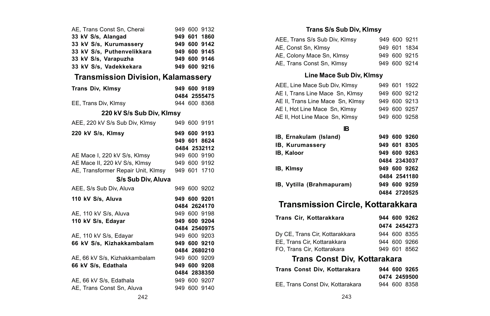| 220 kV S/s Sub Div, Klmsy | 949 600 9132<br>949 601 1860<br>949 600 9142<br>949 600 9145<br>949 600 9146<br>949 600 9216<br><b>Transmission Division, Kalamassery</b><br>949 600 9189<br>0484 2555475<br>944 600 8368<br>949 600 9191<br>949 600 9193<br>949 601 8624<br>0484 2532112<br>949 600 9190<br>949 600 9192<br>949 601 1710<br>949 600 9202<br>949 600 9201<br>0484 2624170<br>949 600 9198<br>949 600 9204<br>0484 2540975<br>949 600 9203<br>949 600 9210<br>0484 2680210<br>949 600 9209<br>949 600 9208<br>0484 2838350<br>949 600 9207<br>949 600 9140 |
|---------------------------|-------------------------------------------------------------------------------------------------------------------------------------------------------------------------------------------------------------------------------------------------------------------------------------------------------------------------------------------------------------------------------------------------------------------------------------------------------------------------------------------------------------------------------------------|

### **Trans S/s Sub Div, Klmsy**

| AEE, Trans S/s Sub Div, Klmsy |  | 949 600 9211 |
|-------------------------------|--|--------------|
| AE, Const Sn, Klmsy           |  | 949 601 1834 |
| AE, Colony Mace Sn, Klmsy     |  | 949 600 9215 |
| AE, Trans Const Sn, Klmsy     |  | 949 600 9214 |

### **Line Mace Sub Div, Klmsy**

| AEE, Line Mace Sub Div, Klmsy    |  | 949 601 1922 |
|----------------------------------|--|--------------|
| AE I, Trans Line Mace Sn, Klmsy  |  | 949 600 9212 |
| AE II, Trans Line Mace Sn, Klmsy |  | 949 600 9213 |
| AE I, Hot Line Mace Sn, Klmsy    |  | 949 600 9257 |
| AE II, Hot Line Mace Sn, Klmsy   |  | 949 600 9258 |

### **IB**

| B, Ernakulam (Island)    | 949 600 9260 |
|--------------------------|--------------|
| <b>B. Kurumasserv</b>    | 949 601 8305 |
| <b>B. Kaloor</b>         | 949 600 9263 |
|                          | 0484 2343037 |
| B. Kimsv                 | 949 600 9262 |
|                          | 0484 2541180 |
| B, Vytilla (Brahmapuram) | 949 600 9259 |
|                          | 0484 2720525 |

# **Transmission Circle, Kottarakkara**

|  | 944 600 9262<br>0474 2454273<br>944 600 8355<br>944 600 9266<br>949 601 8562 |
|--|------------------------------------------------------------------------------|

# **Trans Const Div, Kottarakara**

| Trans Const Div. Kottarakara     | 944 600 9265 |
|----------------------------------|--------------|
|                                  | 0474 2459500 |
| EE. Trans Const Div. Kottarakara | 944 600 8358 |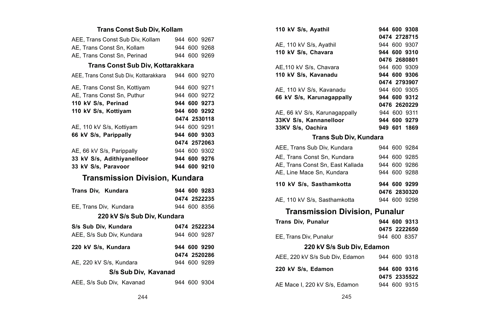### **Trans Const Sub Div, Kollam**

| AEE, Trans Const Sub Div, Kollam       |  | 944 600 9267 |
|----------------------------------------|--|--------------|
| AE, Trans Const Sn, Kollam             |  | 944 600 9268 |
| AE, Trans Const Sn, Perinad            |  | 944 600 9269 |
| Trans Const Sub Div, Kottarakkara      |  |              |
| AEE, Trans Const Sub Div, Kottarakkara |  | 944 600 9270 |
| AE, Trans Const Sn, Kottiyam           |  | 944 600 9271 |
| AE, Trans Const Sn, Puthur             |  | 944 600 9272 |
| 110 kV S/s, Perinad                    |  | 944 600 9273 |
| 110 kV S/s, Kottiyam                   |  | 944 600 9292 |
|                                        |  | 0474 2530118 |
| AE, 110 kV S/s, Kottiyam               |  | 944 600 9291 |
| 66 kV S/s, Parippally                  |  | 944 600 9303 |
|                                        |  | 0474 2572063 |
| AE, 66 kV S/s, Parippally              |  | 944 600 9302 |
| 33 kV S/s. Adithivanelloor             |  | 944 600 9276 |
|                                        |  |              |
| 33 kV S/s, Paravoor                    |  | 944 600 9210 |
| <b>Transmission Division, Kundara</b>  |  |              |
| Trans Div. Kundara                     |  | 944 600 9283 |
|                                        |  | 0474 2522235 |
| EE, Trans Div, Kundara                 |  | 944 600 8356 |
| 220 kV S/s Sub Div, Kundara            |  |              |
| S/s Sub Div, Kundara                   |  | 0474 2522234 |
| AEE, S/s Sub Div. Kundara              |  | 944 600 9287 |
| 220 kV S/s, Kundara                    |  | 944 600 9290 |
|                                        |  | 0474 2520286 |
| AE, 220 kV S/s, Kundara                |  | 944 600 9289 |
| S/s Sub Div, Kavanad                   |  |              |

| 110 kV S/s, Ayathil                   | 944 600 9308                 |
|---------------------------------------|------------------------------|
|                                       | 0474 2728715<br>944 600 9307 |
| AE, 110 kV S/s, Ayathil               | 944 600 9310                 |
| 110 kV S/s, Chavara                   | 0476 2680801                 |
| AE.110 kV S/s. Chavara                | 944 600 9309                 |
| 110 kV S/s, Kavanadu                  | 944 600 9306                 |
|                                       | 0474 2793907                 |
| AE, 110 kV S/s, Kavanadu              | 944 600 9305                 |
| 66 kV S/s, Karunagappally             | 944 600 9312                 |
|                                       | 0476 2620229                 |
| AE, 66 kV S/s, Karunagappally         | 944 600 9311                 |
| 33KV S/s, Kannanelloor                | 944 600 9279                 |
| 33KV S/s, Oachira                     | 949 601 1869                 |
|                                       |                              |
| <b>Trans Sub Div, Kundara</b>         |                              |
| AEE, Trans Sub Div, Kundara           | 944 600 9284                 |
| AE. Trans Const Sn. Kundara           | 944 600 9285                 |
| AE. Trans Const Sn. East Kallada      | 944 600 9286                 |
| AE, Line Mace Sn, Kundara             | 944 600 9288                 |
| 110 kV S/s. Sasthamkotta              | 944 600 9299                 |
|                                       | 0476 2830320                 |
| AE, 110 kV S/s, Sasthamkotta          | 944 600 9298                 |
| <b>Transmission Division, Punalur</b> |                              |
| <b>Trans Div. Punalur</b>             | 944 600 9313                 |
|                                       | 0475 2222650                 |
| EE, Trans Div, Punalur                | 944 600 8357                 |
|                                       |                              |
| 220 kV S/s Sub Div, Edamon            |                              |
| AEE, 220 kV S/s Sub Div. Edamon       | 944 600 9318                 |
| 220 kV S/s, Edamon                    | 944 600 9316                 |
|                                       | 0475 2335522                 |
| AE Mace I. 220 kV S/s. Edamon         | 944 600 9315                 |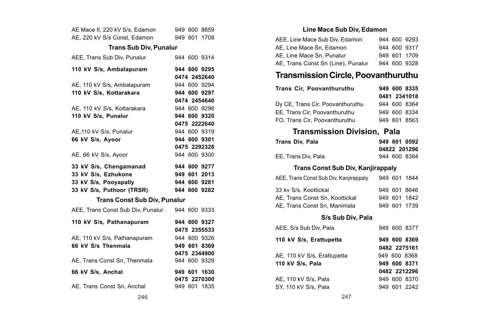| AE Mace II, 220 kV S/s, Edamon            |  | 949 600 8659                 |
|-------------------------------------------|--|------------------------------|
| AE, 220 kV S/s Const, Edamon 949 601 1708 |  |                              |
| <b>Trans Sub Div, Punalur</b>             |  |                              |
| AEE. Trans Sub Div. Punalur               |  | 944 600 9314                 |
| 110 kV S/s, Ambalapuram                   |  | 944 600 9295                 |
|                                           |  | 0474 2452640                 |
| AE, 110 kV S/s, Ambalapuram               |  | 944 600 9294                 |
| 110 kV S/s. Kottarakara                   |  | 944 600 9297                 |
|                                           |  | 0474 2454640                 |
| AE, 110 kV S/s, Kottarakara               |  | 944 600 9296                 |
| 110 kV S/s, Punalur                       |  | 944 600 9320                 |
|                                           |  | 0475 2222640                 |
| AE, 110 kV S/s, Punalur                   |  | 944 600 9319                 |
| 66 kV S/s, Ayoor                          |  | 944 600 9301                 |
|                                           |  | 0475 2292328                 |
| AE, 66 kV S/s, Ayoor                      |  | 944 600 9300                 |
|                                           |  |                              |
| 33 kV S/s. Chengamanad                    |  | 944 600 9277                 |
| 33 kV S/s, Ezhukone                       |  | 949 601 2013                 |
| 33 kV S/s, Pooyapally                     |  | 944 600 9281                 |
| 33 kV S/s, Puthoor (TRSR)                 |  | 944 600 9282                 |
| Trans Const Sub Div, Punalur              |  |                              |
| AEE, Trans Const Sub Div, Punalur         |  | 944 600 9333                 |
|                                           |  |                              |
| 110 kV S/s, Pathanapuram                  |  | 944 600 9327                 |
|                                           |  | 0475 2355533                 |
| AE, 110 kV S/s, Pathanapuram              |  | 944 600 9326                 |
| 66 kV S/s Thenmala                        |  | 949 601 8369                 |
| AE, Trans Const Sn, Thenmala              |  | 0475 2344900<br>944 600 9329 |
| 66 kV S/s, Anchal                         |  | 949 601 1630                 |
|                                           |  | 0475 2270300                 |

### **Line Mace Sub Div, Edamon**

| AEE, Line Mace Sub Div, Edamon     |  | 944 600 9293 |
|------------------------------------|--|--------------|
| AE, Line Mace Sn, Edamon           |  | 944 600 9317 |
| AE. Line Mace Sn. Punalur          |  | 949 601 1709 |
| AE, Trans Const Sn (Line), Punalur |  | 944 600 9328 |

# **Transmission Circle, Poovanthuruthu**

| Trans Cir. Poovanthuruthu        | 949 600 8335 |
|----------------------------------|--------------|
|                                  | 0481 2341018 |
| Dy CE, Trans Cir, Poovanthuruthu | 944 600 8364 |
| EE. Trans Cir. Poovanthuruthu    | 949 600 8334 |
| FO. Trans Cir. Poovanthuruthu    | 949 601 8563 |

# **Transmission Division, Pala**

| Trans Div, Pala                        |  |  | 949 601 0592<br>04822 201296 |
|----------------------------------------|--|--|------------------------------|
| EE. Trans Div. Pala                    |  |  | 944 600 8384                 |
| Trans Const Sub Div, Kanjirappaly      |  |  |                              |
| AEE, Trans Const Sub Div, Kanjirappaly |  |  | 949 601 1844                 |
| 33 kv S/s, Koottickal                  |  |  | 949 601 8646                 |
| AE, Trans Const Sn, Koottickal         |  |  | 949 601 1842                 |
| AE, Trans Const Sn, Manimala           |  |  | 949 601 1739                 |
| S/s Sub Div, Pala                      |  |  |                              |
| AEE, S/s Sub Div, Pala                 |  |  | 949 600 8377                 |
| 110 kV S/s, Erattupetta                |  |  | 949 600 8369                 |
|                                        |  |  | 0482 2275161                 |
| AE, 110 kV S/s, Erattupetta            |  |  | 949 600 8368                 |
| 110 kV S/s, Pala                       |  |  | 949 600 8371                 |
|                                        |  |  | 0482 2212296                 |
| AE, 110 kV S/s, Pala                   |  |  | 949 600 8370                 |
| SY, 110 kV S/s, Pala                   |  |  | 949 601 2242                 |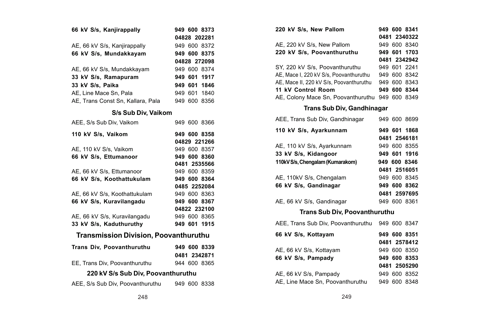| 66 kV S/s, Kanjirappally          | 949 600 8373 |
|-----------------------------------|--------------|
|                                   | 04828 202281 |
| AE, 66 kV S/s, Kanjirappally      | 949 600 8372 |
| 66 kV S/s, Mundakkayam            | 949 600 8375 |
|                                   | 04828 272098 |
| AE, 66 kV S/s, Mundakkayam        | 949 600 8374 |
| 33 kV S/s, Ramapuram              | 949 601 1917 |
| 33 kV S/s, Paika                  | 949 601 1846 |
| AE. Line Mace Sn. Pala            | 949 601 1840 |
| AE, Trans Const Sn, Kallara, Pala | 949 600 8356 |

### **S/s Sub Div, Vaikom**

| AEE, S/s Sub Div, Vaikom                     |  | 949 600 8366 |
|----------------------------------------------|--|--------------|
| 110 kV S/s, Vaikom                           |  | 949 600 8358 |
|                                              |  | 04829 221266 |
| AE, 110 kV S/s, Vaikom                       |  | 949 600 8357 |
| 66 kV S/s, Ettumanoor                        |  | 949 600 8360 |
|                                              |  | 0481 2535566 |
| AE, 66 kV S/s, Ettumanoor                    |  | 949 600 8359 |
| 66 kV S/s, Koothattukulam                    |  | 949 600 8364 |
|                                              |  | 0485 2252084 |
| AE, 66 kV S/s, Koothattukulam                |  | 949 600 8363 |
| 66 kV S/s, Kuravilangadu                     |  | 949 600 8367 |
|                                              |  | 04822 232100 |
| AE, 66 kV S/s, Kuravilangadu                 |  | 949 600 8365 |
| 33 kV S/s, Kaduthuruthy                      |  | 949 601 1915 |
|                                              |  |              |
| <b>Transmission Division, Poovanthuruthu</b> |  |              |
| Trans Div, Poovanthuruthu                    |  | 949 600 8339 |
|                                              |  | 0481 2342871 |
| EE, Trans Div, Poovanthuruthu                |  | 944 600 8365 |
| 220 kV S/s Sub Div, Poovanthuruthu           |  |              |
| AEE, S/s Sub Div, Poovanthuruthu             |  | 949 600 8338 |

| 220 kV S/s. New Pallom                  |  | 949 600 8341 |
|-----------------------------------------|--|--------------|
|                                         |  | 0481 2340322 |
| AE. 220 kV S/s. New Pallom              |  | 949 600 8340 |
| 220 kV S/s. Poovanthuruthu              |  | 949 601 1703 |
|                                         |  | 0481 2342942 |
| SY, 220 kV S/s, Poovanthuruthu          |  | 949 601 2241 |
| AE. Mace I. 220 kV S/s. Poovanthuruthu  |  | 949 600 8342 |
| AE, Mace II, 220 kV S/s, Poovanthuruthu |  | 949 600 8343 |
| 11 kV Control Room                      |  | 949 600 8344 |
| AE. Colony Mace Sn. Poovanthuruthu      |  | 949 600 8349 |

### **Trans Sub Div, Gandhinagar**

| AEE, Trans Sub Div, Gandhinagar  | 949 600 8699 |
|----------------------------------|--------------|
| 110 kV S/s, Ayarkunnam           | 949 601 1868 |
|                                  | 0481 2546181 |
| AE, 110 kV S/s, Ayarkunnam       | 949 600 8355 |
| 33 kV S/s, Kidangoor             | 949 601 1916 |
| 110kV S/s. Chengalam (Kumarakom) | 949 600 8346 |
|                                  | 0481 2516051 |
| AE, 110kV S/s, Chengalam         | 949 600 8345 |
| 66 kV S/s. Gandinagar            | 949 600 8362 |
|                                  | 0481 2597695 |
| AE, 66 kV S/s, Gandinagar        | 949 600 8361 |
|                                  |              |

### **Trans Sub Div, Poovanthuruthu**

| AEE, Trans Sub Div, Poovanthuruthu | 949 600 8347 |
|------------------------------------|--------------|
| 66 kV S/s. Kottavam                | 949 600 8351 |
|                                    | 0481 2578412 |
| AE, 66 kV S/s, Kottayam            | 949 600 8350 |
| 66 kV S/s. Pampady                 | 949 600 8353 |
|                                    | 0481 2505290 |
| AE, 66 kV S/s, Pampady             | 949 600 8352 |
| AE, Line Mace Sn, Poovanthuruthu   | 949 600 8348 |
|                                    |              |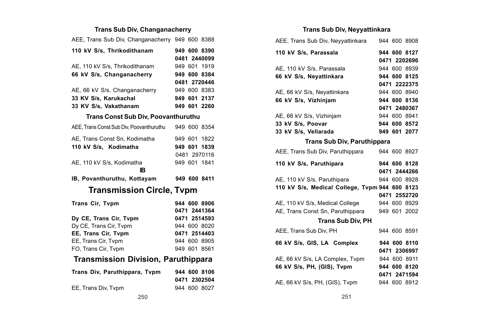### **Trans Sub Div, Changanacherry**

| AEE, Trans Sub Div, Changanacherry 949 600 8388 |              |
|-------------------------------------------------|--------------|
| 110 kV S/s, Thrikodithanam                      | 949 600 8390 |
|                                                 | 0481 2440099 |
| AE, 110 kV S/s, Thrikodithanam                  | 949 601 1919 |
| 66 kV S/s, Changanacherry                       | 949 600 8384 |
|                                                 | 0481 2720446 |
| AE, 66 kV S/s, Changanacherry                   | 949 600 8383 |
| 33 KV S/s, Karukachal                           | 949 601 2137 |
| 33 KV S/s, Vakathanam                           | 949 601 2260 |
| <b>Trans Const Sub Div, Poovanthuruthu</b>      |              |
| AEE, Trans Const Sub Div, Poovanthuruthu        | 949 600 8354 |
| AE, Trans Const Sn, Kodimatha                   | 949 601 1822 |
| 110 kV S/s. Kodimatha                           | 949 601 1839 |
|                                                 | 0481 2970116 |
| AE, 110 kV S/s, Kodimatha                       | 949 601 1841 |
|                                                 |              |
| ıв                                              |              |
| IB, Povanthuruthu, Kottayam                     | 949 600 8411 |
| <b>Transmission Circle, Tvpm</b>                |              |
|                                                 | 944 600 8906 |
| Trans Cir, Tvpm                                 | 0471 2441364 |
| Dy CE. Trans Cir. Typm                          | 0471 2514593 |
| Dy CE, Trans Cir, Tvpm                          | 944 600 8020 |
| EE, Trans Cir, Tvpm                             | 0471 2514403 |
| EE, Trans Cir, Tvpm                             | 944 600 8905 |
| FO, Trans Cir, Tvpm                             | 949 601 8561 |
| Transmission Division, Paruthippara             |              |
| Trans Div, Paruthippara, Tvpm                   | 944 600 8106 |
|                                                 | 0471 2302504 |

### **Trans Sub Div, Neyyattinkara**

| AEE, Trans Sub Div, Neyyattinkara              |  | 944 600 8908 |
|------------------------------------------------|--|--------------|
| 110 kV S/s, Parassala                          |  | 944 600 8127 |
|                                                |  | 0471 2202696 |
| AE, 110 kV S/s, Parassala                      |  | 944 600 8939 |
| 66 kV S/s, Neyattinkara                        |  | 944 600 8125 |
|                                                |  | 0471 2222375 |
| AE, 66 kV S/s, Neyattinkara                    |  | 944 600 8940 |
| 66 kV S/s, Vizhinjam                           |  | 944 600 8136 |
|                                                |  | 0471 2480367 |
| AE, 66 kV S/s, Vizhinjam                       |  | 944 600 8941 |
| 33 kV S/s, Poovar                              |  | 944 600 8572 |
| 33 kV S/s, Vellarada                           |  | 949 601 2077 |
| Trans Sub Div, Paruthippara                    |  |              |
| AEE, Trans Sub Div, Paruthippara               |  | 944 600 8927 |
| 110 kV S/s, Paruthipara                        |  | 944 600 8128 |
|                                                |  | 0471 2444266 |
| AE, 110 kV S/s, Paruthipara                    |  | 944 600 8928 |
| 110 kV S/s, Medical College, Tvpm 944 600 8123 |  |              |
|                                                |  | 0471 2552720 |
| AE, 110 kV S/s, Medical College                |  | 944 600 8929 |
| AE, Trans Const Sn, Paruthippara               |  | 949 601 2002 |
| <b>Trans Sub Div. PH</b>                       |  |              |
| AEE. Trans Sub Div. PH                         |  | 944 600 8591 |
| 66 kV S/s, GIS, LA Complex                     |  | 944 600 8110 |
|                                                |  | 0471 2306997 |
| AE, 66 kV S/s, LA Complex, Tvpm                |  | 944 600 8911 |
| 66 kV S/s, PH, (GIS), Tvpm                     |  | 944 600 8120 |
|                                                |  | 0471 2471594 |
| AE, 66 kV S/s, PH, (GIS), Tvpm                 |  | 944 600 8912 |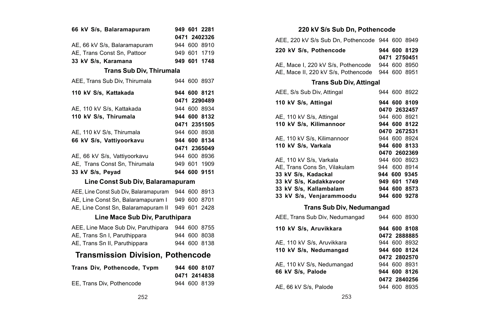| 66 kV S/s, Balaramapuram                 |  | 949 601 2281<br>0471 2402326 |
|------------------------------------------|--|------------------------------|
| AE, 66 kV S/s, Balaramapuram             |  | 944 600 8910                 |
| AE, Trans Const Sn, Pattoor              |  | 949 601 1719                 |
| 33 kV S/s, Karamana                      |  | 949 601 1748                 |
|                                          |  |                              |
| <b>Trans Sub Div, Thirumala</b>          |  |                              |
| AEE, Trans Sub Div, Thirumala            |  | 944 600 8937                 |
| 110 kV S/s, Kattakada                    |  | 944 600 8121                 |
|                                          |  | 0471 2290489                 |
| AE, 110 kV S/s, Kattakada                |  | 944 600 8934                 |
| 110 kV S/s, Thirumala                    |  | 944 600 8132                 |
|                                          |  | 0471 2351505                 |
| AE, 110 kV S/s, Thirumala                |  | 944 600 8938                 |
| 66 kV S/s, Vattiyoorkavu                 |  | 944 600 8134                 |
|                                          |  | 0471 2365049                 |
| AE, 66 kV S/s, Vattiyoorkavu             |  | 944 600 8936                 |
| AE, Trans Const Sn, Thirumala            |  | 949 601 1909                 |
| 33 kV S/s. Pevad                         |  | 944 600 9151                 |
| Line Const Sub Div, Balaramapuram        |  |                              |
| AEE, Line Const Sub Div, Balaramapuram   |  | 944 600 8913                 |
| AE, Line Const Sn, Balaramapuram I       |  | 949 600 8701                 |
| AE, Line Const Sn, Balaramapuram II      |  | 949 601 2428                 |
| Line Mace Sub Div, Paruthipara           |  |                              |
| AEE, Line Mace Sub Div, Paruthipara      |  | 944 600 8755                 |
| AE, Trans Sn I, Paruthippara             |  | 944 600 8038                 |
| AE, Trans Sn II, Paruthippara            |  | 944 600 8138                 |
| <b>Transmission Division, Pothencode</b> |  |                              |
| Trans Div, Pothencode, Tvpm              |  | 944 600 8107                 |
|                                          |  | 0471 2414838                 |
| EE, Trans Div, Pothencode                |  | 944 600 8139                 |

**220 kV S/s Sub Dn, Pothencode** AEE, 220 kV S/s Sub Dn, Pothencode 944 600 8949 **220 kV S/s, Pothencode 944 600 8129 0471 2750451** AE, Mace I, 220 kV S/s, Pothencode 944 600 8950 AE, Mace II, 220 kV S/s, Pothencode 944 600 8951 **Trans Sub Div, Attingal** AEE, S/s Sub Div, Attingal 944 600 8922 **110 kV S/s, Attingal 944 600 8109 0470 2632457** AE, 110 kV S/s, Attingal 944 600 8921<br>110 kV S/s. Kilimannoor 944 600 8122 **110 kV S/s, Kilimannoor 0470 2672531** AE, 110 kV S/s, Kilimannoor 944 600 8924 **110 kV S/s, Varkala 944 600 8133 0470 2602369** AE, 110 kV S/s, Varkala 944 600 8923<br>AE, Trans Cons Sn, Vilakulam 944 600 8914 AE, Trans Cons Sn, Vilakulam **33 kV S/s, Kadackal 944 600 9345 33 kV S/s, Kadakkavoor 949 601 1749 33 kV S/s, Kallambalam 944 600 8573 33 kV S/s, Venjarammoodu 944 600 9278 Trans Sub Div, Nedumangad** AEE, Trans Sub Div, Nedumangad 944 600 8930

| 110 kV S/s. Aruvikkara     | 944 600 8108 |
|----------------------------|--------------|
|                            | 0472 2888885 |
| AE, 110 kV S/s, Aruvikkara | 944 600 8932 |
| 110 kV S/s, Nedumangad     | 944 600 8124 |
|                            | 0472 2802570 |
| AE, 110 kV S/s, Nedumangad | 944 600 8931 |
| 66 kV S/s. Palode          | 944 600 8126 |
|                            | 0472 2840256 |
| AE, 66 kV S/s, Palode      | 944 600 8935 |
|                            |              |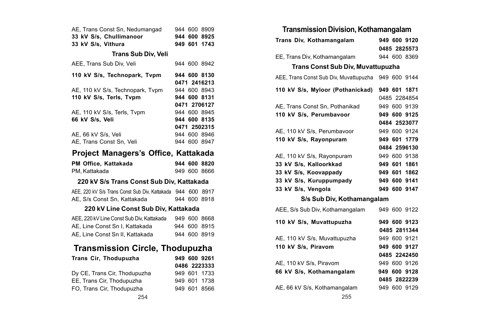|  | AE. Trans Const Sn. Nedumangad |  | 944 600 8909 |
|--|--------------------------------|--|--------------|
|  | 33 kV S/s. Chullimanoor        |  | 944 600 8925 |
|  | 33 kV S/s. Vithura             |  | 949 601 1743 |

### **Trans Sub Div, Veli**

| AEE. Trans Sub Div. Veli         | 944 600 8942 |
|----------------------------------|--------------|
| 110 kV S/s, Technopark, Tvpm     | 944 600 8130 |
|                                  | 0471 2416213 |
| AE, 110 kV S/s, Technopark, Tvpm | 944 600 8943 |
| 110 kV S/s, Terls, Tvpm          | 944 600 8131 |
|                                  | 0471 2706127 |
| AE. 110 kV S/s. Terls. Tvpm      | 944 600 8945 |
| 66 kV S/s. Veli                  | 944 600 8135 |
|                                  | 0471 2502315 |
| AE, 66 kV S/s, Veli              | 944 600 8946 |
| AE. Trans Const Sn. Veli         | 944 600 8947 |

# **Project Managers's Office, Kattakada**

| PM Office, Kattakada |  | 944 600 8820 |
|----------------------|--|--------------|
| PM. Kattakada        |  | 949 600 8666 |

### **220 kV S/s Trans Const Sub Div, Kattakada**

|  |  |                             |  | AEE, 220 kV S/s Trans Const Sub Div, Kattakada 944 600 8917 |  |              |
|--|--|-----------------------------|--|-------------------------------------------------------------|--|--------------|
|  |  | AE, S/s Const Sn, Kattakada |  |                                                             |  | 944 600 8918 |

### **220 kV Line Const Sub Div, Kattakada**

| AEE, 220 kV Line Const Sub Div, Kattakada |  | 949 600 8668 |
|-------------------------------------------|--|--------------|
| AE. Line Const Sn I. Kattakada            |  | 944 600 8915 |
| AE. Line Const Sn II. Kattakada           |  | 944 600 8919 |

# **Transmission Circle, Thodupuzha**

| Trans Cir, Thodupuzha        | 949 600 9261 | AE, 110 kV S/s, Piravom     |  |  |
|------------------------------|--------------|-----------------------------|--|--|
|                              | 0486 2223333 |                             |  |  |
| Dy CE. Trans Cir. Thodupuzha | 949 601 1733 | 66 kV S/s, Kothamangalar    |  |  |
| EE. Trans Cir. Thodupuzha    | 949 601 1738 |                             |  |  |
| FO. Trans Cir. Thodupuzha    | 949 601 8566 | AE, 66 kV S/s, Kothamangala |  |  |
| 254                          |              | 255                         |  |  |

### **Transmission Division, Kothamangalam**

| Trans Div, Kothamangalam                 | 949 600 9120 |
|------------------------------------------|--------------|
|                                          | 0485 2825573 |
| EE, Trans Div, Kothamangalam             | 944 600 8369 |
| <b>Trans Const Sub Div, Muvattupuzha</b> |              |
| AEE, Trans Const Sub Div, Muvattupuzha   | 949 600 9144 |
| 110 kV S/s, Myloor (Pothanickad)         | 949 601 1871 |
|                                          | 0485 2284854 |
| AE, Trans Const Sn, Pothanikad           | 949 600 9139 |
| 110 kV S/s, Perumbavoor                  | 949 600 9125 |
|                                          | 0484 2523077 |
| AE, 110 kV S/s, Perumbavoor              | 949 600 9124 |
| 110 kV S/s, Rayonpuram                   | 949 601 1779 |
|                                          | 0484 2596130 |
| AE, 110 kV S/s, Rayonpuram               | 949 600 9138 |
| 33 kV S/s. Kalloorkkad                   | 949 601 1861 |
| 33 kV S/s, Koovappady                    | 949 601 1862 |
| 33 kV S/s, Kuruppumpady                  | 949 600 9141 |
| 33 kV S/s, Vengola                       | 949 600 9147 |
| S/s Sub Div, Kothamangalam               |              |
| AEE, S/s Sub Div, Kothamangalam          | 949 600 9122 |
| 110 kV S/s, Muvattupuzha                 | 949 600 9123 |
|                                          | 0485 2811344 |
| AE, 110 kV S/s, Muvattupuzha             | 949 600 9121 |
| 110 kV S/s, Piravom                      | 949 600 9127 |
|                                          | 0485 2242450 |
| AE, 110 kV S/s, Piravom                  | 949 600 9126 |
| 66 kV S/s, Kothamangalam                 | 949 600 9128 |
|                                          | 0485 2822239 |
| AE, 66 kV S/s, Kothamangalam             | 949 600 9129 |
| 255                                      |              |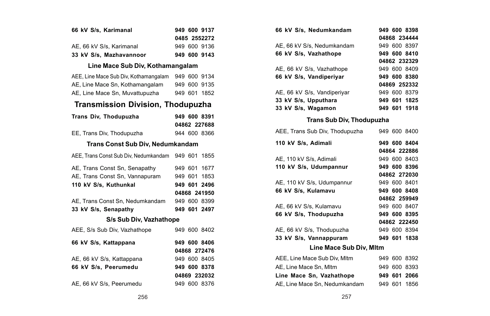| 66 kV S/s, Karimanal                          |  | 949 600 9137 |
|-----------------------------------------------|--|--------------|
|                                               |  | 0485 2552272 |
| AE, 66 kV S/s, Karimanal                      |  | 949 600 9136 |
| 33 kV S/s, Mazhavannoor                       |  | 949 600 9143 |
| Line Mace Sub Div, Kothamangalam              |  |              |
| AEE, Line Mace Sub Div, Kothamangalam         |  | 949 600 9134 |
| AE. Line Mace Sn. Kothamangalam               |  | 949 600 9135 |
| AE, Line Mace Sn, Muvattupuzha                |  | 949 601 1852 |
| <b>Transmission Division. Thodupuzha</b>      |  |              |
| Trans Div, Thodupuzha                         |  | 949 600 8391 |
|                                               |  | 04862 227688 |
| EE, Trans Div, Thodupuzha                     |  | 944 600 8366 |
| Trans Const Sub Div, Nedumkandam              |  |              |
| AEE, Trans Const Sub Div, Nedumkandam 949 601 |  | 1855         |
| AE, Trans Const Sn, Senapathy                 |  | 949 601 1677 |
| AE, Trans Const Sn, Vannapuram                |  | 949 601 1853 |
| 110 kV S/s, Kuthunkal                         |  | 949 601 2496 |
|                                               |  | 04868 241950 |
| AE, Trans Const Sn, Nedumkandam               |  | 949 600 8399 |
| 33 kV S/s, Senapathy                          |  | 949 601 2497 |
| S/s Sub Div, Vazhathope                       |  |              |
| AEE. S/s Sub Div. Vazhathope                  |  | 949 600 8402 |
| 66 kV S/s, Kattappana                         |  | 949 600 8406 |
|                                               |  | 04868 272476 |
| AE, 66 kV S/s, Kattappana                     |  | 949 600 8405 |
| 66 kV S/s, Peerumedu                          |  | 949 600 8378 |
|                                               |  | 04869 232032 |
| AE, 66 kV S/s, Peerumedu                      |  | 949 600 8376 |

|                   | 949 600 9137            | 949 600 8398<br>66 kV S/s, Nedumkandam                                               |  |
|-------------------|-------------------------|--------------------------------------------------------------------------------------|--|
|                   | 0485 2552272            | 04868 234444                                                                         |  |
|                   | 949 600 9136            | 949 600 8397<br>AE, 66 kV S/s, Nedumkandam                                           |  |
| or                | 949 600 9143            | 66 kV S/s, Vazhathope<br>949 600 8410                                                |  |
| iv, Kothamangalam |                         | 04862 232329                                                                         |  |
|                   | hamangalam 949 600 9134 | AE, 66 kV S/s, Vazhathope<br>949 600 8409<br>66 kV S/s, Vandiperiyar<br>949 600 8380 |  |
| nangalam          | 949 600 9135            | 04869 252332                                                                         |  |
| tupuzha           | 949 601 1852            | AE, 66 kV S/s, Vandiperiyar<br>949 600 8379                                          |  |
|                   |                         | 33 kV S/s, Upputhara<br>949 601 1825                                                 |  |
|                   | rision, Thodupuzha      | 949 601 1918<br>33 kV S/s, Wagamon                                                   |  |
|                   | 949 600 8391            | Trans Sub Div, Thodupuzha                                                            |  |
|                   | 04862 227688            |                                                                                      |  |
| ıa                | 944 600 8366            | AEE, Trans Sub Div, Thodupuzha<br>949 600 8400                                       |  |
| Div, Nedumkandam  |                         | 110 kV S/s, Adimali<br>949 600 8404                                                  |  |
|                   | edumkandam 949 601 1855 | 04864 222886                                                                         |  |
|                   |                         | AE. 110 kV S/s. Adimali<br>949 600 8403                                              |  |
| apathy            | 949 601 1677            | 110 kV S/s, Udumpannur<br>949 600 8396                                               |  |
| napuram           | 949 601 1853            | 04862 272030                                                                         |  |
|                   | 949 601 2496            | AE, 110 kV S/s, Udumpannur<br>949 600 8401                                           |  |
|                   | 04868 241950            | 66 kV S/s, Kulamavu<br>949 600 8408                                                  |  |
| <b>imkandam</b>   | 949 600 8399            | 04862 259949                                                                         |  |
|                   | 949 601 2497            | AE, 66 kV S/s, Kulamavu<br>949 600 8407                                              |  |
| v, Vazhathope     |                         | 66 kV S/s, Thodupuzha<br>949 600 8395<br>04862 222450                                |  |
| hope              | 949 600 8402            | AE, 66 kV S/s, Thodupuzha<br>949 600 8394                                            |  |
|                   |                         | 33 kV S/s, Vannappuram<br>949 601 1838                                               |  |
|                   | 949 600 8406            | Line Mace Sub Div, Mltm                                                              |  |
|                   | 04868 272476            |                                                                                      |  |
| a                 | 949 600 8405            | AEE, Line Mace Sub Div, Mltm<br>949 600 8392                                         |  |
|                   | 949 600 8378            | AE, Line Mace Sn, Mltm<br>949 600 8393                                               |  |
|                   | 04869 232032            | Line Mace Sn, Vazhathope<br>949 601 2066                                             |  |
| u                 | 949 600 8376            | AE, Line Mace Sn, Nedumkandam<br>949 601 1856                                        |  |
| 256               |                         | 257                                                                                  |  |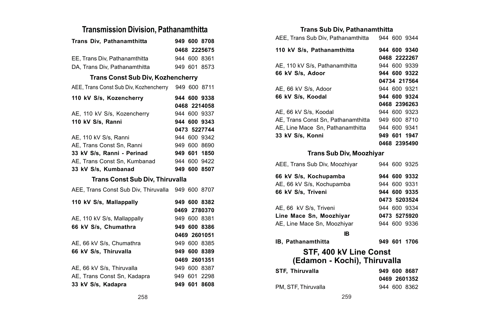### **Transmission Division, Pathanamthitta**

| Trans Div, Pathanamthitta                           | 949 600 8708                 |
|-----------------------------------------------------|------------------------------|
|                                                     | 0468 2225675                 |
| EE, Trans Div, Pathanamthitta                       | 944 600 8361                 |
| DA. Trans Div. Pathanamthitta                       | 949 601 8573                 |
| <b>Trans Const Sub Div, Kozhencherry</b>            |                              |
| AEE, Trans Const Sub Div, Kozhencherry 949 600 8711 |                              |
| 110 kV S/s, Kozencherry                             | 944 600 9338<br>0468 2214058 |
|                                                     |                              |
| AE, 110 kV S/s, Kozencherry                         | 944 600 9337                 |
| 110 kV S/s, Ranni                                   | 944 600 9343                 |
|                                                     | 0473 5227744                 |
| AE, 110 kV S/s, Ranni                               | 944 600 9342                 |
| AE, Trans Const Sn, Ranni                           | 949 600 8690                 |
| 33 kV S/s, Ranni - Perinad                          | 949 601 1850                 |
| AE, Trans Const Sn, Kumbanad                        | 944 600 9422                 |
| 33 kV S/s. Kumbanad                                 | 949 600 8507                 |
| <b>Trans Const Sub Div, Thiruvalla</b>              |                              |
| AEE, Trans Const Sub Div, Thiruvalla 949 600 8707   |                              |
| 110 kV S/s, Mallappally                             | 949 600 8382                 |
|                                                     | 0469 2780370                 |
| AE, 110 kV S/s, Mallappally                         | 949 600 8381                 |
| 66 kV S/s, Chumathra                                | 949 600 8386                 |
|                                                     | 0469 2601051                 |
| AE, 66 kV S/s, Chumathra                            | 949 600 8385                 |
| 66 kV S/s, Thiruvalla                               | 949 600 8389                 |
|                                                     | 0469 2601351                 |
| AE, 66 kV S/s, Thiruvalla                           | 949 600 8387                 |
| AE, Trans Const Sn, Kadapra                         | 949 601 2298                 |
| 33 kV S/s, Kadapra                                  | 949 601 8608                 |

### **Trans Sub Div, Pathanamthitta**

| AEE. Trans Sub Div. Pathanamthitta | 944 600 9344 |
|------------------------------------|--------------|
| 110 kV S/s, Pathanamthitta         | 944 600 9340 |
|                                    | 0468 2222267 |
| AE, 110 kV S/s, Pathanamthitta     | 944 600 9339 |
| 66 kV S/s. Adoor                   | 944 600 9322 |
|                                    | 04734 217564 |
| AE. 66 kV S/s. Adoor               | 944 600 9321 |
| 66 kV S/s. Koodal                  | 944 600 9324 |
|                                    | 0468 2396263 |
| AE. 66 kV S/s. Koodal              | 944 600 9323 |
| AE. Trans Const Sn. Pathanamthitta | 949 600 8710 |
| AE. Line Mace Sn. Pathanamthitta   | 944 600 9341 |
| 33 kV S/s, Konni                   | 949 601 1947 |
|                                    | 0468 2395490 |
|                                    |              |

### **Trans Sub Div, Moozhiyar**

| AEE, Trans Sub Div, Moozhiyar | 944 600 9325 |
|-------------------------------|--------------|
| 66 kV S/s. Kochupamba         | 944 600 9332 |
| AE, 66 kV S/s, Kochupamba     | 944 600 9331 |
| 66 kV S/s. Triveni            | 944 600 9335 |
|                               | 0473 5203524 |
| AE, 66 kV S/s, Triveni        | 944 600 9334 |
| Line Mace Sn, Moozhiyar       | 0473 5275920 |
| AE, Line Mace Sn, Moozhiyar   | 944 600 9336 |
| IB                            |              |

**IB, Pathanamthitta 949 601 1706**

# **STF, 400 kV Line Const**

# **(Edamon - Kochi), Thiruvalla**

| <b>STF. Thiruvalla</b> | 949 600 8687 |
|------------------------|--------------|
|                        | 0469 2601352 |
| PM. STF. Thiruvalla    | 944 600 8362 |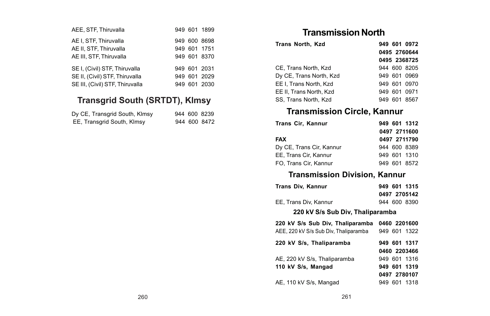| AEE, STF, Thiruvalla                                                                               |     | 949 601 1899                                 |
|----------------------------------------------------------------------------------------------------|-----|----------------------------------------------|
| AE I, STF, Thiruvalla<br>AE II, STF, Thiruvalla<br>AE III, STF, Thiruvalla                         |     | 949 600 8698<br>949 601 1751<br>949 601 8370 |
| SE I, (Civil) STF, Thiruvalla<br>SE II, (Civil) STF, Thiruvalla<br>SE III, (Civil) STF, Thiruvalla | 949 | 949 601 2031<br>949 601 2029<br>601 2030     |

# **Transgrid South (SRTDT), Klmsy**

| Dy CE, Transgrid South, Klmsy |  | 944 600 8239 |
|-------------------------------|--|--------------|
| EE, Transgrid South, Klmsy    |  | 944 600 8472 |

# **Transmission North**

| <b>Trans North, Kzd</b> | 949 601 0972    |
|-------------------------|-----------------|
|                         | 0495 2760644    |
|                         | 0495 2368725    |
| CE. Trans North, Kzd    | 944 600 8205    |
| Dy CE, Trans North, Kzd | 949 601 0969    |
| EE I. Trans North, Kzd  | 949 601 0970    |
| EE II. Trans North, Kzd | 949 601 0971    |
| SS. Trans North, Kzd    | 601 8567<br>949 |

# **Transmission Circle, Kannur**

| Trans Cir. Kannur        | 949 601 1312 |
|--------------------------|--------------|
|                          | 0497 2711600 |
| FAX                      | 0497 2711790 |
| Dy CE, Trans Cir, Kannur | 944 600 8389 |
| EE. Trans Cir. Kannur    | 949 601 1310 |
| FO. Trans Cir. Kannur    | 949 601 8572 |

# **Transmission Division, Kannur**

| Trans Div. Kannur     | 949 601 1315 |
|-----------------------|--------------|
|                       | 0497 2705142 |
| EE. Trans Div. Kannur | 944 600 8390 |
|                       |              |

**220 kV S/s Sub Div, Thaliparamba**

| 220 kV S/s Sub Div, Thaliparamba      | 0460 2201600 |
|---------------------------------------|--------------|
| AEE, 220 kV S/s Sub Div, Thaliparamba | 949 601 1322 |
| 220 kV S/s, Thaliparamba              | 949 601 1317 |
|                                       | 0460 2203466 |
| AE, 220 kV S/s, Thaliparamba          | 949 601 1316 |
| 110 kV S/s. Mangad                    | 949 601 1319 |
|                                       | 0497 2780107 |
| AE, 110 kV S/s, Mangad                | 949 601 1318 |
|                                       |              |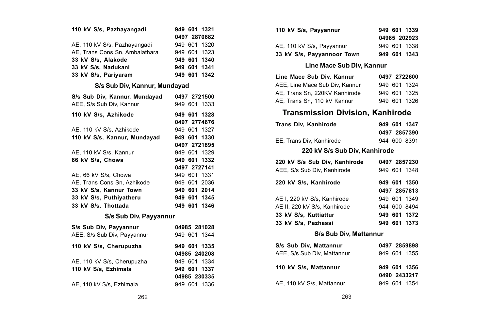| 110 kV S/s, Pazhayangadi       | 949 601 1321 |
|--------------------------------|--------------|
|                                | 0497 2870682 |
| AE, 110 kV S/s, Pazhayangadi   | 949 601 1320 |
| AE, Trans Cons Sn, Ambalathara | 949 601 1323 |
| 33 kV S/s, Alakode             | 949 601 1340 |
| 33 kV S/s. Nadukani            | 949 601 1341 |
| 33 kV S/s, Pariyaram           | 949 601 1342 |
| S/s Sub Div, Kannur, Mundayad  |              |
| S/s Sub Div, Kannur, Mundayad  | 0497 2721500 |
| AEE, S/s Sub Div, Kannur       | 949 601 1333 |
| 110 kV S/s. Azhikode           | 949 601 1328 |
|                                | 0497 2774676 |
| AE, 110 kV S/s, Azhikode       | 949 601 1327 |
| 110 kV S/s. Kannur. Mundavad   | 949 601 1330 |
|                                | 0497 2721895 |
| AE, 110 kV S/s, Kannur         | 949 601 1329 |
| 66 kV S/s, Chowa               | 949 601 1332 |
|                                | 0497 2727141 |
| AE, 66 kV S/s, Chowa           | 949 601 1331 |
| AE, Trans Cons Sn, Azhikode    | 949 601 2036 |
| 33 kV S/s, Kannur Town         | 949 601 2014 |
| 33 kV S/s, Puthiyatheru        | 949 601 1345 |
| 33 kV S/s. Thottada            | 949 601 1346 |
| S/s Sub Div, Payyannur         |              |
| S/s Sub Div, Payyannur         | 04985 281028 |
| AEE, S/s Sub Div, Payyannur    | 949 601 1344 |
| 110 kV S/s, Cherupuzha         | 949 601 1335 |
|                                | 04985 240208 |
| AE, 110 kV S/s, Cherupuzha     | 949 601 1334 |
| 110 kV S/s, Ezhimala           | 949 601 1337 |
|                                | 04985 230335 |

| 110 kV S/s, Payyannur      | 949 601 1339 |
|----------------------------|--------------|
|                            | 04985 202923 |
| AE, 110 kV S/s, Payyannur  | 949 601 1338 |
| 33 kV S/s, Payyannoor Town | 949 601 1343 |

### **Line Mace Sub Div, Kannur**

| Line Mace Sub Div. Kannur      | 0497 2722600 |
|--------------------------------|--------------|
| AEE. Line Mace Sub Div. Kannur | 949 601 1324 |
| AE. Trans Sn. 220KV Kanhirode  | 949 601 1325 |
| AE, Trans Sn, 110 kV Kannur    | 949 601 1326 |

# **Transmission Division, Kanhirode**

| Trans Div. Kanhirode     | 949 601 1347 |
|--------------------------|--------------|
|                          | 0497 2857390 |
| EE. Trans Div. Kanhirode | 944 600 8391 |
|                          |              |

#### **220 kV S/s Sub Div, Kanhirode**

| 220 kV S/s Sub Div. Kanhirode |  | 0497 2857230 |
|-------------------------------|--|--------------|
| AEE, S/s Sub Div. Kanhirode   |  | 949 601 1348 |
| 220 kV S/s, Kanhirode         |  | 949 601 1350 |
|                               |  | 0497 2857813 |
| AE I. 220 kV S/s. Kanhirode   |  | 949 601 1349 |
| AE II, 220 kV S/s. Kanhirode  |  | 944 600 8494 |
| 33 kV S/s. Kuttiattur         |  | 949 601 1372 |
| 33 kV S/s, Pazhassi           |  | 949 601 1373 |

### **S/s Sub Div, Mattannur**

| S/s Sub Div. Mattannur      | 0497 2859898 |
|-----------------------------|--------------|
| AEE, S/s Sub Div, Mattannur | 949 601 1355 |
| 110 kV S/s. Mattannur       | 949 601 1356 |
|                             | 0490 2433217 |
| AE, 110 kV S/s, Mattannur   | 949 601 1354 |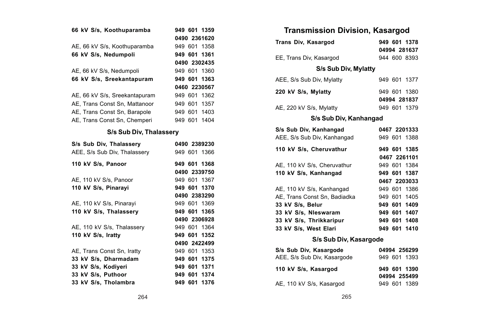| 66 kV S/s, Koothuparamba      | 949 601 1359 |
|-------------------------------|--------------|
|                               | 0490 2361620 |
| AE, 66 kV S/s, Koothuparamba  | 949 601 1358 |
| 66 kV S/s, Nedumpoli          | 949 601 1361 |
|                               | 0490 2302435 |
| AE, 66 kV S/s, Nedumpoli      | 949 601 1360 |
| 66 kV S/s, Sreekantapuram     | 949 601 1363 |
|                               | 0460 2230567 |
| AE, 66 kV S/s, Sreekantapuram | 949 601 1362 |
| AE. Trans Const Sn. Mattanoor | 949 601 1357 |
| AE, Trans Const Sn, Barapole  | 949 601 1403 |
| AE, Trans Const Sn, Chemperi  | 949 601 1404 |
| S/s Sub Div, Thalassery       |              |
| S/s Sub Div, Thalassery       | 0490 2389230 |
| AEE, S/s Sub Div. Thalasserv  | 949 601 1366 |
| 110 kV S/s, Panoor            | 949 601 1368 |
|                               | 0490 2339750 |
| AE, 110 kV S/s, Panoor        | 949 601 1367 |
| 110 kV S/s, Pinarayi          | 949 601 1370 |
|                               | 0490 2383290 |
| AE, 110 kV S/s, Pinarayi      | 949 601 1369 |
| 110 kV S/s, Thalassery        | 949 601 1365 |
|                               | 0490 2306928 |
| AE, 110 kV S/s, Thalassery    | 949 601 1364 |
| 110 kV S/s, Iratty            | 949 601 1352 |
|                               | 0490 2422499 |
| AE, Trans Const Sn, Iratty    | 949 601 1353 |
| 33 kV S/s. Dharmadam          | 949 601 1375 |
| 33 kV S/s, Kodiyeri           | 949 601 1371 |
| 33 kV S/s, Puthoor            | 949 601 1374 |
| 33 kV S/s, Tholambra          | 949 601 1376 |

| <b>Transmission Division, Kasargod</b> |  |              |
|----------------------------------------|--|--------------|
| Trans Div, Kasargod                    |  | 949 601 1378 |
|                                        |  | 04994 281637 |
| EE. Trans Div. Kasargod                |  | 944 600 8393 |
| S/s Sub Div. Mylatty                   |  |              |
| AEE, S/s Sub Div. Mylatty              |  | 949 601 1377 |
| 220 kV S/s, Mylatty                    |  | 949 601 1380 |
|                                        |  | 04994 281837 |
| AE, 220 kV S/s, Mylatty                |  | 949 601 1379 |
| S/s Sub Div. Kanhangad                 |  |              |
| S/s Sub Div. Kanhangad                 |  | 0467 2201333 |
| AEE, S/s Sub Div. Kanhangad            |  | 949 601 1388 |
| 110 kV S/s, Cheruvathur                |  | 949 601 1385 |
|                                        |  | 0467 2261101 |
| AE. 110 kV S/s. Cheruvathur            |  | 949 601 1384 |
| 110 kV S/s, Kanhangad                  |  | 949 601 1387 |
|                                        |  | 0467 2203033 |
| AE, 110 kV S/s, Kanhangad              |  | 949 601 1386 |
| AE. Trans Const Sn. Badiadka           |  | 949 601 1405 |
| 33 kV S/s. Belur                       |  | 949 601 1409 |
| 33 kV S/s. Nieswaram                   |  | 949 601 1407 |
| 33 kV S/s, Thrikkaripur                |  | 949 601 1408 |
| 33 kV S/s. West Elari                  |  | 949 601 1410 |
| S/s Sub Div, Kasargode                 |  |              |
| S/s Sub Div, Kasargode                 |  | 04994 256299 |
| AEE, S/s Sub Div, Kasargode            |  | 949 601 1393 |
| 110 kV S/s, Kasargod                   |  | 949 601 1390 |
|                                        |  | 04994 255499 |
| AE, 110 kV S/s, Kasargod               |  | 949 601 1389 |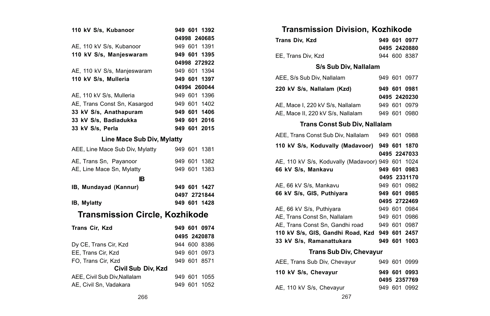| 110 kV S/s, Kubanoor                  |         | 949 601 1392 |
|---------------------------------------|---------|--------------|
|                                       |         | 04998 240685 |
| AE, 110 kV S/s, Kubanoor              |         | 949 601 1391 |
| 110 kV S/s, Manjeswaram               |         | 949 601 1395 |
|                                       |         | 04998 272922 |
| AE, 110 kV S/s, Manjeswaram           |         | 949 601 1394 |
| 110 kV S/s, Mulleria                  |         | 949 601 1397 |
|                                       |         | 04994 260044 |
| AE, 110 kV S/s, Mulleria              |         | 949 601 1396 |
| AE, Trans Const Sn, Kasargod          |         | 949 601 1402 |
| 33 kV S/s, Anathapuram                |         | 949 601 1406 |
| 33 kV S/s, Badiadukka                 |         | 949 601 2016 |
| 33 kV S/s, Perla                      |         | 949 601 2015 |
| Line Mace Sub Div, Mylatty            |         |              |
| AEE, Line Mace Sub Div, Mylatty       |         | 949 601 1381 |
| AE, Trans Sn, Payanoor                |         | 949 601 1382 |
| AE, Line Mace Sn, Mylatty             |         | 949 601 1383 |
| IR.                                   |         |              |
| IB, Mundayad (Kannur)                 |         | 949 601 1427 |
|                                       |         | 0497 2721844 |
| IB, Mylatty                           |         | 949 601 1428 |
| <b>Transmission Circle, Kozhikode</b> |         |              |
| Trans Cir, Kzd                        |         | 949 601 0974 |
|                                       |         | 0495 2420878 |
| Dy CE, Trans Cir, Kzd                 |         | 944 600 8386 |
| EE, Trans Cir, Kzd                    |         | 949 601 0973 |
| FO, Trans Cir, Kzd                    |         | 949 601 8571 |
| Civil Sub Div, Kzd                    |         |              |
| AEE. Civil Sub Div. Nallalam          | 949 601 | 1055         |
| AE, Civil Sn, Vadakara                | 949 601 | 1052         |

| <b>Transmission Division, Kozhikode</b>           |  |                              |
|---------------------------------------------------|--|------------------------------|
| <b>Trans Div. Kzd</b>                             |  | 949 601 0977                 |
|                                                   |  | 0495 2420880                 |
| EE, Trans Div, Kzd                                |  | 944 600 8387                 |
| S/s Sub Div, Nallalam                             |  |                              |
| AEE, S/s Sub Div, Nallalam                        |  | 949 601 0977                 |
| 220 kV S/s, Nallalam (Kzd)                        |  | 949 601 0981                 |
|                                                   |  | 0495 2420230                 |
| AE, Mace I, 220 kV S/s, Nallalam                  |  | 949 601 0979                 |
| AE, Mace II, 220 kV S/s, Nallalam                 |  | 949 601 0980                 |
| <b>Trans Const Sub Div, Nallalam</b>              |  |                              |
| AEE, Trans Const Sub Div, Nallalam                |  | 949 601 0988                 |
| 110 kV S/s, Koduvally (Madavoor)                  |  | 949 601 1870                 |
|                                                   |  | 0495 2247033                 |
| AE, 110 kV S/s, Koduvally (Madavoor) 949 601 1024 |  |                              |
| 66 kV S/s, Mankavu                                |  | 949 601 0983                 |
|                                                   |  | 0495 2331170                 |
| AE, 66 kV S/s, Mankavu                            |  | 949 601 0982                 |
| 66 kV S/s, GIS, Puthiyara                         |  | 949 601 0985                 |
|                                                   |  | 0495 2722469                 |
| AE, 66 kV S/s, Puthiyara                          |  | 949 601 0984                 |
| AE. Trans Const Sn. Nallalam                      |  | 949 601 0986                 |
| AE. Trans Const Sn. Gandhi road                   |  | 949 601 0987                 |
| 110 kV S/s, GIS, Gandhi Road, Kzd                 |  | 949 601 2457                 |
| 33 kV S/s, Ramanattukara                          |  | 949 601 1003                 |
| <b>Trans Sub Div, Chevayur</b>                    |  |                              |
| AEE, Trans Sub Div, Chevayur                      |  | 949 601 0999                 |
| 110 kV S/s, Chevayur                              |  | 949 601 0993<br>0495 2357769 |
| AE, 110 kV S/s, Chevayur                          |  | 949 601 0992                 |
|                                                   |  |                              |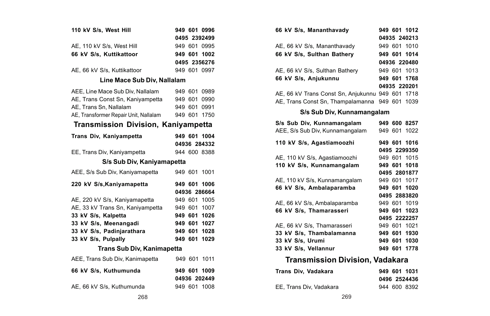| 110 kV S/s, West Hill                      |         | 949 601 0996 |
|--------------------------------------------|---------|--------------|
|                                            |         | 0495 2392499 |
| AE, 110 kV S/s, West Hill                  |         | 949 601 0995 |
| 66 kV S/s. Kuttikattoor                    |         | 949 601 1002 |
|                                            |         | 0495 2356276 |
| AE. 66 kV S/s. Kuttikattoor                |         | 949 601 0997 |
| Line Mace Sub Div, Nallalam                |         |              |
| AEE. Line Mace Sub Div. Nallalam           |         | 949 601 0989 |
| AE, Trans Const Sn, Kaniyampetta           | 949 601 | 0990         |
| AE, Trans Sn, Nallalam                     |         | 949 601 0991 |
| AE, Transformer Repair Unit, Nallalam      | 949 601 | 1750         |
| <b>Transmission Division, Kaniyampetta</b> |         |              |
| Trans Div, Kaniyampetta                    |         | 949 601 1004 |
|                                            |         | 04936 284332 |
| EE, Trans Div, Kaniyampetta                |         | 944 600 8388 |
| S/s Sub Div, Kaniyamapetta                 |         |              |
| AEE, S/s Sub Div, Kaniyamapetta            |         | 949 601 1001 |
| 220 kV S/s, Kaniyamapetta                  | 949 601 | 1006         |
|                                            |         | 04936 286664 |
| AE, 220 kV S/s, Kaniyamapetta              |         | 949 601 1005 |
| AE. 33 kV Trans Sn. Kanivampetta           | 949 601 | 1007         |
| 33 kV S/s, Kalpetta                        | 949 601 | 1026         |
| 33 kV S/s, Meenangadi                      | 949 601 | 1027         |
| 33 kV S/s, Padinjarathara                  | 949 601 | 1028         |
| 33 kV S/s, Pulpally                        | 949 601 | 1029         |
| Trans Sub Div, Kanimapetta                 |         |              |
| AEE, Trans Sub Div, Kanimapetta            | 949 601 | 1011         |
| 66 kV S/s, Kuthumunda                      |         | 949 601 1009 |
|                                            |         | 04936 202449 |
| AE, 66 kV S/s, Kuthumunda                  |         | 949 601 1008 |

| 66 kV S/s, Mananthavady                          | 949 601 1012                 |
|--------------------------------------------------|------------------------------|
|                                                  | 04935 240213                 |
| AE, 66 kV S/s, Mananthavady                      | 949 601 1010                 |
| 66 kV S/s, Sulthan Bathery                       | 949 601 1014                 |
|                                                  | 04936 220480                 |
| AE, 66 kV S/s, Sulthan Bathery                   | 949 601 1013                 |
| 66 kV S/s, Anjukunnu                             | 949 601 1768                 |
|                                                  | 04935 220201                 |
| AE, 66 kV Trans Const Sn, Anjukunnu 949 601 1718 |                              |
| AE, Trans Const Sn, Thampalamanna                | 949 601 1039                 |
| S/s Sub Div, Kunnamangalam                       |                              |
| S/s Sub Div. Kunnamangalam                       | 949 600 8257                 |
| AEE, S/s Sub Div, Kunnamangalam                  | 949 601 1022                 |
| 110 kV S/s, Agastiamoozhi                        | 949 601 1016                 |
|                                                  | 0495 2299350                 |
| AE, 110 kV S/s, Agastiamoozhi                    | 949 601 1015                 |
| 110 kV S/s, Kunnamangalam                        | 949 601 1018                 |
|                                                  | 0495 2801877                 |
| AE, 110 kV S/s, Kunnamangalam                    | 949 601 1017                 |
| 66 kV S/s, Ambalaparamba                         | 949 601 1020                 |
|                                                  | 0495 2883820                 |
| AE, 66 kV S/s, Ambalaparamba                     | 949 601 1019                 |
| 66 kV S/s, Thamarasseri                          | 949 601 1023                 |
|                                                  | 0495 2222257                 |
| AE, 66 kV S/s. Thamarasseri                      | 949 601 1021                 |
| 33 kV S/s, Thambalamanna                         | 949 601 1930<br>949 601 1030 |
| 33 kV S/s, Urumi<br>33 kV S/s. Vellannur         | 949 601 1778                 |
|                                                  |                              |
| <b>Transmission Division, Vadakara</b>           |                              |
| .                                                |                              |

| Trans Div. Vadakara     | 949 601 1031 |
|-------------------------|--------------|
|                         | 0496 2524436 |
| EE. Trans Div. Vadakara | 944 600 8392 |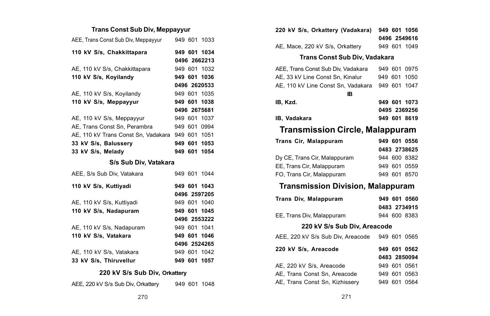# **Trans Const Sub Div, Meppayyur**

| AEE, Trans Const Sub Div, Meppayyur |  | 949 601 1033 |
|-------------------------------------|--|--------------|
| 110 kV S/s, Chakkittapara           |  | 949 601 1034 |
|                                     |  | 0496 2662213 |
| AE, 110 kV S/s, Chakkittapara       |  | 949 601 1032 |
| 110 kV S/s. Kovilandy               |  | 949 601 1036 |
|                                     |  | 0496 2620533 |
| AE, 110 kV S/s, Koyilandy           |  | 949 601 1035 |
| 110 kV S/s. Meppayyur               |  | 949 601 1038 |
|                                     |  | 0496 2675681 |
| AE, 110 kV S/s, Meppayyur           |  | 949 601 1037 |
| AE, Trans Const Sn, Perambra        |  | 949 601 0994 |
| AE. 110 kV Trans Const Sn. Vadakara |  | 949 601 1051 |
| 33 kV S/s. Balusserv                |  | 949 601 1053 |
| 33 kV S/s. Meladv                   |  | 949 601 1054 |

### **S/s Sub Div, Vatakara**

| AEE, S/s Sub Div. Vatakara |  | 949 601 1044 |
|----------------------------|--|--------------|
| 110 kV S/s, Kuttiyadi      |  | 949 601 1043 |
|                            |  | 0496 2597205 |
| AE, 110 kV S/s, Kuttiyadi  |  | 949 601 1040 |
| 110 kV S/s. Nadapuram      |  | 949 601 1045 |
|                            |  | 0496 2553222 |
| AE. 110 kV S/s. Nadapuram  |  | 949 601 1041 |
| 110 kV S/s. Vatakara       |  | 949 601 1046 |
|                            |  | 0496 2524265 |
| AE, 110 kV S/s, Vatakara   |  | 949 601 1042 |
| 33 kV S/s. Thiruvellur     |  | 949 601 1057 |

# **220 kV S/s Sub Div, Orkattery**

| AEE, 220 kV S/s Sub Div, Orkattery |  |  | 949 601 1048 |
|------------------------------------|--|--|--------------|
|------------------------------------|--|--|--------------|

| 220 kV S/s, Orkattery (Vadakara)         |         | 949 601 1056 |
|------------------------------------------|---------|--------------|
|                                          |         | 0496 2549616 |
| AE, Mace, 220 kV S/s, Orkattery          |         | 949 601 1049 |
| Trans Const Sub Div, Vadakara            |         |              |
| AEE, Trans Const Sub Div, Vadakara       | 949 601 | 0975         |
| AE, 33 kV Line Const Sn, Kinalur         | 949 601 | 1050         |
| AE. 110 kV Line Const Sn. Vadakara       |         | 949 601 1047 |
| IB                                       |         |              |
| IB, Kzd.                                 |         | 949 601 1073 |
|                                          |         | 0495 2369256 |
| <b>IB. Vadakara</b>                      |         | 949 601 8619 |
| <b>Transmission Circle, Malappuram</b>   |         |              |
| Trans Cir, Malappuram                    |         | 949 601 0556 |
|                                          |         | 0483 2738625 |
| Dy CE, Trans Cir, Malappuram             |         | 944 600 8382 |
| EE, Trans Cir, Malappuram                |         | 949 601 0559 |
|                                          |         |              |
| FO. Trans Cir. Malappuram                |         | 949 601 8570 |
| <b>Transmission Division, Malappuram</b> |         |              |
| Trans Div, Malappuram                    |         | 949 601 0560 |
|                                          |         | 0483 2734915 |
| EE, Trans Div, Malappuram                |         | 944 600 8383 |
| 220 kV S/s Sub Div, Areacode             |         |              |
| AEE, 220 kV S/s Sub Div, Areacode        |         | 949 601 0565 |
| 220 kV S/s, Areacode                     |         | 949 601 0562 |
|                                          |         | 0483 2850094 |
| AE, 220 kV S/s, Areacode                 |         | 949 601 0561 |
| AE, Trans Const Sn, Areacode             |         | 949 601 0563 |
| AE, Trans Const Sn, Kizhissery           |         | 949 601 0564 |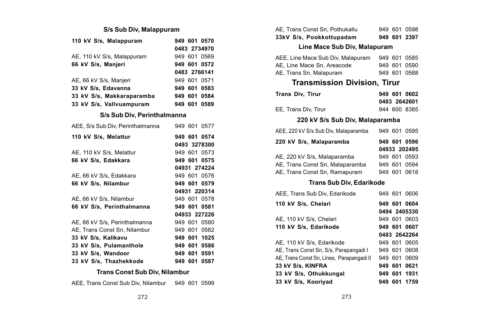### **S/s Sub Div, Malappuram**

| 110 kV S/s, Malappuram           |     |     | 949 601 0570 |
|----------------------------------|-----|-----|--------------|
|                                  |     |     | 0483 2734970 |
| AE, 110 kV S/s, Malappuram       |     |     | 949 601 0569 |
| 66 kV S/s, Manjeri               |     |     | 949 601 0572 |
|                                  |     |     | 0483 2766141 |
| AE, 66 kV S/s, Manjeri           |     |     | 949 601 0571 |
| 33 kV S/s, Edavanna              |     |     | 949 601 0583 |
| 33 kV S/s, Makkaraparamba        |     |     | 949 601 0584 |
| 33 kV S/s, Vallvuampuram         |     |     | 949 601 0589 |
| S/s Sub Div, Perinthalmanna      |     |     |              |
| AEE, S/s Sub Div. Perinthalmanna | 949 | 601 | 0577         |

| 110 kV S/s. Melattur          |     |     | 949 601 0574<br>0493 3278300 |
|-------------------------------|-----|-----|------------------------------|
| AE, 110 kV S/s, Melattur      |     |     | 949 601 0573                 |
| 66 kV S/s. Edakkara           |     |     | 949 601 0575                 |
|                               |     |     | 04931 274224                 |
| AE, 66 kV S/s, Edakkara       |     |     | 949 601 0576                 |
| 66 kV S/s, Nilambur           |     |     | 949 601 0579                 |
|                               |     |     | 04931 220314                 |
| AE, 66 kV S/s, Nilambur       |     |     | 949 601 0578                 |
| 66 kV S/s. Perinthalmanna     |     |     | 949 601 0581                 |
|                               |     |     | 04933 227226                 |
| AE, 66 kV S/s, Perinthalmanna |     |     | 949 601 0580                 |
| AE. Trans Const Sn. Nilambur  |     |     | 949 601 0582                 |
| 33 kV S/s, Kalikavu           |     |     | 949 601 1025                 |
| 33 kV S/s. Pulamanthole       |     |     | 949 601 0586                 |
| 33 kV S/s, Wandoor            |     |     | 949 601 0591                 |
| 33 kV S/s. Thazhekkode        | 949 | 601 | 0587                         |

### **Trans Const Sub Div, Nilambur**

| AEE, Trans Const Sub Div, Nilambur |  | 949 601 0599 |
|------------------------------------|--|--------------|
|------------------------------------|--|--------------|

| 33kV S/s, Pookkottupadam       |  | 949 601 2397 |
|--------------------------------|--|--------------|
| AE. Trans Const Sn. Pothukallu |  | 949 601 0598 |

### **Line Mace Sub Div, Malapuram**

| AEE, Line Mace Sub Div, Malapuram |  | 949 601 0585 |
|-----------------------------------|--|--------------|
| AE. Line Mace Sn. Areacode        |  | 949 601 0590 |
| AE, Trans Sn, Malapuram           |  | 949 601 0588 |

### **Transmission Division, Tirur**

| Trans Div. Tirur     | 949 601 0602 |
|----------------------|--------------|
|                      | 0483 2642601 |
| EE. Trans Div. Tirur | 944 600 8385 |

### **220 kV S/s Sub Div, Malaparamba** AEE, 220 kV S/s Sub Div, Malaparamba 949 601 0595

| 220 kV S/s, Malaparamba         |  | 949 601 0596 |
|---------------------------------|--|--------------|
|                                 |  | 04933 202495 |
| AE, 220 kV S/s, Malaparamba     |  | 949 601 0593 |
| AE. Trans Const Sn. Malaparamba |  | 949 601 0594 |
| AE, Trans Const Sn, Ramapuram   |  | 949 601 0618 |

### **Trans Sub Div, Edarikode**

| AEE, Trans Sub Div, Edarikode             |  | 949 601 0606 |
|-------------------------------------------|--|--------------|
| 110 kV S/s, Chelari                       |  | 949 601 0604 |
|                                           |  | 0494 2405330 |
| AE. 110 kV S/s. Chelari                   |  | 949 601 0603 |
| 110 kV S/s. Edarikode                     |  | 949 601 0607 |
|                                           |  | 0483 2642264 |
| AE, 110 kV S/s, Edarikode                 |  | 949 601 0605 |
| AE. Trans Const Sn. S/s. Parapangadi I    |  | 949 601 0608 |
| AE, Trans Const Sn, Lines, Parapangadi II |  | 949 601 0609 |
| 33 kV S/s. KINFRA                         |  | 949 601 0621 |
| 33 kV S/s, Othukkungal                    |  | 949 601 1931 |
| 33 kV S/s, Kooriyad                       |  | 949 601 1759 |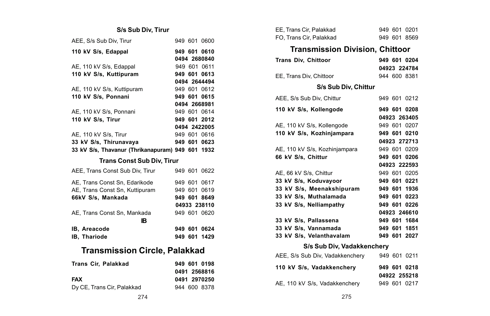# **S/s Sub Div, Tirur**

| AEE. S/s Sub Div. Tirur                          |  |  | 949 601 0600 |
|--------------------------------------------------|--|--|--------------|
| 110 kV S/s. Edappal                              |  |  | 949 601 0610 |
|                                                  |  |  | 0494 2680840 |
| AE, 110 kV S/s, Edappal                          |  |  | 949 601 0611 |
| 110 kV S/s, Kuttipuram                           |  |  | 949 601 0613 |
|                                                  |  |  | 0494 2644494 |
| AE, 110 kV S/s, Kuttipuram                       |  |  | 949 601 0612 |
| 110 kV S/s, Ponnani                              |  |  | 949 601 0615 |
|                                                  |  |  | 0494 2668981 |
| AE, 110 kV S/s, Ponnani                          |  |  | 949 601 0614 |
| 110 kV S/s. Tirur                                |  |  | 949 601 2012 |
|                                                  |  |  | 0494 2422005 |
| AE, 110 kV S/s, Tirur                            |  |  | 949 601 0616 |
| 33 kV S/s, Thirunavaya                           |  |  | 949 601 0623 |
| 33 kV S/s, Thavanur (Thrikanapuram) 949 601 1932 |  |  |              |
| <b>Trans Const Sub Div, Tirur</b>                |  |  |              |
|                                                  |  |  |              |
| AEE, Trans Const Sub Div, Tirur                  |  |  | 949 601 0622 |
| AE. Trans Const Sn. Edarikode                    |  |  | 949 601 0617 |
| AE, Trans Const Sn, Kuttipuram                   |  |  | 949 601 0619 |
| 66kV S/s. Mankada                                |  |  | 949 601 8649 |
|                                                  |  |  | 04933 238110 |
| AE, Trans Const Sn, Mankada                      |  |  | 949 601 0620 |
| IВ                                               |  |  |              |
| IB, Areacode                                     |  |  | 949 601 0624 |
|                                                  |  |  |              |
| IB, Thariode                                     |  |  | 949 601 1429 |
| <b>Transmission Circle, Palakkad</b>             |  |  |              |
|                                                  |  |  |              |
| Trans Cir, Palakkad                              |  |  | 949 601 0198 |

| <b>242 UUI UIJU</b> |
|---------------------|
| 0491 2568816        |
| 0491 2970250        |
| 944 600 8378        |
|                     |

| EE, Trans Cir, Palakkad                |         | 949 601 0201 |
|----------------------------------------|---------|--------------|
| FO. Trans Cir. Palakkad                |         | 949 601 8569 |
| <b>Transmission Division, Chittoor</b> |         |              |
| <b>Trans Div, Chittoor</b>             |         | 949 601 0204 |
|                                        |         | 04923 224784 |
| EE, Trans Div, Chittoor                |         | 944 600 8381 |
| S/s Sub Div, Chittur                   |         |              |
| AEE, S/s Sub Div, Chittur              |         | 949 601 0212 |
| 110 kV S/s, Kollengode                 |         | 949 601 0208 |
|                                        |         | 04923 263405 |
| AE, 110 kV S/s, Kollengode             |         | 949 601 0207 |
| 110 kV S/s, Kozhinjampara              |         | 949 601 0210 |
|                                        |         | 04923 272713 |
| AE, 110 kV S/s, Kozhinjampara          |         | 949 601 0209 |
| 66 kV S/s, Chittur                     |         | 949 601 0206 |
|                                        |         | 04923 222593 |
| AE, 66 kV S/s, Chittur                 |         | 949 601 0205 |
| 33 kV S/s, Koduvayoor                  |         | 949 601 0221 |
| 33 kV S/s, Meenakshipuram              |         | 949 601 1936 |
| 33 kV S/s, Muthalamada                 |         | 949 601 0223 |
| 33 kV S/s. Nelliampathy                | 949 601 | 0226         |
|                                        |         | 04923 246610 |
| 33 kV S/s, Pallassena                  |         | 949 601 1684 |
| 33 kV S/s. Vannamada                   |         | 949 601 1851 |
| 33 kV S/s, Velanthavalam               |         | 949 601 2027 |
| S/s Sub Div, Vadakkenchery             |         |              |
| AEE, S/s Sub Div, Vadakkenchery        |         | 949 601 0211 |
| 110 kV S/s, Vadakkenchery              |         | 949 601 0218 |
|                                        |         | 04922 255218 |
| AE, 110 kV S/s, Vadakkenchery          |         | 949 601 0217 |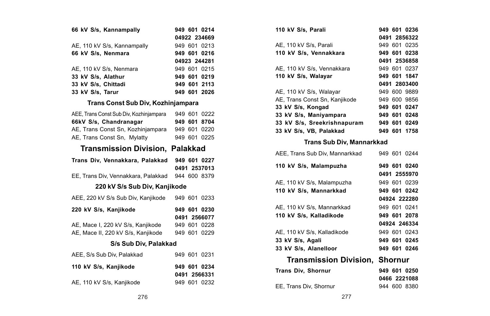| 66 kV S/s, Kannampally      | 949 601 0214 |
|-----------------------------|--------------|
|                             | 04922 234669 |
| AE, 110 kV S/s, Kannampally | 949 601 0213 |
| 66 kV S/s, Nenmara          | 949 601 0216 |
|                             | 04923 244281 |
| AE, 110 kV S/s, Nenmara     | 949 601 0215 |
| 33 kV S/s. Alathur          | 949 601 0219 |
| 33 kV S/s. Chittadi         | 949 601 2113 |
| 33 kV S/s. Tarur            | 949 601 2026 |

### **Trans Const Sub Div, Kozhinjampara**

| AEE. Trans Const Sub Div. Kozhiniampara |  | 949 601 0222 |
|-----------------------------------------|--|--------------|
| 66kV S/s, Chandranagar                  |  | 949 601 8704 |
| AE, Trans Const Sn, Kozhinjampara       |  | 949 601 0220 |
| AE, Trans Const Sn, Mylatty             |  | 949 601 0225 |

# **Transmission Division, Palakkad**

| Trans Div, Vennakkara, Palakkad                  | 949 601 0227 |
|--------------------------------------------------|--------------|
|                                                  | 0491 2537013 |
| EE. Trans Div. Vennakkara, Palakkad 944 600 8379 |              |

#### **220 kV S/s Sub Div, Kanjikode**

| AEE, 220 kV S/s Sub Div, Kanjikode |  | 949 601 0233 |
|------------------------------------|--|--------------|
| 220 kV S/s, Kanjikode              |  | 949 601 0230 |
|                                    |  | 0491 2566077 |
| AE, Mace I, 220 kV S/s, Kanjikode  |  | 949 601 0228 |
| AE, Mace II, 220 kV S/s, Kanjikode |  | 949 601 0229 |
| S/s Sub Div. Palakkad              |  |              |
| AEE, S/s Sub Div. Palakkad         |  | 949 601 0231 |
| 110 kV S/s. Kaniikode              |  | 949 601 0234 |

| 110 kV S/s, Kanjikode     | 949 601 0234 |
|---------------------------|--------------|
|                           | 0491 2566331 |
| AE, 110 kV S/s, Kanjikode | 949 601 0232 |

| 110 kV S/s, Parali            | 949 601 0236 |
|-------------------------------|--------------|
|                               | 0491 2856322 |
| AE, 110 kV S/s, Parali        | 949 601 0235 |
| 110 kV S/s, Vennakkara        | 949 601 0238 |
|                               | 0491 2536858 |
| AE, 110 kV S/s, Vennakkara    | 949 601 0237 |
| 110 kV S/s, Walayar           | 949 601 1847 |
|                               |              |
|                               | 0491 2803400 |
| AE, 110 kV S/s, Walayar       | 949 600 9889 |
| AE. Trans Const Sn. Kaniikode | 949 600 9856 |
| 33 kV S/s, Kongad             | 949 601 0247 |
| 33 kV S/s, Maniyampara        | 949 601 0248 |
| 33 kV S/s, Sreekrishnapuram   | 949 601 0249 |
| 33 kV S/s. VB. Palakkad       | 949 601 1758 |

### **Trans Sub Div, Mannarkkad**

| AEE, Trans Sub Div, Mannarkkad        | 949 601 0244 |
|---------------------------------------|--------------|
| 110 kV S/s, Malampuzha                | 949 601 0240 |
|                                       | 0491 2555970 |
| AE, 110 kV S/s, Malampuzha            | 949 601 0239 |
| 110 kV S/s, Mannarkkad                | 949 601 0242 |
|                                       | 04924 222280 |
| AE. 110 kV S/s. Mannarkkad            | 949 601 0241 |
| 110 kV S/s. Kalladikode               | 949 601 2078 |
|                                       | 04924 246334 |
| AE, 110 kV S/s, Kalladikode           | 949 601 0243 |
| 33 kV S/s. Agali                      | 949 601 0245 |
| 33 kV S/s. Alanelloor                 | 949 601 0246 |
| <b>Transmission Division. Shornur</b> |              |
| <b>Trans Div. Shornur</b>             | 949 601 0250 |
|                                       | 0466 2221088 |
| EE. Trans Div. Shornur                | 944 600 8380 |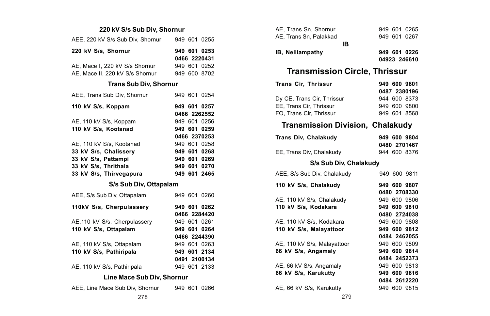### **220 kV S/s Sub Div, Shornur**

| AEE, 220 kV S/s Sub Div. Shornur |  | 949 601 0255 |
|----------------------------------|--|--------------|
| 220 kV S/s. Shornur              |  | 949 601 0253 |
|                                  |  | 0466 2220431 |
| AE, Mace I, 220 kV S/s Shornur   |  | 949 601 0252 |
| AE. Mace II. 220 kV S/s Shornur  |  | 949 600 8702 |

#### **Trans Sub Div, Shornur**

| AEE. Trans Sub Div. Shornur |  | 949 601 0254 |
|-----------------------------|--|--------------|
| 110 kV S/s, Koppam          |  | 949 601 0257 |
|                             |  | 0466 2262552 |
| AE, 110 kV S/s, Koppam      |  | 949 601 0256 |
| 110 kV S/s, Kootanad        |  | 949 601 0259 |
|                             |  | 0466 2370253 |
| AE, 110 kV S/s, Kootanad    |  | 949 601 0258 |
| 33 kV S/s, Chalissery       |  | 949 601 0268 |
| 33 kV S/s, Pattampi         |  | 949 601 0269 |
| 33 kV S/s. Thrithala        |  | 949 601 0270 |
| 33 kV S/s. Thirvegapura     |  | 949 601 2465 |
|                             |  |              |

### **S/s Sub Div, Ottapalam**

| AEE, S/s Sub Div, Ottapalam   |  | 949 601 0260 |
|-------------------------------|--|--------------|
| 110kV S/s, Cherpulassery      |  | 949 601 0262 |
|                               |  | 0466 2284420 |
| AE, 110 kV S/s, Cherpulassery |  | 949 601 0261 |
| 110 kV S/s, Ottapalam         |  | 949 601 0264 |
|                               |  | 0466 2244390 |
| AE. 110 kV S/s. Ottapalam     |  | 949 601 0263 |
| 110 kV S/s, Pathiripala       |  | 949 601 2134 |
|                               |  | 0491 2100134 |
| AE, 110 kV S/s, Pathiripala   |  | 949 601 2133 |
| Line Mace Sub Div, Shornur    |  |              |

| AEE, Line Mace Sub Div, Shornur |  |  | 949 601 0266 |
|---------------------------------|--|--|--------------|
|                                 |  |  |              |

| AE. Trans Sn. Shornur   |     |  | 949 601 0265 |
|-------------------------|-----|--|--------------|
| AE. Trans Sn. Palakkad  |     |  | 949 601 0267 |
|                         | IR. |  |              |
| <b>IB.</b> Nelliampathy |     |  | 949 601 0226 |
|                         |     |  | 04923 246610 |

# **Transmission Circle, Thrissur**

| <b>Trans Cir. Thrissur</b> |  | 949 600 9801 |
|----------------------------|--|--------------|
|                            |  | 0487 2380196 |
| Dy CE, Trans Cir, Thrissur |  | 944 600 8373 |
| EE. Trans Cir. Thrissur    |  | 949 600 9800 |
| FO. Trans Cir. Thrissur    |  | 949 601 8568 |

### **Transmission Division, Chalakudy**

| Trans Div, Chalakudy     | 949 600 9804 |
|--------------------------|--------------|
|                          | 0480 2701467 |
| EE. Trans Div. Chalakudv | 944 600 8376 |

### **S/s Sub Div, Chalakudy**

| AEE, S/s Sub Div, Chalakudy | 949 600 9811 |
|-----------------------------|--------------|
| 110 kV S/s, Chalakudy       | 949 600 9807 |
|                             | 0480 2708330 |
| AE, 110 kV S/s, Chalakudy   | 949 600 9806 |
| 110 kV S/s, Kodakara        | 949 600 9810 |
|                             | 0480 2724038 |
| AE. 110 kV S/s. Kodakara    | 949 600 9808 |
| 110 kV S/s, Malayattoor     | 949 600 9812 |
|                             | 0484 2462055 |
| AE, 110 kV S/s, Malayattoor | 949 600 9809 |
| 66 kV S/s, Angamaly         | 949 600 9814 |
|                             | 0484 2452373 |
| AE, 66 kV S/s, Angamaly     | 949 600 9813 |
| 66 kV S/s. Karukutty        | 949 600 9816 |
|                             | 0484 2612220 |
| AE, 66 kV S/s, Karukutty    | 949 600 9815 |
|                             |              |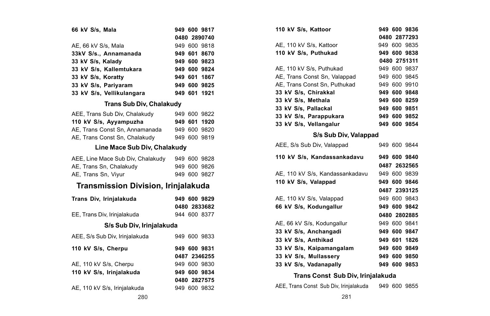| 66 kV S/s. Mala           |  | 949 600 9817 |
|---------------------------|--|--------------|
|                           |  | 0480 2890740 |
| AE, 66 kV S/s, Mala       |  | 949 600 9818 |
| 33kV S/s., Annamanada     |  | 949 601 8670 |
| 33 kV S/s, Kalady         |  | 949 600 9823 |
| 33 kV S/s. Kallemtukara   |  | 949 600 9824 |
| 33 kV S/s. Koratty        |  | 949 601 1867 |
| 33 kV S/s. Parivaram      |  | 949 600 9825 |
| 33 kV S/s, Vellikulangara |  | 949 601 1921 |

### **Trans Sub Div, Chalakudy**

| AEE. Trans Sub Div. Chalakudy  |  | 949 600 9822 |
|--------------------------------|--|--------------|
| 110 kV S/s, Ayyampuzha         |  | 949 601 1920 |
| AE. Trans Const Sn. Annamanada |  | 949 600 9820 |
| AE, Trans Const Sn, Chalakudy  |  | 949 600 9819 |

### **Line Mace Sub Div, Chalakudy**

| AEE, Line Mace Sub Div. Chalakudy |  | 949 600 9828 |
|-----------------------------------|--|--------------|
| AE. Trans Sn. Chalakudy           |  | 949 600 9826 |
| AE. Trans Sn. Vivur               |  | 949 600 9827 |

# **Transmission Division, Irinjalakuda**

| Trans Div, Irinjalakuda        |  | 949 600 9829<br>0480 2833682 |
|--------------------------------|--|------------------------------|
| EE, Trans Div, Irinjalakuda    |  | 944 600 8377                 |
| S/s Sub Div, Irinjalakuda      |  |                              |
| AEE, S/s Sub Div, Irinjalakuda |  | 949 600 9833                 |
| 110 kV S/s, Cherpu             |  | 949 600 9831<br>0487 2346255 |
| AE, 110 kV S/s, Cherpu         |  | 949 600 9830                 |
| 110 kV S/s, Irinjalakuda       |  | 949 600 9834                 |
|                                |  | 0480 2827575                 |
| AE, 110 kV S/s, Irinjalakuda   |  | 949 600 9832                 |

| 110 kV S/s. Kattoor          |  |  | 949 600 9836 |
|------------------------------|--|--|--------------|
|                              |  |  | 0480 2877293 |
| AE, 110 kV S/s. Kattoor      |  |  | 949 600 9835 |
| 110 kV S/s, Puthukad         |  |  | 949 600 9838 |
|                              |  |  | 0480 2751311 |
| AE, 110 kV S/s, Puthukad     |  |  | 949 600 9837 |
| AE, Trans Const Sn, Valappad |  |  | 949 600 9845 |
| AE. Trans Const Sn. Puthukad |  |  | 949 600 9910 |
| 33 kV S/s. Chirakkal         |  |  | 949 600 9848 |
| 33 kV S/s. Methala           |  |  | 949 600 8259 |
| 33 kV S/s. Pallackal         |  |  | 949 600 9851 |
| 33 kV S/s, Parappukara       |  |  | 949 600 9852 |
| 33 kV S/s, Vellangalur       |  |  | 949 600 9854 |
| S/s Sub Div, Valappad        |  |  |              |
| AEE, S/s Sub Div, Valappad   |  |  | 949 600 9844 |
| 110 kV S/s. Kandassankadavu  |  |  | 949 600 9840 |
|                              |  |  | 0487 2632565 |

| AE, 110 kV S/s, Kandassankadavu | 949 600 9839    |
|---------------------------------|-----------------|
| 110 kV S/s, Valappad            | 949 600 9846    |
|                                 | 0487 2393125    |
| AE, 110 kV S/s, Valappad        | 949 600 9843    |
| 66 kV S/s. Kodungallur          | 949 600 9842    |
|                                 | 0480 2802885    |
| AE, 66 kV S/s, Kodungallur      | 949 600 9841    |
| 33 kV S/s, Anchangadi           | 949 600 9847    |
| 33 kV S/s. Anthikad             | 949 601 1826    |
| 33 kV S/s, Kaipamangalam        | 949 600 9849    |
| 33 kV S/s, Mullassery           | 949 600 9850    |
| 33 kV S/s, Vadanapally          | 600 9853<br>949 |

### **Trans Const Sub Div, Irinjalakuda**

AEE, Trans Const Sub Div, Irinjalakuda 949 600 9855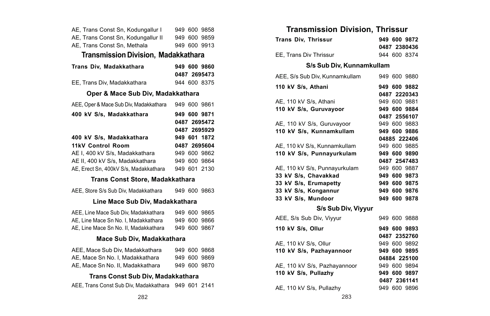| AE, Trans Const Sn, Kodungallur I                  | 949 600 9858 |
|----------------------------------------------------|--------------|
| AE, Trans Const Sn, Kodungallur II                 | 949 600 9859 |
| AE, Trans Const Sn, Methala                        | 949 600 9913 |
| Transmission Division, Madakkathara                |              |
| Trans Div, Madakkathara                            | 949 600 9860 |
|                                                    | 0487 2695473 |
| EE, Trans Div, Madakkathara                        | 944 600 8375 |
| Oper & Mace Sub Div, Madakkathara                  |              |
| AEE, Oper & Mace Sub Div, Madakkathara             | 949 600 9861 |
| 400 kV S/s, Madakkathara                           | 949 600 9871 |
|                                                    | 0487 2695472 |
|                                                    | 0487 2695929 |
| 400 kV S/s, Madakkathara                           | 949 601 1872 |
| 11kV Control Room                                  | 0487 2695604 |
| AE I. 400 kV S/s. Madakkathara                     | 949 600 9862 |
| AE II, 400 kV S/s, Madakkathara                    | 949 600 9864 |
| AE, Erect Sn, 400kV S/s, Madakkathara 949 601 2130 |              |
| Trans Const Store, Madakkathara                    |              |
| AEE, Store S/s Sub Div, Madakkathara               | 949 600 9863 |
| Line Mace Sub Div, Madakkathara                    |              |
| AEE, Line Mace Sub Div, Madakkathara               | 949 600 9865 |
| AE, Line Mace Sn No. I, Madakkathara               | 949 600 9866 |
| AE, Line Mace Sn No. II, Madakkathara              | 949 600 9867 |
| Mace Sub Div, Madakkathara                         |              |
| AEE, Mace Sub Div, Madakkathara                    | 949 600 9868 |
| AE, Mace Sn No. I, Madakkathara                    | 949 600 9869 |
| AE, Mace Sn No. II, Madakkathara                   | 949 600 9870 |
| Trans Const Sub Div, Madakkathara                  |              |
| AEE, Trans Const Sub Div, Madakkathara             | 949 601 2141 |

# **Transmission Division, Thrissur**

| <b>Trans Div. Thrissur</b>     | 949 600 9872 |
|--------------------------------|--------------|
|                                | 0487 2380436 |
| EE. Trans Div Thrissur         | 944 600 8374 |
| S/s Sub Div. Kunnamkullam      |              |
| AEE, S/s Sub Div, Kunnamkullam | 949 600 9880 |
| 110 kV S/s, Athani             | 949 600 9882 |
|                                | 0487 2220343 |
| AE, 110 kV S/s, Athani         | 949 600 9881 |
| 110 kV S/s, Guruvayoor         | 949 600 9884 |
|                                | 0487 2556107 |
| AE, 110 kV S/s, Guruvayoor     | 949 600 9883 |
| 110 kV S/s, Kunnamkullam       | 949 600 9886 |
|                                | 04885 222406 |
| AE, 110 kV S/s, Kunnamkullam   | 949 600 9885 |
| 110 kV S/s. Punnavurkulam      | 949 600 9890 |
|                                | 0487 2547483 |
| AE. 110 kV S/s. Punnavurkulam  | 949 600 9887 |
| 33 kV S/s, Chavakkad           | 949 600 9873 |
| 33 kV S/s, Erumapetty          | 949 600 9875 |
| 33 kV S/s, Kongannur           | 949 600 9876 |
| 33 kV S/s, Mundoor             | 949 600 9878 |
| S/s Sub Div, Viyyur            |              |
| AEE, S/s Sub Div, Viyyur       | 949 600 9888 |
| 110 kV S/s, Ollur              | 949 600 9893 |
|                                | 0487 2352760 |
| AE, 110 kV S/s, Ollur          | 949 600 9892 |
| 110 kV S/s, Pazhayannoor       | 949 600 9895 |
|                                | 04884 225100 |
| AE, 110 kV S/s, Pazhayannoor   | 949 600 9894 |
| 110 kV S/s, Pullazhy           | 949 600 9897 |

AE, 110 kV S/s, Pullazhy 949 600 9896

**0487 2361141**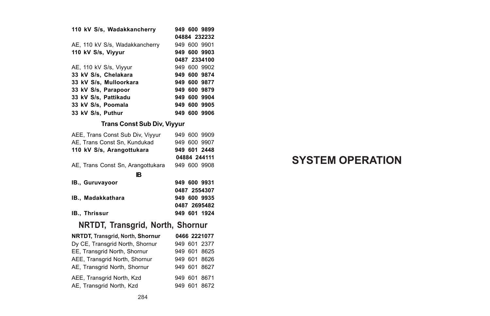| 110 kV S/s, Wadakkancherry         |  |  | 949 600 9899 |
|------------------------------------|--|--|--------------|
|                                    |  |  | 04884 232232 |
| AE, 110 kV S/s, Wadakkancherry     |  |  | 949 600 9901 |
| 110 kV S/s, Viyyur                 |  |  | 949 600 9903 |
|                                    |  |  | 0487 2334100 |
| AE, 110 kV S/s, Viyyur             |  |  | 949 600 9902 |
| 33 kV S/s, Chelakara               |  |  | 949 600 9874 |
| 33 kV S/s. Mulloorkara             |  |  | 949 600 9877 |
| 33 kV S/s. Parapoor                |  |  | 949 600 9879 |
| 33 kV S/s, Pattikadu               |  |  | 949 600 9904 |
| 33 kV S/s, Poomala                 |  |  | 949 600 9905 |
| 33 kV S/s. Puthur                  |  |  | 949 600 9906 |
| <b>Trans Const Sub Div, Viyyur</b> |  |  |              |
| AEE, Trans Const Sub Div, Viyyur   |  |  | 949 600 9909 |
| AE, Trans Const Sn, Kundukad       |  |  | 949 600 9907 |
| 110 kV S/s, Arangottukara          |  |  | 949 601 2448 |
|                                    |  |  | 04884 244111 |

AE, Trans Const Sn, Arangottukara 949 600 9908

**IB**

| IB., Guruvavoor | 949 600 9931 |
|-----------------|--------------|
|                 | 0487 2554307 |
| IB Madakkathara | 949 600 9935 |
|                 | 0487 2695482 |
| IB Thrissur     | 949 601 1924 |

# **NRTDT, Transgrid, North, Shornur**

| NRTDT, Transgrid, North, Shornur |  | 0466 2221077 |
|----------------------------------|--|--------------|
| Dy CE, Transgrid North, Shornur  |  | 949 601 2377 |
| EE. Transgrid North, Shornur     |  | 949 601 8625 |
| AEE. Transgrid North, Shornur    |  | 949 601 8626 |
| AE. Transgrid North, Shornur     |  | 949 601 8627 |
| AEE. Transgrid North, Kzd        |  | 949 601 8671 |
| AE, Transgrid North, Kzd         |  | 949 601 8672 |

# **SYSTEM OPERATION**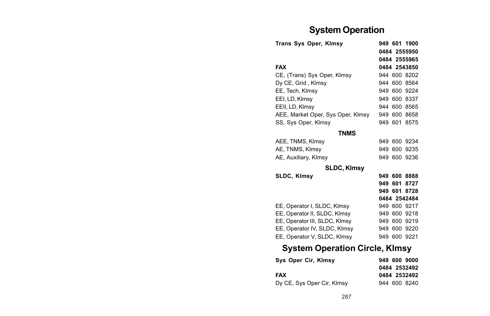# **System Operation**

| Trans Sys Oper, Kimsy                 |  |         | 949 601 1900 |  |  |
|---------------------------------------|--|---------|--------------|--|--|
|                                       |  |         | 0484 2555950 |  |  |
|                                       |  |         | 0484 2555965 |  |  |
| <b>FAX</b>                            |  |         | 0484 2543850 |  |  |
| CE, (Trans) Sys Oper, Klmsy           |  |         | 944 600 8202 |  |  |
| Dy CE, Grid, Klmsy                    |  |         | 944 600 8564 |  |  |
| EE. Tech. Klmsv                       |  |         | 949 600 9224 |  |  |
| EEI, LD, Klmsy                        |  |         | 949 600 8337 |  |  |
| EEII, LD, Klmsv                       |  |         | 944 600 8565 |  |  |
| AEE, Market Oper, Sys Oper, Klmsy     |  | 949 600 | 8658         |  |  |
| SS, Sys Oper, Klmsy                   |  |         | 949 601 8575 |  |  |
| <b>TNMS</b>                           |  |         |              |  |  |
| AEE, TNMS, Klmsy                      |  |         | 949 600 9234 |  |  |
| AE, TNMS, Klmsy                       |  |         | 949 600 9235 |  |  |
| AE, Auxiliary, Klmsy                  |  |         | 949 600 9236 |  |  |
| SLDC, Kimsy                           |  |         |              |  |  |
| SLDC, Klmsy                           |  |         | 949 600 8888 |  |  |
|                                       |  | 949 601 | 8727         |  |  |
|                                       |  |         | 949 601 8728 |  |  |
|                                       |  |         | 0484 2542484 |  |  |
| EE, Operator I, SLDC, Klmsy           |  |         | 949 600 9217 |  |  |
| EE, Operator II, SLDC, Klmsy          |  |         | 949 600 9218 |  |  |
| EE, Operator III, SLDC, Klmsy         |  |         | 949 600 9219 |  |  |
| EE, Operator IV, SLDC, Klmsy          |  |         | 949 600 9220 |  |  |
| EE, Operator V, SLDC, Klmsy           |  |         | 949 600 9221 |  |  |
| <b>System Operation Circle, Klmsy</b> |  |         |              |  |  |

| Sys Oper Cir, Kimsy        | 949 600 9000 |
|----------------------------|--------------|
|                            | 0484 2532492 |
| <b>FAX</b>                 | 0484 2532492 |
| Dy CE, Sys Oper Cir, Klmsy | 944 600 8240 |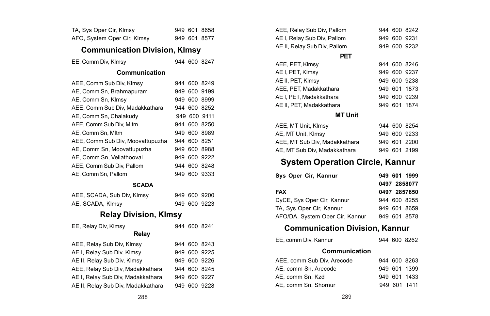| TA, Sys Oper Cir, Klmsy              |         | 949 601 | 8658         |  |
|--------------------------------------|---------|---------|--------------|--|
| AFO, System Oper Cir, Klmsy          |         |         | 949 601 8577 |  |
| <b>Communication Division, KImsy</b> |         |         |              |  |
| EE, Comm Div, Klmsy                  |         |         | 944 600 8247 |  |
| Communication                        |         |         |              |  |
| AEE, Comm Sub Div, Klmsy             |         | 944 600 | 8249         |  |
| AE, Comm Sn, Brahmapuram             |         | 949 600 | 9199         |  |
| AE, Comm Sn, Klmsv                   | 949 600 |         | 8999         |  |
| AEE, Comm Sub Div, Madakkathara      |         | 944 600 | 8252         |  |
| AE, Comm Sn, Chalakudy               |         |         | 949 600 9111 |  |
| AEE, Comm Sub Div, Mltm              |         | 944 600 | 8250         |  |
| AE, Comm Sn, Mltm                    | 949 600 |         | 8989         |  |
| AEE, Comm Sub Div, Moovattupuzha     |         | 944 600 | 8251         |  |
| AE, Comm Sn, Moovattupuzha           |         | 949 600 | 8988         |  |
| AE, Comm Sn, Vellathooval            |         | 949 600 | 9222         |  |
| AEE, Comm Sub Div, Pallom            |         | 944 600 | 8248         |  |
| AE, Comm Sn, Pallom                  |         | 949 600 | 9333         |  |
| <b>SCADA</b>                         |         |         |              |  |
| AEE, SCADA, Sub Div, Klmsy           |         | 949 600 | 9200         |  |
| AE, SCADA, Klmsy                     |         |         | 949 600 9223 |  |
| <b>Relay Division, Klmsy</b>         |         |         |              |  |
| EE, Relay Div, Klmsy                 |         |         | 944 600 8241 |  |
| Relay                                |         |         |              |  |
| AEE, Relay Sub Div, Klmsy            |         | 944 600 | 8243         |  |
| AE I, Relay Sub Div, Klmsy           |         | 949 600 | 9225         |  |
| AE II, Relay Sub Div, Klmsy          |         | 949 600 | 9226         |  |
| AEE, Relay Sub Div, Madakkathara     | 944 600 |         | 8245         |  |
| AE I, Relay Sub Div, Madakkathara    | 949 600 |         | 9227         |  |
| AE II, Relay Sub Div, Madakkathara   | 949 600 |         | 9228         |  |

| AEE, Relay Sub Div, Pallom   |  | 944 600 8242 |
|------------------------------|--|--------------|
| AE I, Relay Sub Div, Pallom  |  | 949 600 9231 |
| AE II, Relay Sub Div, Pallom |  | 949 600 9232 |

#### **PET**

| AEE, PET, Klmsy          |  | 944 600 8246 |
|--------------------------|--|--------------|
|                          |  |              |
| AE I, PET, Klmsy         |  | 949 600 9237 |
| AE II, PET, KImsy        |  | 949 600 9238 |
| AEE, PET, Madakkathara   |  | 949 601 1873 |
| AE I. PET. Madakkathara  |  | 949 600 9239 |
| AE II, PET, Madakkathara |  | 949 601 1874 |

#### **MT Unit**

| AEE, MT Unit, Klmsy           |  | 944 600 8254 |
|-------------------------------|--|--------------|
| AE, MT Unit, Klmsy            |  | 949 600 9233 |
| AEE. MT Sub Div. Madakkathara |  | 949 601 2200 |
| AE, MT Sub Div, Madakkathara  |  | 949 601 2199 |

# **System Operation Circle, Kannur**

| Sys Oper Cir, Kannur            | 949 601 1999 |
|---------------------------------|--------------|
|                                 | 0497 2858077 |
| <b>FAX</b>                      | 0497 2857850 |
| DyCE, Sys Oper Cir, Kannur      | 944 600 8255 |
| TA, Sys Oper Cir, Kannur        | 949 601 8659 |
| AFO/DA, System Oper Cir, Kannur | 949 601 8578 |

# **Communication Division, Kannur**

| EE, comm Div. Kannur |  |  | 944 600 8262 |
|----------------------|--|--|--------------|
|----------------------|--|--|--------------|

## **Communication**

| AEE, comm Sub Div, Arecode |  | 944 600 8263 |
|----------------------------|--|--------------|
| AE, comm Sn. Arecode       |  | 949 601 1399 |
| AE. comm Sn. Kzd           |  | 949 601 1433 |
| AE. comm Sn. Shornur       |  | 949 601 1411 |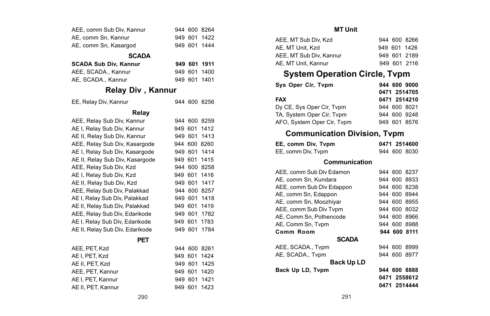| AEE, comm Sub Div, Kannur                   | 944 600 8264    |  |
|---------------------------------------------|-----------------|--|
| AE, comm Sn. Kannur                         | 949 601 1422    |  |
| AE, comm Sn, Kasargod                       | 949 601 1444    |  |
| <b>SCADA</b>                                |                 |  |
| SCADA Sub Div, Kannur                       | 949 601 1911    |  |
| AEE, SCADA., Kannur                         | 949 601 1400    |  |
| AE, SCADA., Kannur                          | 949 601 1401    |  |
| Relay Div, Kannur                           |                 |  |
| EE, Relay Div, Kannur                       | 944 600 8256    |  |
| Relay                                       |                 |  |
| AEE, Relay Sub Div, Kannur                  | 944 600 8259    |  |
| AE I, Relay Sub Div, Kannur                 | 949 601 1412    |  |
| AE II, Relay Sub Div, Kannur                | 949 601 1413    |  |
| AEE. Relav Sub Div. Kasargode               | 944 600 8260    |  |
| AE I, Relay Sub Div, Kasargode              | 949 601 1414    |  |
| AE II, Relay Sub Div, Kasargode             | 949 601 1415    |  |
| AEE, Relay Sub Div, Kzd                     | 944 600 8258    |  |
| AE I, Relay Sub Div, Kzd                    | 949 601 1416    |  |
| AE II, Relay Sub Div, Kzd                   | 949 601 1417    |  |
| AEE, Relay Sub Div, Palakkad                | 944 600 8257    |  |
| AE I, Relay Sub Div, Palakkad 949 601 1418  |                 |  |
| AE II, Relay Sub Div, Palakkad 949 601 1419 |                 |  |
| AEE, Relay Sub Div, Edarikode               | 949 601 1782    |  |
| AE I. Relav Sub Div. Edarikode              | 949 601 1783    |  |
| AE II, Relay Sub Div, Edarikode             | 949 601 1784    |  |
| PET                                         |                 |  |
| AEE, PET, Kzd                               | 944 600 8261    |  |
| AE I. PET. Kzd                              | 949 601 1424    |  |
| AE II, PET, Kzd                             | 949 601 1425    |  |
| AEE, PET, Kannur                            | 949 601 1420    |  |
| AE I, PET, Kannur                           | 949 601 1421    |  |
| AE II, PET, Kannur                          | 949 601<br>1423 |  |

#### **MT Unit**

| AEE. MT Sub Div. Kzd    |  | 944 600 8266 |
|-------------------------|--|--------------|
| AE. MT Unit. Kzd        |  | 949 601 1426 |
| AEE. MT Sub Div. Kannur |  | 949 601 2189 |
| AE. MT Unit. Kannur     |  | 949 601 2116 |

# **System Operation Circle, Tvpm**

| Sys Oper Cir, Tvpm         | 944 600 9000 |
|----------------------------|--------------|
|                            | 0471 2514705 |
| FAX                        | 0471 2514210 |
| Dy CE, Sys Oper Cir, Tvpm  | 944 600 8021 |
| TA. System Oper Cir. Typm  | 944 600 9248 |
| AFO, System Oper Cir, Tvpm | 949 601 8576 |

# **Communication Division, Tvpm**

| EE, comm Div, Tvpm |  | 0471 2514600 |
|--------------------|--|--------------|
| EE, comm Div, Tvpm |  | 944 600 8030 |

#### **Communication**

| AEE, comm Sub Div Edamon  |  | 944 600 8237 |
|---------------------------|--|--------------|
| AE, comm Sn, Kundara      |  | 944 600 8933 |
| AEE, comm Sub Div Edappon |  | 944 600 8238 |
| AE, comm Sn, Edappon      |  | 944 600 8944 |
| AE. comm Sn. Moozhivar    |  | 944 600 8955 |
| AEE, comm Sub Div Tvpm    |  | 944 600 8032 |
| AE. Comm Sn. Pothencode   |  | 944 600 8966 |
| AE, Comm Sn, Tvpm         |  | 944 600 8988 |
| Comm Room                 |  | 944 600 8111 |
| <b>SCADA</b>              |  |              |
| AEE, SCADA., Tvpm         |  | 944 600 8999 |
| AE. SCADA Tvpm            |  | 944 600 8977 |
| <b>Back Up LD</b>         |  |              |
| Back Up LD, Tvpm          |  | 944 600 8888 |
|                           |  | 0471 2558612 |
|                           |  | 0471 2514444 |
|                           |  |              |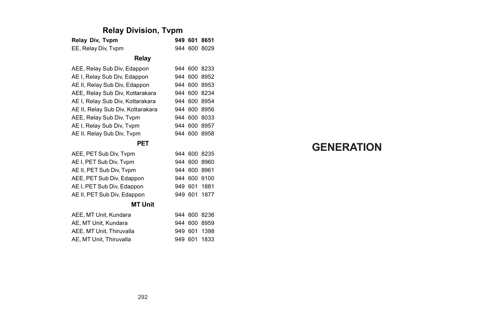# **Relay Division, Tvpm**

| Relay Div, Tvpm                   | 949 601 |         | 8651         |
|-----------------------------------|---------|---------|--------------|
| EE, Relay Div, Typm               |         |         | 944 600 8029 |
| Relay                             |         |         |              |
| AEE, Relay Sub Div, Edappon       |         |         | 944 600 8233 |
| AE I, Relay Sub Div, Edappon      |         | 944 600 | 8952         |
| AE II, Relay Sub Div, Edappon     |         | 944 600 | 8953         |
| AEE, Relay Sub Div, Kottarakara   | 944     | 600     | 8234         |
| AE I, Relay Sub Div, Kottarakara  | 944     | 600     | 8954         |
| AE II, Relay Sub Div, Kottarakara |         | 944 600 | 8956         |
| AEE, Relay Sub Div, Typm          |         | 944 600 | 8033         |
| AE I, Relay Sub Div, Tvpm         |         | 944 600 | 8957         |
| AE II, Relay Sub Div, Typm        |         |         | 944 600 8958 |
| PET                               |         |         |              |
| AEE, PET Sub Div, Tvpm            |         | 944 600 | 8235         |
| AE I, PET Sub Div, Tvpm           |         | 944 600 | 8960         |
| AE II, PET Sub Div, Tvpm          |         | 944 600 | 8961         |
| AEE, PET Sub Div, Edappon         | 944     | 600     | 9100         |
| AE I, PET Sub Div, Edappon        | 949     | 601     | 1881         |
| AE II, PET Sub Div, Edappon       | 949 601 |         | 1877         |
| <b>MT Unit</b>                    |         |         |              |
| AEE, MT Unit, Kundara             |         |         | 944 600 8236 |
| AE, MT Unit, Kundara              |         | 944 600 | 8959         |
| AEE, MT Unit, Thiruvalla          | 949 601 |         | 1398         |
| AE, MT Unit, Thiruvalla           | 949     | 601     | 1833         |

# **GENERATION**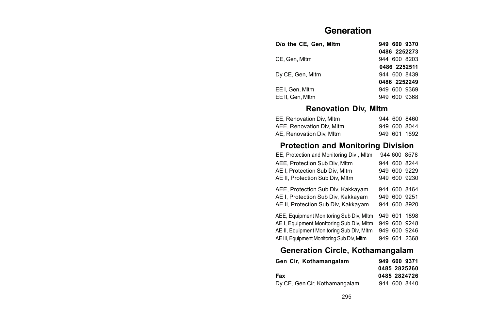# **Generation**

| O/o the CE. Gen. Mitm |  | 949 600 9370 |
|-----------------------|--|--------------|
|                       |  | 0486 2252273 |
| CE. Gen. Mitm         |  | 944 600 8203 |
|                       |  | 0486 2252511 |
| Dy CE, Gen, Mitm      |  | 944 600 8439 |
|                       |  | 0486 2252249 |
| EE I. Gen. Mitm       |  | 949 600 9369 |
| EE II. Gen. Mltm      |  | 949 600 9368 |

# **Renovation Div, Mltm**

| EE, Renovation Div, Mltm  |  | 944 600 8460 |
|---------------------------|--|--------------|
| AEE, Renovation Div. MItm |  | 949 600 8044 |
| AE. Renovation Div. Mltm  |  | 949 601 1692 |

# **Protection and Monitoring Division**

| EE, Protection and Monitoring Div, Mltm       |     | 944 600 8578 |  |
|-----------------------------------------------|-----|--------------|--|
| AEE. Protection Sub Div. Mltm                 |     | 944 600 8244 |  |
| AE I. Protection Sub Div. Mltm                | 949 | 600 9229     |  |
| AE II. Protection Sub Div. Mltm               |     | 949 600 9230 |  |
| AEE, Protection Sub Div, Kakkayam             |     | 944 600 8464 |  |
| AE I. Protection Sub Div. Kakkavam            |     | 949 600 9251 |  |
| AE II, Protection Sub Div, Kakkayam           |     | 944 600 8920 |  |
| AEE, Equipment Monitoring Sub Div, Mltm       |     | 949 601 1898 |  |
| AE I, Equipment Monitoring Sub Div, Mltm      |     | 949 600 9248 |  |
| AE II, Equipment Monitoring Sub Div, Mltm     |     | 949 600 9246 |  |
| AE III. Equipment Monitoring Sub Div. MItm    |     | 949 601 2368 |  |
| A constant of About the Monte constant to the |     |              |  |

#### **Generation Circle, Kothamangalam**

| Gen Cir. Kothamangalam        | 949 600 9371 |
|-------------------------------|--------------|
|                               | 0485 2825260 |
| Fax                           | 0485 2824726 |
| Dy CE, Gen Cir, Kothamangalam | 944 600 8440 |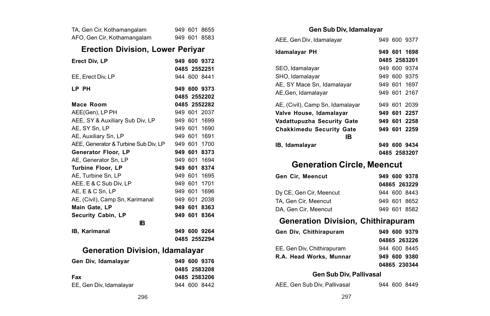|                                         | TA, Gen Cir, Kothamangalam             |  |  | 949 601 8655 |  |  |  |
|-----------------------------------------|----------------------------------------|--|--|--------------|--|--|--|
|                                         | AFO, Gen Cir, Kothamangalam            |  |  | 949 601 8583 |  |  |  |
| <b>Erection Division, Lower Periyar</b> |                                        |  |  |              |  |  |  |
|                                         | Erect Div, LP                          |  |  | 949 600 9372 |  |  |  |
|                                         |                                        |  |  | 0485 2552251 |  |  |  |
|                                         | EE, Erect Div, LP                      |  |  | 944 600 8441 |  |  |  |
|                                         | LP PH                                  |  |  | 949 600 9373 |  |  |  |
|                                         |                                        |  |  | 0485 2552202 |  |  |  |
|                                         | Mace Room                              |  |  | 0485 2552282 |  |  |  |
|                                         | AEE(Gen), LP PH                        |  |  | 949 601 2037 |  |  |  |
|                                         | AEE, SY & Auxiliary Sub Div, LP        |  |  | 949 601 1699 |  |  |  |
|                                         | AE, SY Sn, LP                          |  |  | 949 601 1690 |  |  |  |
|                                         | AE, Auxiliary Sn, LP                   |  |  | 949 601 1691 |  |  |  |
|                                         | AEE, Generator & Turbine Sub Div, LP   |  |  | 949 601 1700 |  |  |  |
|                                         | Generator Floor, LP                    |  |  | 949 601 8373 |  |  |  |
|                                         | AE. Generator Sn. LP                   |  |  | 949 601 1694 |  |  |  |
|                                         | <b>Turbine Floor, LP</b>               |  |  | 949 601 8374 |  |  |  |
|                                         | AE, Turbine Sn, LP                     |  |  | 949 601 1695 |  |  |  |
|                                         | AEE, E & C Sub Div, LP                 |  |  | 949 601 1701 |  |  |  |
|                                         | AE, E & C Sn, LP                       |  |  | 949 601 1696 |  |  |  |
|                                         | AE, (Civil), Camp Sn, Karimanal        |  |  | 949 601 2038 |  |  |  |
|                                         | Main Gate, LP                          |  |  | 949 601 8363 |  |  |  |
|                                         | Security Cabin, LP                     |  |  | 949 601 8364 |  |  |  |
|                                         | B                                      |  |  |              |  |  |  |
|                                         | IB, Karimanal                          |  |  | 949 600 9264 |  |  |  |
|                                         |                                        |  |  | 0485 2552294 |  |  |  |
|                                         | <b>Generation Division, Idamalayar</b> |  |  |              |  |  |  |
|                                         | Gen Div, Idamalayar                    |  |  | 949 600 9376 |  |  |  |
|                                         |                                        |  |  | 0485 2583208 |  |  |  |
|                                         | Fax                                    |  |  | 0485 2583206 |  |  |  |
|                                         | EE. Gen Div. Idamalavar                |  |  | 944 600 8442 |  |  |  |

### **Gen Sub Div, Idamalayar**

| AEE, Gen Div, Idamalayar         |  | 949 600 9377 |
|----------------------------------|--|--------------|
| Idamalayar PH                    |  | 949 601 1698 |
|                                  |  | 0485 2583201 |
| SEO, Idamalayar                  |  | 949 600 9374 |
| SHO, Idamalavar                  |  | 949 600 9375 |
| AE, SY Mace Sn, Idamalayar       |  | 949 601 1697 |
| AE, Gen, Idamalayar              |  | 949 601 2167 |
| AE, (Civil), Camp Sn, Idamalayar |  | 949 601 2039 |
| Valve House, Idamalayar          |  | 949 601 2257 |
| Vadattupuzha Security Gate       |  | 949 601 2258 |
| Chakkimedu Security Gate         |  | 949 601 2259 |
| IΒ                               |  |              |
| IB, Idamalayar                   |  | 949 600 9434 |
|                                  |  | 0485 2583207 |
|                                  |  |              |

# **Generation Circle, Meencut**

| Gen Cir. Meencut        | 949 600 9378 |
|-------------------------|--------------|
|                         | 04865 263229 |
| Dy CE, Gen Cir, Meencut | 944 600 8443 |
| TA, Gen Cir, Meencut    | 949 601 8652 |
| DA. Gen Cir. Meencut    | 949 601 8582 |

# **Generation Division, Chithirapuram**

| Gen Div. Chithirapuram     | 949 600 9379 |
|----------------------------|--------------|
|                            | 04865 263226 |
| EE, Gen Div, Chithirapuram | 944 600 8445 |
| R.A. Head Works. Munnar    | 949 600 9380 |
|                            | 04865 230344 |

#### **Gen Sub Div, Pallivasal**

|  |  |  |  | AEE, Gen Sub Div, Pallivasal |  |
|--|--|--|--|------------------------------|--|
|--|--|--|--|------------------------------|--|

944 600 8449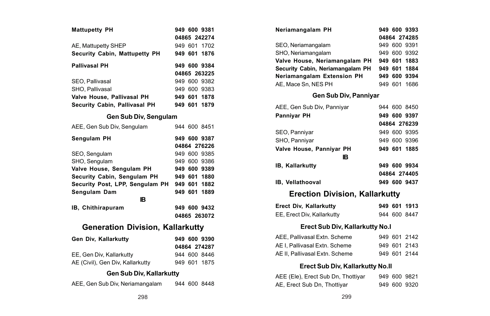| <b>Mattupetty PH</b>                    |  | 949 600 9381 |
|-----------------------------------------|--|--------------|
|                                         |  | 04865 242274 |
| AE, Mattupetty SHEP                     |  | 949 601 1702 |
| Security Cabin, Mattupetty PH           |  | 949 601 1876 |
| <b>Pallivasal PH</b>                    |  | 949 600 9384 |
|                                         |  | 04865 263225 |
| SEO. Pallivasal                         |  | 949 600 9382 |
| SHO, Pallivasal                         |  | 949 600 9383 |
| Valve House, Pallivasal PH              |  | 949 601 1878 |
| Security Cabin, Pallivasal PH           |  | 949 601 1879 |
| Gen Sub Div, Sengulam                   |  |              |
| AEE, Gen Sub Div, Sengulam              |  | 944 600 8451 |
| Sengulam PH                             |  | 949 600 9387 |
|                                         |  | 04864 276226 |
| SEO, Sengulam                           |  | 949 600 9385 |
| SHO, Sengulam                           |  | 949 600 9386 |
| Valve House, Sengulam PH                |  | 949 600 9389 |
| Security Cabin, Sengulam PH             |  | 949 601 1880 |
| Security Post, LPP, Sengulam PH         |  | 949 601 1882 |
| Sengulam Dam                            |  | 949 601 1889 |
| <b>IB</b>                               |  |              |
| IB, Chithirapuram                       |  | 949 600 9432 |
|                                         |  | 04865 263072 |
| <b>Generation Division, Kallarkutty</b> |  |              |
| Gen Div, Kallarkutty                    |  | 949 600 9390 |
|                                         |  | 04864 274287 |
| EE, Gen Div, Kallarkutty                |  | 944 600 8446 |
| AE (Civil), Gen Div, Kallarkutty        |  | 949 601 1875 |
| Gen Sub Div, Kallarkutty                |  |              |
| AEE, Gen Sub Div, Neriamangalam         |  | 944 600 8448 |

|                 | 949 601 1702           | SEO, Neriamangalam                 | 949 600 9391                          |  |  |  |  |
|-----------------|------------------------|------------------------------------|---------------------------------------|--|--|--|--|
| etty PH         | 949 601 1876           | SHO. Neriamangalam                 | 949 600 9392                          |  |  |  |  |
|                 | 949 600 9384           | Valve House, Neriamangalam PH      | 949 601 1883                          |  |  |  |  |
|                 | 04865 263225           | Security Cabin, Neriamangalam PH   | 949 601 1884                          |  |  |  |  |
|                 | 949 600 9382           | Neriamangalam Extension PH         | 949 600 9394                          |  |  |  |  |
|                 | 949 600 9383           | AE, Mace Sn, NES PH                | 949 601 1686                          |  |  |  |  |
| PH              | 949 601 1878           | Gen Sub Div, Panniyar              |                                       |  |  |  |  |
| al PH           | 949 601 1879           |                                    |                                       |  |  |  |  |
|                 |                        | AEE, Gen Sub Div, Panniyar         | 944 600 8450                          |  |  |  |  |
| iv, Sengulam    |                        | Panniyar PH                        | 949 600 9397                          |  |  |  |  |
| lam             | 944 600 8451           |                                    | 04864 276239                          |  |  |  |  |
|                 | 949 600 9387           | SEO, Panniyar                      | 949 600 9395                          |  |  |  |  |
|                 | 04864 276226           | SHO, Panniyar                      | 949 600 9396                          |  |  |  |  |
|                 | 949 600 9385           | Valve House, Panniyar PH           | 949 601 1885                          |  |  |  |  |
|                 | 949 600 9386           | в                                  |                                       |  |  |  |  |
| n PH            | 949 600 9389           | IB, Kallarkutty                    | 949 600 9934                          |  |  |  |  |
| am PH           | 949 601 1880           |                                    | 04864 274405                          |  |  |  |  |
|                 | ngulam PH 949 601 1882 | IB, Vellathooval                   | 949 600 9437                          |  |  |  |  |
| IB              | 949 601 1889           |                                    | <b>Erection Division, Kallarkutty</b> |  |  |  |  |
|                 | 949 600 9432           | Erect Div, Kallarkutty             | 949 601 1913                          |  |  |  |  |
|                 | 04865 263072           | EE, Erect Div, Kallarkutty         | 944 600 8447                          |  |  |  |  |
|                 | ision, Kallarkutty     | Erect Sub Div, Kallarkutty No.I    |                                       |  |  |  |  |
|                 | 949 600 9390           | AEE, Pallivasal Extn. Scheme       | 949 601 2142                          |  |  |  |  |
|                 | 04864 274287           | AE I, Pallivasal Extn. Scheme      | 949 601 2143                          |  |  |  |  |
|                 | 944 600 8446           | AE II, Pallivasal Extn. Scheme     | 949 601 2144                          |  |  |  |  |
| kutty           | 949 601 1875           |                                    |                                       |  |  |  |  |
|                 |                        | Erect Sub Div, Kallarkutty No.II   |                                       |  |  |  |  |
| iv, Kallarkutty |                        | AEE (Ele), Erect Sub Dn, Thottiyar | 949 600 9821                          |  |  |  |  |
| angalam         | 944 600 8448           | AE, Erect Sub Dn, Thottiyar        | 949 600 9320                          |  |  |  |  |
| 298             |                        | 299                                |                                       |  |  |  |  |
|                 |                        |                                    |                                       |  |  |  |  |
|                 |                        |                                    |                                       |  |  |  |  |

**Neriamangalam PH 949 600 9393**

**04864 274285**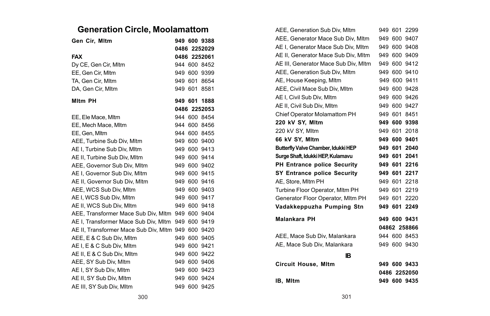# **Generation Circle, Moolamattom**

| Gen Cir, Mltm                                      |     |         | 949 600 9388 |
|----------------------------------------------------|-----|---------|--------------|
|                                                    |     |         | 0486 2252029 |
| FAX                                                |     |         | 0486 2252061 |
| Dy CE, Gen Cir, Mltm                               |     |         | 944 600 8452 |
| EE, Gen Cir, Mltm                                  |     |         | 949 600 9399 |
| TA, Gen Cir, Mltm                                  |     | 949 601 | 8654         |
| DA. Gen Cir. Mltm                                  |     | 949 601 | 8581         |
| Mitm PH                                            |     |         | 949 601 1888 |
|                                                    |     |         | 0486 2252053 |
| EE, Ele Mace, Mitm                                 |     |         | 944 600 8454 |
| EE, Mech Mace, Mitm                                |     | 944 600 | 8456         |
| EE, Gen, Mitm                                      |     |         | 944 600 8455 |
| AEE, Turbine Sub Div, Mltm                         |     |         | 949 600 9400 |
| AE I, Turbine Sub Div, Mltm                        |     |         | 949 600 9413 |
| AE II. Turbine Sub Div. Mltm                       |     |         | 949 600 9414 |
| AEE. Governor Sub Div. MItm                        | 949 |         | 600 9402     |
| AE I, Governor Sub Div, Mltm                       |     |         | 949 600 9415 |
| AE II, Governor Sub Div, MItm                      |     |         | 949 600 9416 |
| AEE, WCS Sub Div. Mltm                             |     |         | 949 600 9403 |
| AE I, WCS Sub Div, Mltm                            |     |         | 949 600 9417 |
| AE II, WCS Sub Div, MItm                           |     |         | 949 600 9418 |
| AEE, Transformer Mace Sub Div, Mltm                |     |         | 949 600 9404 |
| AE I. Transformer Mace Sub Div. Mltm               |     |         | 949 600 9419 |
| AE II. Transformer Mace Sub Div. MItm 949 600 9420 |     |         |              |
| AEE, E & C Sub Div, MItm                           |     | 949 600 | 9405         |
| AE I. E & C Sub Div. Mltm                          |     |         | 949 600 9421 |
| AE II, E & C Sub Div, Mltm                         |     |         | 949 600 9422 |
| AEE, SY Sub Div, Mltm                              |     |         | 949 600 9406 |
| AE I, SY Sub Div, Mltm                             |     |         | 949 600 9423 |
| AE II, SY Sub Div, Mltm                            |     |         | 949 600 9424 |
| AE III. SY Sub Div. Mltm                           |     |         | 949 600 9425 |

| AEE, Generation Sub Div. Mltm        |      | 949 601 | 2299         |
|--------------------------------------|------|---------|--------------|
| AEE, Generator Mace Sub Div, Mltm    | 949  |         | 600 9407     |
| AE I. Generator Mace Sub Div. Mltm   |      |         | 949 600 9408 |
| AE II, Generator Mace Sub Div, Mltm  | 949  | 600     | 9409         |
| AE III. Generator Mace Sub Div. MItm |      | 949 600 | 9412         |
| AEE, Generation Sub Div, MItm        | 949. | 600     | 9410         |
| AE, House Keeping, MItm              |      | 949 600 | 9411         |
| AEE. Civil Mace Sub Div. Mltm        |      | 949 600 | 9428         |
| AE I. Civil Sub Div. Mltm            |      | 949 600 | 9426         |
| AE II. Civil Sub Div. Mltm           |      | 949 600 | 9427         |
| Chief Operator Molamattom PH         |      | 949 601 | 8451         |
| 220 kV SY. Mitm                      | 949  | 600     | 9398         |
| 220 kV SY. Mltm                      |      | 949 601 | 2018         |
| 66 kV SY, Mitm                       |      | 949 600 | 9401         |
| Butterfly Valve Chamber, Idukki HEP  | 949  | 601     | 2040         |
| Surge Shaft, Idukki HEP, Kulamavu    |      |         | 949 601 2041 |
| PH Entrance police Security          |      | 949 601 | 2216         |
| <b>SY Entrance police Security</b>   |      |         | 949 601 2217 |
| AE, Store, Mitm PH                   |      |         | 949 601 2218 |
| Turbine Floor Operator, MItm PH      | 949  | 601     | 2219         |
| Generator Floor Operator, Mitm PH    | 949  | 601     | 2220         |
| Vadakkeppuzha Pumping Stn            | 949  | 601     | 2249         |
| Malankara PH                         |      |         | 949 600 9431 |
|                                      |      |         | 04862 258866 |
| AEE, Mace Sub Div, Malankara         |      |         | 944 600 8453 |
| AE, Mace Sub Div, Malankara          |      |         | 949 600 9430 |
| IR.                                  |      |         |              |
| <b>Circuit House, MItm</b>           |      |         | 949 600 9433 |
|                                      |      |         | 0486 2252050 |
| IB, Mitm                             |      |         | 949 600 9435 |
|                                      |      |         |              |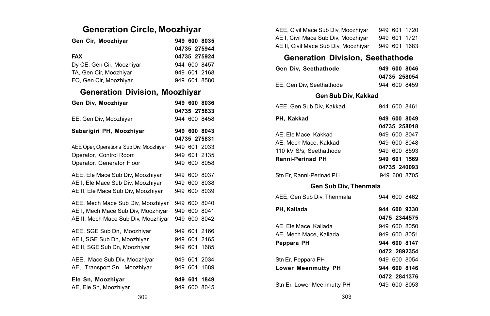# **Generation Circle, Moozhiyar**

| Gen Cir, Moozhiyar                      |         |         | 949 600 8035<br>04735 275944 |
|-----------------------------------------|---------|---------|------------------------------|
| <b>FAX</b>                              |         |         | 04735 275924                 |
| Dy CE, Gen Cir, Moozhiyar               |         |         | 944 600 8457                 |
| TA, Gen Cir, Moozhiyar                  |         |         | 949 601 2168                 |
| FO, Gen Cir, Moozhiyar                  |         |         | 949 601 8580                 |
| Generation Division, Moozhiyar          |         |         |                              |
| Gen Div, Moozhiyar                      |         |         | 949 600 8036                 |
|                                         |         |         | 04735 275833                 |
| EE, Gen Div, Moozhiyar                  |         |         | 944 600 8458                 |
| Sabarigiri PH, Moozhiyar                |         |         | 949 600 8043                 |
|                                         |         |         | 04735 275831                 |
| AEE Oper, Operations Sub Div, Moozhiyar |         |         | 949 601 2033                 |
| Operator, Control Room                  |         |         | 949 601 2135                 |
| Operator, Generator Floor               |         |         | 949 600 8058                 |
| AEE, Ele Mace Sub Div, Moozhiyar        |         |         | 949 600 8037                 |
| AE I. Ele Mace Sub Div. Moozhivar       |         | 949 600 | 8038                         |
| AE II, Ele Mace Sub Div, Moozhiyar      |         | 949 600 | 8039                         |
| AEE, Mech Mace Sub Div, Moozhiyar       |         | 949 600 | 8040                         |
| AE I, Mech Mace Sub Div, Moozhiyar      |         | 949 600 | 8041                         |
| AE II, Mech Mace Sub Div, Moozhiyar     |         | 949 600 | 8042                         |
| AEE, SGE Sub Dn, Moozhiyar              |         | 949 601 | 2166                         |
| AE I. SGE Sub Dn. Moozhivar             | 949 601 |         | 2165                         |
| AE II, SGE Sub Dn, Moozhiyar            | 949 601 |         | 1685                         |
| AEE, Mace Sub Div, Moozhiyar            | 949 601 |         | 2034                         |
| AE, Transport Sn, Moozhiyar             |         | 949 601 | 1689                         |
| Ele Sn, Moozhiyar                       | 949 601 |         | 1849                         |
| AE, Ele Sn, Moozhiyar                   | 949 600 |         | 8045                         |

| AEE. Civil Mace Sub Div. Moozhivar   |  | 949 601 1720 |
|--------------------------------------|--|--------------|
| AE I. Civil Mace Sub Div. Moozhivar  |  | 949 601 1721 |
| AE II, Civil Mace Sub Div, Moozhiyar |  | 949 601 1683 |

# **Generation Division, Seethathode**

| Gen Div. Seethathode     | 949 600 8046 |
|--------------------------|--------------|
|                          | 04735 258054 |
| EE. Gen Div. Seethathode | 944 600 8459 |

#### **Gen Sub Div, Kakkad**

| AEE. Gen Sub Div. Kakkad   |  | 944 600 8461 |
|----------------------------|--|--------------|
| PH. Kakkad                 |  | 949 600 8049 |
|                            |  | 04735 258018 |
| AE. Ele Mace. Kakkad       |  | 949 600 8047 |
| AE. Mech Mace. Kakkad      |  | 949 600 8048 |
| 110 kV S/s. Seethathode    |  | 949 600 8593 |
| Ranni-Perinad PH           |  | 949 601 1569 |
|                            |  | 04735 240093 |
| Stn Er. Ranni-Perinad PH   |  | 949 600 8705 |
| Gen Sub Div. Thenmala      |  |              |
| AEE. Gen Sub Div. Thenmala |  | 944 600 8462 |
| PH. Kallada                |  | 944 600 9330 |

|                            | 0475 2344575 |
|----------------------------|--------------|
| AE. Ele Mace, Kallada      | 949 600 8050 |
| AE, Mech Mace, Kallada     | 949 600 8051 |
| Peppara PH                 | 944 600 8147 |
|                            | 0472 2892354 |
| Stn Er. Peppara PH         | 949 600 8054 |
| <b>Lower Meenmutty PH</b>  | 944 600 8146 |
|                            | 0472 2841376 |
| Stn Er, Lower Meenmutty PH | 949 600 8053 |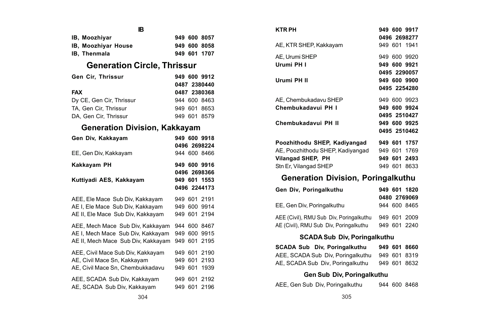| IR.                                  |     |         |              |
|--------------------------------------|-----|---------|--------------|
| IB, Moozhiyar                        |     |         | 949 600 8057 |
| IB, Moozhiyar House                  |     |         | 949 600 8058 |
| IB, Thenmala                         |     |         | 949 601 1707 |
| <b>Generation Circle, Thrissur</b>   |     |         |              |
| Gen Cir, Thrissur                    |     |         | 949 600 9912 |
|                                      |     |         | 0487 2380440 |
| <b>FAX</b>                           |     |         | 0487 2380368 |
| Dy CE, Gen Cir, Thrissur             |     |         | 944 600 8463 |
| TA, Gen Cir, Thrissur                |     | 949 601 | 8653         |
| DA, Gen Cir, Thrissur                |     |         | 949 601 8579 |
| <b>Generation Division, Kakkayam</b> |     |         |              |
| Gen Div, Kakkayam                    |     |         | 949 600 9918 |
|                                      |     |         | 0496 2698224 |
| EE, Gen Div, Kakkayam                |     |         | 944 600 8466 |
|                                      |     |         |              |
| Kakkayam PH                          |     |         | 949 600 9916 |
|                                      |     |         | 0496 2698366 |
| Kuttiyadi AES, Kakkayam              |     |         | 949 601 1553 |
|                                      |     |         | 0496 2244173 |
| AEE, Ele Mace Sub Div, Kakkayam      |     |         | 949 601 2191 |
| AE I, Ele Mace Sub Div, Kakkayam     |     |         | 949 600 9914 |
| AE II, Ele Mace Sub Div, Kakkayam    | 949 | 601     | 2194         |
| AEE, Mech Mace Sub Div, Kakkayam     |     |         | 944 600 8467 |
| AE I, Mech Mace Sub Div, Kakkayam    |     |         | 949 600 9915 |
| AE II. Mech Mace Sub Div. Kakkavam   |     | 949 601 | 2195         |
| AEE, Civil Mace Sub Div, Kakkayam    |     | 949 601 | 2190         |
| AE, Civil Mace Sn, Kakkayam          |     | 949 601 | 2193         |
| AE, Civil Mace Sn, Chembukkadavu     |     | 949 601 | 1939         |
| AEE, SCADA Sub Div, Kakkayam         |     | 949 601 | 2192         |

| <b>KTR PH</b>                                                                     | 949 600 9917<br>0496 2698277 |  |  |  |
|-----------------------------------------------------------------------------------|------------------------------|--|--|--|
| AE, KTR SHEP, Kakkayam                                                            | 949 601 1941                 |  |  |  |
| AE. Urumi SHEP<br>Urumi PH I                                                      | 949 600 9920<br>949 600 9921 |  |  |  |
| Urumi PH II                                                                       | 0495 2290057<br>949 600 9900 |  |  |  |
|                                                                                   | 0495 2254280                 |  |  |  |
| AE, Chembukadavu SHEP                                                             | 949 600 9923                 |  |  |  |
| Chembukadavui PH I                                                                | 949 600 9924<br>0495 2510427 |  |  |  |
| Chembukadavui PH II                                                               | 949 600 9925                 |  |  |  |
|                                                                                   | 0495 2510462                 |  |  |  |
| Poozhithodu SHEP. Kadivangad                                                      | 949 601 1757                 |  |  |  |
| AE, Poozhithodu SHEP, Kadiyangad                                                  | 949 601 1769                 |  |  |  |
| Vilangad SHEP, PH                                                                 | 949 601 2493                 |  |  |  |
| Stn Er, Vilangad SHEP                                                             | 949 601 8633                 |  |  |  |
| Generation Division, Poringalkuthu                                                |                              |  |  |  |
| Gen Div, Poringalkuthu                                                            | 949 601 1820<br>0480 2769069 |  |  |  |
| EE, Gen Div, Poringalkuthu                                                        | 944 600 8465                 |  |  |  |
| AEE (Civil), RMU Sub Div, Poringalkuthu<br>AE (Civil), RMU Sub Div, Poringalkuthu | 949 601 2009<br>949 601 2240 |  |  |  |
| <b>SCADA Sub Div. Poringalkuthu</b>                                               |                              |  |  |  |
| SCADA Sub Div, Poringalkuthu                                                      | 949 601 8660                 |  |  |  |
| AEE, SCADA Sub Div, Poringalkuthu 949 601                                         | 8319                         |  |  |  |
| AE, SCADA Sub Div, Poringalkuthu                                                  | 949 601<br>8632              |  |  |  |
| Gen Sub Div. Poringalkuthu                                                        |                              |  |  |  |
| AEE, Gen Sub Div, Poringalkuthu                                                   | 944 600 8468                 |  |  |  |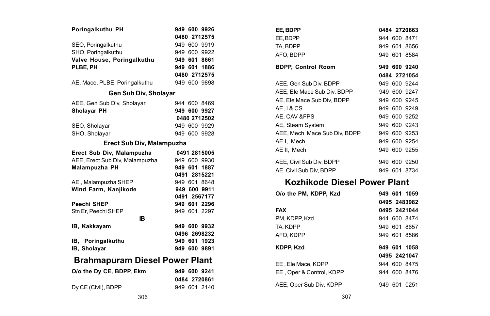| Poringalkuthu PH               | 949 600 9926 |  |  |
|--------------------------------|--------------|--|--|
|                                | 0480 2712575 |  |  |
| SEO, Poringalkuthu             | 949 600 9919 |  |  |
| SHO, Poringalkuthu             | 949 600 9922 |  |  |
| Valve House, Poringalkuthu     | 949 601 8661 |  |  |
| PLBE, PH                       | 949 601 1886 |  |  |
|                                | 0480 2712575 |  |  |
| AE, Mace, PLBE, Poringalkuthu  | 949 600 9898 |  |  |
| Gen Sub Div, Sholayar          |              |  |  |
| AEE, Gen Sub Div, Sholayar     | 944 600 8469 |  |  |
| Sholayar PH                    | 949 600 9927 |  |  |
|                                | 0480 2712502 |  |  |
| SEO, Sholayar                  | 949 600 9929 |  |  |
| SHO. Sholavar                  | 949 600 9928 |  |  |
| Erect Sub Div, Malampuzha      |              |  |  |
| Erect Sub Div, Malampuzha      | 0491 2815005 |  |  |
| AEE, Erect Sub Div, Malampuzha | 949 600 9930 |  |  |
| Malampuzha PH                  | 949 601 1887 |  |  |
|                                | 0491 2815221 |  |  |
| AE., Malampuzha SHEP           | 949 601 8648 |  |  |
| Wind Farm, Kanjikode           | 949 600 9911 |  |  |
|                                | 0491 2567177 |  |  |
| Peechi SHEP                    | 949 601 2296 |  |  |
| Stn Er, Peechi SHEP            | 949 601 2297 |  |  |
| R                              |              |  |  |
| IB, Kakkayam                   | 949 600 9932 |  |  |
|                                | 0496 2698232 |  |  |
| IB, Poringalkuthu              | 949 601 1923 |  |  |
| IB, Sholayar                   | 949 600 9891 |  |  |
| Brahmapuram Diesel Power Plant |              |  |  |
| O/o the Dv CE. BDPP. Ekm       | 949 600 9241 |  |  |
|                                | 0484 2720861 |  |  |
| Dy CE (Civil), BDPP            | 949 601 2140 |  |  |

| EE. BDPP                     |  | 0484 2720663 |
|------------------------------|--|--------------|
| EE, BDPP                     |  | 944 600 8471 |
| TA, BDPP                     |  | 949 601 8656 |
| AFO. BDPP                    |  | 949 601 8584 |
| BDPP, Control Room           |  | 949 600 9240 |
|                              |  | 0484 2721054 |
| AEE, Gen Sub Div, BDPP       |  | 949 600 9244 |
| AEE, Ele Mace Sub Div, BDPP  |  | 949 600 9247 |
| AE. Ele Mace Sub Div. BDPP   |  | 949 600 9245 |
| AE. I & CS                   |  | 949 600 9249 |
| AE, CAV &FPS                 |  | 949 600 9252 |
| AE, Steam System             |  | 949 600 9243 |
| AEE, Mech Mace Sub Div, BDPP |  | 949 600 9253 |
| AEI.Mech                     |  | 949 600 9254 |
| AE II, Mech                  |  | 949 600 9255 |
| AEE, Civil Sub Div, BDPP     |  | 949 600 9250 |
| AE. Civil Sub Div. BDPP      |  | 949 601 8734 |
| Kozhikode Diesel Power Plant |  |              |

| O/o the PM, KDPP, Kzd    |  | 949 601 1059 |
|--------------------------|--|--------------|
|                          |  | 0495 2483982 |
| <b>FAX</b>               |  | 0495 2421044 |
| PM. KDPP. Kzd            |  | 944 600 8474 |
| TA, KDPP                 |  | 949 601 8657 |
| AFO, KDPP                |  | 949 601 8586 |
| <b>KDPP. Kzd</b>         |  | 949 601 1058 |
|                          |  | 0495 2421047 |
| EE. Ele Mace, KDPP       |  | 944 600 8475 |
| EE, Oper & Control, KDPP |  | 944 600 8476 |
| AEE. Oper Sub Div. KDPP  |  | 949 601 0251 |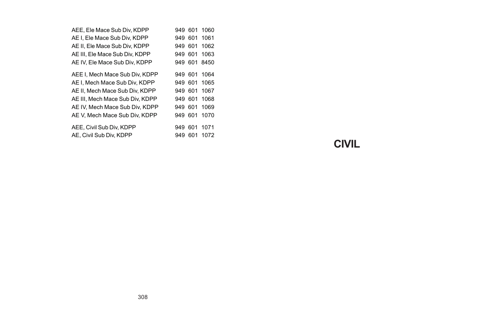| AEE. Ele Mace Sub Div. KDPP     | 949     | 601     | 1060 |  |
|---------------------------------|---------|---------|------|--|
| AE I. Ele Mace Sub Div. KDPP    | 949 601 |         | 1061 |  |
| AE II. Ele Mace Sub Div. KDPP   | 949     | 601     | 1062 |  |
| AE III. Ele Mace Sub Div. KDPP  | 949     | 601     | 1063 |  |
| AE IV. Ele Mace Sub Div. KDPP   |         | 949 601 | 8450 |  |
| AEE I. Mech Mace Sub Div. KDPP  | 949 601 |         | 1064 |  |
| AE I. Mech Mace Sub Div. KDPP   | 949 601 |         | 1065 |  |
| AE II. Mech Mace Sub Div. KDPP  | 949 601 |         | 1067 |  |
| AE III. Mech Mace Sub Div. KDPP | 949 601 |         | 1068 |  |
| AE IV. Mech Mace Sub Div. KDPP  | 949 601 |         | 1069 |  |
| AE V. Mech Mace Sub Div. KDPP   | 949     | 601     | 1070 |  |
| AEE, Civil Sub Div, KDPP        | 949     | 601     | 1071 |  |
| AE, Civil Sub Div, KDPP         | 949     | 601     | 1072 |  |

**CIVIL**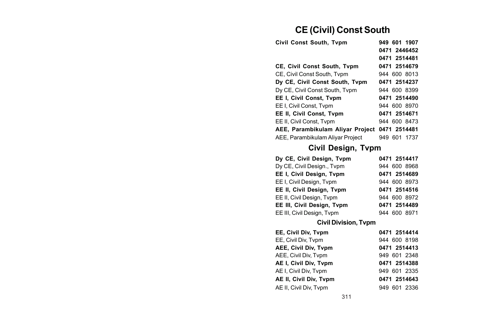# **CE (Civil) Const South**

| Civil Const South. Tvpm          | 949 601 1907 |
|----------------------------------|--------------|
|                                  | 0471 2446452 |
|                                  | 0471 2514481 |
| CE, Civil Const South, Tvpm      | 0471 2514679 |
| CE. Civil Const South. Typm      | 944 600 8013 |
| Dy CE, Civil Const South, Tvpm   | 0471 2514237 |
| Dy CE, Civil Const South, Tvpm   | 944 600 8399 |
| EE I, Civil Const, Tvpm          | 0471 2514490 |
| EE I. Civil Const. Typm          | 944 600 8970 |
| EE II. Civil Const. Tvpm         | 0471 2514671 |
| EE II. Civil Const. Typm         | 944 600 8473 |
| AEE. Parambikulam Alivar Project | 0471 2514481 |
| AEE, Parambikulam Alivar Project | 949 601 1737 |

# **Civil Design, Tvpm**

| Dy CE, Civil Design, Tvpm  | 0471 2514417 |
|----------------------------|--------------|
| Dy CE, Civil Design., Typm | 944 600 8968 |
| EE I. Civil Desian. Tvpm   | 0471 2514689 |
| EE I, Civil Design, Tvpm   | 944 600 8973 |
| EE II, Civil Design, Tvpm  | 0471 2514516 |
| EE II, Civil Design, Tvpm  | 944 600 8972 |
| EE III. Civil Desian. Tvpm | 0471 2514489 |
| EE III, Civil Design, Typm | 944 600 8971 |

#### **Civil Division, Tvpm**

| EE. Civil Div. Tvpm    | 0471 2514414 |
|------------------------|--------------|
| EE, Civil Div, Tvpm    | 944 600 8198 |
| AEE. Civil Div. Typm   | 0471 2514413 |
| AEE, Civil Div, Tvpm   | 949 601 2348 |
| AE I, Civil Div, Tvpm  | 0471 2514388 |
| AE I, Civil Div, Tvpm  | 949 601 2335 |
| AE II, Civil Div, Tvpm | 0471 2514643 |
| AE II, Civil Div, Tvpm | 949 601 2336 |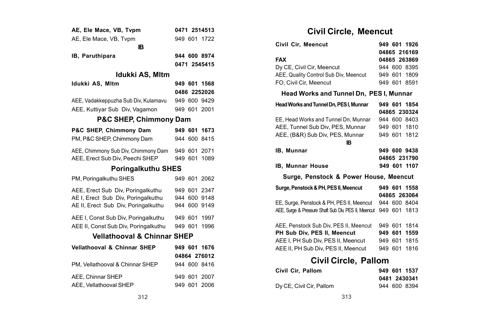| AE, Ele Mace, VB, Tvpm                 |  |         | 0471 2514513 |  |
|----------------------------------------|--|---------|--------------|--|
| AE. Ele Mace. VB. Tvpm                 |  |         | 949 601 1722 |  |
| IB.                                    |  |         |              |  |
| IB, Paruthipara                        |  |         | 944 600 8974 |  |
|                                        |  |         | 0471 2545415 |  |
| Idukki AS, Mltm                        |  |         |              |  |
| Idukki AS, Mltm                        |  |         | 949 601 1568 |  |
|                                        |  |         | 0486 2252026 |  |
| AEE, Vadakkeppuzha Sub Div, Kulamavu   |  |         | 949 600 9429 |  |
| AEE, Kuttiyar Sub Div, Vagamon         |  |         | 949 601 2001 |  |
| <b>P&amp;C SHEP, Chimmony Dam</b>      |  |         |              |  |
| P&C SHEP, Chimmony Dam                 |  |         | 949 601 1673 |  |
| PM, P&C SHEP, Chimmony Dam             |  | 944 600 | 8415         |  |
| AEE, Chimmony Sub Div, Chimmony Dam    |  |         | 949 601 2071 |  |
| AEE, Erect Sub Div, Peechi SHEP        |  | 949 601 | 1089         |  |
| <b>Poringalkuthu SHES</b>              |  |         |              |  |
| PM, Poringalkuthu SHES                 |  |         | 949 601 2062 |  |
| AEE, Erect Sub Div. Poringalkuthu      |  | 949 601 | 2347         |  |
| AE I, Erect Sub Div, Poringalkuthu     |  | 944 600 | 9148         |  |
| AE II, Erect Sub Div, Poringalkuthu    |  | 944 600 | 9149         |  |
| AEE I, Const Sub Div, Poringalkuthu    |  | 949 601 | 1997         |  |
| AEE II, Const Sub Div, Poringalkuthu   |  | 949 601 | 1996         |  |
| <b>Vellathooval &amp; Chinnar SHEP</b> |  |         |              |  |
| Vellathooval & Chinnar SHEP            |  |         | 949 601 1676 |  |
|                                        |  |         | 04864 276012 |  |
| PM. Vellathooval & Chinnar SHEP        |  |         | 944 600 8416 |  |
| AEE. Chinnar SHEP                      |  |         | 949 601 2007 |  |
| AEE, Vellathooval SHEP                 |  |         | 949 601 2006 |  |

# **Civil Circle, Meencut**

| Civil Cir, Meencut                                                |         | 949 601 1926 |
|-------------------------------------------------------------------|---------|--------------|
|                                                                   |         | 04865 216169 |
| FAX                                                               |         | 04865 263869 |
| Dy CE, Civil Cir, Meencut                                         |         | 944 600 8395 |
| AEE, Quality Control Sub Div, Meencut                             |         | 949 601 1809 |
| FO. Civil Cir. Meencut                                            |         | 949 601 8591 |
| Head Works and Tunnel Dn, PES I, Munnar                           |         |              |
| Head Works and Tunnel Dn, PES I, Munnar                           |         | 949 601 1854 |
|                                                                   |         | 04865 230324 |
| EE, Head Works and Tunnel Dn, Munnar                              |         | 944 600 8403 |
| AEE, Tunnel Sub Div, PES, Munnar                                  |         | 949 601 1810 |
| AEE, (B&R) Sub Div, PES, Munnar                                   |         | 949 601 1812 |
| IB.                                                               |         |              |
| <b>IB, Munnar</b>                                                 |         | 949 600 9438 |
|                                                                   |         | 04865 231790 |
| <b>IB, Munnar House</b>                                           |         | 949 601 1107 |
| Surge, Penstock & Power House, Meencut                            |         |              |
| Surge, Penstock & PH, PES II, Meencut                             |         | 949 601 1558 |
|                                                                   |         | 04865 263064 |
| EE, Surge, Penstock & PH, PES II, Meencut                         |         | 944 600 8404 |
| AEE, Surge & Pressure Shaft Sub Div, PES II, Meencut 949 601 1813 |         |              |
| AEE, Penstock Sub Div, PES II, Meencut                            |         | 949 601 1814 |
| PH Sub Div, PES II, Meencut                                       |         | 949 601 1559 |
| AEE I, PH Sub Div, PES II, Meencut                                | 949 601 | 1815         |
| AEE II, PH Sub Div, PES II, Meencut                               |         | 949 601 1816 |
| Civil Circle, Pallom                                              |         |              |
| Civil Cir, Pallom                                                 |         | 949 601 1537 |
|                                                                   |         |              |

|                          | .            |
|--------------------------|--------------|
|                          | 0481 2430341 |
| Dy CE, Civil Cir, Pallom | 944 600 8394 |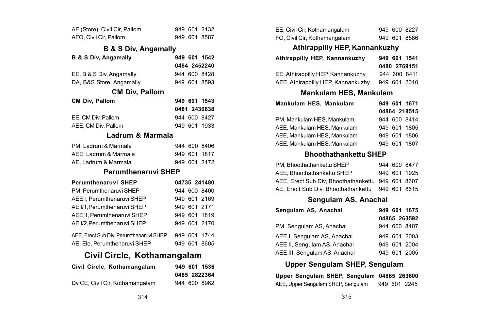| AE (Store), Civil Cir, Pallom |  | 949 601 2132 |
|-------------------------------|--|--------------|
| AFO, Civil Cir, Pallom        |  | 949 601 8587 |

#### **B & S Div, Angamally**

| <b>B &amp; S Div, Angamally</b>         |     |         | 949 601 1542 |
|-----------------------------------------|-----|---------|--------------|
|                                         |     |         | 0484 2452240 |
| EE, B & S Div, Angamally                |     |         | 944 600 8428 |
| DA, B&S Store, Angamally                |     |         | 949 601 8593 |
| <b>CM Div, Pallom</b>                   |     |         |              |
| CM Div, Pallom                          |     |         | 949 601 1543 |
|                                         |     |         | 0481 2430638 |
| EE, CM Div, Pallom                      |     |         | 944 600 8427 |
| AEE, CM Div, Pallom                     |     |         | 949 601 1933 |
| Ladrum & Marmala                        |     |         |              |
| PM, Ladrum & Marmala                    |     |         | 944 600 8406 |
| AEE, Ladrum & Marmala                   |     |         | 949 601 1817 |
| AE, Ladrum & Marmala                    |     |         | 949 601 2172 |
| Perumthenaruvi SHEP                     |     |         |              |
| Perumthenaruvi SHEP                     |     |         | 04735 241480 |
| PM, Perumthenaruvi SHEP                 |     |         | 944 600 8400 |
| AEE I. Perumthenaruvi SHEP              |     |         | 949 601 2169 |
| AE I/1, Perumthenaruvi SHEP             |     |         | 949 601 2171 |
| AEE II. Perumthenaruvi SHEP             |     |         | 949 601 1819 |
| AE I/2. Perumthenaruvi SHEP             | 949 |         | 601 2170     |
| AEE, Erect Sub Div, Perumthenaruvi SHEP |     | 949 601 | 1744         |
| AE, Ele, Perumthenaruvi SHEP            | 949 | 601     | 8605         |

# **Civil Circle, Kothamangalam**

| Civil Circle, Kothamangalam     | 949 601 1536 |
|---------------------------------|--------------|
|                                 | 0485 2822364 |
| Dy CE, Civil Cir, Kothamangalam | 944 600 8962 |

| EE, Civil Cir, Kothamangalam  |  |  | 949 600 8227 |  |
|-------------------------------|--|--|--------------|--|
| FO, Civil Cir, Kothamangalam  |  |  | 949 601 8586 |  |
| Athirappilly HEP, Kannankuzhy |  |  |              |  |
| Athirappilly HEP, Kannankuzhy |  |  | 949 601 1541 |  |
|                               |  |  | .            |  |

|                                    |  | <b>U40U 4/09151</b> |
|------------------------------------|--|---------------------|
| EE, Athirappilly HEP, Kannankuzhy  |  | 944 600 8411        |
| AEE, Athirappilly HEP, Kannankuzhy |  | 949 601 2010        |

### **Mankulam HES, Mankulam**

| Mankulam HES, Mankulam      | 949 601 1671 |
|-----------------------------|--------------|
|                             | 04864 218515 |
| PM. Mankulam HES, Mankulam  | 944 600 8414 |
| AEE, Mankulam HES, Mankulam | 949 601 1805 |
| AEE, Mankulam HES, Mankulam | 949 601 1806 |
| AEE, Mankulam HES, Mankulam | 949 601 1807 |

### **Bhoothathankettu SHEP**

| PM. Bhoothathankettu SHEP                         |  | 944 600 8477 |
|---------------------------------------------------|--|--------------|
| AEE, Bhoothathankettu SHEP                        |  | 949 601 1925 |
| AEE, Erect Sub Div, Bhoothathankettu 949 601 8607 |  |              |
| AE. Erect Sub Div. Bhoothathankettu               |  | 949 601 8615 |

#### **Sengulam AS, Anachal**

| Sengulam AS, Anachal          | 949 601 1675 |
|-------------------------------|--------------|
|                               | 04865 263592 |
| PM, Sengulam AS, Anachal      | 944 600 8407 |
| AEE I. Sengulam AS, Anachal   | 949 601 2003 |
| AEE II, Sengulam AS, Anachal  | 949 601 2004 |
| AEE III, Sengulam AS, Anachal | 949 601 2005 |

### **Upper Sengulam SHEP, Sengulam**

**Upper Sengulam SHEP, Sengulam 04865 263600** AEE, Upper Sengulam SHEP, Sengulam 949 601 2245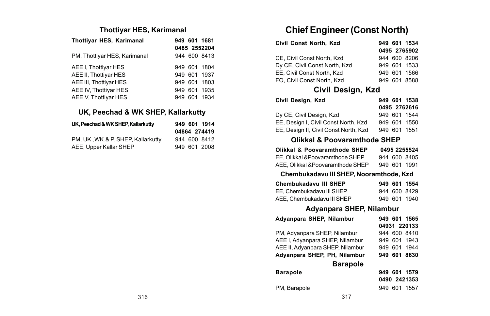#### **Thottiyar HES, Karimanal**

| Thottiyar HES, Karimanal     |     |     | 949 601 1681 |
|------------------------------|-----|-----|--------------|
|                              |     |     | 0485 2552204 |
| PM, Thottiyar HES, Karimanal |     |     | 944 600 8413 |
| AEE I. Thottivar HES         |     |     | 949 601 1804 |
| AEE II. Thottivar HES        |     |     | 949 601 1937 |
| AEE III, Thottiyar HES       |     |     | 949 601 1803 |
| AEE IV. Thottivar HES        |     |     | 949 601 1935 |
| AEE V, Thottiyar HES         | 949 | 601 | 1934         |

### **UK, Peechad & WK SHEP, Kallarkutty**

| UK. Peechad & WK SHEP, Kallarkutty |  | 949 601 1914 |
|------------------------------------|--|--------------|
|                                    |  | 04864 274419 |
| PM, UK., WK.& P. SHEP, Kallarkutty |  | 944 600 8412 |
| AEE, Upper Kallar SHEP             |  | 949 601 2008 |

# **Chief Engineer (Const North)**

| Civil Const North, Kzd        |  | 949 601 1534 |
|-------------------------------|--|--------------|
|                               |  | 0495 2765902 |
| CE. Civil Const North, Kzd    |  | 944 600 8206 |
| Dy CE, Civil Const North, Kzd |  | 949 601 1533 |
| EE. Civil Const North, Kzd    |  | 949 601 1566 |
| FO. Civil Const North, Kzd    |  | 949 601 8588 |

## **Civil Design, Kzd**

| Civil Desian, Kzd                     | 949 601 1538 |  |
|---------------------------------------|--------------|--|
|                                       | 0495 2762616 |  |
| Dv CE. Civil Desian. Kzd              | 949 601 1544 |  |
| EE, Desian I, Civil Const North, Kzd  | 949 601 1550 |  |
| EE, Design II, Civil Const North, Kzd | 949 601 1551 |  |

## **Olikkal & Poovaramthode SHEP**

| Olikkal & Poovaramthode SHEP      |  | 0495 2255524 |
|-----------------------------------|--|--------------|
| EE, Olikkal & Poovaramthode SHEP  |  | 944 600 8405 |
| AEE, Olikkal & Poovaramthode SHEP |  | 949 601 1991 |

#### **Chembukadavu III SHEP, Nooramthode, Kzd**

| Chembukadavu III SHEP      |  | 949 601 1554 |
|----------------------------|--|--------------|
| EE. Chembukadavu III SHEP  |  | 944 600 8429 |
| AEE. Chembukadavu III SHEP |  | 949 601 1940 |

### **Adyanpara SHEP, Nilambur**

| Advanpara SHEP, Nilambur         |  | 949 601 1565 |
|----------------------------------|--|--------------|
|                                  |  | 04931 220133 |
| PM, Advanpara SHEP, Nilambur     |  | 944 600 8410 |
| AEE I. Advanpara SHEP, Nilambur  |  | 949 601 1943 |
| AEE II, Adyanpara SHEP, Nilambur |  | 949 601 1944 |
| Advanpara SHEP, PH, Nilambur     |  | 949 601 8630 |
| <b>Barapole</b>                  |  |              |
| <b>Barapole</b>                  |  | 949 601 1579 |
|                                  |  | 0490 2421353 |
| PM. Barapole                     |  | 949 601 1557 |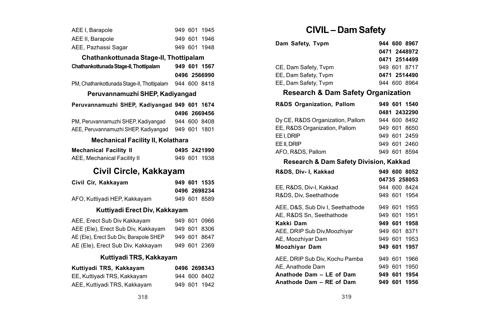| AEE I, Barapole                              |         |         | 949 601 1945 |
|----------------------------------------------|---------|---------|--------------|
| AEE II. Barapole                             |         |         | 949 601 1946 |
| AEE, Pazhassi Sagar                          |         |         | 949 601 1948 |
| Chathankottunada Stage-II, Thottipalam       |         |         |              |
| Chathankottunada Stage-II, Thottipalam       |         |         | 949 601 1567 |
|                                              |         |         | 0496 2566990 |
| PM, Chathankottunada Stage-II, Thottipalam   |         |         | 944 600 8418 |
| Peruvannamuzhi SHEP, Kadiyangad              |         |         |              |
| Peruvannamuzhi SHEP, Kadiyangad 949 601 1674 |         |         |              |
|                                              |         |         | 0496 2669456 |
| PM, Peruvannamuzhi SHEP, Kadivangad          |         |         | 944 600 8408 |
| AEE, Peruvannamuzhi SHEP, Kadiyangad         |         |         | 949 601 1801 |
| Mechanical Facility II, Kolathara            |         |         |              |
| <b>Mechanical Facility II</b>                |         |         | 0495 2421990 |
| AEE, Mechanical Facility II                  |         |         | 949 601 1938 |
| Civil Circle, Kakkayam                       |         |         |              |
| Civil Cir, Kakkayam                          |         |         | 949 601 1535 |
|                                              |         |         | 0496 2698234 |
| AFO, Kuttiyadi HEP, Kakkayam                 |         |         | 949 601 8589 |
| Kuttiyadi Erect Div, Kakkayam                |         |         |              |
| AEE, Erect Sub Div Kakkayam                  |         | 949 601 | 0966         |
| AEE (Ele), Erect Sub Div, Kakkayam           |         | 949 601 | 8306         |
| AE (Ele), Erect Sub Div, Barapole SHEP       | 949 601 |         | 8647         |

# AE (Ele), Erect Sub Div, Kakkayam 949 601 2369 **Kuttiyadi TRS, Kakkayam**

| Kuttiyadi TRS, Kakkayam      |  | 0496 2698343 |
|------------------------------|--|--------------|
| EE, Kuttiyadi TRS, Kakkayam  |  | 944 600 8402 |
| AEE, Kuttiyadi TRS, Kakkayam |  | 949 601 1942 |

# **CIVIL – Dam Safety**

| Dam Safety, Tvpm     | 944 600 8967 |
|----------------------|--------------|
|                      | 0471 2448972 |
|                      | 0471 2514499 |
| CE. Dam Safety, Typm | 949 601 8717 |
| EE, Dam Safety, Tvpm | 0471 2514490 |
| EE. Dam Safety. Typm | 944 600 8964 |

## **Research & Dam Safety Organization**

| R&DS Organization, Pallom        |  | 949 601 1540 |
|----------------------------------|--|--------------|
|                                  |  | 0481 2432290 |
| Dy CE, R&DS Organization, Pallom |  | 944 600 8492 |
| EE, R&DS Organization, Pallom    |  | 949 601 8650 |
| EE I, DRIP                       |  | 949 601 2459 |
| EE II, DRIP                      |  | 949 601 2460 |
| AFO, R&DS, Pallom                |  | 949 601 8594 |

### **Research & Dam Safety Division, Kakkad**

| R&DS. Div- I. Kakkad             |     |         | 949 600 8052 |
|----------------------------------|-----|---------|--------------|
|                                  |     |         | 04735 258053 |
| EE, R&DS, Div-I, Kakkad          |     |         | 944 600 8424 |
| R&DS, Div, Seethathode           |     |         | 949 601 1954 |
| AEE, D&S, Sub Div I, Seethathode |     |         | 949 601 1955 |
| AE. R&DS Sn. Seethathode         |     |         | 949 601 1951 |
| Kakki Dam                        |     |         | 949 601 1958 |
| AEE, DRIP Sub Div, Moozhiyar     |     |         | 949 601 8371 |
| AE, Moozhiyar Dam                |     |         | 949 601 1953 |
| <b>Moozhivar Dam</b>             |     |         | 949 601 1957 |
| AEE, DRIP Sub Div, Kochu Pamba   |     | 949 601 | 1966         |
| AE. Anathode Dam                 |     | 949 601 | 1950         |
| Anathode Dam - LE of Dam         |     |         | 949 601 1954 |
| Anathode Dam - RE of Dam         | 949 | 601     | 1956         |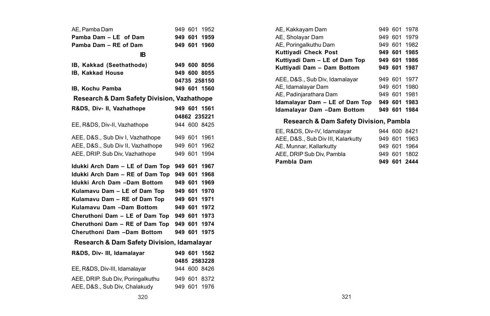| AE, Pamba Dam                                         | 949 601 |         | 1952         |
|-------------------------------------------------------|---------|---------|--------------|
| Pamba Dam - LE of Dam                                 |         | 949 601 | 1959         |
| Pamba Dam - RE of Dam                                 |         | 949 601 | 1960         |
| <b>IB</b>                                             |         |         |              |
| IB, Kakkad (Seethathode)                              |         |         | 949 600 8056 |
| IB, Kakkad House                                      |         |         | 949 600 8055 |
|                                                       |         |         | 04735 258150 |
| IB, Kochu Pamba                                       |         |         | 949 601 1560 |
| <b>Research &amp; Dam Safety Division, Vazhathope</b> |         |         |              |
| R&DS, Div- II, Vazhathope                             |         |         | 949 601 1561 |
|                                                       |         |         | 04862 235221 |
| EE, R&DS, Div-II, Vazhathope                          |         |         | 944 600 8425 |
| AEE, D&S., Sub Div I, Vazhathope                      | 949 601 |         | 1961         |
| AEE, D&S., Sub Div II, Vazhathope                     | 949 601 |         | 1962         |
| AEE, DRIP, Sub Div, Vazhathope                        |         | 949 601 | 1994         |
|                                                       |         |         |              |
| Idukki Arch Dam - LE of Dam Top                       |         | 949 601 | 1967         |
| Idukki Arch Dam - RE of Dam Top                       | 949 601 |         | 1968         |
| Idukki Arch Dam -Dam Bottom                           | 949 601 |         | 1969         |
| Kulamavu Dam - LE of Dam Top                          | 949 601 |         | 1970         |
| Kulamavu Dam - RE of Dam Top                          | 949 601 |         | 1971         |
| Kulamavu Dam -Dam Bottom                              | 949 601 |         | 1972         |
| Cheruthoni Dam - LE of Dam Top                        | 949 601 |         | 1973         |
| Cheruthoni Dam - RE of Dam Top                        | 949 601 |         | 1974         |
| Cheruthoni Dam -Dam Bottom                            | 949 601 |         | 1975         |
| Research & Dam Safety Division, Idamalayar            |         |         |              |
| R&DS, Div- III, Idamalayar                            |         |         | 949 601 1562 |
|                                                       |         |         | 0485 2583228 |
| EE, R&DS, Div-III, Idamalayar                         |         |         | 944 600 8426 |
| AEE, DRIP, Sub Div, Poringalkuthu                     |         | 949 601 | 8372         |
| AEE, D&S., Sub Div, Chalakudy                         |         |         | 949 601 1976 |

| AE, Kakkayam Dam                  |  | 949 601 1978 |
|-----------------------------------|--|--------------|
| AE, Sholayar Dam                  |  | 949 601 1979 |
| AE. Poringalkuthu Dam             |  | 949 601 1982 |
| Kuttiyadi Check Post              |  | 949 601 1985 |
| Kuttiyadi Dam - LE of Dam Top     |  | 949 601 1986 |
| Kuttivadi Dam - Dam Bottom        |  | 949 601 1987 |
| AEE, D&S., Sub Div. Idamalayar    |  | 949 601 1977 |
| AE, Idamalayar Dam                |  | 949 601 1980 |
| AE, Padinjarathara Dam            |  | 949 601 1981 |
| Idamalayar Dam - LE of Dam Top    |  | 949 601 1983 |
| <b>Idamalavar Dam -Dam Bottom</b> |  | 949 601 1984 |
|                                   |  |              |

# **Research & Dam Safety Division, Pambla**

| Pambla Dam                         |  | 949 601 2444 |
|------------------------------------|--|--------------|
| AEE, DRIP Sub Div, Pambla          |  | 949 601 1802 |
| AE, Munnar, Kallarkutty            |  | 949 601 1964 |
| AEE, D&S., Sub Div III, Kalarkutty |  | 949 601 1963 |
| EE, R&DS, Div-IV, Idamalavar       |  | 944 600 8421 |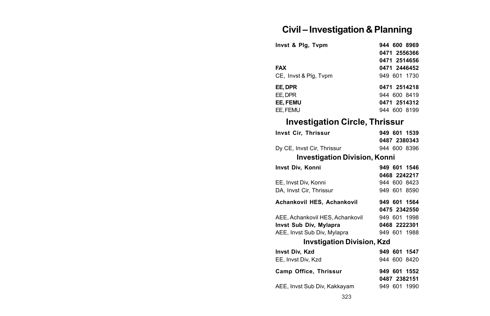# **Civil – Investigation & Planning**

| Invst & Plg, Tvpm     | 944 600 8969 |
|-----------------------|--------------|
|                       | 0471 2556366 |
|                       | 0471 2514656 |
| <b>FAX</b>            | 0471 2446452 |
| CE, Invst & Plg, Typm | 949 601 1730 |
| EE.DPR                | 0471 2514218 |
| EE. DPR               | 944 600 8419 |
| EE. FEMU              | 0471 2514312 |
| EE. FEMU              | 944 600 8199 |

# **Investigation Circle, Thrissur**

| Invst Cir, Thrissur                          | 949 601 1539 |
|----------------------------------------------|--------------|
|                                              | 0487 2380343 |
| Dy CE, Invst Cir, Thrissur                   | 944 600 8396 |
| <b>Investigation Division, Konni</b>         |              |
| Invst Div, Konni                             | 949 601 1546 |
|                                              | 0468 2242217 |
| EE, Invst Div, Konni                         | 944 600 8423 |
| DA. Invst Cir. Thrissur                      | 949 601 8590 |
| Achankovil HES, Achankovil                   | 949 601 1564 |
|                                              | 0475 2342550 |
| AEE, Achankovil HES, Achankovil 949 601 1998 |              |
| Invst Sub Div, Mylapra                       | 0468 2222301 |
| AEE, Invst Sub Div, Mylapra                  | 949 601 1988 |
| <b>Invstigation Division, Kzd</b>            |              |
| Invst Div, Kzd                               | 949 601 1547 |
| EE, Invst Div, Kzd                           | 944 600 8420 |
| Camp Office, Thrissur                        | 949 601 1552 |
|                                              | 0487 2382151 |
| AEE, Invst Sub Div, Kakkayam                 | 949 601 1990 |
|                                              |              |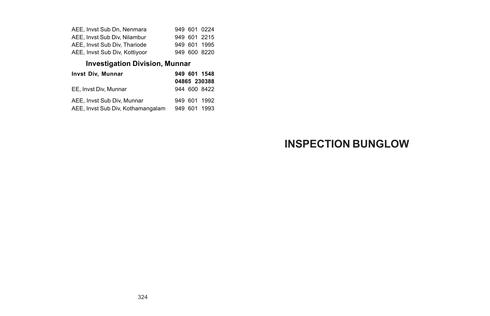| AEE. Invst Sub Dn. Nenmara    |  | 949 601 0224 |
|-------------------------------|--|--------------|
| AEE. Invst Sub Div. Nilambur  |  | 949 601 2215 |
| AEE, Invst Sub Div. Thariode  |  | 949 601 1995 |
| AEE, Invst Sub Div, Kottiyoor |  | 949 600 8220 |

# **Investigation Division, Munnar**

| <b>Invst Div. Munnar</b>          |  | 949 601 1548 |
|-----------------------------------|--|--------------|
|                                   |  | 04865 230388 |
| EE. Invst Div. Munnar             |  | 944 600 8422 |
| AEE, Invst Sub Div. Munnar        |  | 949 601 1992 |
| AEE, Invst Sub Div, Kothamangalam |  | 949 601 1993 |

# **INSPECTION BUNGLOW**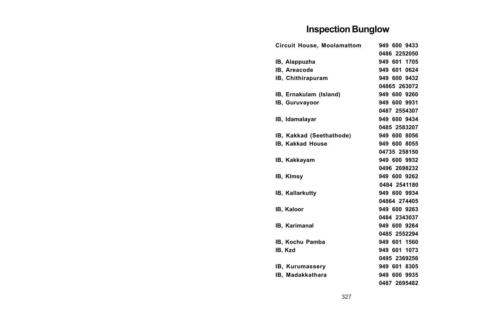# **Inspection Bunglow**

| <b>Circuit House, Moolamattom</b> | 949 600 9433 |
|-----------------------------------|--------------|
|                                   | 0486 2252050 |
| IB, Alappuzha                     | 949 601 1705 |
| IB, Areacode                      | 949 601 0624 |
| IB, Chithirapuram                 | 949 600 9432 |
|                                   | 04865 263072 |
| IB, Ernakulam (Island)            | 949 600 9260 |
| IB, Guruvayoor                    | 949 600 9931 |
|                                   | 0487 2554307 |
| IB, Idamalayar                    | 949 600 9434 |
|                                   | 0485 2583207 |
| IB, Kakkad (Seethathode)          | 949 600 8056 |
| IB, Kakkad House                  | 949 600 8055 |
|                                   | 04735 258150 |
| IB, Kakkayam                      | 949 600 9932 |
|                                   | 0496 2698232 |
| IB, Kimsy                         | 949 600 9262 |
|                                   | 0484 2541180 |
| IB, Kallarkutty                   | 949 600 9934 |
|                                   | 04864 274405 |
| IB, Kaloor                        | 949 600 9263 |
|                                   | 0484 2343037 |
| <b>IB. Karimanal</b>              | 949 600 9264 |
|                                   | 0485 2552294 |
| IB. Kochu Pamba                   | 949 601 1560 |
| IB. Kzd                           | 949 601 1073 |
|                                   | 0495 2369256 |
| IB, Kurumassery                   | 949 601 8305 |
| IB, Madakkathara                  | 949 600 9935 |
|                                   | 0487 2695482 |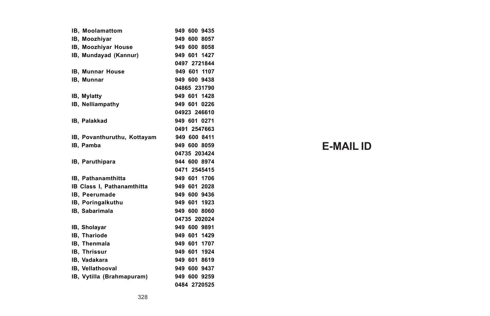| IB, Moolamattom                   | 949 600 9435 |
|-----------------------------------|--------------|
| IB. Moozhivar                     | 949 600 8057 |
| IB, Moozhiyar House               | 949 600 8058 |
| IB, Mundayad (Kannur)             | 949 601 1427 |
|                                   | 0497 2721844 |
| IB, Munnar House                  | 949 601 1107 |
| IB, Munnar                        | 949 600 9438 |
|                                   | 04865 231790 |
| IB, Mylatty                       | 949 601 1428 |
| IB, Nelliampathy                  | 949 601 0226 |
|                                   | 04923 246610 |
| IB, Palakkad                      | 949 601 0271 |
|                                   | 0491 2547663 |
| IB, Povanthuruthu, Kottayam       | 949 600 8411 |
| <b>IB.</b> Pamba                  | 949 600 8059 |
|                                   | 04735 203424 |
| IB, Paruthipara                   | 944 600 8974 |
|                                   | 0471 2545415 |
| <b>IB.</b> Pathanamthitta         | 949 601 1706 |
| <b>IB Class I. Pathanamthitta</b> | 949 601 2028 |
| IB, Peerumade                     | 949 600 9436 |
| IB, Poringalkuthu                 | 949 601 1923 |
| <b>IB.</b> Sabarimala             | 949 600 8060 |
|                                   | 04735 202024 |
| IB, Sholayar                      | 949 600 9891 |
| IB, Thariode                      | 949 601 1429 |
| IB, Thenmala                      | 949 601 1707 |
| <b>IB. Thrissur</b>               | 949 601 1924 |
| IB. Vadakara                      | 949 601 8619 |
| <b>IB. Vellathooval</b>           | 949 600 9437 |
| IB, Vytilla (Brahmapuram)         | 949 600 9259 |
|                                   | 0484 2720525 |

# **E-MAIL ID**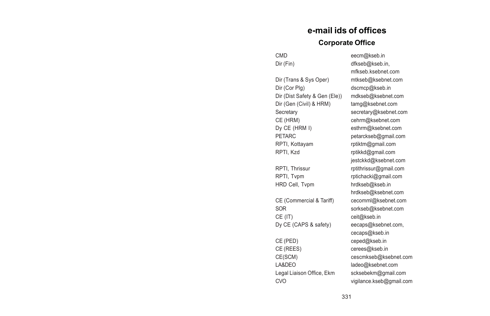# **e-mail ids of offices Corporate Office**

| Dir (Trans & Sys Oper)        |
|-------------------------------|
| Dir (Cor Plg)                 |
| Dir (Dist Safety & Gen (Ele)) |
| Dir (Gen (Civil) & HRM)       |
| Secretary                     |
| CE (HRM)                      |
| Dy CE (HRM I)                 |
| <b>PFTARC</b>                 |
| RPTI, Kottayam                |
| RPTI, Kzd                     |
|                               |
| RPTI, Thrissur                |
| RPTI, Tvpm                    |
| HRD Cell, Tvpm                |
|                               |
| CE (Commercial & Tariff)      |
| SOR                           |
| CE (IT)                       |
| Dy CE (CAPS & safety)         |
|                               |
| CE (PED)                      |
| CE (REES)                     |
| CE(SCM)                       |
| LA&DEO                        |
| Legal Liaison Office, Ekm     |
| <b>CVO</b>                    |

CMD eecm@kseb.in Dir (Fin) dfkseb@kseb.in, mfkseb.ksebnet.com mtkseb@ksebnet.com dscmcp@kseb.in mdkseb@ksebnet.com tamg@ksebnet.com secretary@ksebnet.com cehrm@ksebnet.com esthrm@ksebnet.com petarckseb@gmail.com rptiktm@gmail.com rptikkd@gmail.com jestckkd@ksebnet.com rptithrissur@gmail.com rptichacki@gmail.com hrdkseb@kseb.in hrdkseb@ksebnet.com cecomml@ksebnet.com sorkseb@ksebnet.com ceit@kseb.in eecaps@ksebnet.com, cecaps@kseb.in ceped@kseb.in cerees@kseb.in cescmkseb@ksebnet.com ladeo@ksebnet.com scksebekm@gmail.com vigilance.kseb@gmail.com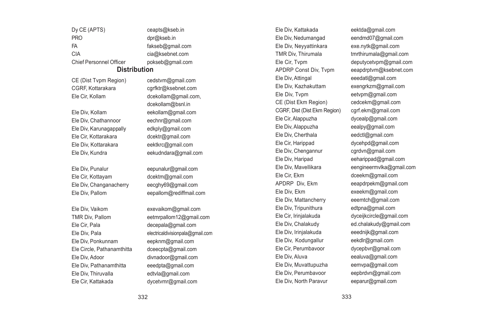Dy CE (APTS) ceants@kseb.in PRO dpr@kseb.in FA fakseb@gmail.com CIA cia@ksebnet.com Chief Personnel Officer pokseb@gmail.com

#### **Distribution**

CE (Dist Typm Region) cedstym@gmail.com CGRF, Kottarakara carfktr@ksebnet.com

Ele Div, Chathannoor eechnr@gmail.com Ele Div, Karunagappally edkply@gmail.com Ele Cir, Kottarakara dcektr@gmail.com Ele Div, Kottarakara eektkrc@gmail.com Ele Div, Kundra eekudndara@gmail.com

Ele Div, Punalur eepunalur@gmail.com Ele Cir, Kottayam dcektm@gmail.com Ele Div, Changanacherry eecghy69@gmail.com

Ele Div, Vaikom exevaikom@gmail.com Ele Cir, Pala decepala@gmail.com Ele Div, Ponkunnam eepknm@gmail.com Ele Circle, Pathanamthitta dceecpta@gmail.com Ele Div, Adoor divnadoor@gmail.com Ele Div, Pathanamthitta eeedpta@gmail.com Ele Div, Thiruvalla edtvla@gmail.com Ele Cir, Kattakada dycetvmr@gmail.com

Ele Cir, Kollam dcekollam@gmail.com, dcekollam@bsnl.in Ele Div, Kollam eekollam@gmail.com

Ele Div, Pallom eepallom@rediffmail.com

TMR Div, Pallom eetmrpallom12@gmail.com Ele Div, Pala electricaldivisionpala@gmail.com Ele Div, Kattakada eektda@gmail.com Ele Div, Nedumangad eendmd07@gmail.com Ele Div, Neyyattinkara exe.nytk@gmail.com TMR Div. Thirumala tmrthirumala@gmail.com Ele Div, Attingal eeedatl@gmail.com Ele Div, Kazhakuttam exengrkzm@gmail.com Ele Div, Tvpm eetvpm@gmail.com CE (Dist Ekm Region) cedcekm@gmail.com CGRF, Dist (Dist Ekm Region) cgrf.ekm@gmail.com Ele Cir, Alappuzha dycealp@gmail.com Ele Div, Alappuzha eealpy@gmail.com Ele Div, Cherthala eedctl@gmail.com Ele Cir, Harippad dycehpd@gmail.com Ele Div, Chengannur cgrdvn@gmail.com Ele Div, Haripad eeharippad@gmail.com Ele Cir, Ekm dceekm@gmail.com APDRP Div, Ekm eeapdrpekm@gmail.com Ele Div, Ekm exeekm@gmail.com Ele Div, Mattancherry eeemtch@gmail.com Ele Div, Tripunithura edtpna@gmail.com Ele Cir, Irinjalakuda dyceijkcircle@gmail.com Ele Div, Chalakudy ed.chalakudy@gmail.com Ele Div, Irinjalakuda eeednijk@gmail.com Ele Div, Kodungallur eekdlr@gmail.com Ele Cir, Perumbavoor dycepbvr@gmail.com Ele Div, Aluva eealuva@gmail.com Ele Div, Muvattupuzha eemvpa@gmail.com Ele Div, Perumbavoor eepbrdvn@gmail.com Ele Div, North Paravur eeparur@gmail.com

Ele Cir, Tvpm deputycetvpm@gmail.com APDRP Const Div, Typm eeapdrptym@ksebnet.com Ele Div, Mavellikara eengineermvlka@gmail.com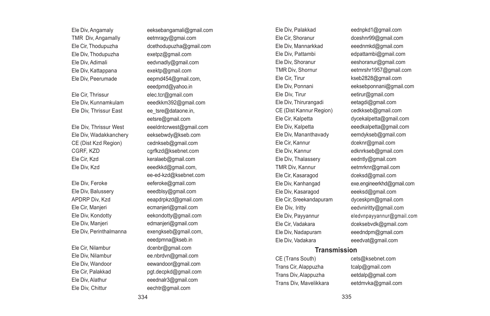Ele Div, Angamaly eeksebangamali@gmail.com TMR Div, Angamally eetmragy@gmai.com Ele Div, Thodupuzha exetpz@gmail.com Ele Div, Kattappana exektp@gmail.com

Ele Div, Thrissur East ee\_tsre@dataone.in,

Ele Div, Wadakkanchery eeksebwdy@kseb.com CE (Dist Kzd Region) cednkseb@gmail.com CGRF, KZD cgrfkzd@ksebnet.com Ele Cir, Kzd keralaeb@gmail.com Ele Div, Kzd eeedkkd@gmail.com,

Ele Div, Balussery eeedblsy@gmail.com Ele Div, Manjeri edmanjeri@gmail.com

Ele Cir, Thodupuzha dcethodupuzha@gmail.com Ele Div, Adimali eedvnadly@gmail.com Ele Div, Peerumade eepmd454@gmail.com, eeedpmd@yahoo.in Ele Cir, Thrissur elec.tcr@gmail.com Ele Div, Kunnamkulam eeedkkm392@gmail.com eetsre@gmail.com Ele Div, Thrissur West eeeldntcrwest@gmail.com ee-ed-kzd@ksebnet.com Ele Div, Feroke eeferoke@gmail.com APDRP Div, Kzd eeapdrpkzd@gmail.com Ele Cir, Manjeri ecmanjeri@gmail.com Ele Div, Kondotty eekondotty@gmail.com Ele Div, Perinthalmanna exengkseb@gmail.com, eeedpmna@kseb.in Ele Cir, Nilambur dcenbr@gmail.com Ele Div, Nilambur ee.nbrdvn@gmail.com Ele Div, Wandoor eewandoor@gmail.com Ele Cir, Palakkad pgt.decpkd@gmail.com Ele Div, Alathur eeednalr3@gmail.com Ele Div, Chittur eechtr@gmail.com

Ele Div, Palakkad eednpkd1@gmail.com Ele Cir, Shoranur dceshnr99@gmail.com Ele Div, Mannarkkad eeednmkd@gmail.com Ele Div, Pattambi edpattambi@gmail.com Ele Div, Shoranur eeshoranur@gmail.com Ele Cir, Tirur kseb2828@gmail.com Ele Div, Tirur eetirur@gmail.com Ele Div, Thirurangadi eetagdi@gmail.com CE (Dist Kannur Region) cedkkseb@gmail.com Ele Cir, Kannur dceknr@gmail.com Ele Div, Kannur edknrkseb@gmail.com Ele Div, Thalassery eedntly@gmail.com TMR Div, Kannur eetmrknr@gmail.com Ele Cir, Kasaragod dceksd@gmail.com Ele Div, Kasaragod eeeksd@gmail.com Ele Cir, Sreekandapuram dyceskpm@gmail.com Ele Div, Iritty eedvniritty@gmail.com Ele Div, Nadapuram eeedndpm@gmail.com Ele Div, Vadakara eeedvat@gmail.com

TMR Div, Shornur eetmrshr1957@gmail.com Ele Div, Ponnani eeksebponnani@gmail.com Ele Cir, Kalpetta dycekalpetta@gmail.com Ele Div, Kalpetta eeedkalpetta@gmail.com Ele Div, Mananthavady eemdykseb@gmail.com Ele Div, Kanhangad exe.engineerkhd@gmail.com Ele Div, Payyannur eledvnpayyannur@gmail.com Ele Cir, Vadakara dceksebvdk@gmail.com

#### **Transmission**

CE (Trans South) cets@ksebnet.com Trans Cir, Alappuzha tcalp@gmail.com Trans Div, Alappuzha eetdalp@gmail.com Trans Div, Mavelikkara eetdmvka@gmail.com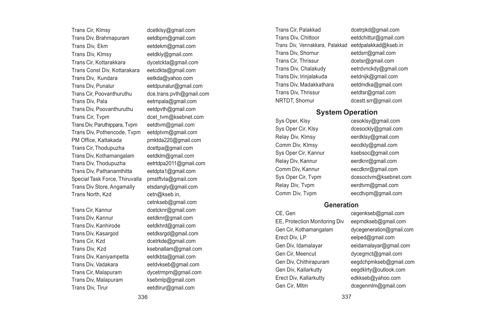Trans Cir, Klmsy dcetklsy@gmail.com Trans Div, Brahmapuram eetdbpm@gmail.com Trans Div, Ekm eetdekm@gmail.com Trans Div, Klmsy eetdkly@gmail.com Trans Cir, Kottarakkara dycetckta@gmail.com Trans Const Div, Kottarakara eetcdkta@gmail.com Trans Div, Kundara eetkda@yahoo.com Trans Div, Punalur eetdpunalur@gmail.com Trans Div, Pala eetrnpala@gmail.com Trans Div, Poovanthuruthu eetdpvth@gmail.com Trans Cir, Tvpm dcet tvm@ksebnet.com Trans Div, Paruthippara, Typm eetdtym@gmail.com Trans Div, Pothencode, Tvpm eetdptvm@gmail.com PM Office, Kattakada pmktda220@gmail.com Trans Cir, Thodupuzha Trans Div, Kothamangalam eetdklm@gmail.com Trans Div, Thodupuzha eetrtdpa2011@gmail.com Trans Div, Pathanamthitta eetdpta1@gmail.com Special Task Force, Thiruvalla pmstftvla@gmail.com Trans Div Store, Angamally etsdangly@gmail.com Trans North, Kzd cetn@kseb.in,

Trans Div, Kannur eetdknr@gmail.com Trans Div, Kanhirode eetdkhrd@gmail.com Trans Div, Kasargod eetdksrgd@gmail.com Trans Cir, Kzd dcetrkde@gmail.com Trans Div, Kzd ksebnallam@gmail.com Trans Div, Kaniyampetta eetdkbta@gmail.com Trans Div, Vadakara eetdvkseb@gmail.com Trans Cir, Malapuram dycetrmpm@gmail.com Trans Div, Malapuram ksebmlp@gmail.com Trans Div. Tirur eetdtirur@gmail.com

dce trans.pvth@gmail.com cetnkseb@gmail.com Trans Cir, Kannur dcetcknr@gmail.com

Trans Cir, Palakkad dcetrpkd@gmail.com Trans Div, Chittoor eetdchittur@gmail.com Trans Div, Vennakkara, Palakkad eetdpalakkad@kseb.in Trans Div, Shornur eetdsrr@gmail.com Trans Cir, Thrissur deetsr@gmail.com<br>Trans Div. Chalakudy eetrdynckdv@gmail Trans Div, Irinjalakuda eetdnijk@gmail.com Trans Div, Madakkathara eetdmdka@gmail.com Trans Div. Thrissur eetdtsr@gmail.com NRTDT, Shornur dcestt.srr@gmail.com

eetrdvnckdy@gmail.com

#### **System Operation**

Comm Div, Klmsy eecdkly@gmail.com Relay Div, Kannur eerdknr@gmail.com Comm Div, Kannur eecdknr@gmail.com Relay Div, Typm eerdtym@gmail.com

Sys Oper, Klsy cesoklsy@gmail.com Sys Oper Cir, Klsy dcesockly@gmail.com Relay Div, Klmsy eerdklsy@gmail.com Sys Oper Cir, Kannur ksebsoc@gmail.com Sys Oper Cir, Tvpm dcesoctvm@ksebnet.com Comm Div, Typm eecdtvpm@gmail.com

#### **Generation**

CE, Gen cegenkseb@gmail.com EE, Protection Monitoring Div eepmdkseb@gmail.com Gen Cir, Kothamangalam dycegeneration@gmail.com Erect Div, LP eelped@gmail.com Gen Div, Idamalayar eeidamalayar@gmail.com Gen Cir, Meencut dyceamct@gmail.com Gen Div, Chithirapuram eegdchpmkseb@gmail.com Gen Div, Kallarkutty eegdklrty@outlook.com Erect Div, Kallarkutty edkkseb@yahoo.com Gen Cir, Mltm dcegenmlm@gmail.com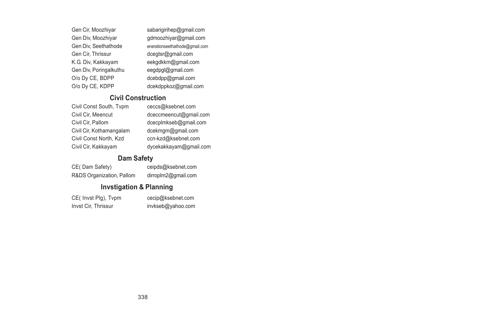| Gen Cir, Moozhiyar     | sabarigirihep@gmail.com        |
|------------------------|--------------------------------|
| Gen Div, Moozhiyar     | gdmoozhiyar@gmail.com          |
| Gen Div, Seethathode   | enerationseethathode@gmail.com |
| Gen Cir, Thrissur      | dcegtsr@gmail.com              |
| K.G. Div, Kakkayam     | eekgdkkm@gmail.com             |
| Gen Div, Poringalkuthu | eeqdpql@gmail.com              |
| O/o Dy CE, BDPP        | dcebdpp@gmail.com              |
| O/o Dy CE, KDPP        | dcekdppkoz@gmail.com           |

#### **Civil Construction**

| Civil Const South, Typm  | Cθ |
|--------------------------|----|
| Civil Cir, Meencut       | d  |
| Civil Cir. Pallom        | d  |
| Civil Cir, Kothamangalam | d  |
| Civil Const North, Kzd   | C  |
| Civil Cir, Kakkayam      | d١ |
|                          |    |

eccs@ksebnet.com ceccmeencut@gmail.com cecplmkseb@gmail.com cekmgm@gmail.com cn-kzd@ksebnet.com ycekakkayam@gmail.com

**Dam Safety**<br>CE(Dam Safety) ceig R&DS Organization, Pallom dirroplm2@gmail.com

ceipds@ksebnet.com

### **Invstigation & Planning**

| CE(Invst Plg), Typm | cecip@ksebnet.com |
|---------------------|-------------------|
| Invst Cir. Thrissur | invkseb@yahoo.com |